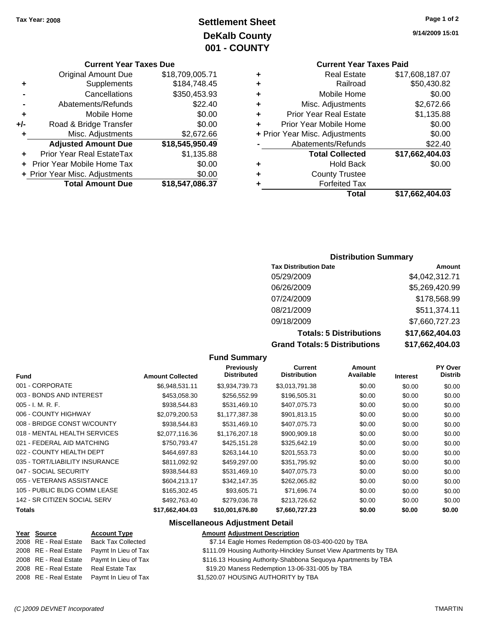## **Settlement Sheet Tax Year: 2008 Page 1 of 2 DeKalb County 001 - COUNTY**

#### **Current Year Taxes Due**

|       | <b>Original Amount Due</b>     | \$18,709,005.71 |
|-------|--------------------------------|-----------------|
| ٠     | Supplements                    | \$184,748.45    |
|       | Cancellations                  | \$350,453.93    |
|       | Abatements/Refunds             | \$22.40         |
| ٠     | Mobile Home                    | \$0.00          |
| $+/-$ | Road & Bridge Transfer         | \$0.00          |
|       | Misc. Adjustments              | \$2,672.66      |
|       | <b>Adjusted Amount Due</b>     | \$18,545,950.49 |
|       | Prior Year Real EstateTax      | \$1,135.88      |
|       | Prior Year Mobile Home Tax     | \$0.00          |
|       | + Prior Year Misc. Adjustments | \$0.00          |
|       | <b>Total Amount Due</b>        | \$18,547,086.37 |

## **Current Year Taxes Paid**

|   | Total                          | \$17,662,404.03 |
|---|--------------------------------|-----------------|
| ٠ | <b>Forfeited Tax</b>           |                 |
| ٠ | <b>County Trustee</b>          |                 |
| ٠ | <b>Hold Back</b>               | \$0.00          |
|   | <b>Total Collected</b>         | \$17,662,404.03 |
|   | Abatements/Refunds             | \$22.40         |
|   | + Prior Year Misc. Adjustments | \$0.00          |
| ÷ | Prior Year Mobile Home         | \$0.00          |
| ٠ | <b>Prior Year Real Estate</b>  | \$1,135.88      |
| ٠ | Misc. Adjustments              | \$2,672.66      |
| ٠ | Mobile Home                    | \$0.00          |
| ٠ | Railroad                       | \$50,430.82     |
| ٠ | <b>Real Estate</b>             | \$17,608,187.07 |

#### **Distribution Summary**

| <b>Tax Distribution Date</b>         | Amount          |
|--------------------------------------|-----------------|
| 05/29/2009                           | \$4,042,312.71  |
| 06/26/2009                           | \$5,269,420.99  |
| 07/24/2009                           | \$178,568.99    |
| 08/21/2009                           | \$511,374.11    |
| 09/18/2009                           | \$7,660,727.23  |
| <b>Totals: 5 Distributions</b>       | \$17,662,404.03 |
| <b>Grand Totals: 5 Distributions</b> | \$17,662,404.03 |

#### **Fund Summary**

| <b>Fund</b>                    | <b>Amount Collected</b> | <b>Previously</b><br><b>Distributed</b> | Current<br><b>Distribution</b> | Amount<br>Available | <b>Interest</b> | <b>PY Over</b><br>Distrib |
|--------------------------------|-------------------------|-----------------------------------------|--------------------------------|---------------------|-----------------|---------------------------|
| 001 - CORPORATE                | \$6,948,531.11          | \$3.934.739.73                          | \$3,013,791.38                 | \$0.00              | \$0.00          | \$0.00                    |
| 003 - BONDS AND INTEREST       | \$453,058.30            | \$256,552.99                            | \$196,505.31                   | \$0.00              | \$0.00          | \$0.00                    |
| $005 - I. M. R. F.$            | \$938,544.83            | \$531,469.10                            | \$407,075.73                   | \$0.00              | \$0.00          | \$0.00                    |
| 006 - COUNTY HIGHWAY           | \$2,079,200.53          | \$1.177.387.38                          | \$901.813.15                   | \$0.00              | \$0.00          | \$0.00                    |
| 008 - BRIDGE CONST W/COUNTY    | \$938,544.83            | \$531,469.10                            | \$407,075.73                   | \$0.00              | \$0.00          | \$0.00                    |
| 018 - MENTAL HEALTH SERVICES   | \$2,077,116.36          | \$1,176,207.18                          | \$900,909.18                   | \$0.00              | \$0.00          | \$0.00                    |
| 021 - FEDERAL AID MATCHING     | \$750,793.47            | \$425,151.28                            | \$325,642.19                   | \$0.00              | \$0.00          | \$0.00                    |
| 022 - COUNTY HEALTH DEPT       | \$464.697.83            | \$263,144.10                            | \$201,553.73                   | \$0.00              | \$0.00          | \$0.00                    |
| 035 - TORT/LIABILITY INSURANCE | \$811,092.92            | \$459,297.00                            | \$351,795.92                   | \$0.00              | \$0.00          | \$0.00                    |
| 047 - SOCIAL SECURITY          | \$938,544.83            | \$531,469.10                            | \$407,075.73                   | \$0.00              | \$0.00          | \$0.00                    |
| 055 - VETERANS ASSISTANCE      | \$604,213.17            | \$342,147.35                            | \$262,065.82                   | \$0.00              | \$0.00          | \$0.00                    |
| 105 - PUBLIC BLDG COMM LEASE   | \$165,302.45            | \$93,605.71                             | \$71,696.74                    | \$0.00              | \$0.00          | \$0.00                    |
| 142 - SR CITIZEN SOCIAL SERV   | \$492,763.40            | \$279,036.78                            | \$213,726.62                   | \$0.00              | \$0.00          | \$0.00                    |
| Totals                         | \$17,662,404.03         | \$10,001,676.80                         | \$7,660,727.23                 | \$0.00              | \$0.00          | \$0.00                    |

#### **Miscellaneous Adjustment Detail**

#### **Year Source Account Type Amount Adjustment Description**

|                       | 2008 RE - Real Estate Back Tax Collected   | \$7.14 Eagle Homes Redemption 08-03-400-020 by TBA                |
|-----------------------|--------------------------------------------|-------------------------------------------------------------------|
| 2008 RE - Real Estate | Paymt In Lieu of Tax                       | \$111.09 Housing Authority-Hinckley Sunset View Apartments by TBA |
|                       | 2008 RE - Real Estate Paymt In Lieu of Tax | \$116.13 Housing Authority-Shabbona Sequoya Apartments by TBA     |
| 2008 RE - Real Estate | Real Estate Tax                            | \$19.20 Maness Redemption 13-06-331-005 by TBA                    |
|                       | 2008 RE - Real Estate Paymt In Lieu of Tax | \$1,520.07 HOUSING AUTHORITY by TBA                               |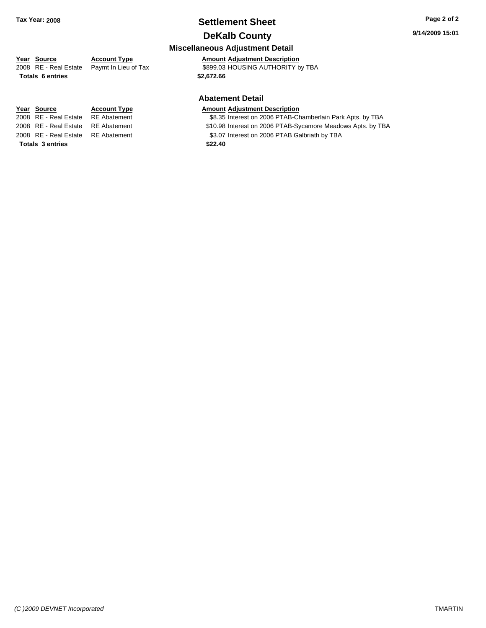## **Settlement Sheet Tax Year: 2008 Page 2 of 2 DeKalb County**

#### **9/14/2009 15:01**

#### **Miscellaneous Adjustment Detail**

**Year Source Account Type Amount Adjustment Description**

2008 RE - Real Estate Paymt In Lieu of Tax S899.03 HOUSING AUTHORITY by TBA

#### **Abatement Detail**

#### **Year Source Account Type Amount Adjustment Description**

- 2008 RE Real Estate RE Abatement \$8.35 Interest on 2006 PTAB-Chamberlain Park Apts. by TBA
- 2008 RE Real Estate RE Abatement **\$10.98** Interest on 2006 PTAB-Sycamore Meadows Apts. by TBA
- 2008 RE Real Estate RE Abatement S3.07 Interest on 2006 PTAB Galbriath by TBA

**Totals \$2,672.66 6 entries**

**Totals \$22.40 3 entries**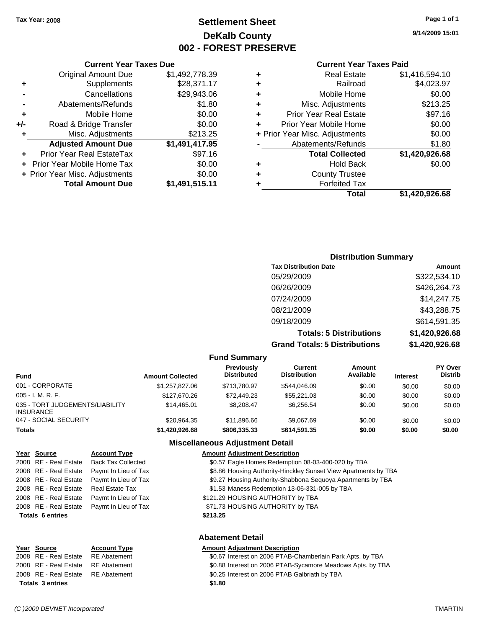## **Settlement Sheet Tax Year: 2008 Page 1 of 1 DeKalb County 002 - FOREST PRESERVE**

#### **9/14/2009 15:01**

| <b>Current Year Taxes Paid</b> |  |  |  |
|--------------------------------|--|--|--|
|--------------------------------|--|--|--|

|   | <b>Real Estate</b>             | \$1,416,594.10 |
|---|--------------------------------|----------------|
| ٠ | Railroad                       | \$4,023.97     |
| ٠ | Mobile Home                    | \$0.00         |
| ٠ | Misc. Adjustments              | \$213.25       |
| ٠ | <b>Prior Year Real Estate</b>  | \$97.16        |
|   | Prior Year Mobile Home         | \$0.00         |
|   | + Prior Year Misc. Adjustments | \$0.00         |
|   | Abatements/Refunds             | \$1.80         |
|   | <b>Total Collected</b>         | \$1,420,926.68 |
| ٠ | <b>Hold Back</b>               | \$0.00         |
| ٠ | <b>County Trustee</b>          |                |
|   | <b>Forfeited Tax</b>           |                |
|   | Total                          | \$1,420,926.68 |

|     | <b>Current Year Taxes Due</b>  |                |
|-----|--------------------------------|----------------|
|     | <b>Original Amount Due</b>     | \$1,492,778.39 |
| ٠   | Supplements                    | \$28,371.17    |
|     | Cancellations                  | \$29,943.06    |
|     | Abatements/Refunds             | \$1.80         |
| ٠   | Mobile Home                    | \$0.00         |
| +/- | Road & Bridge Transfer         | \$0.00         |
| ٠   | Misc. Adjustments              | \$213.25       |
|     | <b>Adjusted Amount Due</b>     | \$1,491,417.95 |
|     | Prior Year Real EstateTax      | \$97.16        |
|     | Prior Year Mobile Home Tax     | \$0.00         |
|     | + Prior Year Misc. Adjustments | \$0.00         |
|     | <b>Total Amount Due</b>        | \$1,491,515.11 |

#### **Distribution Summary**

| <b>Tax Distribution Date</b>         | Amount         |
|--------------------------------------|----------------|
| 05/29/2009                           | \$322,534.10   |
| 06/26/2009                           | \$426,264.73   |
| 07/24/2009                           | \$14,247.75    |
| 08/21/2009                           | \$43,288.75    |
| 09/18/2009                           | \$614,591.35   |
| <b>Totals: 5 Distributions</b>       | \$1,420,926.68 |
| <b>Grand Totals: 5 Distributions</b> | \$1,420,926.68 |

#### **Fund Summary**

| $\sim$ $\sim$ $\sim$ $\sim$ $\sim$ $\sim$ $\sim$ $\sim$ |                         |                                  |                                |                     |                 |                                  |
|---------------------------------------------------------|-------------------------|----------------------------------|--------------------------------|---------------------|-----------------|----------------------------------|
| Fund                                                    | <b>Amount Collected</b> | Previously<br><b>Distributed</b> | Current<br><b>Distribution</b> | Amount<br>Available | <b>Interest</b> | <b>PY Over</b><br><b>Distrib</b> |
| 001 - CORPORATE                                         | \$1,257,827,06          | \$713.780.97                     | \$544,046.09                   | \$0.00              | \$0.00          | \$0.00                           |
| 005 - I. M. R. F.                                       | \$127,670.26            | \$72,449.23                      | \$55,221.03                    | \$0.00              | \$0.00          | \$0.00                           |
| 035 - TORT JUDGEMENTS/LIABILITY<br><b>INSURANCE</b>     | \$14,465.01             | \$8,208,47                       | \$6.256.54                     | \$0.00              | \$0.00          | \$0.00                           |
| 047 - SOCIAL SECURITY                                   | \$20.964.35             | \$11,896,66                      | \$9,067.69                     | \$0.00              | \$0.00          | \$0.00                           |
| <b>Totals</b>                                           | \$1,420,926,68          | \$806,335,33                     | \$614,591,35                   | \$0.00              | \$0.00          | \$0.00                           |

## **Miscellaneous Adjustment Detail**

| Year Source             | <b>Account Type</b>       | <b>Amount Adjustment Description</b>                            |
|-------------------------|---------------------------|-----------------------------------------------------------------|
| 2008 RE - Real Estate   | <b>Back Tax Collected</b> | \$0.57 Eagle Homes Redemption 08-03-400-020 by TBA              |
| 2008 RE - Real Estate   | Paymt In Lieu of Tax      | \$8.86 Housing Authority-Hinckley Sunset View Apartments by TBA |
| 2008 RE - Real Estate   | Paymt In Lieu of Tax      | \$9.27 Housing Authority-Shabbona Sequoya Apartments by TBA     |
| 2008 RE - Real Estate   | <b>Real Estate Tax</b>    | \$1.53 Maness Redemption 13-06-331-005 by TBA                   |
| 2008 RE - Real Estate   | Paymt In Lieu of Tax      | \$121.29 HOUSING AUTHORITY by TBA                               |
| 2008 RE - Real Estate   | Paymt In Lieu of Tax      | \$71.73 HOUSING AUTHORITY by TBA                                |
| <b>Totals 6 entries</b> |                           | \$213.25                                                        |
| <b>Abatement Detail</b> |                           |                                                                 |

#### **Year Source Account Type Amount Adjustment Description**

| <b>Totals 3 entries</b>            |  | \$1.80                                                     |  |
|------------------------------------|--|------------------------------------------------------------|--|
| 2008 RE - Real Estate RE Abatement |  | \$0.25 Interest on 2006 PTAB Galbriath by TBA              |  |
| 2008 RE - Real Estate RE Abatement |  | \$0.88 Interest on 2006 PTAB-Sycamore Meadows Apts. by TBA |  |
| 2008 RE - Real Estate RE Abatement |  | \$0.67 Interest on 2006 PTAB-Chamberlain Park Apts. by TBA |  |
|                                    |  |                                                            |  |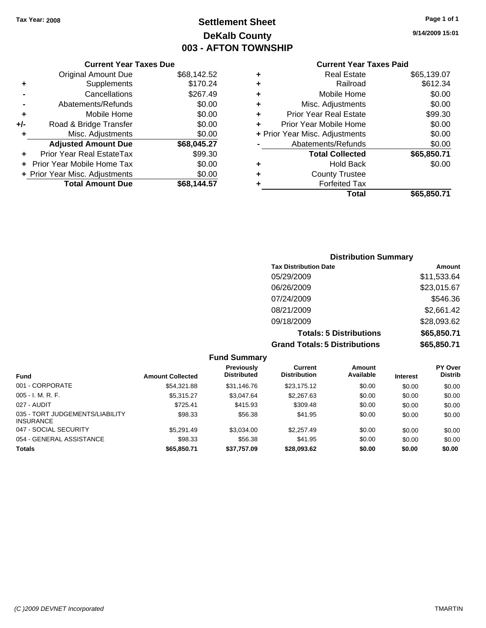## **Settlement Sheet Tax Year: 2008 Page 1 of 1 DeKalb County 003 - AFTON TOWNSHIP**

**9/14/2009 15:01**

#### **Current Year Taxes Paid**

| ٠ | <b>Real Estate</b>             | \$65,139.07 |
|---|--------------------------------|-------------|
| ٠ | Railroad                       | \$612.34    |
| ÷ | Mobile Home                    | \$0.00      |
| ٠ | Misc. Adjustments              | \$0.00      |
| ٠ | <b>Prior Year Real Estate</b>  | \$99.30     |
| ÷ | Prior Year Mobile Home         | \$0.00      |
|   | + Prior Year Misc. Adjustments | \$0.00      |
|   | Abatements/Refunds             | \$0.00      |
|   | <b>Total Collected</b>         | \$65,850.71 |
| ٠ | <b>Hold Back</b>               | \$0.00      |
| ٠ | <b>County Trustee</b>          |             |
|   | <b>Forfeited Tax</b>           |             |
|   | Total                          | \$65,850,71 |

#### **Current Year Taxes Due** Original Amount Due \$68,142.52 **+** Supplements \$170.24 **-** Cancellations \$267.49 **-** Abatements/Refunds \$0.00 **+** Mobile Home \$0.00 **+/-** Road & Bridge Transfer \$0.00 **+** Misc. Adjustments \$0.00 **Adjusted Amount Due \$68,045.27 +** Prior Year Real EstateTax \$99.30 **+** Prior Year Mobile Home Tax \$0.00 **+ Prior Year Misc. Adjustments**  $$0.00$ Total Amount Due \$68,144.57

## **Distribution Summary Tax Distribution Date Amount** 05/29/2009 \$11,533.64 06/26/2009 \$23,015.67 07/24/2009 \$546.36 08/21/2009 \$2,661.42 09/18/2009 \$28,093.62 **Totals: 5 Distributions \$65,850.71**

**Grand Totals: 5 Distributions \$65,850.71**

| <b>Fund Summary</b>                                 |                         |                                         |                                |                     |                 |                           |  |
|-----------------------------------------------------|-------------------------|-----------------------------------------|--------------------------------|---------------------|-----------------|---------------------------|--|
| <b>Fund</b>                                         | <b>Amount Collected</b> | <b>Previously</b><br><b>Distributed</b> | Current<br><b>Distribution</b> | Amount<br>Available | <b>Interest</b> | PY Over<br><b>Distrib</b> |  |
| 001 - CORPORATE                                     | \$54.321.88             | \$31,146.76                             | \$23,175.12                    | \$0.00              | \$0.00          | \$0.00                    |  |
| $005 - I. M. R. F.$                                 | \$5,315.27              | \$3,047.64                              | \$2,267.63                     | \$0.00              | \$0.00          | \$0.00                    |  |
| 027 - AUDIT                                         | \$725.41                | \$415.93                                | \$309.48                       | \$0.00              | \$0.00          | \$0.00                    |  |
| 035 - TORT JUDGEMENTS/LIABILITY<br><b>INSURANCE</b> | \$98.33                 | \$56.38                                 | \$41.95                        | \$0.00              | \$0.00          | \$0.00                    |  |
| 047 - SOCIAL SECURITY                               | \$5.291.49              | \$3.034.00                              | \$2,257.49                     | \$0.00              | \$0.00          | \$0.00                    |  |
| 054 - GENERAL ASSISTANCE                            | \$98.33                 | \$56.38                                 | \$41.95                        | \$0.00              | \$0.00          | \$0.00                    |  |
| <b>Totals</b>                                       | \$65,850.71             | \$37,757.09                             | \$28,093.62                    | \$0.00              | \$0.00          | \$0.00                    |  |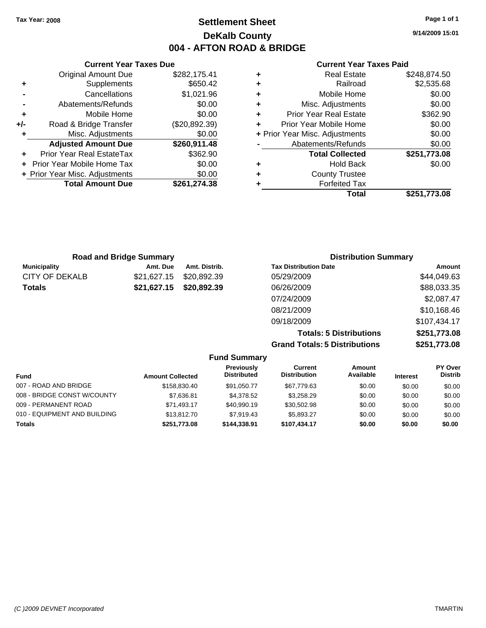#### **Current Year Taxes Paid**

|   | Total                          | \$251.773.08 |
|---|--------------------------------|--------------|
|   | <b>Forfeited Tax</b>           |              |
| ٠ | <b>County Trustee</b>          |              |
| ٠ | <b>Hold Back</b>               | \$0.00       |
|   | <b>Total Collected</b>         | \$251,773.08 |
|   | Abatements/Refunds             | \$0.00       |
|   | + Prior Year Misc. Adjustments | \$0.00       |
| ÷ | Prior Year Mobile Home         | \$0.00       |
| ٠ | <b>Prior Year Real Estate</b>  | \$362.90     |
| ٠ | Misc. Adjustments              | \$0.00       |
| ٠ | Mobile Home                    | \$0.00       |
| ٠ | Railroad                       | \$2,535.68   |
| ٠ | <b>Real Estate</b>             | \$248,874.50 |

|     | <b>Current Year Taxes Due</b>  |               |
|-----|--------------------------------|---------------|
|     | <b>Original Amount Due</b>     | \$282,175.41  |
| ٠   | Supplements                    | \$650.42      |
|     | Cancellations                  | \$1,021.96    |
|     | Abatements/Refunds             | \$0.00        |
| ٠   | Mobile Home                    | \$0.00        |
| +/- | Road & Bridge Transfer         | (\$20,892.39) |
| ٠   | Misc. Adjustments              | \$0.00        |
|     | <b>Adjusted Amount Due</b>     | \$260,911.48  |
|     | Prior Year Real EstateTax      | \$362.90      |
|     | Prior Year Mobile Home Tax     | \$0.00        |
|     | + Prior Year Misc. Adjustments | \$0.00        |
|     | <b>Total Amount Due</b>        | \$261,274.38  |
|     |                                |               |

|                     | <b>Road and Bridge Summary</b> |               | <b>Distribution Summary</b>  |                    |
|---------------------|--------------------------------|---------------|------------------------------|--------------------|
| <b>Municipality</b> | Amt. Due                       | Amt. Distrib. | <b>Tax Distribution Date</b> | Amount             |
| CITY OF DEKALB      | \$21,627.15                    | \$20,892.39   | 05/29/2009                   | \$44,049.63        |
| Totals              | \$21,627.15                    | \$20,892.39   | 06/26/2009                   | \$88,033.35        |
|                     |                                |               | 07/24/2009                   | \$2,087.47         |
|                     |                                |               | 08/21/2009                   | \$10,168.46        |
|                     |                                |               | 09/18/2009                   | \$107,434.17       |
|                     |                                |               | Tatolo: E Dictributions      | <b>¢254 772 00</b> |

**Totals: 5 Distributions \$251,773.08 Grand Totals: 5 Distributions \$251,773.08**

| <b>Fund Summary</b>          |                         |                                         |                                |                     |                 |                           |
|------------------------------|-------------------------|-----------------------------------------|--------------------------------|---------------------|-----------------|---------------------------|
| <b>Fund</b>                  | <b>Amount Collected</b> | <b>Previously</b><br><b>Distributed</b> | Current<br><b>Distribution</b> | Amount<br>Available | <b>Interest</b> | PY Over<br><b>Distrib</b> |
| 007 - ROAD AND BRIDGE        | \$158,830.40            | \$91.050.77                             | \$67,779.63                    | \$0.00              | \$0.00          | \$0.00                    |
| 008 - BRIDGE CONST W/COUNTY  | \$7,636.81              | \$4,378.52                              | \$3,258.29                     | \$0.00              | \$0.00          | \$0.00                    |
| 009 - PERMANENT ROAD         | \$71.493.17             | \$40.990.19                             | \$30,502.98                    | \$0.00              | \$0.00          | \$0.00                    |
| 010 - EQUIPMENT AND BUILDING | \$13,812.70             | \$7.919.43                              | \$5.893.27                     | \$0.00              | \$0.00          | \$0.00                    |
| <b>Totals</b>                | \$251,773.08            | \$144.338.91                            | \$107.434.17                   | \$0.00              | \$0.00          | \$0.00                    |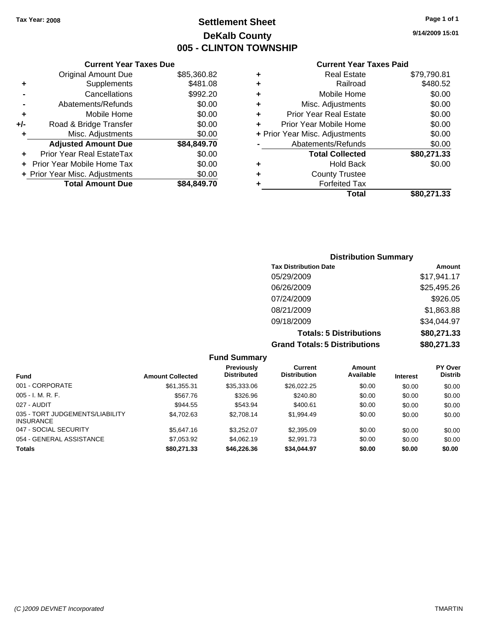## **Settlement Sheet Tax Year: 2008 Page 1 of 1 DeKalb County 005 - CLINTON TOWNSHIP**

**9/14/2009 15:01**

#### **Current Year Taxes Paid**

|     | OGNON, I GAI TAAGO DAG         |             |   |                    |
|-----|--------------------------------|-------------|---|--------------------|
|     | <b>Original Amount Due</b>     | \$85,360.82 | ٠ |                    |
| ٠   | Supplements                    | \$481.08    | ٠ |                    |
|     | Cancellations                  | \$992.20    | ٠ |                    |
|     | Abatements/Refunds             | \$0.00      | ٠ | M                  |
|     | Mobile Home                    | \$0.00      |   | Prior <sup>'</sup> |
| +/- | Road & Bridge Transfer         | \$0.00      |   | Prior Ye           |
|     | Misc. Adjustments              | \$0.00      |   | + Prior Year M     |
|     | <b>Adjusted Amount Due</b>     | \$84,849.70 |   | Abat               |
|     | Prior Year Real EstateTax      | \$0.00      |   |                    |
|     | + Prior Year Mobile Home Tax   | \$0.00      | ٠ |                    |
|     | + Prior Year Misc. Adjustments | \$0.00      | ٠ |                    |
|     | <b>Total Amount Due</b>        | \$84,849.70 |   |                    |
|     |                                |             |   |                    |

**Current Year Taxes Due**

|   | Real Estate                    | \$79,790.81 |
|---|--------------------------------|-------------|
| ٠ | Railroad                       | \$480.52    |
| ٠ | Mobile Home                    | \$0.00      |
| ٠ | Misc. Adjustments              | \$0.00      |
| ٠ | <b>Prior Year Real Estate</b>  | \$0.00      |
|   | Prior Year Mobile Home         | \$0.00      |
|   | + Prior Year Misc. Adjustments | \$0.00      |
|   | Abatements/Refunds             | \$0.00      |
|   | <b>Total Collected</b>         | \$80,271.33 |
|   | <b>Hold Back</b>               | \$0.00      |
|   | <b>County Trustee</b>          |             |
|   | <b>Forfeited Tax</b>           |             |
|   | Total                          | \$80,271.33 |

### **Distribution Summary Tax Distribution Date Amount** 05/29/2009 \$17,941.17 06/26/2009 \$25,495.26 07/24/2009 \$926.05 08/21/2009 \$1,863.88 09/18/2009 \$34,044.97 **Totals: 5 Distributions \$80,271.33 Grand Totals: 5 Distributions \$80,271.33**

|                                                     |                         | <b>Fund Summary</b>              |                                       |                     |                 |                                  |
|-----------------------------------------------------|-------------------------|----------------------------------|---------------------------------------|---------------------|-----------------|----------------------------------|
| <b>Fund</b>                                         | <b>Amount Collected</b> | Previously<br><b>Distributed</b> | <b>Current</b><br><b>Distribution</b> | Amount<br>Available | <b>Interest</b> | <b>PY Over</b><br><b>Distrib</b> |
| 001 - CORPORATE                                     | \$61,355.31             | \$35,333.06                      | \$26,022.25                           | \$0.00              | \$0.00          | \$0.00                           |
| $005 - I. M. R. F.$                                 | \$567.76                | \$326.96                         | \$240.80                              | \$0.00              | \$0.00          | \$0.00                           |
| 027 - AUDIT                                         | \$944.55                | \$543.94                         | \$400.61                              | \$0.00              | \$0.00          | \$0.00                           |
| 035 - TORT JUDGEMENTS/LIABILITY<br><b>INSURANCE</b> | \$4.702.63              | \$2,708.14                       | \$1,994.49                            | \$0.00              | \$0.00          | \$0.00                           |
| 047 - SOCIAL SECURITY                               | \$5,647.16              | \$3,252.07                       | \$2,395.09                            | \$0.00              | \$0.00          | \$0.00                           |
| 054 - GENERAL ASSISTANCE                            | \$7,053.92              | \$4,062.19                       | \$2,991.73                            | \$0.00              | \$0.00          | \$0.00                           |
| <b>Totals</b>                                       | \$80,271.33             | \$46,226.36                      | \$34,044.97                           | \$0.00              | \$0.00          | \$0.00                           |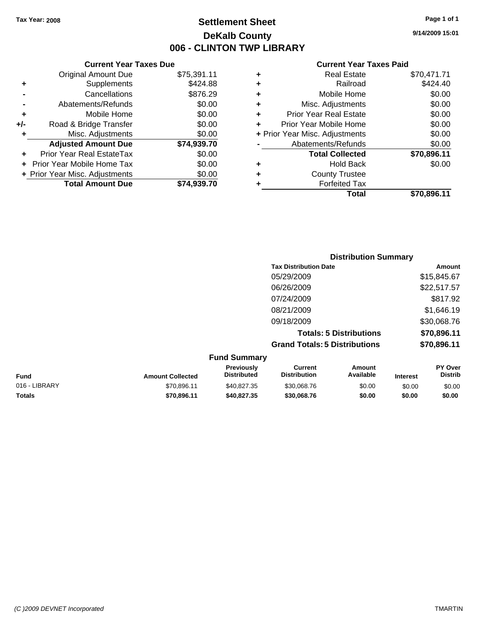## **Settlement Sheet Tax Year: 2008 Page 1 of 1 DeKalb County 006 - CLINTON TWP LIBRARY**

#### **Current Year Taxes Due**

|     | <b>Original Amount Due</b>        | \$75,391.11 |
|-----|-----------------------------------|-------------|
| ٠   | Supplements                       | \$424.88    |
|     | Cancellations                     | \$876.29    |
|     | Abatements/Refunds                | \$0.00      |
| ٠   | Mobile Home                       | \$0.00      |
| +/- | Road & Bridge Transfer            | \$0.00      |
|     | Misc. Adjustments                 | \$0.00      |
|     | <b>Adjusted Amount Due</b>        | \$74,939.70 |
|     | Prior Year Real EstateTax         | \$0.00      |
|     | <b>Prior Year Mobile Home Tax</b> | \$0.00      |
|     | + Prior Year Misc. Adjustments    | \$0.00      |
|     | <b>Total Amount Due</b>           | \$74.939.70 |

#### **Current Year Taxes Paid**

|   | <b>Real Estate</b>             | \$70,471.71 |
|---|--------------------------------|-------------|
| ٠ | Railroad                       | \$424.40    |
| ٠ | Mobile Home                    | \$0.00      |
| ٠ | Misc. Adjustments              | \$0.00      |
| ٠ | <b>Prior Year Real Estate</b>  | \$0.00      |
|   | Prior Year Mobile Home         | \$0.00      |
|   | + Prior Year Misc. Adjustments | \$0.00      |
|   | Abatements/Refunds             | \$0.00      |
|   | <b>Total Collected</b>         | \$70,896.11 |
| ٠ | <b>Hold Back</b>               | \$0.00      |
| ٠ | <b>County Trustee</b>          |             |
| ٠ | <b>Forfeited Tax</b>           |             |
|   | Total                          | \$70,896.11 |
|   |                                |             |

### **Distribution Summary Tax Distribution Date Amount** 05/29/2009 \$15,845.67 06/26/2009 \$22,517.57 07/24/2009 \$817.92 08/21/2009 \$1,646.19 09/18/2009 \$30,068.76 **Totals: 5 Distributions \$70,896.11 Grand Totals: 5 Distributions \$70,896.11 Fund Summary**

| <b>FUND SUMMARY</b>     |                                         |                                |                     |                 |                                  |  |  |
|-------------------------|-----------------------------------------|--------------------------------|---------------------|-----------------|----------------------------------|--|--|
| <b>Amount Collected</b> | <b>Previously</b><br><b>Distributed</b> | Current<br><b>Distribution</b> | Amount<br>Available | <b>Interest</b> | <b>PY Over</b><br><b>Distrib</b> |  |  |
| \$70.896.11             | \$40.827.35                             | \$30,068.76                    | \$0.00              | \$0.00          | \$0.00                           |  |  |
| \$70.896.11             | \$40,827,35                             | \$30,068,76                    | \$0.00              | \$0.00          | \$0.00                           |  |  |
|                         |                                         |                                |                     |                 |                                  |  |  |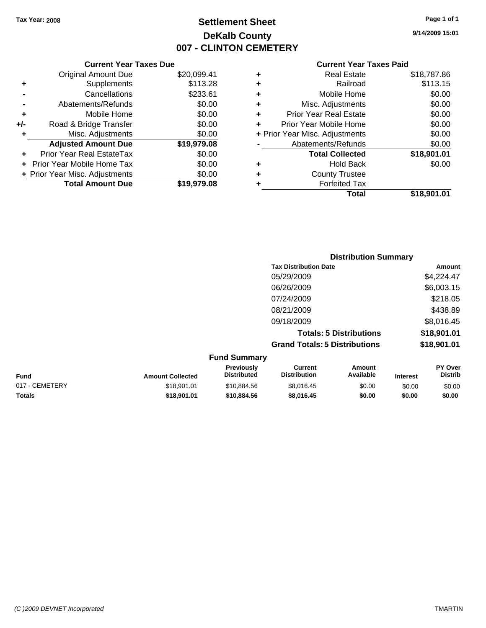## **Settlement Sheet Tax Year: 2008 Page 1 of 1 DeKalb County 007 - CLINTON CEMETERY**

**9/14/2009 15:01**

#### **Current Year Taxes Paid**

|       | <b>Current Year Taxes Due</b>  |             |   | <b>Current Year Ta</b>         |
|-------|--------------------------------|-------------|---|--------------------------------|
|       | <b>Original Amount Due</b>     | \$20,099.41 | ÷ | <b>Real Estate</b>             |
|       | Supplements                    | \$113.28    | ٠ | Railroad                       |
|       | Cancellations                  | \$233.61    | ٠ | Mobile Home                    |
|       | Abatements/Refunds             | \$0.00      | ٠ | Misc. Adjustments              |
|       | Mobile Home                    | \$0.00      | ÷ | <b>Prior Year Real Estate</b>  |
| $+/-$ | Road & Bridge Transfer         | \$0.00      | ÷ | Prior Year Mobile Home         |
|       | Misc. Adjustments              | \$0.00      |   | + Prior Year Misc. Adjustments |
|       | <b>Adjusted Amount Due</b>     | \$19,979.08 |   | Abatements/Refunds             |
|       | Prior Year Real EstateTax      | \$0.00      |   | <b>Total Collected</b>         |
|       | + Prior Year Mobile Home Tax   | \$0.00      | ٠ | <b>Hold Back</b>               |
|       | + Prior Year Misc. Adjustments | \$0.00      | ÷ | <b>County Trustee</b>          |
|       | <b>Total Amount Due</b>        | \$19,979.08 |   | <b>Forfeited Tax</b>           |
|       |                                |             |   | T <sub>ofol</sub>              |

|   | Total                          | \$18,901.01 |
|---|--------------------------------|-------------|
|   | <b>Forfeited Tax</b>           |             |
|   | <b>County Trustee</b>          |             |
|   | <b>Hold Back</b>               | \$0.00      |
|   | <b>Total Collected</b>         | \$18,901.01 |
|   | Abatements/Refunds             | \$0.00      |
|   | + Prior Year Misc. Adjustments | \$0.00      |
| ٠ | Prior Year Mobile Home         | \$0.00      |
|   | <b>Prior Year Real Estate</b>  | \$0.00      |
|   | Misc. Adjustments              | \$0.00      |
| ٠ | Mobile Home                    | \$0.00      |
|   | Railroad                       | \$113.15    |
| ٠ | <b>Real Estate</b>             | \$18,787.86 |
|   |                                |             |

|                |                         |                                  | <b>Distribution Summary</b>           |                                |                 |                                  |
|----------------|-------------------------|----------------------------------|---------------------------------------|--------------------------------|-----------------|----------------------------------|
|                |                         |                                  | <b>Tax Distribution Date</b>          |                                |                 | Amount                           |
|                |                         |                                  | 05/29/2009                            |                                |                 | \$4,224.47                       |
|                |                         |                                  | 06/26/2009                            |                                |                 | \$6,003.15                       |
|                |                         |                                  | 07/24/2009                            |                                |                 | \$218.05                         |
|                |                         |                                  | 08/21/2009                            |                                |                 | \$438.89                         |
|                |                         |                                  | 09/18/2009                            |                                |                 | \$8,016.45                       |
|                |                         |                                  |                                       | <b>Totals: 5 Distributions</b> |                 | \$18,901.01                      |
|                |                         |                                  | <b>Grand Totals: 5 Distributions</b>  |                                |                 | \$18,901.01                      |
|                |                         | <b>Fund Summary</b>              |                                       |                                |                 |                                  |
| <b>Fund</b>    | <b>Amount Collected</b> | Previously<br><b>Distributed</b> | <b>Current</b><br><b>Distribution</b> | <b>Amount</b><br>Available     | <b>Interest</b> | <b>PY Over</b><br><b>Distrib</b> |
| 017 - CEMETERY | \$18,901.01             | \$10,884.56                      | \$8,016.45                            | \$0.00                         | \$0.00          | \$0.00                           |

**Totals \$18,901.01 \$10,884.56 \$8,016.45 \$0.00 \$0.00 \$0.00**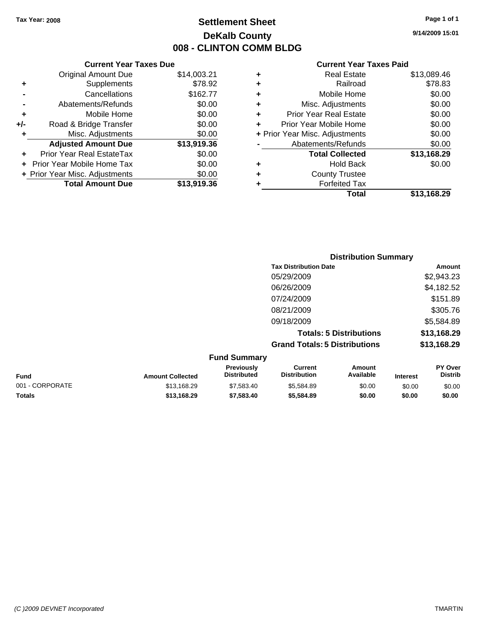## **Settlement Sheet Tax Year: 2008 Page 1 of 1 DeKalb County 008 - CLINTON COMM BLDG**

**9/14/2009 15:01**

#### **Current Year Taxes Paid**

|     | <b>Current Year Taxes Due</b>  |             |  |  |  |  |  |
|-----|--------------------------------|-------------|--|--|--|--|--|
|     | <b>Original Amount Due</b>     | \$14,003.21 |  |  |  |  |  |
| ٠   | Supplements                    | \$78.92     |  |  |  |  |  |
|     | Cancellations                  | \$162.77    |  |  |  |  |  |
|     | Abatements/Refunds             | \$0.00      |  |  |  |  |  |
| ٠   | Mobile Home                    | \$0.00      |  |  |  |  |  |
| +/- | Road & Bridge Transfer         | \$0.00      |  |  |  |  |  |
| ٠   | Misc. Adjustments              | \$0.00      |  |  |  |  |  |
|     | <b>Adjusted Amount Due</b>     | \$13,919.36 |  |  |  |  |  |
| ٠   | Prior Year Real EstateTax      | \$0.00      |  |  |  |  |  |
|     | Prior Year Mobile Home Tax     | \$0.00      |  |  |  |  |  |
|     | + Prior Year Misc. Adjustments | \$0.00      |  |  |  |  |  |
|     | <b>Total Amount Due</b>        | \$13,919.36 |  |  |  |  |  |
|     |                                |             |  |  |  |  |  |

|   | <b>Real Estate</b>             | \$13,089.46 |
|---|--------------------------------|-------------|
| ٠ | Railroad                       | \$78.83     |
| ٠ | Mobile Home                    | \$0.00      |
| ٠ | Misc. Adjustments              | \$0.00      |
| ÷ | <b>Prior Year Real Estate</b>  | \$0.00      |
| ٠ | Prior Year Mobile Home         | \$0.00      |
|   | + Prior Year Misc. Adjustments | \$0.00      |
|   | Abatements/Refunds             | \$0.00      |
|   | <b>Total Collected</b>         | \$13,168.29 |
| ٠ | <b>Hold Back</b>               | \$0.00      |
| ٠ | <b>County Trustee</b>          |             |
| ٠ | <b>Forfeited Tax</b>           |             |
|   | Total                          | \$13,168.29 |
|   |                                |             |

|                     | <b>Distribution Summary</b>          |             |
|---------------------|--------------------------------------|-------------|
|                     | <b>Tax Distribution Date</b>         | Amount      |
|                     | 05/29/2009                           | \$2,943.23  |
|                     | 06/26/2009                           | \$4,182.52  |
|                     | 07/24/2009                           | \$151.89    |
|                     | 08/21/2009                           | \$305.76    |
|                     | 09/18/2009                           | \$5,584.89  |
|                     | <b>Totals: 5 Distributions</b>       | \$13,168.29 |
|                     | <b>Grand Totals: 5 Distributions</b> | \$13,168.29 |
| <b>Eund Cummary</b> |                                      |             |

|                 |                         | <b>Fund Summary</b>                     |                                |                     |                 |                           |
|-----------------|-------------------------|-----------------------------------------|--------------------------------|---------------------|-----------------|---------------------------|
| <b>Fund</b>     | <b>Amount Collected</b> | <b>Previously</b><br><b>Distributed</b> | Current<br><b>Distribution</b> | Amount<br>Available | <b>Interest</b> | PY Over<br><b>Distrib</b> |
| 001 - CORPORATE | \$13,168.29             | \$7,583,40                              | \$5.584.89                     | \$0.00              | \$0.00          | \$0.00                    |
| <b>Totals</b>   | \$13,168,29             | \$7,583,40                              | \$5,584.89                     | \$0.00              | \$0.00          | \$0.00                    |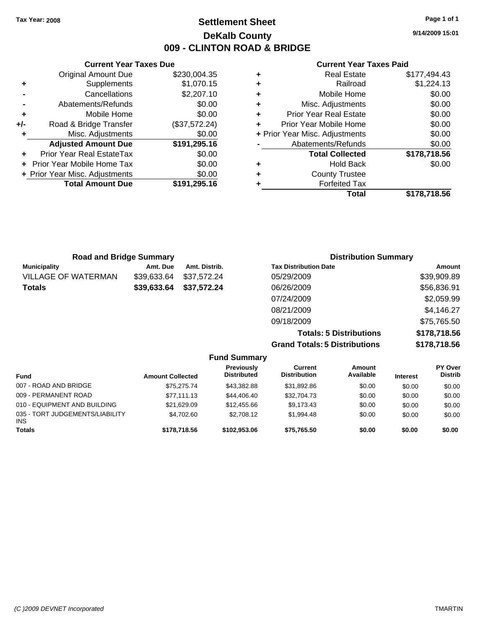## **Settlement Sheet Tax Year: 2008 Page 1 of 1 DeKalb County 009 - CLINTON ROAD & BRIDGE**

**9/14/2009 15:01**

#### **Current Year Taxes Paid**

| \$177,494.43 | <b>Real Estate</b>             | ٠ | \$230,004.35  | <b>Original Amount Due</b>     |     |
|--------------|--------------------------------|---|---------------|--------------------------------|-----|
| \$1,224.13   | Railroad                       | ٠ | \$1,070.15    | Supplements                    | ٠   |
| \$0.00       | Mobile Home                    | ٠ | \$2,207.10    | Cancellations                  |     |
| \$0.00       | Misc. Adjustments              | ٠ | \$0.00        | Abatements/Refunds             |     |
| \$0.00       | <b>Prior Year Real Estate</b>  | ÷ | \$0.00        | Mobile Home                    | ٠   |
| \$0.00       | Prior Year Mobile Home         | ٠ | (\$37,572.24) | Road & Bridge Transfer         | +/- |
| \$0.00       | + Prior Year Misc. Adjustments |   | \$0.00        | Misc. Adjustments              |     |
| \$0.00       | Abatements/Refunds             |   | \$191,295.16  | <b>Adjusted Amount Due</b>     |     |
| \$178,718.56 | <b>Total Collected</b>         |   | \$0.00        | Prior Year Real EstateTax      | ÷.  |
| \$0.00       | <b>Hold Back</b>               | ٠ | \$0.00        | + Prior Year Mobile Home Tax   |     |
|              | <b>County Trustee</b>          | ٠ | \$0.00        | + Prior Year Misc. Adjustments |     |
|              | <b>Forfeited Tax</b>           |   | \$191,295.16  | <b>Total Amount Due</b>        |     |
| \$178,718.56 | <b>Total</b>                   |   |               |                                |     |

\$4,702.60 \$2,708.12 \$1,994.48 \$0.00 \$0.00 \$0.00

| + Prior Year Misc. Adjustments | \$0.00       | ٠ | <b>County Trustee</b>       |     |
|--------------------------------|--------------|---|-----------------------------|-----|
| <b>Total Amount Due</b>        | \$191,295.16 | ٠ | <b>Forfeited Tax</b>        |     |
|                                |              |   | Total                       | \$1 |
|                                |              |   |                             |     |
|                                |              |   |                             |     |
|                                |              |   |                             |     |
|                                |              |   |                             |     |
| <b>Road and Bridge Summary</b> |              |   | <b>Distribution Summary</b> |     |

**Current Year Taxes Due**

| <b>Municipality</b>          | Amt. Due                | Amt. Distrib. |                                  | <b>Tax Distribution Date</b>         |                                |                 | Amount                    |
|------------------------------|-------------------------|---------------|----------------------------------|--------------------------------------|--------------------------------|-----------------|---------------------------|
| <b>VILLAGE OF WATERMAN</b>   | \$39,633.64             | \$37,572.24   |                                  | 05/29/2009                           |                                |                 | \$39,909.89               |
| <b>Totals</b>                | \$39,633.64             | \$37,572.24   |                                  | 06/26/2009                           |                                |                 | \$56,836.91               |
|                              |                         |               |                                  | 07/24/2009                           |                                |                 | \$2,059.99                |
|                              |                         |               |                                  | 08/21/2009                           |                                |                 | \$4,146.27                |
|                              |                         |               |                                  | 09/18/2009                           |                                |                 | \$75,765.50               |
|                              |                         |               |                                  |                                      | <b>Totals: 5 Distributions</b> |                 | \$178,718.56              |
|                              |                         |               |                                  | <b>Grand Totals: 5 Distributions</b> |                                |                 | \$178,718.56              |
|                              |                         |               | <b>Fund Summary</b>              |                                      |                                |                 |                           |
| <b>Fund</b>                  | <b>Amount Collected</b> |               | Previously<br><b>Distributed</b> | Current<br><b>Distribution</b>       | <b>Amount</b><br>Available     | <b>Interest</b> | PY Over<br><b>Distrib</b> |
| 007 - ROAD AND BRIDGE        |                         | \$75,275.74   | \$43,382.88                      | \$31,892.86                          | \$0.00                         | \$0.00          | \$0.00                    |
| 009 - PERMANENT ROAD         |                         | \$77,111.13   | \$44,406.40                      | \$32,704.73                          | \$0.00                         | \$0.00          | \$0.00                    |
| 010 - EQUIPMENT AND BUILDING |                         | \$21,629.09   | \$12,455.66                      | \$9,173.43                           | \$0.00                         | \$0.00          | \$0.00                    |

**Totals \$178,718.56 \$102,953.06 \$75,765.50 \$0.00 \$0.00 \$0.00**

035 - TORT JUDGEMENTS/LIABILITY

INS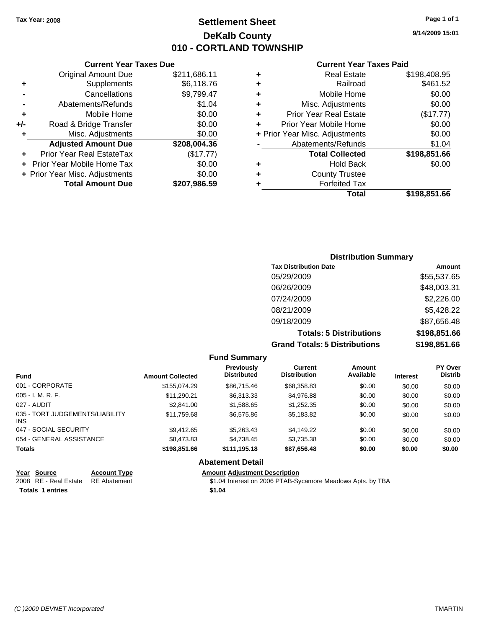## **Settlement Sheet Tax Year: 2008 Page 1 of 1 DeKalb County 010 - CORTLAND TOWNSHIP**

#### **Current Year Taxes Due**

|     | <b>Original Amount Due</b>        | \$211,686.11 |
|-----|-----------------------------------|--------------|
| ٠   | Supplements                       | \$6,118.76   |
|     | Cancellations                     | \$9,799.47   |
|     | Abatements/Refunds                | \$1.04       |
| ٠   | Mobile Home                       | \$0.00       |
| +/- | Road & Bridge Transfer            | \$0.00       |
| ٠   | Misc. Adjustments                 | \$0.00       |
|     | <b>Adjusted Amount Due</b>        | \$208,004.36 |
|     | Prior Year Real EstateTax         | (\$17.77)    |
|     | <b>Prior Year Mobile Home Tax</b> | \$0.00       |
|     | + Prior Year Misc. Adjustments    | \$0.00       |
|     |                                   |              |
|     | <b>Total Amount Due</b>           | \$207,986.59 |

#### **Current Year Taxes Paid**

|   | <b>Real Estate</b>             | \$198,408.95 |
|---|--------------------------------|--------------|
| ٠ | Railroad                       | \$461.52     |
| ٠ | Mobile Home                    | \$0.00       |
| ٠ | Misc. Adjustments              | \$0.00       |
| ٠ | <b>Prior Year Real Estate</b>  | (\$17.77)    |
|   | Prior Year Mobile Home         | \$0.00       |
|   | + Prior Year Misc. Adjustments | \$0.00       |
|   | Abatements/Refunds             | \$1.04       |
|   | <b>Total Collected</b>         | \$198,851.66 |
| ٠ | Hold Back                      | \$0.00       |
| ٠ | <b>County Trustee</b>          |              |
| ٠ | <b>Forfeited Tax</b>           |              |
|   | Total                          | \$198,851.66 |
|   |                                |              |

#### **Distribution Summary Tax Distribution Date Amount** 05/29/2009 \$55,537.65 06/26/2009 \$48,003.31 07/24/2009 \$2,226.00 08/21/2009 \$5,428.22 09/18/2009 \$87,656.48 **Totals: 5 Distributions \$198,851.66 Grand Totals: 5 Distributions \$198,851.66**

**Fund Summary Fund Interest Amount Collected Distributed PY Over Distrib Amount Available Current Distribution Previously** 001 - CORPORATE \$155,074.29 \$86,715.46 \$68,358.83 \$0.00 \$0.00 \$0.00 005 - I. M. R. F. \$11,290.21 \$6,313.33 \$4,976.88 \$0.00 \$0.00 \$0.00 027 - AUDIT \$2,841.00 \$1,588.65 \$1,252.35 \$0.00 \$0.00 \$0.00 035 - TORT JUDGEMENTS/LIABILITY INS \$11,759.68 \$6,575.86 \$5,183.82 \$0.00 \$0.00 \$0.00 047 - SOCIAL SECURITY \$9,412.65 \$5,263.43 \$4,149.22 \$0.00 \$0.00 \$0.00 054 - GENERAL ASSISTANCE  $$8,473.83$   $$4,738.45$   $$3,735.38$   $$0.00$   $$0.00$   $$0.00$ **Totals \$198,851.66 \$111,195.18 \$87,656.48 \$0.00 \$0.00 \$0.00 Abatement Detail**

| Year Source                        | <b>Account Type</b> | <b>Amount Adiustment Description</b>                       |
|------------------------------------|---------------------|------------------------------------------------------------|
| 2008 RE - Real Estate RE Abatement |                     | \$1.04 Interest on 2006 PTAB-Sycamore Meadows Apts. by TBA |
| <b>Totals 1 entries</b>            |                     | \$1.04                                                     |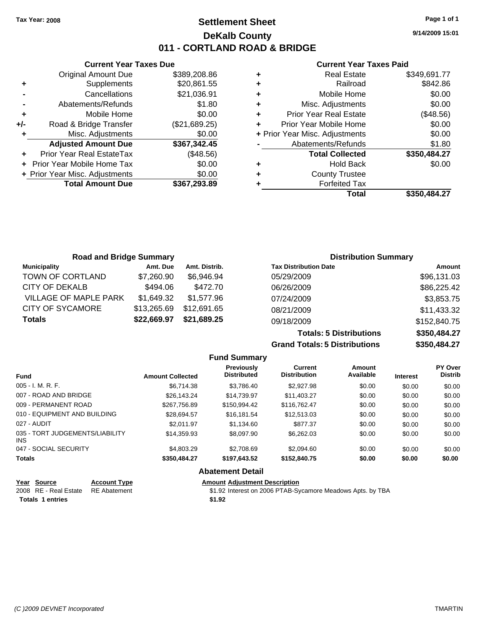|     | <b>Current Year Taxes Due</b>  |               |
|-----|--------------------------------|---------------|
|     | <b>Original Amount Due</b>     | \$389,208.86  |
| ٠   | Supplements                    | \$20,861.55   |
|     | Cancellations                  | \$21,036.91   |
|     | Abatements/Refunds             | \$1.80        |
| ٠   | Mobile Home                    | \$0.00        |
| +/- | Road & Bridge Transfer         | (\$21,689.25) |
| ٠   | Misc. Adjustments              | \$0.00        |
|     | <b>Adjusted Amount Due</b>     | \$367,342.45  |
|     | Prior Year Real EstateTax      | (\$48.56)     |
|     | Prior Year Mobile Home Tax     | \$0.00        |
|     | + Prior Year Misc. Adjustments | \$0.00        |
|     | <b>Total Amount Due</b>        | \$367,293.89  |
|     |                                |               |

#### **Current Year Taxes Paid**

|   | <b>Real Estate</b>             | \$349,691.77 |
|---|--------------------------------|--------------|
| ٠ | Railroad                       | \$842.86     |
| ٠ | Mobile Home                    | \$0.00       |
| ٠ | Misc. Adjustments              | \$0.00       |
| ٠ | <b>Prior Year Real Estate</b>  | (\$48.56)    |
|   | Prior Year Mobile Home         | \$0.00       |
|   | + Prior Year Misc. Adjustments | \$0.00       |
|   | Abatements/Refunds             | \$1.80       |
|   | <b>Total Collected</b>         | \$350,484.27 |
| ٠ | Hold Back                      | \$0.00       |
| ٠ | <b>County Trustee</b>          |              |
| ٠ | <b>Forfeited Tax</b>           |              |
|   | Total                          | \$350,484.27 |
|   |                                |              |

| <b>Road and Bridge Summary</b> |             |               | <b>Distribution Summary</b>  |              |
|--------------------------------|-------------|---------------|------------------------------|--------------|
| <b>Municipality</b>            | Amt. Due    | Amt. Distrib. | <b>Tax Distribution Date</b> | Amount       |
| TOWN OF CORTLAND               | \$7,260.90  | \$6,946.94    | 05/29/2009                   | \$96,131.03  |
| CITY OF DEKALB                 | \$494.06    | \$472.70      | 06/26/2009                   | \$86,225.42  |
| VILLAGE OF MAPLE PARK          | \$1,649.32  | \$1.577.96    | 07/24/2009                   | \$3,853.75   |
| <b>CITY OF SYCAMORE</b>        | \$13,265.69 | \$12,691.65   | 08/21/2009                   | \$11,433.32  |
| <b>Totals</b>                  | \$22,669.97 | \$21,689.25   | 09/18/2009                   | \$152,840.75 |
|                                |             |               |                              |              |

**Totals: 5 Distributions \$350,484.27 Grand Totals: 5 Distributions \$350,484.27**

|                                         |                         | <b>Fund Summary</b>              |                                       |                     |                 |                           |
|-----------------------------------------|-------------------------|----------------------------------|---------------------------------------|---------------------|-----------------|---------------------------|
| <b>Fund</b>                             | <b>Amount Collected</b> | Previously<br><b>Distributed</b> | <b>Current</b><br><b>Distribution</b> | Amount<br>Available | <b>Interest</b> | PY Over<br><b>Distrib</b> |
| $005 - I. M. R. F.$                     | \$6.714.38              | \$3,786.40                       | \$2,927.98                            | \$0.00              | \$0.00          | \$0.00                    |
| 007 - ROAD AND BRIDGE                   | \$26.143.24             | \$14.739.97                      | \$11,403.27                           | \$0.00              | \$0.00          | \$0.00                    |
| 009 - PERMANENT ROAD                    | \$267.756.89            | \$150,994.42                     | \$116,762,47                          | \$0.00              | \$0.00          | \$0.00                    |
| 010 - EQUIPMENT AND BUILDING            | \$28.694.57             | \$16.181.54                      | \$12,513.03                           | \$0.00              | \$0.00          | \$0.00                    |
| 027 - AUDIT                             | \$2.011.97              | \$1.134.60                       | \$877.37                              | \$0.00              | \$0.00          | \$0.00                    |
| 035 - TORT JUDGEMENTS/LIABILITY<br>INS. | \$14.359.93             | \$8,097.90                       | \$6,262.03                            | \$0.00              | \$0.00          | \$0.00                    |
| 047 - SOCIAL SECURITY                   | \$4,803.29              | \$2,708.69                       | \$2,094.60                            | \$0.00              | \$0.00          | \$0.00                    |
| <b>Totals</b>                           | \$350,484.27            | \$197.643.52                     | \$152,840.75                          | \$0.00              | \$0.00          | \$0.00                    |
|                                         |                         | <b>Abatement Detail</b>          |                                       |                     |                 |                           |

# **Year Source Account Type Amount Adjustment Description**<br>2008 RE - Real Estate RE Abatement **Amount** \$1.92 Interest on 2006 PTAB-Sy

\$1.92 Interest on 2006 PTAB-Sycamore Meadows Apts. by TBA **Totals 1 entries** \$1.92

**9/14/2009 15:01**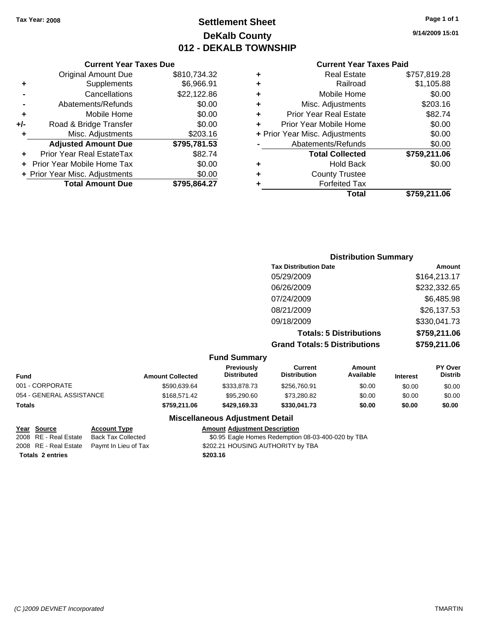## **Settlement Sheet Tax Year: 2008 Page 1 of 1 DeKalb County 012 - DEKALB TOWNSHIP**

**9/14/2009 15:01**

#### **Current Year Taxes Paid**

| <b>Current Year Taxes Due</b> |                                |              |   | <b>Current Year Taxes Paid</b> |                    |
|-------------------------------|--------------------------------|--------------|---|--------------------------------|--------------------|
|                               | Original Amount Due            | \$810,734.32 |   | <b>Real Estate</b>             | \$757,819.28       |
| ٠                             | Supplements                    | \$6,966.91   | ٠ | Railroad                       | \$1,105.88         |
|                               | Cancellations                  | \$22,122.86  | ٠ | Mobile Home                    | \$0.00             |
|                               | Abatements/Refunds             | \$0.00       | ٠ | Misc. Adjustments              | \$203.16           |
| ÷                             | Mobile Home                    | \$0.00       | ÷ | <b>Prior Year Real Estate</b>  | \$82.74            |
| +/-                           | Road & Bridge Transfer         | \$0.00       |   | Prior Year Mobile Home         | \$0.00             |
|                               | Misc. Adjustments              | \$203.16     |   | + Prior Year Misc. Adjustments | \$0.00             |
|                               | <b>Adjusted Amount Due</b>     | \$795,781.53 |   | Abatements/Refunds             | \$0.00             |
| ÷.                            | Prior Year Real EstateTax      | \$82.74      |   | <b>Total Collected</b>         | \$759,211.06       |
|                               | + Prior Year Mobile Home Tax   | \$0.00       | ٠ | <b>Hold Back</b>               | \$0.00             |
|                               | + Prior Year Misc. Adjustments | \$0.00       | ٠ | <b>County Trustee</b>          |                    |
|                               | <b>Total Amount Due</b>        | \$795,864.27 |   | <b>Forfeited Tax</b>           |                    |
|                               |                                |              |   | Tatal                          | <u>CJEO OAA OC</u> |

|   | Total                          | \$759,211.06 |
|---|--------------------------------|--------------|
| ٠ | <b>Forfeited Tax</b>           |              |
| ÷ | <b>County Trustee</b>          |              |
| ٠ | <b>Hold Back</b>               | \$0.00       |
|   | <b>Total Collected</b>         | \$759,211.06 |
|   | Abatements/Refunds             | \$0.00       |
|   | + Prior Year Misc. Adjustments | \$0.00       |
| ÷ | Prior Year Mobile Home         | \$0.00       |
| ÷ | <b>Prior Year Real Estate</b>  | \$82.74      |
| ÷ | Misc. Adjustments              | \$203.16     |
|   |                                |              |

#### **Distribution Summary Tax Distribution Date Amount** 05/29/2009 \$164,213.17 06/26/2009 \$232,332.65 07/24/2009 \$6,485.98 08/21/2009 \$26,137.53 09/18/2009 \$330,041.73 **Totals: 5 Distributions \$759,211.06 Grand Totals: 5 Distributions \$759,211.06 Fund Summary Fund Interest Amount Collected Distributed PY Over Distrib Amount Available Current Distribution Previously**

| Totals                   | \$759.211.06 | \$429,169,33 | \$330,041.73 | \$0.00 | \$0.00 | \$0.00 |
|--------------------------|--------------|--------------|--------------|--------|--------|--------|
| 054 - GENERAL ASSISTANCE | \$168,571,42 | \$95,290.60  | \$73.280.82  | \$0.00 | \$0.00 | \$0.00 |
| 001 - CORPORATE          | \$590.639.64 | \$333.878.73 | \$256.760.91 | \$0.00 | \$0.00 | \$0.00 |

**Totals \$203.16 2 entries**

**Miscellaneous Adjustment Detail**

#### **Year Source Account Type Amount Adjustment Description**

2008 RE - Real Estate Back Tax Collected \$0.95 Eagle Homes Redemption 08-03-400-020 by TBA 2008 RE - Real Estate Paymt In Lieu of Tax  $$202.21$  HOUSING AUTHORITY by TBA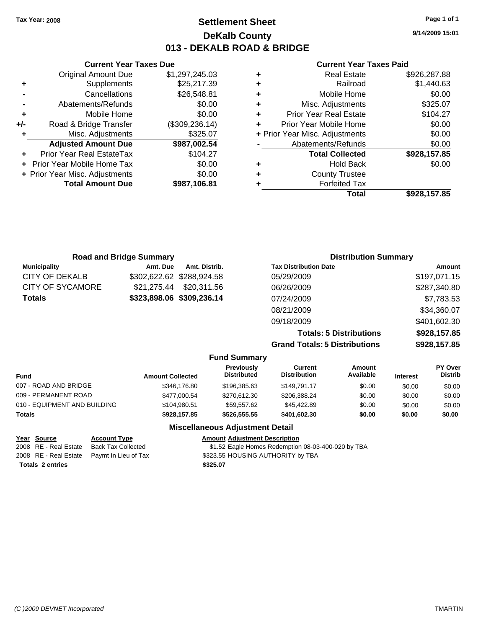**Current Year Taxes Due** Original Amount Due \$1,297,245.03

**Adjusted Amount Due \$987,002.54**

**Total Amount Due \$987,106.81**

**+** Supplements \$25,217.39 **-** Cancellations \$26,548.81 **-** Abatements/Refunds \$0.00 **+** Mobile Home \$0.00 **+/-** Road & Bridge Transfer (\$309,236.14) **+** Misc. Adjustments \$325.07

**+** Prior Year Real EstateTax \$104.27 **+** Prior Year Mobile Home Tax \$0.00 **+ Prior Year Misc. Adjustments**  $$0.00$ 

## **Settlement Sheet Tax Year: 2008 Page 1 of 1 DeKalb County 013 - DEKALB ROAD & BRIDGE**

**9/14/2009 15:01**

#### **Current Year Taxes Paid**

| ٠ | <b>Real Estate</b>             | \$926,287.88 |
|---|--------------------------------|--------------|
| ٠ | Railroad                       | \$1,440.63   |
| ÷ | Mobile Home                    | \$0.00       |
| ÷ | Misc. Adjustments              | \$325.07     |
| ٠ | <b>Prior Year Real Estate</b>  | \$104.27     |
| ÷ | Prior Year Mobile Home         | \$0.00       |
|   | + Prior Year Misc. Adjustments | \$0.00       |
|   | Abatements/Refunds             | \$0.00       |
|   | <b>Total Collected</b>         | \$928,157.85 |
| ٠ | <b>Hold Back</b>               | \$0.00       |
| ٠ | <b>County Trustee</b>          |              |
|   | <b>Forfeited Tax</b>           |              |
|   | Total                          | \$928,157.85 |

| <b>Road and Bridge Summary</b> |             |                           | <b>Distribution Summary</b>          |              |
|--------------------------------|-------------|---------------------------|--------------------------------------|--------------|
| <b>Municipality</b>            | Amt. Due    | Amt. Distrib.             | <b>Tax Distribution Date</b>         | Amount       |
| CITY OF DEKALB                 |             | \$302,622.62 \$288,924.58 | 05/29/2009                           | \$197,071.15 |
| CITY OF SYCAMORE               | \$21.275.44 | \$20,311.56               | 06/26/2009                           | \$287,340.80 |
| Totals                         |             | \$323,898.06 \$309,236.14 | 07/24/2009                           | \$7,783.53   |
|                                |             |                           | 08/21/2009                           | \$34,360.07  |
|                                |             |                           | 09/18/2009                           | \$401,602.30 |
|                                |             |                           | <b>Totals: 5 Distributions</b>       | \$928,157.85 |
|                                |             |                           | <b>Grand Totals: 5 Distributions</b> | \$928,157.85 |
|                                |             | <b>Fund Summary</b>       |                                      |              |

| <b>Fund</b>                  | <b>Amount Collected</b> | <b>Previously</b><br><b>Distributed</b> | Current<br><b>Distribution</b> | Amount<br>Available | <b>Interest</b> | PY Over<br><b>Distrib</b> |
|------------------------------|-------------------------|-----------------------------------------|--------------------------------|---------------------|-----------------|---------------------------|
| 007 - ROAD AND BRIDGE        | \$346,176.80            | \$196.385.63                            | \$149.791.17                   | \$0.00              | \$0.00          | \$0.00                    |
| 009 - PERMANENT ROAD         | \$477,000.54            | \$270.612.30                            | \$206.388.24                   | \$0.00              | \$0.00          | \$0.00                    |
| 010 - EQUIPMENT AND BUILDING | \$104.980.51            | \$59.557.62                             | \$45,422.89                    | \$0.00              | \$0.00          | \$0.00                    |
| <b>Totals</b>                | \$928.157.85            | \$526,555.55                            | \$401,602.30                   | \$0.00              | \$0.00          | \$0.00                    |

#### **Miscellaneous Adjustment Detail**

| Year Source             | <b>Account Type</b>                        | <b>Amount Adjustment Description</b>               |
|-------------------------|--------------------------------------------|----------------------------------------------------|
| 2008 RE - Real Estate   | Back Tax Collected                         | \$1.52 Eagle Homes Redemption 08-03-400-020 by TBA |
|                         | 2008 RE - Real Estate Paymt In Lieu of Tax | \$323.55 HOUSING AUTHORITY by TBA                  |
| <b>Totals 2 entries</b> |                                            | \$325.07                                           |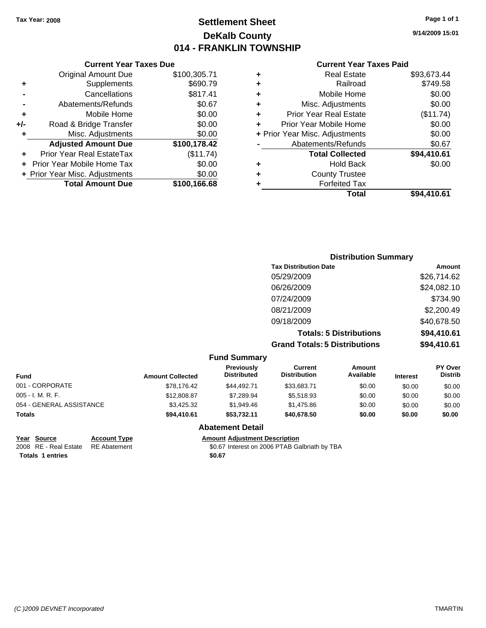**Current Year Taxes Due** Original Amount Due \$100,305.71

**Adjusted Amount Due \$100,178.42**

**Total Amount Due \$100,166.68**

**+** Supplements \$690.79 **-** Cancellations \$817.41 **-** Abatements/Refunds \$0.67 **+** Mobile Home \$0.00 **+/-** Road & Bridge Transfer \$0.00 **+** Misc. Adjustments \$0.00

**+** Prior Year Real EstateTax (\$11.74) **+** Prior Year Mobile Home Tax \$0.00 **+ Prior Year Misc. Adjustments**  $$0.00$ 

## **Settlement Sheet Tax Year: 2008 Page 1 of 1 DeKalb County 014 - FRANKLIN TOWNSHIP**

**9/14/2009 15:01**

#### **Current Year Taxes Paid**

| Total                              | \$94,410.61 |
|------------------------------------|-------------|
| <b>Forfeited Tax</b>               |             |
| <b>County Trustee</b>              |             |
| <b>Hold Back</b>                   | \$0.00      |
| <b>Total Collected</b>             | \$94,410.61 |
| Abatements/Refunds                 | \$0.67      |
| + Prior Year Misc. Adjustments     | \$0.00      |
| Prior Year Mobile Home             | \$0.00      |
| <b>Prior Year Real Estate</b><br>٠ | (\$11.74)   |
| Misc. Adjustments<br>٠             | \$0.00      |
| Mobile Home<br>٠                   | \$0.00      |
| Railroad                           | \$749.58    |
| <b>Real Estate</b><br>٠            | \$93,673.44 |

|                         |                                         |                                       | <b>Distribution Summary</b>    |                 |                           |
|-------------------------|-----------------------------------------|---------------------------------------|--------------------------------|-----------------|---------------------------|
|                         |                                         | <b>Tax Distribution Date</b>          |                                |                 | Amount                    |
|                         |                                         | 05/29/2009                            |                                |                 | \$26,714.62               |
|                         |                                         | 06/26/2009                            |                                |                 | \$24,082.10               |
|                         |                                         | 07/24/2009                            |                                |                 | \$734.90                  |
|                         |                                         | 08/21/2009                            |                                |                 | \$2,200.49                |
|                         |                                         | 09/18/2009                            |                                |                 | \$40,678.50               |
|                         |                                         |                                       | <b>Totals: 5 Distributions</b> |                 | \$94,410.61               |
|                         |                                         | <b>Grand Totals: 5 Distributions</b>  |                                |                 | \$94,410.61               |
|                         | <b>Fund Summary</b>                     |                                       |                                |                 |                           |
| <b>Amount Collected</b> | <b>Previously</b><br><b>Distributed</b> | <b>Current</b><br><b>Distribution</b> | <b>Amount</b><br>Available     | <b>Interest</b> | PY Over<br><b>Distrib</b> |

| <b>Fund</b>              | <b>Amount Collected</b> | <b>Previously</b><br><b>Distributed</b> | Current<br><b>Distribution</b> | Amount<br>Available | <b>Interest</b> | <b>PY OVER</b><br><b>Distrib</b> |
|--------------------------|-------------------------|-----------------------------------------|--------------------------------|---------------------|-----------------|----------------------------------|
| 001 - CORPORATE          | \$78,176.42             | \$44.492.71                             | \$33.683.71                    | \$0.00              | \$0.00          | \$0.00                           |
| $005 - I. M. R. F.$      | \$12,808.87             | \$7.289.94                              | \$5,518.93                     | \$0.00              | \$0.00          | \$0.00                           |
| 054 - GENERAL ASSISTANCE | \$3,425.32              | \$1,949.46                              | \$1.475.86                     | \$0.00              | \$0.00          | \$0.00                           |
| <b>Totals</b>            | \$94,410.61             | \$53.732.11                             | \$40,678,50                    | \$0.00              | \$0.00          | \$0.00                           |

#### **Abatement Detail**

**Year Source Account Type Amount Adjustment Description**

**Totals \$0.67 1 entries**

2008 RE - Real Estate \$0.67 Interest on 2006 PTAB Galbriath by TBA RE Abatement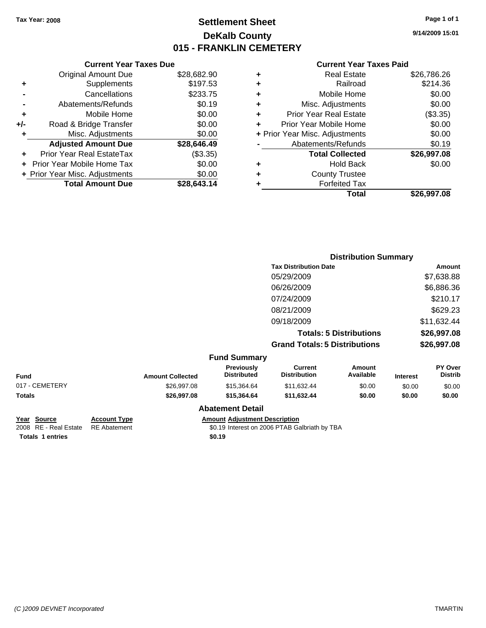## **Settlement Sheet Tax Year: 2008 Page 1 of 1 DeKalb County 015 - FRANKLIN CEMETERY**

**9/14/2009 15:01**

#### **Current Year Taxes Paid**

|     | <b>Current Year Taxes Due</b>  |             |
|-----|--------------------------------|-------------|
|     | <b>Original Amount Due</b>     | \$28,682.90 |
| ٠   | Supplements                    | \$197.53    |
|     | Cancellations                  | \$233.75    |
|     | Abatements/Refunds             | \$0.19      |
| ٠   | Mobile Home                    | \$0.00      |
| +/- | Road & Bridge Transfer         | \$0.00      |
| ٠   | Misc. Adjustments              | \$0.00      |
|     | <b>Adjusted Amount Due</b>     | \$28,646.49 |
|     | Prior Year Real EstateTax      | (\$3.35)    |
|     | Prior Year Mobile Home Tax     | \$0.00      |
|     | + Prior Year Misc. Adjustments | \$0.00      |
|     | <b>Total Amount Due</b>        | \$28,643.14 |
|     |                                |             |

| ٠ | <b>Real Estate</b>             | \$26,786.26 |
|---|--------------------------------|-------------|
| ٠ | Railroad                       | \$214.36    |
| ٠ | Mobile Home                    | \$0.00      |
| ٠ | Misc. Adjustments              | \$0.00      |
| ÷ | <b>Prior Year Real Estate</b>  | (\$3.35)    |
|   | Prior Year Mobile Home         | \$0.00      |
|   | + Prior Year Misc. Adjustments | \$0.00      |
|   | Abatements/Refunds             | \$0.19      |
|   | <b>Total Collected</b>         | \$26,997.08 |
| ٠ | <b>Hold Back</b>               | \$0.00      |
| ٠ | <b>County Trustee</b>          |             |
|   | <b>Forfeited Tax</b>           |             |
|   | Total                          | \$26,997.08 |

|                                                |                                            |                         |                                         |                                               | <b>Distribution Summary</b>    |                 |                           |
|------------------------------------------------|--------------------------------------------|-------------------------|-----------------------------------------|-----------------------------------------------|--------------------------------|-----------------|---------------------------|
|                                                |                                            |                         |                                         | <b>Tax Distribution Date</b>                  |                                |                 | Amount                    |
|                                                |                                            |                         |                                         | 05/29/2009                                    |                                |                 | \$7,638.88                |
|                                                |                                            |                         |                                         | 06/26/2009                                    |                                |                 | \$6,886.36                |
|                                                |                                            |                         |                                         | 07/24/2009                                    |                                |                 | \$210.17                  |
|                                                |                                            |                         |                                         | 08/21/2009                                    |                                |                 | \$629.23                  |
|                                                |                                            |                         |                                         | 09/18/2009                                    |                                |                 | \$11,632.44               |
|                                                |                                            |                         |                                         |                                               | <b>Totals: 5 Distributions</b> |                 | \$26,997.08               |
|                                                |                                            |                         |                                         | <b>Grand Totals: 5 Distributions</b>          |                                |                 | \$26,997.08               |
|                                                |                                            |                         | <b>Fund Summary</b>                     |                                               |                                |                 |                           |
| <b>Fund</b>                                    |                                            | <b>Amount Collected</b> | <b>Previously</b><br><b>Distributed</b> | <b>Current</b><br><b>Distribution</b>         | Amount<br>Available            | <b>Interest</b> | PY Over<br><b>Distrib</b> |
| 017 - CEMETERY                                 |                                            | \$26,997.08             | \$15,364.64                             | \$11,632.44                                   | \$0.00                         | \$0.00          | \$0.00                    |
| <b>Totals</b>                                  |                                            | \$26,997.08             | \$15,364.64                             | \$11,632.44                                   | \$0.00                         | \$0.00          | \$0.00                    |
|                                                |                                            |                         | <b>Abatement Detail</b>                 |                                               |                                |                 |                           |
| <b>Source</b><br>Year<br>2008 RE - Real Estate | <b>Account Type</b><br><b>RE</b> Abatement |                         | <b>Amount Adjustment Description</b>    | \$0.19 Interest on 2006 PTAB Galbriath by TBA |                                |                 |                           |

**Totals 1 entries** \$0.19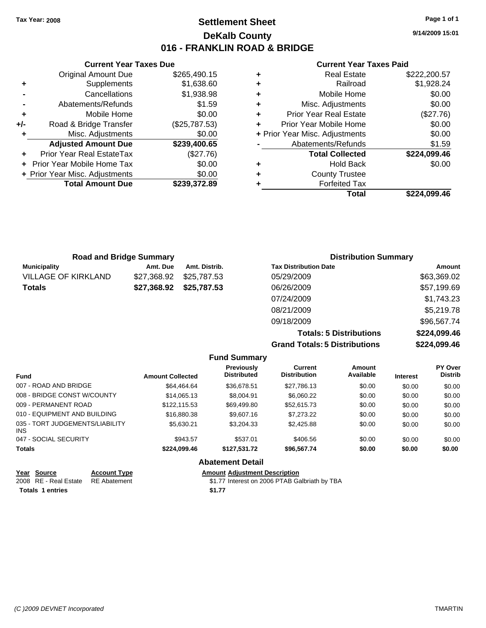**Current Year Taxes Due** Original Amount Due \$265,490.15

**Adjusted Amount Due \$239,400.65**

**Total Amount Due \$239,372.89**

**+** Supplements \$1,638.60 **-** Cancellations \$1,938.98 **-** Abatements/Refunds \$1.59 **+** Mobile Home \$0.00 **+/-** Road & Bridge Transfer (\$25,787.53) **+** Misc. Adjustments \$0.00

**+** Prior Year Real EstateTax (\$27.76) **+** Prior Year Mobile Home Tax \$0.00 **+ Prior Year Misc. Adjustments**  $$0.00$ 

## **Settlement Sheet Tax Year: 2008 Page 1 of 1 DeKalb County 016 - FRANKLIN ROAD & BRIDGE**

**9/14/2009 15:01**

#### **Current Year Taxes Paid**

|   | Total                          | \$224.099.46 |
|---|--------------------------------|--------------|
|   | <b>Forfeited Tax</b>           |              |
| ٠ | <b>County Trustee</b>          |              |
| ٠ | <b>Hold Back</b>               | \$0.00       |
|   | <b>Total Collected</b>         | \$224,099.46 |
|   | Abatements/Refunds             | \$1.59       |
|   | + Prior Year Misc. Adjustments | \$0.00       |
| ÷ | Prior Year Mobile Home         | \$0.00       |
| ÷ | <b>Prior Year Real Estate</b>  | (\$27.76)    |
| ٠ | Misc. Adjustments              | \$0.00       |
| ٠ | Mobile Home                    | \$0.00       |
| ٠ | Railroad                       | \$1,928.24   |
| ٠ | <b>Real Estate</b>             | \$222,200.57 |

| <b>Road and Bridge Summary</b> |             |                         | <b>Distribution Summary</b>  |             |
|--------------------------------|-------------|-------------------------|------------------------------|-------------|
| <b>Municipality</b>            | Amt. Due    | Amt. Distrib.           | <b>Tax Distribution Date</b> | Amount      |
| <b>VILLAGE OF KIRKLAND</b>     | \$27.368.92 | \$25,787.53             | 05/29/2009                   | \$63,369.02 |
| <b>Totals</b>                  |             | \$27,368.92 \$25,787.53 | 06/26/2009                   | \$57,199.69 |
|                                |             |                         | 07/24/2009                   | \$1,743.23  |
|                                |             |                         | 08/21/2009                   | \$5,219.78  |
|                                |             |                         | 09/18/2009                   | \$96,567.74 |

**Totals: 5 Distributions \$224,099.46 Grand Totals: 5 Distributions \$224,099.46**

| Summarv |  |  |
|---------|--|--|

|                                               |                         | <b>Fund Summary</b>              |                                |                     |                 |                           |
|-----------------------------------------------|-------------------------|----------------------------------|--------------------------------|---------------------|-----------------|---------------------------|
| <b>Fund</b>                                   | <b>Amount Collected</b> | Previously<br><b>Distributed</b> | Current<br><b>Distribution</b> | Amount<br>Available | <b>Interest</b> | PY Over<br><b>Distrib</b> |
| 007 - ROAD AND BRIDGE                         | \$64,464.64             | \$36,678.51                      | \$27.786.13                    | \$0.00              | \$0.00          | \$0.00                    |
| 008 - BRIDGE CONST W/COUNTY                   | \$14,065.13             | \$8,004.91                       | \$6,060.22                     | \$0.00              | \$0.00          | \$0.00                    |
| 009 - PERMANENT ROAD                          | \$122.115.53            | \$69,499.80                      | \$52,615.73                    | \$0.00              | \$0.00          | \$0.00                    |
| 010 - EQUIPMENT AND BUILDING                  | \$16,880,38             | \$9,607.16                       | \$7,273,22                     | \$0.00              | \$0.00          | \$0.00                    |
| 035 - TORT JUDGEMENTS/LIABILITY<br><b>INS</b> | \$5.630.21              | \$3,204,33                       | \$2,425.88                     | \$0.00              | \$0.00          | \$0.00                    |
| 047 - SOCIAL SECURITY                         | \$943.57                | \$537.01                         | \$406.56                       | \$0.00              | \$0.00          | \$0.00                    |
| <b>Totals</b>                                 | \$224.099.46            | \$127.531.72                     | \$96,567.74                    | \$0.00              | \$0.00          | \$0.00                    |
|                                               |                         | <b>Abatement Detail</b>          |                                |                     |                 |                           |

#### **Year Source Account Type Amount Adjustment Description** \$1.77 Interest on 2006 PTAB Galbriath by TBA **Totals 1 entries 1.77**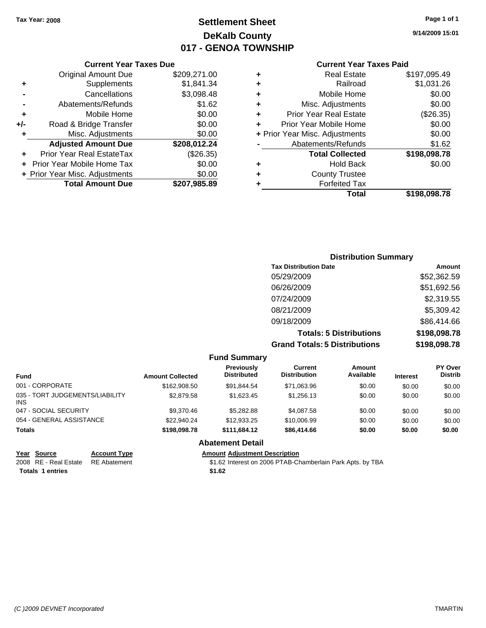## **Settlement Sheet Tax Year: 2008 Page 1 of 1 DeKalb County 017 - GENOA TOWNSHIP**

#### **Current Year Taxes Due**

|     | <b>Total Amount Due</b>           | \$207,985.89 |
|-----|-----------------------------------|--------------|
|     | + Prior Year Misc. Adjustments    | \$0.00       |
|     | <b>Prior Year Mobile Home Tax</b> | \$0.00       |
|     | Prior Year Real EstateTax         | (\$26.35)    |
|     | <b>Adjusted Amount Due</b>        | \$208,012.24 |
| ٠   | Misc. Adjustments                 | \$0.00       |
| +/- | Road & Bridge Transfer            | \$0.00       |
| ÷   | Mobile Home                       | \$0.00       |
|     | Abatements/Refunds                | \$1.62       |
|     | Cancellations                     | \$3,098.48   |
| ٠   | Supplements                       | \$1,841.34   |
|     | <b>Original Amount Due</b>        | \$209,271.00 |
|     |                                   |              |

#### **Current Year Taxes Paid**

|   | <b>Real Estate</b>             | \$197,095.49 |
|---|--------------------------------|--------------|
| ٠ | Railroad                       | \$1,031.26   |
| ٠ | Mobile Home                    | \$0.00       |
| ٠ | Misc. Adjustments              | \$0.00       |
| ٠ | <b>Prior Year Real Estate</b>  | (\$26.35)    |
|   | Prior Year Mobile Home         | \$0.00       |
|   | + Prior Year Misc. Adjustments | \$0.00       |
|   | Abatements/Refunds             | \$1.62       |
|   | <b>Total Collected</b>         | \$198,098.78 |
| ٠ | Hold Back                      | \$0.00       |
| ٠ | <b>County Trustee</b>          |              |
| ٠ | <b>Forfeited Tax</b>           |              |
|   | Total                          | \$198,098.78 |
|   |                                |              |

### **Distribution Summary Tax Distribution Date Amount** 05/29/2009 \$52,362.59 06/26/2009 \$51,692.56 07/24/2009 \$2,319.55 08/21/2009 \$5,309.42 09/18/2009 \$86,414.66 **Totals: 5 Distributions \$198,098.78 Grand Totals: 5 Distributions \$198,098.78**

|                                         |                         | <b>Fund Summary</b>              |                                |                     |                 |                                  |
|-----------------------------------------|-------------------------|----------------------------------|--------------------------------|---------------------|-----------------|----------------------------------|
| <b>Fund</b>                             | <b>Amount Collected</b> | Previously<br><b>Distributed</b> | Current<br><b>Distribution</b> | Amount<br>Available | <b>Interest</b> | <b>PY Over</b><br><b>Distrib</b> |
| 001 - CORPORATE                         | \$162,908.50            | \$91,844.54                      | \$71,063.96                    | \$0.00              | \$0.00          | \$0.00                           |
| 035 - TORT JUDGEMENTS/LIABILITY<br>INS. | \$2,879.58              | \$1,623.45                       | \$1,256.13                     | \$0.00              | \$0.00          | \$0.00                           |
| 047 - SOCIAL SECURITY                   | \$9,370.46              | \$5,282.88                       | \$4,087.58                     | \$0.00              | \$0.00          | \$0.00                           |
| 054 - GENERAL ASSISTANCE                | \$22.940.24             | \$12,933.25                      | \$10,006.99                    | \$0.00              | \$0.00          | \$0.00                           |
| <b>Totals</b>                           | \$198,098.78            | \$111.684.12                     | \$86,414.66                    | \$0.00              | \$0.00          | \$0.00                           |
|                                         |                         | <b>Abatement Detail</b>          |                                |                     |                 |                                  |

| Year Source           | Account $T1$ |
|-----------------------|--------------|
| 2008 RE - Real Estate | RE Abatem    |

Totals 1 entries \$1.62

**Year Source Account Type Amount Adjustment Description**

2006 PTAB-Chamberlain Park Apts. by TBA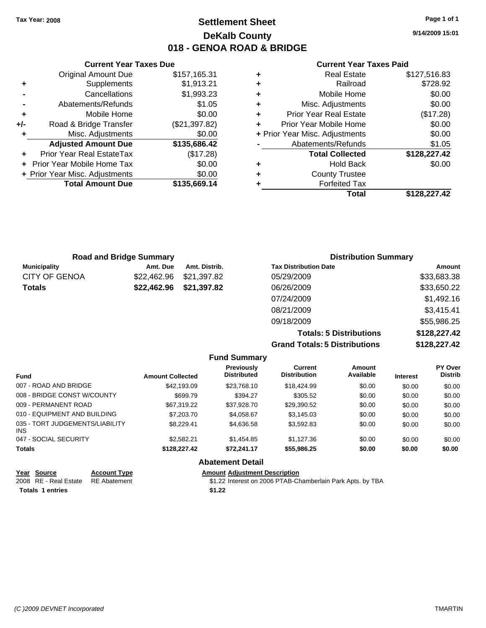## **Settlement Sheet Tax Year: 2008 Page 1 of 1 DeKalb County 018 - GENOA ROAD & BRIDGE**

**9/14/2009 15:01**

#### **Current Year Taxes Paid**

|     | <b>Current Year Taxes Due</b>  |               |  |
|-----|--------------------------------|---------------|--|
|     | <b>Original Amount Due</b>     | \$157,165.31  |  |
| ٠   | Supplements                    | \$1,913.21    |  |
|     | Cancellations                  | \$1,993.23    |  |
|     | Abatements/Refunds             | \$1.05        |  |
| ٠   | Mobile Home                    | \$0.00        |  |
| +/- | Road & Bridge Transfer         | (\$21,397.82) |  |
| ٠   | Misc. Adjustments              | \$0.00        |  |
|     | <b>Adjusted Amount Due</b>     | \$135,686.42  |  |
|     | Prior Year Real EstateTax      | (\$17.28)     |  |
|     | Prior Year Mobile Home Tax     | \$0.00        |  |
|     | + Prior Year Misc. Adjustments | \$0.00        |  |
|     | <b>Total Amount Due</b>        | \$135,669.14  |  |
|     |                                |               |  |

|   | <b>Real Estate</b>             | \$127,516.83 |
|---|--------------------------------|--------------|
| ٠ | Railroad                       | \$728.92     |
| ٠ | Mobile Home                    | \$0.00       |
| ٠ | Misc. Adjustments              | \$0.00       |
| ٠ | Prior Year Real Estate         | (\$17.28)    |
| ٠ | Prior Year Mobile Home         | \$0.00       |
|   | + Prior Year Misc. Adjustments | \$0.00       |
|   | Abatements/Refunds             | \$1.05       |
|   | <b>Total Collected</b>         | \$128,227.42 |
| ٠ | <b>Hold Back</b>               | \$0.00       |
| ٠ | <b>County Trustee</b>          |              |
|   | <b>Forfeited Tax</b>           |              |
|   | Total                          | \$128,227.42 |

|                      | <b>Road and Bridge Summary</b> |               | <b>Distribution Summary</b>  |             |
|----------------------|--------------------------------|---------------|------------------------------|-------------|
| <b>Municipality</b>  | Amt. Due                       | Amt. Distrib. | <b>Tax Distribution Date</b> | Amount      |
| <b>CITY OF GENOA</b> | \$22,462.96                    | \$21,397.82   | 05/29/2009                   | \$33,683.38 |
| <b>Totals</b>        | \$22,462.96                    | \$21,397.82   | 06/26/2009                   | \$33,650.22 |
|                      |                                |               | 07/24/2009                   | \$1,492.16  |
|                      |                                |               | 08/21/2009                   | \$3,415.41  |
|                      |                                |               | 09/18/2009                   | \$55,986.25 |

**Totals: 5 Distributions \$128,227.42 Grand Totals: 5 Distribions** 

| utions | \$128,227.42   |
|--------|----------------|
|        |                |
| mount  | <b>PY Over</b> |

|                                         |                         | <b>Fund Summary</b>                     |                                |                     |                 |                           |
|-----------------------------------------|-------------------------|-----------------------------------------|--------------------------------|---------------------|-----------------|---------------------------|
| <b>Fund</b>                             | <b>Amount Collected</b> | <b>Previously</b><br><b>Distributed</b> | Current<br><b>Distribution</b> | Amount<br>Available | <b>Interest</b> | PY Over<br><b>Distrib</b> |
| 007 - ROAD AND BRIDGE                   | \$42,193,09             | \$23,768,10                             | \$18,424.99                    | \$0.00              | \$0.00          | \$0.00                    |
| 008 - BRIDGE CONST W/COUNTY             | \$699.79                | \$394.27                                | \$305.52                       | \$0.00              | \$0.00          | \$0.00                    |
| 009 - PERMANENT ROAD                    | \$67,319.22             | \$37.928.70                             | \$29.390.52                    | \$0.00              | \$0.00          | \$0.00                    |
| 010 - EQUIPMENT AND BUILDING            | \$7,203.70              | \$4.058.67                              | \$3.145.03                     | \$0.00              | \$0.00          | \$0.00                    |
| 035 - TORT JUDGEMENTS/LIABILITY<br>INS. | \$8.229.41              | \$4,636,58                              | \$3,592.83                     | \$0.00              | \$0.00          | \$0.00                    |
| 047 - SOCIAL SECURITY                   | \$2,582.21              | \$1.454.85                              | \$1,127,36                     | \$0.00              | \$0.00          | \$0.00                    |
| <b>Totals</b>                           | \$128,227,42            | \$72.241.17                             | \$55,986.25                    | \$0.00              | \$0.00          | \$0.00                    |
|                                         |                         | <b>Abatement Detail</b>                 |                                |                     |                 |                           |

| Year Source             | <b>Account Type</b> | <b>Amount Adiustment Description</b>                       |
|-------------------------|---------------------|------------------------------------------------------------|
| 2008 RE - Real Estate   | RE Abatement        | \$1.22 Interest on 2006 PTAB-Chamberlain Park Apts. by TBA |
| <b>Totals 1 entries</b> |                     | \$1.22                                                     |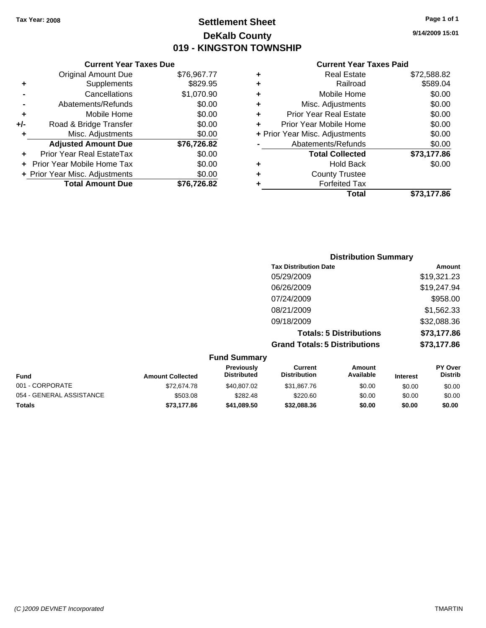## **Settlement Sheet Tax Year: 2008 Page 1 of 1 DeKalb County 019 - KINGSTON TOWNSHIP**

**9/14/2009 15:01**

#### **Current Year Taxes Paid**

|     | <b>Current Year Taxes Due</b>  |             |   |              |
|-----|--------------------------------|-------------|---|--------------|
|     | <b>Original Amount Due</b>     | \$76,967.77 | ٠ |              |
|     | Supplements                    | \$829.95    | ٠ |              |
|     | Cancellations                  | \$1,070.90  | ٠ |              |
|     | Abatements/Refunds             | \$0.00      | ٠ |              |
|     | Mobile Home                    | \$0.00      |   | Prio         |
| +/- | Road & Bridge Transfer         | \$0.00      |   | Prior        |
|     | Misc. Adjustments              | \$0.00      |   | + Prior Year |
|     | <b>Adjusted Amount Due</b>     | \$76,726.82 |   | Al           |
|     | Prior Year Real EstateTax      | \$0.00      |   |              |
|     | Prior Year Mobile Home Tax     | \$0.00      |   |              |
|     | + Prior Year Misc. Adjustments | \$0.00      |   |              |
|     | <b>Total Amount Due</b>        | \$76,726.82 |   |              |
|     |                                |             |   |              |

| <b>Real Estate</b>             | \$72,588.82 |
|--------------------------------|-------------|
| Railroad                       | \$589.04    |
| Mobile Home                    | \$0.00      |
| Misc. Adjustments              | \$0.00      |
| <b>Prior Year Real Estate</b>  | \$0.00      |
| Prior Year Mobile Home         | \$0.00      |
| + Prior Year Misc. Adjustments | \$0.00      |
| Abatements/Refunds             | \$0.00      |
| <b>Total Collected</b>         | \$73,177.86 |
| Hold Back                      | \$0.00      |
| <b>County Trustee</b>          |             |
| <b>Forfeited Tax</b>           |             |
| Total                          | \$73,177.86 |
|                                |             |

|                     | <b>Distribution Summary</b>          |             |
|---------------------|--------------------------------------|-------------|
|                     | <b>Tax Distribution Date</b>         | Amount      |
|                     | 05/29/2009                           | \$19,321.23 |
|                     | 06/26/2009                           | \$19,247.94 |
|                     | 07/24/2009                           | \$958.00    |
|                     | 08/21/2009                           | \$1,562.33  |
|                     | 09/18/2009                           | \$32,088.36 |
|                     | <b>Totals: 5 Distributions</b>       | \$73,177.86 |
|                     | <b>Grand Totals: 5 Distributions</b> | \$73,177.86 |
| <b>Fund Summary</b> |                                      |             |

| <b>Fund Summary</b>                               |                         |                    |                     |           |                 |                |  |
|---------------------------------------------------|-------------------------|--------------------|---------------------|-----------|-----------------|----------------|--|
| <b>PY Over</b><br>Previously<br>Current<br>Amount |                         |                    |                     |           |                 |                |  |
| <b>Fund</b>                                       | <b>Amount Collected</b> | <b>Distributed</b> | <b>Distribution</b> | Available | <b>Interest</b> | <b>Distrib</b> |  |
| 001 - CORPORATE                                   | \$72,674.78             | \$40,807.02        | \$31.867.76         | \$0.00    | \$0.00          | \$0.00         |  |
| 054 - GENERAL ASSISTANCE                          | \$503.08                | \$282.48           | \$220.60            | \$0.00    | \$0.00          | \$0.00         |  |
| <b>Totals</b>                                     | \$73.177.86             | \$41.089.50        | \$32,088,36         | \$0.00    | \$0.00          | \$0.00         |  |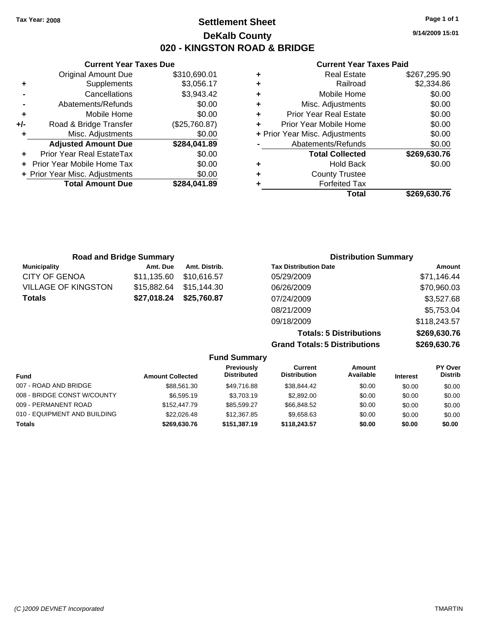**Current Year Taxes Due** Original Amount Due \$310,690.01

**Adjusted Amount Due \$284,041.89**

**Total Amount Due \$284,041.89**

**+** Supplements \$3,056.17 **-** Cancellations \$3,943.42 **-** Abatements/Refunds \$0.00 **+** Mobile Home \$0.00 **+/-** Road & Bridge Transfer (\$25,760.87) **+** Misc. Adjustments \$0.00

**+** Prior Year Real EstateTax \$0.00 **+** Prior Year Mobile Home Tax \$0.00 **+ Prior Year Misc. Adjustments**  $$0.00$ 

## **Settlement Sheet Tax Year: 2008 Page 1 of 1 DeKalb County 020 - KINGSTON ROAD & BRIDGE**

**9/14/2009 15:01**

#### **Current Year Taxes Paid**

|   | Total                          | \$269,630.76 |
|---|--------------------------------|--------------|
|   | <b>Forfeited Tax</b>           |              |
| ٠ | <b>County Trustee</b>          |              |
| ٠ | <b>Hold Back</b>               | \$0.00       |
|   | <b>Total Collected</b>         | \$269,630.76 |
|   | Abatements/Refunds             | \$0.00       |
|   | + Prior Year Misc. Adjustments | \$0.00       |
| ٠ | Prior Year Mobile Home         | \$0.00       |
| ٠ | <b>Prior Year Real Estate</b>  | \$0.00       |
| ٠ | Misc. Adjustments              | \$0.00       |
| ٠ | Mobile Home                    | \$0.00       |
| ٠ | Railroad                       | \$2,334.86   |
|   | Real Estate                    | \$267,295.90 |

|                            | <b>Road and Bridge Summary</b> |               | <b>Distribution Summary</b>  |              |
|----------------------------|--------------------------------|---------------|------------------------------|--------------|
| <b>Municipality</b>        | Amt. Due                       | Amt. Distrib. | <b>Tax Distribution Date</b> | Amount       |
| <b>CITY OF GENOA</b>       | \$11,135.60                    | \$10,616.57   | 05/29/2009                   | \$71,146.44  |
| <b>VILLAGE OF KINGSTON</b> | \$15,882.64                    | \$15,144.30   | 06/26/2009                   | \$70,960.03  |
| <b>Totals</b>              | \$27,018.24                    | \$25,760.87   | 07/24/2009                   | \$3,527.68   |
|                            |                                |               | 08/21/2009                   | \$5,753.04   |
|                            |                                |               | 09/18/2009                   | \$118,243.57 |
|                            |                                |               | Telebrate Policialistica e   |              |

**Totals: 5 Distributions \$269,630.76 Grand Totals: 5 Distributions \$269,630.76**

| <b>Fund Summary</b>          |                         |                                  |                                |                     |                 |                           |
|------------------------------|-------------------------|----------------------------------|--------------------------------|---------------------|-----------------|---------------------------|
| <b>Fund</b>                  | <b>Amount Collected</b> | Previously<br><b>Distributed</b> | Current<br><b>Distribution</b> | Amount<br>Available | <b>Interest</b> | PY Over<br><b>Distrib</b> |
| 007 - ROAD AND BRIDGE        | \$88,561.30             | \$49.716.88                      | \$38.844.42                    | \$0.00              | \$0.00          | \$0.00                    |
| 008 - BRIDGE CONST W/COUNTY  | \$6,595.19              | \$3,703.19                       | \$2,892.00                     | \$0.00              | \$0.00          | \$0.00                    |
| 009 - PERMANENT ROAD         | \$152,447.79            | \$85.599.27                      | \$66,848.52                    | \$0.00              | \$0.00          | \$0.00                    |
| 010 - EQUIPMENT AND BUILDING | \$22,026.48             | \$12,367.85                      | \$9.658.63                     | \$0.00              | \$0.00          | \$0.00                    |
| <b>Totals</b>                | \$269.630.76            | \$151,387.19                     | \$118,243.57                   | \$0.00              | \$0.00          | \$0.00                    |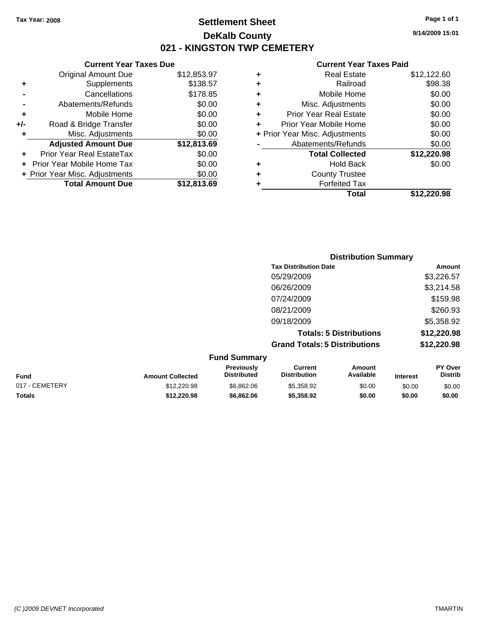## **Settlement Sheet Tax Year: 2008 Page 1 of 1 DeKalb County 021 - KINGSTON TWP CEMETERY**

## **Current Year Taxes Due**

|     | <b>Original Amount Due</b>     | \$12,853.97 |
|-----|--------------------------------|-------------|
| ٠   | Supplements                    | \$138.57    |
|     | Cancellations                  | \$178.85    |
|     | Abatements/Refunds             | \$0.00      |
| ٠   | Mobile Home                    | \$0.00      |
| +/- | Road & Bridge Transfer         | \$0.00      |
| ٠   | Misc. Adjustments              | \$0.00      |
|     | <b>Adjusted Amount Due</b>     | \$12,813.69 |
|     | Prior Year Real EstateTax      | \$0.00      |
|     | Prior Year Mobile Home Tax     | \$0.00      |
|     | + Prior Year Misc. Adjustments | \$0.00      |
|     | <b>Total Amount Due</b>        | \$12,813,69 |

#### **Current Year Taxes Paid**

|   | <b>Real Estate</b>             | \$12,122.60 |
|---|--------------------------------|-------------|
| ٠ | Railroad                       | \$98.38     |
| ٠ | Mobile Home                    | \$0.00      |
| ٠ | Misc. Adjustments              | \$0.00      |
| ٠ | <b>Prior Year Real Estate</b>  | \$0.00      |
|   | Prior Year Mobile Home         | \$0.00      |
|   | + Prior Year Misc. Adjustments | \$0.00      |
|   | Abatements/Refunds             | \$0.00      |
|   | <b>Total Collected</b>         | \$12,220.98 |
| ٠ | Hold Back                      | \$0.00      |
| ٠ | <b>County Trustee</b>          |             |
| ٠ | <b>Forfeited Tax</b>           |             |
|   | Total                          | \$12,220.98 |
|   |                                |             |

| <b>Distribution Summary</b>          |             |
|--------------------------------------|-------------|
| <b>Tax Distribution Date</b>         | Amount      |
| 05/29/2009                           | \$3,226.57  |
| 06/26/2009                           | \$3,214.58  |
| 07/24/2009                           | \$159.98    |
| 08/21/2009                           | \$260.93    |
| 09/18/2009                           | \$5,358.92  |
| <b>Totals: 5 Distributions</b>       | \$12,220.98 |
| <b>Grand Totals: 5 Distributions</b> | \$12,220.98 |

| <b>Fund Summary</b> |                         |                                         |                                |                     |                 |                                  |
|---------------------|-------------------------|-----------------------------------------|--------------------------------|---------------------|-----------------|----------------------------------|
| Fund                | <b>Amount Collected</b> | <b>Previously</b><br><b>Distributed</b> | Current<br><b>Distribution</b> | Amount<br>Available | <b>Interest</b> | <b>PY Over</b><br><b>Distrib</b> |
| 017 - CEMETERY      | \$12,220.98             | \$6,862,06                              | \$5,358.92                     | \$0.00              | \$0.00          | \$0.00                           |
| <b>Totals</b>       | \$12,220.98             | \$6,862.06                              | \$5,358,92                     | \$0.00              | \$0.00          | \$0.00                           |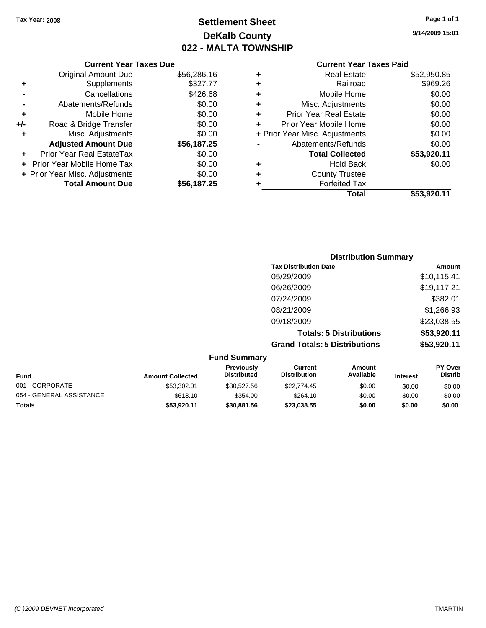## **Settlement Sheet Tax Year: 2008 Page 1 of 1 DeKalb County 022 - MALTA TOWNSHIP**

#### **Current Year Taxes Due**

|     | <b>Original Amount Due</b>       | \$56,286.16 |
|-----|----------------------------------|-------------|
| ٠   | Supplements                      | \$327.77    |
|     | Cancellations                    | \$426.68    |
|     | Abatements/Refunds               | \$0.00      |
| ÷   | Mobile Home                      | \$0.00      |
| +/- | Road & Bridge Transfer           | \$0.00      |
| ٠   | Misc. Adjustments                | \$0.00      |
|     | <b>Adjusted Amount Due</b>       | \$56,187.25 |
|     | <b>Prior Year Real EstateTax</b> | \$0.00      |
|     | Prior Year Mobile Home Tax       | \$0.00      |
|     | + Prior Year Misc. Adjustments   | \$0.00      |
|     | <b>Total Amount Due</b>          | \$56,187.25 |

#### **Current Year Taxes Paid**

|   | <b>Real Estate</b>             | \$52,950.85 |
|---|--------------------------------|-------------|
| ٠ | Railroad                       | \$969.26    |
| ٠ | Mobile Home                    | \$0.00      |
| ٠ | Misc. Adjustments              | \$0.00      |
| ٠ | <b>Prior Year Real Estate</b>  | \$0.00      |
|   | Prior Year Mobile Home         | \$0.00      |
|   | + Prior Year Misc. Adjustments | \$0.00      |
|   | Abatements/Refunds             | \$0.00      |
|   | <b>Total Collected</b>         | \$53,920.11 |
| ٠ | <b>Hold Back</b>               | \$0.00      |
| ٠ | <b>County Trustee</b>          |             |
| ٠ | <b>Forfeited Tax</b>           |             |
|   | Total                          | \$53,920.11 |
|   |                                |             |

### **Distribution Summary Tax Distribution Date Amount** 05/29/2009 \$10,115.41 06/26/2009 \$19,117.21 07/24/2009 \$382.01 08/21/2009 \$1,266.93 09/18/2009 \$23,038.55 **Totals: 5 Distributions \$53,920.11**

**Grand Totals: 5 Distributions \$53,920.11**

| <b>Fund Summary</b>      |                         |                                  |                                |                     |                 |                                  |
|--------------------------|-------------------------|----------------------------------|--------------------------------|---------------------|-----------------|----------------------------------|
| <b>Fund</b>              | <b>Amount Collected</b> | Previously<br><b>Distributed</b> | Current<br><b>Distribution</b> | Amount<br>Available | <b>Interest</b> | <b>PY Over</b><br><b>Distrib</b> |
| 001 - CORPORATE          | \$53,302.01             | \$30.527.56                      | \$22,774.45                    | \$0.00              | \$0.00          | \$0.00                           |
| 054 - GENERAL ASSISTANCE | \$618.10                | \$354.00                         | \$264.10                       | \$0.00              | \$0.00          | \$0.00                           |
| Totals                   | \$53,920.11             | \$30,881.56                      | \$23,038,55                    | \$0.00              | \$0.00          | \$0.00                           |

**9/14/2009 15:01**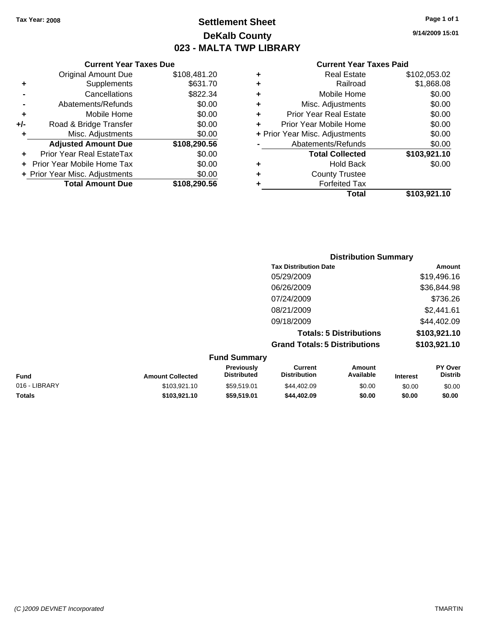## **Settlement Sheet Tax Year: 2008 Page 1 of 1 DeKalb County 023 - MALTA TWP LIBRARY**

**9/14/2009 15:01**

| <b>Current Year Taxes Paid</b> |  |  |
|--------------------------------|--|--|
|                                |  |  |

|   | Total                          | \$103,921.10 |
|---|--------------------------------|--------------|
| ٠ | <b>Forfeited Tax</b>           |              |
| ٠ | <b>County Trustee</b>          |              |
| ٠ | <b>Hold Back</b>               | \$0.00       |
|   | <b>Total Collected</b>         | \$103,921.10 |
|   | Abatements/Refunds             | \$0.00       |
|   | + Prior Year Misc. Adjustments | \$0.00       |
| ÷ | Prior Year Mobile Home         | \$0.00       |
| ÷ | <b>Prior Year Real Estate</b>  | \$0.00       |
| ÷ | Misc. Adjustments              | \$0.00       |
| ٠ | Mobile Home                    | \$0.00       |
| ٠ | Railroad                       | \$1,868.08   |
| ٠ | <b>Real Estate</b>             | \$102,053.02 |
|   |                                |              |

|               |                         |                                         | <b>Distribution Summary</b>           |                                |                 |                           |
|---------------|-------------------------|-----------------------------------------|---------------------------------------|--------------------------------|-----------------|---------------------------|
|               |                         |                                         | <b>Tax Distribution Date</b>          |                                |                 | Amount                    |
|               |                         |                                         | 05/29/2009                            |                                |                 | \$19,496.16               |
|               |                         |                                         | 06/26/2009                            |                                |                 | \$36,844.98               |
|               |                         |                                         | 07/24/2009                            |                                |                 | \$736.26                  |
|               |                         |                                         | 08/21/2009                            |                                |                 | \$2,441.61                |
|               |                         |                                         | 09/18/2009                            |                                |                 | \$44,402.09               |
|               |                         |                                         |                                       | <b>Totals: 5 Distributions</b> |                 | \$103,921.10              |
|               |                         |                                         | <b>Grand Totals: 5 Distributions</b>  |                                |                 | \$103,921.10              |
|               |                         | <b>Fund Summary</b>                     |                                       |                                |                 |                           |
| <b>Fund</b>   | <b>Amount Collected</b> | <b>Previously</b><br><b>Distributed</b> | <b>Current</b><br><b>Distribution</b> | Amount<br>Available            | <b>Interest</b> | PY Over<br><b>Distrib</b> |
| 016 - LIBRARY | \$103,921.10            | \$59,519.01                             | \$44,402.09                           | \$0.00                         | \$0.00          | \$0.00                    |

**Totals \$103,921.10 \$59,519.01 \$44,402.09 \$0.00 \$0.00 \$0.00**

```
Original Amount Due $108,481.20
+ Supplements $631.70
- Cancellations $822.34
- Abatements/Refunds $0.00
+ Mobile Home $0.00
+/- Road & Bridge Transfer $0.00
+ Misc. Adjustments $0.00
```
**Current Year Taxes Due**

**Adjusted Amount Due \$108,290.56**

**Total Amount Due \$108,290.56**

**+** Prior Year Real EstateTax \$0.00 **+** Prior Year Mobile Home Tax \$0.00 **+ Prior Year Misc. Adjustments**  $$0.00$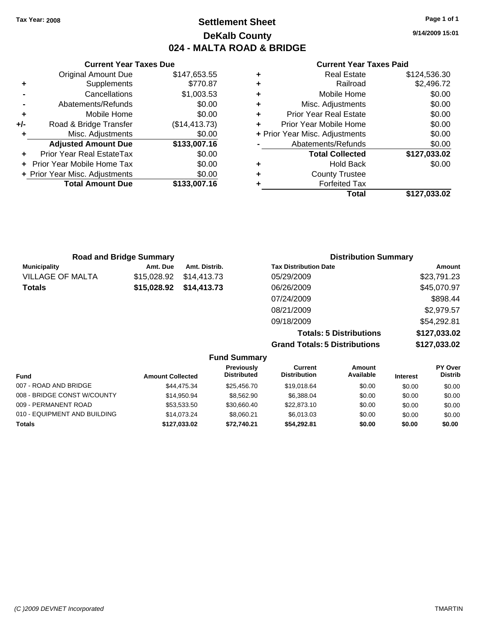**Current Year Taxes Due** Original Amount Due \$147,653.55

**Adjusted Amount Due \$133,007.16**

**Total Amount Due \$133,007.16**

**+** Supplements \$770.87 **-** Cancellations \$1,003.53 **-** Abatements/Refunds \$0.00 **+** Mobile Home \$0.00 **+/-** Road & Bridge Transfer (\$14,413.73) **+** Misc. Adjustments \$0.00

**+** Prior Year Real EstateTax \$0.00 **+** Prior Year Mobile Home Tax \$0.00 **+ Prior Year Misc. Adjustments**  $$0.00$ 

## **Settlement Sheet Tax Year: 2008 Page 1 of 1 DeKalb County 024 - MALTA ROAD & BRIDGE**

**9/14/2009 15:01**

#### **Current Year Taxes Paid**

|   | Total                          | \$127.033.02 |
|---|--------------------------------|--------------|
| ٠ | <b>Forfeited Tax</b>           |              |
| ٠ | <b>County Trustee</b>          |              |
| ٠ | <b>Hold Back</b>               | \$0.00       |
|   | <b>Total Collected</b>         | \$127,033.02 |
|   | Abatements/Refunds             | \$0.00       |
|   | + Prior Year Misc. Adjustments | \$0.00       |
| ٠ | Prior Year Mobile Home         | \$0.00       |
| ٠ | <b>Prior Year Real Estate</b>  | \$0.00       |
| ٠ | Misc. Adjustments              | \$0.00       |
| ÷ | Mobile Home                    | \$0.00       |
| ٠ | Railroad                       | \$2,496.72   |
| ٠ | <b>Real Estate</b>             | \$124,536.30 |

| <b>Road and Bridge Summary</b> |             |               | <b>Distribution Summary</b>  |             |  |
|--------------------------------|-------------|---------------|------------------------------|-------------|--|
| <b>Municipality</b>            | Amt. Due    | Amt. Distrib. | <b>Tax Distribution Date</b> | Amount      |  |
| <b>VILLAGE OF MALTA</b>        | \$15,028.92 | \$14,413.73   | 05/29/2009                   | \$23,791.23 |  |
| <b>Totals</b>                  | \$15,028.92 | \$14,413.73   | 06/26/2009                   | \$45,070.97 |  |
|                                |             |               | 07/24/2009                   | \$898.44    |  |
|                                |             |               | 08/21/2009                   | \$2,979.57  |  |
|                                |             |               | 09/18/2009                   | \$54,292.81 |  |
|                                |             |               |                              |             |  |

**Totals: 5 Distributions \$127,033.02 Grand Totals: 5 Distributions \$127,033.02**

| <b>Fund Summary</b> |
|---------------------|
|                     |

| Fund                         | <b>Amount Collected</b> | Previously<br><b>Distributed</b> | Current<br><b>Distribution</b> | Amount<br>Available | <b>Interest</b> | PY Over<br><b>Distrib</b> |
|------------------------------|-------------------------|----------------------------------|--------------------------------|---------------------|-----------------|---------------------------|
| 007 - ROAD AND BRIDGE        | \$44,475.34             | \$25,456,70                      | \$19,018.64                    | \$0.00              | \$0.00          | \$0.00                    |
| 008 - BRIDGE CONST W/COUNTY  | \$14.950.94             | \$8,562.90                       | \$6.388.04                     | \$0.00              | \$0.00          | \$0.00                    |
| 009 - PERMANENT ROAD         | \$53.533.50             | \$30.660.40                      | \$22,873.10                    | \$0.00              | \$0.00          | \$0.00                    |
| 010 - EQUIPMENT AND BUILDING | \$14,073,24             | \$8.060.21                       | \$6,013,03                     | \$0.00              | \$0.00          | \$0.00                    |
| Totals                       | \$127,033.02            | \$72.740.21                      | \$54,292.81                    | \$0.00              | \$0.00          | \$0.00                    |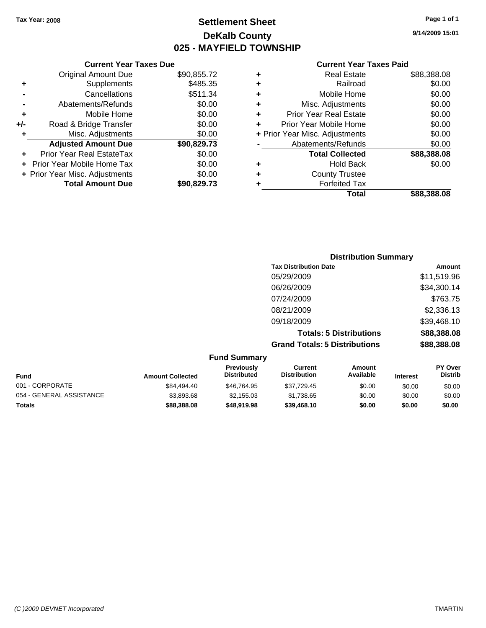## **Settlement Sheet Tax Year: 2008 Page 1 of 1 DeKalb County 025 - MAYFIELD TOWNSHIP**

**9/14/2009 15:01**

#### **Current Year Taxes Paid**

|     | <b>Original Amount Due</b>        | \$90,855.72 |
|-----|-----------------------------------|-------------|
| ٠   | Supplements                       | \$485.35    |
|     | Cancellations                     | \$511.34    |
|     | Abatements/Refunds                | \$0.00      |
| ٠   | Mobile Home                       | \$0.00      |
| +/- | Road & Bridge Transfer            | \$0.00      |
| ٠   | Misc. Adjustments                 | \$0.00      |
|     | <b>Adjusted Amount Due</b>        | \$90,829.73 |
|     | Prior Year Real EstateTax         | \$0.00      |
|     | <b>Prior Year Mobile Home Tax</b> | \$0.00      |
|     | + Prior Year Misc. Adjustments    | \$0.00      |
|     | <b>Total Amount Due</b>           | \$90,829.73 |

**Current Year Taxes Due**

| <b>Distribution Summary</b> |
|-----------------------------|
| Amount                      |
| \$11,519.96                 |
| \$34,300.14                 |
| \$763.75                    |
| \$2,336.13                  |
| \$39,468.10                 |
| \$88,388.08                 |
| \$88,388.08                 |
|                             |

|                          |                         | <b>Fund Summary</b>              |                                |                     |                 |                                  |
|--------------------------|-------------------------|----------------------------------|--------------------------------|---------------------|-----------------|----------------------------------|
| <b>Fund</b>              | <b>Amount Collected</b> | Previously<br><b>Distributed</b> | Current<br><b>Distribution</b> | Amount<br>Available | <b>Interest</b> | <b>PY Over</b><br><b>Distrib</b> |
| 001 - CORPORATE          | \$84,494.40             | \$46.764.95                      | \$37.729.45                    | \$0.00              | \$0.00          | \$0.00                           |
| 054 - GENERAL ASSISTANCE | \$3.893.68              | \$2.155.03                       | \$1.738.65                     | \$0.00              | \$0.00          | \$0.00                           |
| <b>Totals</b>            | \$88,388.08             | \$48,919.98                      | \$39,468,10                    | \$0.00              | \$0.00          | \$0.00                           |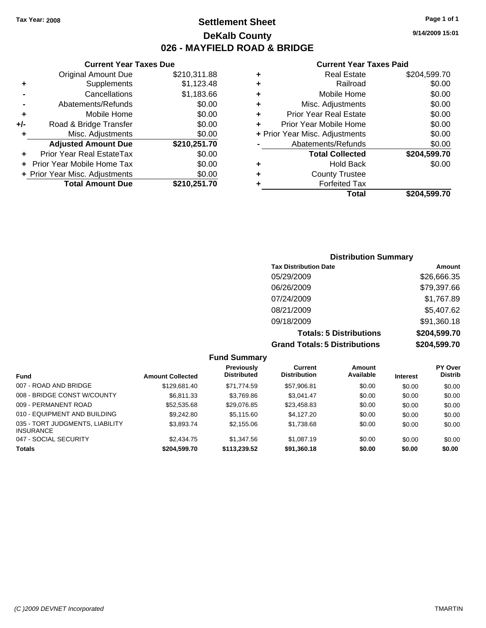## **Settlement Sheet Tax Year: 2008 Page 1 of 1 DeKalb County 026 - MAYFIELD ROAD & BRIDGE**

|   | <b>Current Year Taxes Paid</b> |              |  |  |  |
|---|--------------------------------|--------------|--|--|--|
| ٠ | <b>Real Estate</b>             | \$204,599.70 |  |  |  |
| ٠ | Railroad                       | \$0.00       |  |  |  |
| ٠ | Mobile Home                    | \$0.00       |  |  |  |
| ÷ | Misc. Adjustments              | \$0.00       |  |  |  |
| ÷ | <b>Prior Year Real Estate</b>  | \$0.00       |  |  |  |
| ٠ | Prior Year Mobile Home         | \$0.00       |  |  |  |
|   | + Prior Year Misc. Adjustments | \$0.00       |  |  |  |
|   | Abatements/Refunds             | \$0.00       |  |  |  |
|   | <b>Total Collected</b>         | \$204,599.70 |  |  |  |
|   | <b>Hold Back</b>               | \$0.00       |  |  |  |
| ٠ | <b>County Trustee</b>          |              |  |  |  |
| ٠ | <b>Forfeited Tax</b>           |              |  |  |  |
|   | Total                          | \$204.599.70 |  |  |  |

#### **Current Year Taxes Due** Original Amount Due \$210,311.88 **+** Supplements \$1,123.48 **-** Cancellations \$1,183.66 **-** Abatements/Refunds \$0.00 **+** Mobile Home \$0.00 **+/-** Road & Bridge Transfer \$0.00 **+** Misc. Adjustments \$0.00 **Adjusted Amount Due \$210,251.70**

| <b>Total Amount Due</b>        | \$210,251.70 |
|--------------------------------|--------------|
| + Prior Year Misc. Adjustments | \$0.00       |
| + Prior Year Mobile Home Tax   | \$0.00       |
| Prior Year Real EstateTax      | \$0.00       |

### **Distribution Summary**

| <b>Tax Distribution Date</b>         | Amount       |
|--------------------------------------|--------------|
| 05/29/2009                           | \$26,666.35  |
| 06/26/2009                           | \$79,397.66  |
| 07/24/2009                           | \$1,767.89   |
| 08/21/2009                           | \$5,407.62   |
| 09/18/2009                           | \$91,360.18  |
| <b>Totals: 5 Distributions</b>       | \$204,599.70 |
| <b>Grand Totals: 5 Distributions</b> | \$204,599.70 |

**Fund Summary Fund Interest Amount Collected Distributed PY Over Distrib Amount Available Current Distribution Previously** 007 - ROAD AND BRIDGE 60.00 \$129,681.40 \$71,774.59 \$57,906.81 \$0.00 \$0.00 \$0.00 008 - BRIDGE CONST W/COUNTY  $$6,811.33$   $$3,769.86$   $$3,041.47$   $$0.00$   $$0.00$   $$0.00$ 009 - PERMANENT ROAD \$52,535.68 \$29,076.85 \$23,458.83 \$0.00 \$0.00 \$0.00 010 - EQUIPMENT AND BUILDING \$9,242.80 \$5,115.60 \$4,127.20 \$0.00 \$0.00 \$0.00 \$0.00 035 - TORT JUDGMENTS, LIABILITY INSURANCE \$3,893.74 \$2,155.06 \$1,738.68 \$0.00 \$0.00 \$0.00 047 - SOCIAL SECURITY 62,434.75 \$1,347.56 \$1,087.19 \$0.00 \$0.00 \$0.00 \$0.00 **Totals \$204,599.70 \$113,239.52 \$91,360.18 \$0.00 \$0.00 \$0.00**

**9/14/2009 15:01**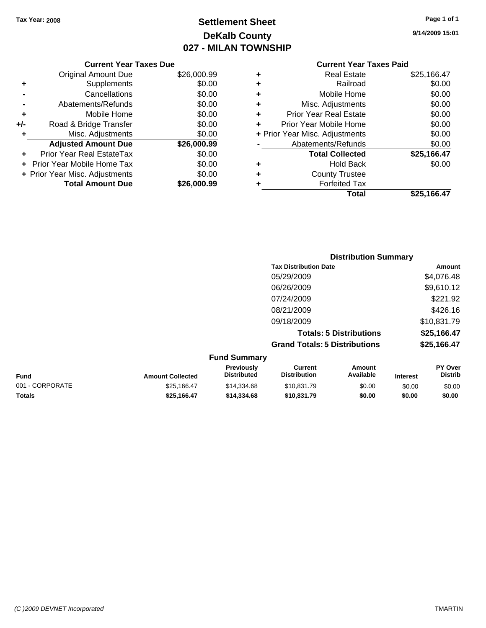## **Settlement Sheet Tax Year: 2008 Page 1 of 1 DeKalb County 027 - MILAN TOWNSHIP**

**9/14/2009 15:01**

|     | <b>Current Year Taxes Due</b>  |             |
|-----|--------------------------------|-------------|
|     | <b>Original Amount Due</b>     | \$26,000.99 |
| ٠   | Supplements                    | \$0.00      |
|     | Cancellations                  | \$0.00      |
|     | Abatements/Refunds             | \$0.00      |
| ٠   | Mobile Home                    | \$0.00      |
| +/- | Road & Bridge Transfer         | \$0.00      |
|     | Misc. Adjustments              | \$0.00      |
|     | <b>Adjusted Amount Due</b>     | \$26,000.99 |
|     | Prior Year Real EstateTax      | \$0.00      |
|     | Prior Year Mobile Home Tax     | \$0.00      |
|     | + Prior Year Misc. Adjustments | \$0.00      |
|     | <b>Total Amount Due</b>        | \$26.000.99 |
|     |                                |             |

#### **Current Year Taxes Paid**

|   | Total                          | \$25,166.47 |
|---|--------------------------------|-------------|
| ٠ | <b>Forfeited Tax</b>           |             |
| ٠ | <b>County Trustee</b>          |             |
| ٠ | <b>Hold Back</b>               | \$0.00      |
|   | <b>Total Collected</b>         | \$25,166.47 |
|   | Abatements/Refunds             | \$0.00      |
|   | + Prior Year Misc. Adjustments | \$0.00      |
| ٠ | Prior Year Mobile Home         | \$0.00      |
| ٠ | Prior Year Real Estate         | \$0.00      |
| ٠ | Misc. Adjustments              | \$0.00      |
| ÷ | Mobile Home                    | \$0.00      |
| ÷ | Railroad                       | \$0.00      |
| ٠ | <b>Real Estate</b>             | \$25,166.47 |

|                     | <b>Distribution Summary</b>          |             |
|---------------------|--------------------------------------|-------------|
|                     | <b>Tax Distribution Date</b>         | Amount      |
|                     | 05/29/2009                           | \$4,076.48  |
|                     | 06/26/2009                           | \$9,610.12  |
|                     | 07/24/2009                           | \$221.92    |
|                     | 08/21/2009                           | \$426.16    |
|                     | 09/18/2009                           | \$10,831.79 |
|                     | <b>Totals: 5 Distributions</b>       | \$25,166.47 |
|                     | <b>Grand Totals: 5 Distributions</b> | \$25,166.47 |
| <b>Fund Summary</b> |                                      |             |

| unu vunnuu y            |                                         |                                |                     |                 |                                  |
|-------------------------|-----------------------------------------|--------------------------------|---------------------|-----------------|----------------------------------|
| <b>Amount Collected</b> | <b>Previously</b><br><b>Distributed</b> | Current<br><b>Distribution</b> | Amount<br>Available | <b>Interest</b> | <b>PY Over</b><br><b>Distrib</b> |
| \$25,166.47             | \$14,334.68                             | \$10,831.79                    | \$0.00              | \$0.00          | \$0.00                           |
| \$25.166.47             | \$14,334,68                             | \$10,831,79                    | \$0.00              | \$0.00          | \$0.00                           |
|                         |                                         |                                |                     |                 |                                  |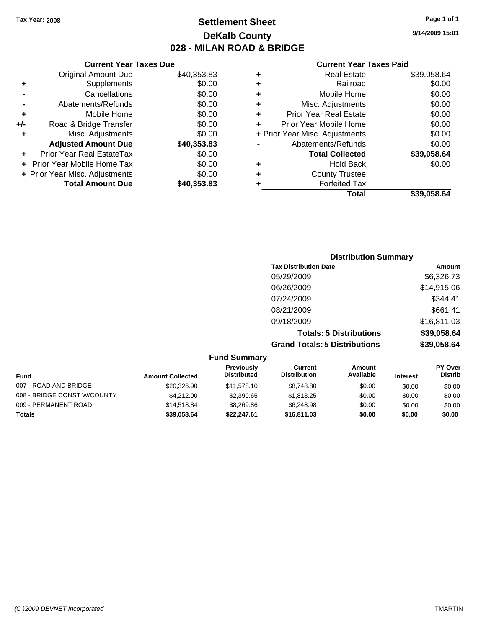| 9/14/2009 15:01 |  |
|-----------------|--|
|                 |  |
|                 |  |

#### **Current Year Taxes Paid**

| ٠ | Real Estate                    | \$39,058.64 |
|---|--------------------------------|-------------|
| ٠ | Railroad                       | \$0.00      |
| ٠ | Mobile Home                    | \$0.00      |
| ٠ | Misc. Adjustments              | \$0.00      |
| ٠ | <b>Prior Year Real Estate</b>  | \$0.00      |
| ٠ | Prior Year Mobile Home         | \$0.00      |
|   | + Prior Year Misc. Adjustments | \$0.00      |
|   | Abatements/Refunds             | \$0.00      |
|   | <b>Total Collected</b>         | \$39,058.64 |
| ٠ | <b>Hold Back</b>               | \$0.00      |
| ٠ | <b>County Trustee</b>          |             |
|   | <b>Forfeited Tax</b>           |             |
|   | Total                          | \$39.058.64 |

|     | <b>Current Year Taxes Due</b>  |             |
|-----|--------------------------------|-------------|
|     | <b>Original Amount Due</b>     | \$40,353.83 |
|     | Supplements                    | \$0.00      |
|     | Cancellations                  | \$0.00      |
|     | Abatements/Refunds             | \$0.00      |
| ٠   | Mobile Home                    | \$0.00      |
| +/- | Road & Bridge Transfer         | \$0.00      |
|     | Misc. Adjustments              | \$0.00      |
|     | <b>Adjusted Amount Due</b>     | \$40,353.83 |
|     | Prior Year Real EstateTax      | \$0.00      |
|     | Prior Year Mobile Home Tax     | \$0.00      |
|     | + Prior Year Misc. Adjustments | \$0.00      |
|     | <b>Total Amount Due</b>        | \$40,353.83 |

| <b>Distribution Summary</b>          |             |
|--------------------------------------|-------------|
| <b>Tax Distribution Date</b>         | Amount      |
| 05/29/2009                           | \$6,326.73  |
| 06/26/2009                           | \$14,915.06 |
| 07/24/2009                           | \$344.41    |
| 08/21/2009                           | \$661.41    |
| 09/18/2009                           | \$16,811.03 |
| <b>Totals: 5 Distributions</b>       | \$39,058.64 |
| <b>Grand Totals: 5 Distributions</b> | \$39,058.64 |
|                                      |             |

|                             |                         | <b>Fund Summary</b>                     |                                |                     |                 |                           |
|-----------------------------|-------------------------|-----------------------------------------|--------------------------------|---------------------|-----------------|---------------------------|
| Fund                        | <b>Amount Collected</b> | <b>Previously</b><br><b>Distributed</b> | Current<br><b>Distribution</b> | Amount<br>Available | <b>Interest</b> | PY Over<br><b>Distrib</b> |
| 007 - ROAD AND BRIDGE       | \$20,326.90             | \$11.578.10                             | \$8,748.80                     | \$0.00              | \$0.00          | \$0.00                    |
| 008 - BRIDGE CONST W/COUNTY | \$4,212.90              | \$2,399.65                              | \$1,813.25                     | \$0.00              | \$0.00          | \$0.00                    |
| 009 - PERMANENT ROAD        | \$14,518.84             | \$8,269.86                              | \$6.248.98                     | \$0.00              | \$0.00          | \$0.00                    |
| <b>Totals</b>               | \$39,058,64             | \$22.247.61                             | \$16,811.03                    | \$0.00              | \$0.00          | \$0.00                    |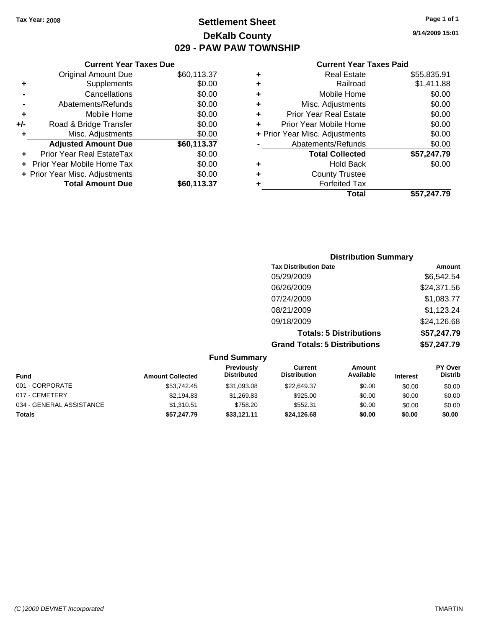## **Settlement Sheet Tax Year: 2008 Page 1 of 1 DeKalb County 029 - PAW PAW TOWNSHIP**

**9/14/2009 15:01**

| <b>Current Year Taxes Paid</b> |
|--------------------------------|
|--------------------------------|

|     | <b>Current Year Taxes Due</b>  |             |  |
|-----|--------------------------------|-------------|--|
|     | <b>Original Amount Due</b>     | \$60,113.37 |  |
| ٠   | Supplements                    | \$0.00      |  |
|     | Cancellations                  | \$0.00      |  |
|     | Abatements/Refunds             | \$0.00      |  |
| ٠   | Mobile Home                    | \$0.00      |  |
| +/- | Road & Bridge Transfer         | \$0.00      |  |
| ٠   | Misc. Adjustments              | \$0.00      |  |
|     | <b>Adjusted Amount Due</b>     | \$60,113.37 |  |
| ÷   | Prior Year Real EstateTax      | \$0.00      |  |
|     | Prior Year Mobile Home Tax     | \$0.00      |  |
|     | + Prior Year Misc. Adjustments | \$0.00      |  |
|     | <b>Total Amount Due</b>        | \$60,113.37 |  |
|     |                                |             |  |

| ٠ | Real Estate                    | \$55,835.91 |
|---|--------------------------------|-------------|
| ٠ | Railroad                       | \$1,411.88  |
| ٠ | Mobile Home                    | \$0.00      |
| ٠ | Misc. Adjustments              | \$0.00      |
| ÷ | Prior Year Real Estate         | \$0.00      |
|   | Prior Year Mobile Home         | \$0.00      |
|   | + Prior Year Misc. Adjustments | \$0.00      |
|   | Abatements/Refunds             | \$0.00      |
|   | <b>Total Collected</b>         | \$57,247.79 |
| ٠ | <b>Hold Back</b>               | \$0.00      |
|   | <b>County Trustee</b>          |             |
| ٠ | <b>Forfeited Tax</b>           |             |
|   | Total                          | \$57,247.79 |
|   |                                |             |

| <b>Distribution Summary</b>          |             |
|--------------------------------------|-------------|
| <b>Tax Distribution Date</b>         | Amount      |
| 05/29/2009                           | \$6,542.54  |
| 06/26/2009                           | \$24,371.56 |
| 07/24/2009                           | \$1,083.77  |
| 08/21/2009                           | \$1,123.24  |
| 09/18/2009                           | \$24,126.68 |
| <b>Totals: 5 Distributions</b>       | \$57,247.79 |
| <b>Grand Totals: 5 Distributions</b> | \$57,247.79 |

| <b>Fund Summary</b>      |                         |                                  |                                |                     |                 |                                  |
|--------------------------|-------------------------|----------------------------------|--------------------------------|---------------------|-----------------|----------------------------------|
| <b>Fund</b>              | <b>Amount Collected</b> | Previously<br><b>Distributed</b> | Current<br><b>Distribution</b> | Amount<br>Available | <b>Interest</b> | <b>PY Over</b><br><b>Distrib</b> |
| 001 - CORPORATE          | \$53.742.45             | \$31.093.08                      | \$22,649.37                    | \$0.00              | \$0.00          | \$0.00                           |
| 017 - CEMETERY           | \$2,194.83              | \$1,269.83                       | \$925.00                       | \$0.00              | \$0.00          | \$0.00                           |
| 034 - GENERAL ASSISTANCE | \$1,310.51              | \$758.20                         | \$552.31                       | \$0.00              | \$0.00          | \$0.00                           |
| <b>Totals</b>            | \$57,247.79             | \$33.121.11                      | \$24,126.68                    | \$0.00              | \$0.00          | \$0.00                           |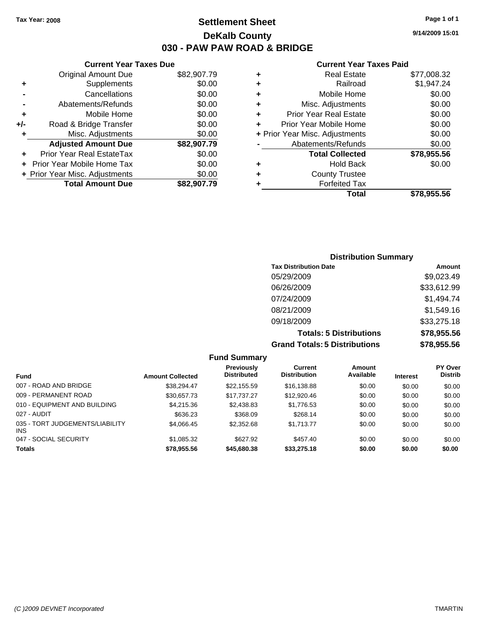## **Settlement Sheet Tax Year: 2008 Page 1 of 1 DeKalb County 030 - PAW PAW ROAD & BRIDGE**

**9/14/2009 15:01**

#### **Current Year Taxes Paid**

| Cυ                   |   |             | <b>Current Year Taxes Due</b>  |       |
|----------------------|---|-------------|--------------------------------|-------|
|                      | ٠ | \$82,907.79 | <b>Original Amount Due</b>     |       |
|                      | ÷ | \$0.00      | Supplements                    | ٠     |
| М                    | ٠ | \$0.00      | Cancellations                  |       |
| Misc. A              | ٠ | \$0.00      | Abatements/Refunds             |       |
| Prior Year           | ٠ | \$0.00      | Mobile Home                    |       |
| Prior Year M         | ٠ | \$0.00      | Road & Bridge Transfer         | $+/-$ |
| + Prior Year Misc. A |   | \$0.00      | Misc. Adjustments              | ٠     |
| Abatemer             |   | \$82,907.79 | <b>Adjusted Amount Due</b>     |       |
| <b>Tota</b>          |   | \$0.00      | Prior Year Real EstateTax      |       |
|                      | ٠ | \$0.00      | + Prior Year Mobile Home Tax   |       |
| Cou                  | ٠ | \$0.00      | + Prior Year Misc. Adjustments |       |
| F٥                   |   | \$82,907.79 | <b>Total Amount Due</b>        |       |
|                      |   |             |                                |       |

|   | Total                          | \$78,955.56 |
|---|--------------------------------|-------------|
|   | <b>Forfeited Tax</b>           |             |
| ٠ | <b>County Trustee</b>          |             |
| ٠ | <b>Hold Back</b>               | \$0.00      |
|   | <b>Total Collected</b>         | \$78,955.56 |
|   | Abatements/Refunds             | \$0.00      |
|   | + Prior Year Misc. Adjustments | \$0.00      |
| ÷ | Prior Year Mobile Home         | \$0.00      |
| ÷ | <b>Prior Year Real Estate</b>  | \$0.00      |
| ٠ | Misc. Adjustments              | \$0.00      |
| ٠ | Mobile Home                    | \$0.00      |
| ٠ | Railroad                       | \$1,947.24  |
| ٠ | <b>Real Estate</b>             | \$77,008.32 |

### **Distribution Summary Tax Distribution Date Amount** 05/29/2009 \$9,023.49 06/26/2009 \$33,612.99 07/24/2009 \$1,494.74 08/21/2009 \$1,549.16 09/18/2009 \$33,275.18 **Totals: 5 Distributions \$78,955.56 Grand Totals: 5 Distributions \$78,955.56**

|                                         |                         | <b>Fund Summary</b>              |                                |                     |                 |                                  |
|-----------------------------------------|-------------------------|----------------------------------|--------------------------------|---------------------|-----------------|----------------------------------|
| <b>Fund</b>                             | <b>Amount Collected</b> | Previously<br><b>Distributed</b> | Current<br><b>Distribution</b> | Amount<br>Available | <b>Interest</b> | <b>PY Over</b><br><b>Distrib</b> |
| 007 - ROAD AND BRIDGE                   | \$38,294.47             | \$22,155.59                      | \$16,138.88                    | \$0.00              | \$0.00          | \$0.00                           |
| 009 - PERMANENT ROAD                    | \$30.657.73             | \$17,737,27                      | \$12,920.46                    | \$0.00              | \$0.00          | \$0.00                           |
| 010 - EQUIPMENT AND BUILDING            | \$4,215.36              | \$2,438.83                       | \$1,776.53                     | \$0.00              | \$0.00          | \$0.00                           |
| 027 - AUDIT                             | \$636.23                | \$368.09                         | \$268.14                       | \$0.00              | \$0.00          | \$0.00                           |
| 035 - TORT JUDGEMENTS/LIABILITY<br>INS. | \$4.066.45              | \$2,352.68                       | \$1.713.77                     | \$0.00              | \$0.00          | \$0.00                           |
| 047 - SOCIAL SECURITY                   | \$1,085.32              | \$627.92                         | \$457.40                       | \$0.00              | \$0.00          | \$0.00                           |
| <b>Totals</b>                           | \$78,955.56             | \$45,680.38                      | \$33,275.18                    | \$0.00              | \$0.00          | \$0.00                           |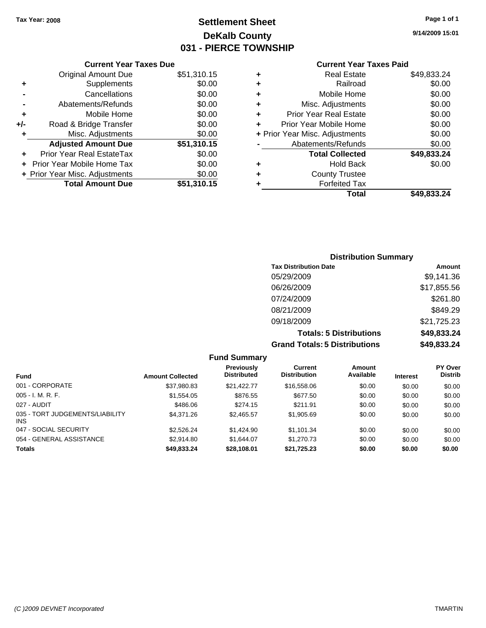## **Settlement Sheet Tax Year: 2008 Page 1 of 1 DeKalb County 031 - PIERCE TOWNSHIP**

## **Current Year Taxes Due**

|     | <b>Original Amount Due</b>        | \$51,310.15 |
|-----|-----------------------------------|-------------|
| ٠   | Supplements                       | \$0.00      |
|     | Cancellations                     | \$0.00      |
|     | Abatements/Refunds                | \$0.00      |
| ٠   | Mobile Home                       | \$0.00      |
| +/- | Road & Bridge Transfer            | \$0.00      |
| ٠   | Misc. Adjustments                 | \$0.00      |
|     | <b>Adjusted Amount Due</b>        | \$51,310.15 |
|     | Prior Year Real EstateTax         | \$0.00      |
|     | <b>Prior Year Mobile Home Tax</b> | \$0.00      |
|     | + Prior Year Misc. Adjustments    | \$0.00      |
|     | <b>Total Amount Due</b>           | \$51,310.15 |

#### **Current Year Taxes Paid**

| ٠ | <b>Real Estate</b>             | \$49,833.24 |
|---|--------------------------------|-------------|
| ٠ | Railroad                       | \$0.00      |
| ٠ | Mobile Home                    | \$0.00      |
| ٠ | Misc. Adjustments              | \$0.00      |
| ٠ | <b>Prior Year Real Estate</b>  | \$0.00      |
| ÷ | Prior Year Mobile Home         | \$0.00      |
|   | + Prior Year Misc. Adjustments | \$0.00      |
|   | Abatements/Refunds             | \$0.00      |
|   | <b>Total Collected</b>         | \$49,833.24 |
| ٠ | <b>Hold Back</b>               | \$0.00      |
| ٠ | <b>County Trustee</b>          |             |
| ٠ | <b>Forfeited Tax</b>           |             |
|   | Total                          | \$49,833.24 |
|   |                                |             |

#### **9/14/2009 15:01**

| <b>Distribution Summary</b>    |             |
|--------------------------------|-------------|
| <b>Tax Distribution Date</b>   | Amount      |
| 05/29/2009                     | \$9,141.36  |
| 06/26/2009                     | \$17,855.56 |
| 07/24/2009                     | \$261.80    |
| 08/21/2009                     | \$849.29    |
| 09/18/2009                     | \$21,725.23 |
| <b>Totals: 5 Distributions</b> | \$49,833.24 |
| Crond Totalo: E Diotributions  | ma ago a    |

**Grand Totals: 5 Distributions \$49,833.24**

| <b>Fund Summary</b>                     |                         |                                         |                                |                     |                 |                           |
|-----------------------------------------|-------------------------|-----------------------------------------|--------------------------------|---------------------|-----------------|---------------------------|
| <b>Fund</b>                             | <b>Amount Collected</b> | <b>Previously</b><br><b>Distributed</b> | Current<br><b>Distribution</b> | Amount<br>Available | <b>Interest</b> | PY Over<br><b>Distrib</b> |
| 001 - CORPORATE                         | \$37,980.83             | \$21.422.77                             | \$16,558.06                    | \$0.00              | \$0.00          | \$0.00                    |
| $005 - I. M. R. F.$                     | \$1,554.05              | \$876.55                                | \$677.50                       | \$0.00              | \$0.00          | \$0.00                    |
| 027 - AUDIT                             | \$486.06                | \$274.15                                | \$211.91                       | \$0.00              | \$0.00          | \$0.00                    |
| 035 - TORT JUDGEMENTS/LIABILITY<br>INS. | \$4,371.26              | \$2.465.57                              | \$1,905.69                     | \$0.00              | \$0.00          | \$0.00                    |
| 047 - SOCIAL SECURITY                   | \$2,526.24              | \$1,424.90                              | \$1.101.34                     | \$0.00              | \$0.00          | \$0.00                    |
| 054 - GENERAL ASSISTANCE                | \$2,914.80              | \$1,644.07                              | \$1,270.73                     | \$0.00              | \$0.00          | \$0.00                    |
| <b>Totals</b>                           | \$49,833.24             | \$28,108.01                             | \$21,725.23                    | \$0.00              | \$0.00          | \$0.00                    |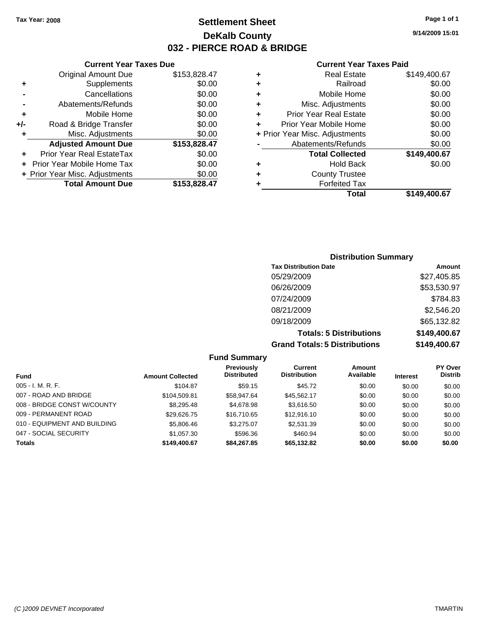**Current Year Taxes Due** Original Amount Due \$153,828.47

**Adjusted Amount Due \$153,828.47**

**Total Amount Due \$153,828.47**

**+** Supplements \$0.00 **-** Cancellations \$0.00 **-** Abatements/Refunds \$0.00 **+** Mobile Home \$0.00 **+/-** Road & Bridge Transfer \$0.00 **+** Misc. Adjustments \$0.00

**+** Prior Year Real EstateTax \$0.00 **+** Prior Year Mobile Home Tax \$0.00 **+ Prior Year Misc. Adjustments**  $$0.00$  **9/14/2009 15:01**

#### **Current Year Taxes Paid**

| ٠ | <b>Real Estate</b>             | \$149,400.67 |
|---|--------------------------------|--------------|
| ٠ | Railroad                       | \$0.00       |
| ٠ | Mobile Home                    | \$0.00       |
| ٠ | Misc. Adjustments              | \$0.00       |
| ٠ | <b>Prior Year Real Estate</b>  | \$0.00       |
| ٠ | Prior Year Mobile Home         | \$0.00       |
|   | + Prior Year Misc. Adjustments | \$0.00       |
|   | Abatements/Refunds             | \$0.00       |
|   | <b>Total Collected</b>         | \$149,400.67 |
| ٠ | Hold Back                      | \$0.00       |
| ٠ | <b>County Trustee</b>          |              |
| ٠ | <b>Forfeited Tax</b>           |              |
|   | Total                          | \$149.400.67 |

### **Distribution Summary Tax Distribution Date Amount** 05/29/2009 \$27,405.85 06/26/2009 \$53,530.97 07/24/2009 \$784.83 08/21/2009 \$2,546.20 09/18/2009 \$65,132.82 **Totals: 5 Distributions \$149,400.67 Grand Totals: 5 Distributions \$149,400.67**

| <b>Fund Summary</b>          |                         |                                         |                                |                     |                 |                                  |
|------------------------------|-------------------------|-----------------------------------------|--------------------------------|---------------------|-----------------|----------------------------------|
| <b>Fund</b>                  | <b>Amount Collected</b> | <b>Previously</b><br><b>Distributed</b> | Current<br><b>Distribution</b> | Amount<br>Available | <b>Interest</b> | <b>PY Over</b><br><b>Distrib</b> |
| $005 - I. M. R. F.$          | \$104.87                | \$59.15                                 | \$45.72                        | \$0.00              | \$0.00          | \$0.00                           |
| 007 - ROAD AND BRIDGE        | \$104.509.81            | \$58.947.64                             | \$45.562.17                    | \$0.00              | \$0.00          | \$0.00                           |
| 008 - BRIDGE CONST W/COUNTY  | \$8,295.48              | \$4,678.98                              | \$3,616.50                     | \$0.00              | \$0.00          | \$0.00                           |
| 009 - PERMANENT ROAD         | \$29,626.75             | \$16,710.65                             | \$12,916.10                    | \$0.00              | \$0.00          | \$0.00                           |
| 010 - EQUIPMENT AND BUILDING | \$5,806.46              | \$3,275.07                              | \$2,531.39                     | \$0.00              | \$0.00          | \$0.00                           |
| 047 - SOCIAL SECURITY        | \$1.057.30              | \$596.36                                | \$460.94                       | \$0.00              | \$0.00          | \$0.00                           |
| <b>Totals</b>                | \$149.400.67            | \$84,267.85                             | \$65,132.82                    | \$0.00              | \$0.00          | \$0.00                           |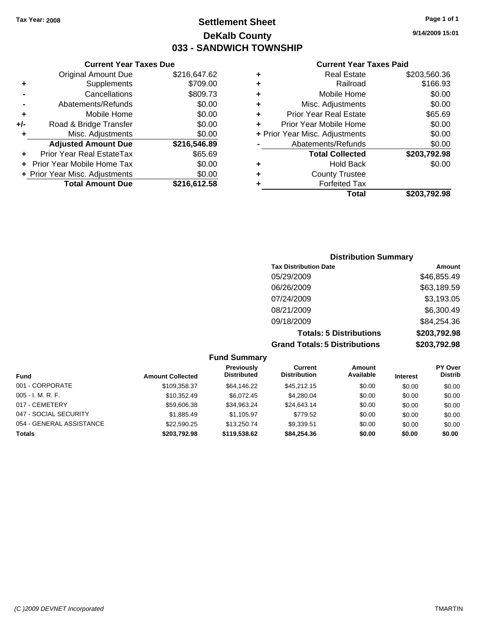## **Settlement Sheet Tax Year: 2008 Page 1 of 1 DeKalb County 033 - SANDWICH TOWNSHIP**

**9/14/2009 15:01**

#### **Current Year Taxes Paid**

|   | Total                          | \$203,792.98 |
|---|--------------------------------|--------------|
|   | <b>Forfeited Tax</b>           |              |
| ٠ | <b>County Trustee</b>          |              |
| ٠ | <b>Hold Back</b>               | \$0.00       |
|   | <b>Total Collected</b>         | \$203,792.98 |
|   | Abatements/Refunds             | \$0.00       |
|   | + Prior Year Misc. Adjustments | \$0.00       |
| ٠ | Prior Year Mobile Home         | \$0.00       |
| ٠ | <b>Prior Year Real Estate</b>  | \$65.69      |
| ٠ | Misc. Adjustments              | \$0.00       |
| ٠ | Mobile Home                    | \$0.00       |
| ٠ | Railroad                       | \$166.93     |
|   | <b>Real Estate</b>             | \$203,560.36 |

#### **+** Supplements \$709.00 **-** Cancellations \$809.73 **-** Abatements/Refunds \$0.00 **+** Mobile Home \$0.00 **+/-** Road & Bridge Transfer \$0.00 **+** Misc. Adjustments \$0.00 **Adjusted Amount Due \$216,546.89 +** Prior Year Real EstateTax \$65.69 **+** Prior Year Mobile Home Tax \$0.00 **+ Prior Year Misc. Adjustments**  $$0.00$

**Total Amount Due \$216,612.58**

**Current Year Taxes Due** Original Amount Due \$216,647.62

| <b>Distribution Summary</b>          |              |  |  |  |  |  |
|--------------------------------------|--------------|--|--|--|--|--|
| <b>Tax Distribution Date</b>         | Amount       |  |  |  |  |  |
| 05/29/2009                           | \$46,855.49  |  |  |  |  |  |
| 06/26/2009                           | \$63,189.59  |  |  |  |  |  |
| 07/24/2009                           | \$3,193.05   |  |  |  |  |  |
| 08/21/2009                           | \$6,300.49   |  |  |  |  |  |
| 09/18/2009                           | \$84,254.36  |  |  |  |  |  |
| <b>Totals: 5 Distributions</b>       | \$203,792.98 |  |  |  |  |  |
| <b>Grand Totals: 5 Distributions</b> | \$203,792.98 |  |  |  |  |  |

#### **Fund Summary Fund Interest Amount Collected Distributed PY Over Distrib Amount Available Current Distribution Previously** 001 - CORPORATE \$109,358.37 \$64,146.22 \$45,212.15 \$0.00 \$0.00 \$0.00 005 - I. M. R. F. \$10,352.49 \$6,072.45 \$4,280.04 \$0.00 \$0.00 \$0.00 017 - CEMETERY \$59,606.38 \$34,963.24 \$24,643.14 \$0.00 \$0.00 \$0.00 047 - SOCIAL SECURITY \$1,885.49 \$1,105.97 \$779.52 \$0.00 \$0.00 \$0.00 054 - GENERAL ASSISTANCE \$22,590.25 \$13,250.74 \$9,339.51 \$0.00 \$0.00 \$0.00 **Totals \$203,792.98 \$119,538.62 \$84,254.36 \$0.00 \$0.00 \$0.00**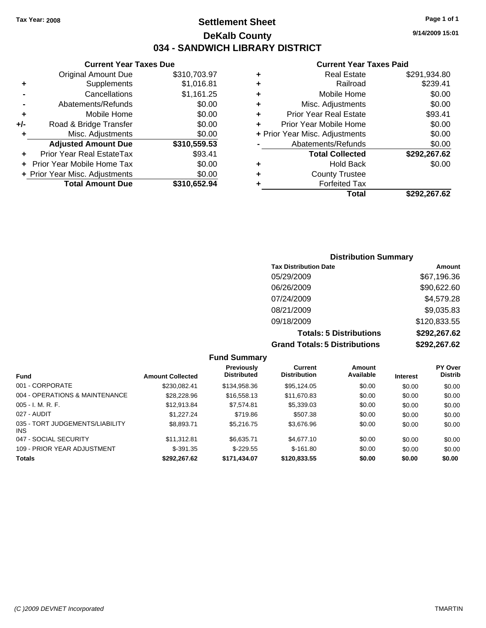## **Settlement Sheet Tax Year: 2008 Page 1 of 1 DeKalb County 034 - SANDWICH LIBRARY DISTRICT**

**9/14/2009 15:01**

## **Current Year Taxes Paid**

|     | <b>Current Year Taxes Due</b>  |              |
|-----|--------------------------------|--------------|
|     | <b>Original Amount Due</b>     | \$310,703.97 |
| ÷   | Supplements                    | \$1,016.81   |
|     | Cancellations                  | \$1,161.25   |
|     | Abatements/Refunds             | \$0.00       |
| ٠   | Mobile Home                    | \$0.00       |
| +/- | Road & Bridge Transfer         | \$0.00       |
| ٠   | Misc. Adjustments              | \$0.00       |
|     | <b>Adjusted Amount Due</b>     | \$310,559.53 |
|     | Prior Year Real EstateTax      | \$93.41      |
|     | Prior Year Mobile Home Tax     | \$0.00       |
|     | + Prior Year Misc. Adjustments | \$0.00       |
|     | <b>Total Amount Due</b>        | \$310,652.94 |
|     |                                |              |

| ٠ | Real Estate                    | \$291,934.80 |
|---|--------------------------------|--------------|
| ٠ | Railroad                       | \$239.41     |
| ٠ | Mobile Home                    | \$0.00       |
| ٠ | Misc. Adjustments              | \$0.00       |
| ٠ | <b>Prior Year Real Estate</b>  | \$93.41      |
| ٠ | Prior Year Mobile Home         | \$0.00       |
|   | + Prior Year Misc. Adjustments | \$0.00       |
|   | Abatements/Refunds             | \$0.00       |
|   | <b>Total Collected</b>         | \$292,267.62 |
| ٠ | Hold Back                      | \$0.00       |
| ٠ | <b>County Trustee</b>          |              |
|   | <b>Forfeited Tax</b>           |              |
|   | Total                          | \$292,267.62 |

### **Distribution Summary Tax Distribution Date Amount** 05/29/2009 \$67,196.36 06/26/2009 \$90,622.60 07/24/2009 \$4,579.28 08/21/2009 \$9,035.83 09/18/2009 \$120,833.55 **Totals: 5 Distributions \$292,267.62 Grand Totals: 5 Distributions \$292,267.62**

|                                         |                         | <b>Fund Summary</b>                     |                                |                     |                 |                                  |
|-----------------------------------------|-------------------------|-----------------------------------------|--------------------------------|---------------------|-----------------|----------------------------------|
| <b>Fund</b>                             | <b>Amount Collected</b> | <b>Previously</b><br><b>Distributed</b> | Current<br><b>Distribution</b> | Amount<br>Available | <b>Interest</b> | <b>PY Over</b><br><b>Distrib</b> |
| 001 - CORPORATE                         | \$230.082.41            | \$134,958,36                            | \$95.124.05                    | \$0.00              | \$0.00          | \$0.00                           |
| 004 - OPERATIONS & MAINTENANCE          | \$28,228.96             | \$16,558.13                             | \$11,670.83                    | \$0.00              | \$0.00          | \$0.00                           |
| $005 - I. M. R. F.$                     | \$12.913.84             | \$7.574.81                              | \$5,339.03                     | \$0.00              | \$0.00          | \$0.00                           |
| 027 - AUDIT                             | \$1,227.24              | \$719.86                                | \$507.38                       | \$0.00              | \$0.00          | \$0.00                           |
| 035 - TORT JUDGEMENTS/LIABILITY<br>INS. | \$8,893.71              | \$5.216.75                              | \$3,676.96                     | \$0.00              | \$0.00          | \$0.00                           |
| 047 - SOCIAL SECURITY                   | \$11.312.81             | \$6.635.71                              | \$4,677.10                     | \$0.00              | \$0.00          | \$0.00                           |
| 109 - PRIOR YEAR ADJUSTMENT             | $$-391.35$              | $$-229.55$                              | $$-161.80$                     | \$0.00              | \$0.00          | \$0.00                           |
| <b>Totals</b>                           | \$292.267.62            | \$171.434.07                            | \$120.833.55                   | \$0.00              | \$0.00          | \$0.00                           |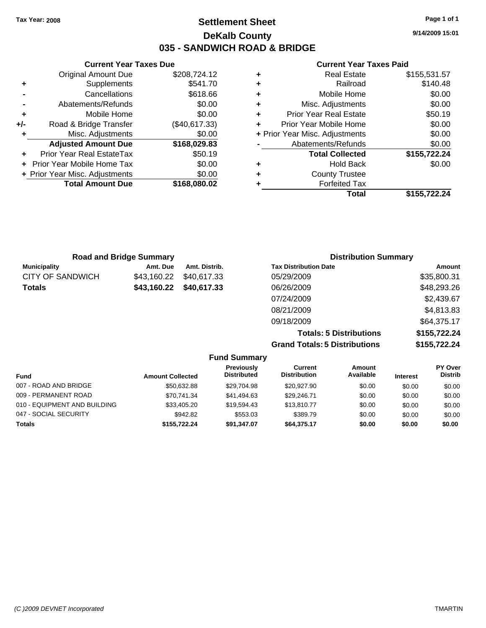## **Settlement Sheet Tax Year: 2008 Page 1 of 1 DeKalb County 035 - SANDWICH ROAD & BRIDGE**

**9/14/2009 15:01**

#### **Current Year Taxes Paid**

|   | Total                          | \$155,722.24 |
|---|--------------------------------|--------------|
|   | <b>Forfeited Tax</b>           |              |
|   | <b>County Trustee</b>          |              |
|   | <b>Hold Back</b>               | \$0.00       |
|   | <b>Total Collected</b>         | \$155,722.24 |
|   | Abatements/Refunds             | \$0.00       |
|   | + Prior Year Misc. Adjustments | \$0.00       |
|   | Prior Year Mobile Home         | \$0.00       |
|   | <b>Prior Year Real Estate</b>  | \$50.19      |
|   | Misc. Adjustments              | \$0.00       |
|   | Mobile Home                    | \$0.00       |
| ٠ | Railroad                       | \$140.48     |
|   | <b>Real Estate</b>             | \$155,531.57 |
|   |                                |              |

|       | <b>Current Year Taxes Due</b>  |               |
|-------|--------------------------------|---------------|
|       | <b>Original Amount Due</b>     | \$208,724.12  |
| ٠     | Supplements                    | \$541.70      |
|       | Cancellations                  | \$618.66      |
|       | Abatements/Refunds             | \$0.00        |
| ٠     | Mobile Home                    | \$0.00        |
| $+/-$ | Road & Bridge Transfer         | (\$40,617.33) |
| ٠     | Misc. Adjustments              | \$0.00        |
|       | <b>Adjusted Amount Due</b>     | \$168,029.83  |
|       | Prior Year Real EstateTax      | \$50.19       |
|       | Prior Year Mobile Home Tax     | \$0.00        |
|       | + Prior Year Misc. Adjustments | \$0.00        |
|       | <b>Total Amount Due</b>        | \$168,080.02  |
|       |                                |               |

| <b>Road and Bridge Summary</b> |             |               | <b>Distribution Summary</b>          |              |  |
|--------------------------------|-------------|---------------|--------------------------------------|--------------|--|
| <b>Municipality</b>            | Amt. Due    | Amt. Distrib. | <b>Tax Distribution Date</b>         | Amount       |  |
| <b>CITY OF SANDWICH</b>        | \$43,160.22 | \$40,617,33   | 05/29/2009                           | \$35,800.31  |  |
| <b>Totals</b>                  | \$43,160.22 | \$40,617.33   | 06/26/2009                           | \$48,293.26  |  |
|                                |             |               | 07/24/2009                           | \$2,439.67   |  |
|                                |             |               | 08/21/2009                           | \$4,813.83   |  |
|                                |             |               | 09/18/2009                           | \$64,375.17  |  |
|                                |             |               | <b>Totals: 5 Distributions</b>       | \$155,722.24 |  |
|                                |             |               | <b>Grand Totals: 5 Distributions</b> | \$155,722.24 |  |

| <b>Fund Summary</b>          |                         |                                  |                                |                     |                 |                           |
|------------------------------|-------------------------|----------------------------------|--------------------------------|---------------------|-----------------|---------------------------|
| <b>Fund</b>                  | <b>Amount Collected</b> | Previously<br><b>Distributed</b> | Current<br><b>Distribution</b> | Amount<br>Available | <b>Interest</b> | PY Over<br><b>Distrib</b> |
| 007 - ROAD AND BRIDGE        | \$50.632.88             | \$29,704.98                      | \$20,927.90                    | \$0.00              | \$0.00          | \$0.00                    |
| 009 - PERMANENT ROAD         | \$70.741.34             | \$41,494.63                      | \$29,246.71                    | \$0.00              | \$0.00          | \$0.00                    |
| 010 - EQUIPMENT AND BUILDING | \$33,405.20             | \$19.594.43                      | \$13,810.77                    | \$0.00              | \$0.00          | \$0.00                    |
| 047 - SOCIAL SECURITY        | \$942.82                | \$553.03                         | \$389.79                       | \$0.00              | \$0.00          | \$0.00                    |
| <b>Totals</b>                | \$155,722,24            | \$91.347.07                      | \$64.375.17                    | \$0.00              | \$0.00          | \$0.00                    |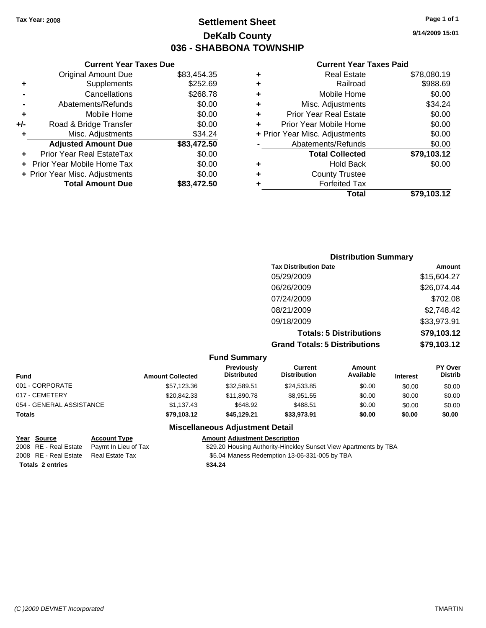## **Settlement Sheet Tax Year: 2008 Page 1 of 1 DeKalb County 036 - SHABBONA TOWNSHIP**

### **Current Year Taxes Due**

|     | <b>Original Amount Due</b>        | \$83,454.35 |
|-----|-----------------------------------|-------------|
| ٠   | Supplements                       | \$252.69    |
|     | Cancellations                     | \$268.78    |
|     | Abatements/Refunds                | \$0.00      |
| ٠   | Mobile Home                       | \$0.00      |
| +/- | Road & Bridge Transfer            | \$0.00      |
| ٠   | Misc. Adjustments                 | \$34.24     |
|     | <b>Adjusted Amount Due</b>        | \$83,472.50 |
|     | <b>Prior Year Real EstateTax</b>  | \$0.00      |
|     | <b>Prior Year Mobile Home Tax</b> | \$0.00      |
|     | + Prior Year Misc. Adjustments    | \$0.00      |
|     | <b>Total Amount Due</b>           | \$83.472.50 |

#### **Current Year Taxes Paid**

|   | <b>Real Estate</b>             | \$78,080.19 |
|---|--------------------------------|-------------|
| ٠ | Railroad                       | \$988.69    |
| ٠ | Mobile Home                    | \$0.00      |
| ٠ | Misc. Adjustments              | \$34.24     |
| ٠ | <b>Prior Year Real Estate</b>  | \$0.00      |
|   | Prior Year Mobile Home         | \$0.00      |
|   | + Prior Year Misc. Adjustments | \$0.00      |
|   | Abatements/Refunds             | \$0.00      |
|   | <b>Total Collected</b>         | \$79,103.12 |
| ٠ | <b>Hold Back</b>               | \$0.00      |
| ٠ | <b>County Trustee</b>          |             |
|   | <b>Forfeited Tax</b>           |             |
|   | Total                          | \$79,103.12 |
|   |                                |             |

| Paid |  |  |
|------|--|--|

## **Distribution Summary Tax Distribution Date Amount** 05/29/2009 \$15,604.27 06/26/2009 \$26,074.44 07/24/2009 \$702.08 08/21/2009 \$2,748.42 09/18/2009 \$33,973.91 **Totals: 5 Distributions \$79,103.12 Grand Totals: 5 Distributions \$79,103.12**

|                          |                         | <b>Fund Summary</b>                     |                                |                     |                 |                                  |
|--------------------------|-------------------------|-----------------------------------------|--------------------------------|---------------------|-----------------|----------------------------------|
| <b>Fund</b>              | <b>Amount Collected</b> | <b>Previously</b><br><b>Distributed</b> | Current<br><b>Distribution</b> | Amount<br>Available | <b>Interest</b> | <b>PY Over</b><br><b>Distrib</b> |
| 001 - CORPORATE          | \$57.123.36             | \$32,589.51                             | \$24,533,85                    | \$0.00              | \$0.00          | \$0.00                           |
| 017 - CEMETERY           | \$20.842.33             | \$11.890.78                             | \$8.951.55                     | \$0.00              | \$0.00          | \$0.00                           |
| 054 - GENERAL ASSISTANCE | \$1.137.43              | \$648.92                                | \$488.51                       | \$0.00              | \$0.00          | \$0.00                           |
| <b>Totals</b>            | \$79,103.12             | \$45.129.21                             | \$33.973.91                    | \$0.00              | \$0.00          | \$0.00                           |

### **Miscellaneous Adjustment Detail**

| Year Source                                | <b>Account Type</b> | <b>Amount Adiustment Description</b>                             |
|--------------------------------------------|---------------------|------------------------------------------------------------------|
| 2008 RE - Real Estate Paymt In Lieu of Tax |                     | \$29.20 Housing Authority-Hinckley Sunset View Apartments by TBA |
| 2008 RE - Real Estate                      | Real Estate Tax     | \$5.04 Maness Redemption 13-06-331-005 by TBA                    |
| <b>Totals 2 entries</b>                    |                     | \$34.24                                                          |

**9/14/2009 15:01**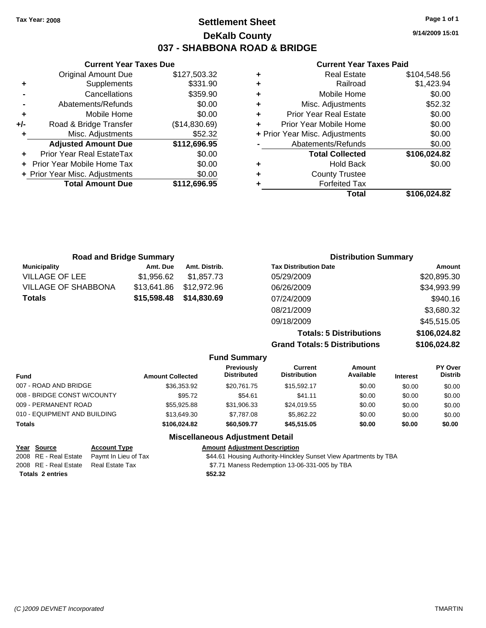**9/14/2009 15:01**

### **Current Year Taxes Paid**

|   | <b>Real Estate</b>             | \$104,548.56 |
|---|--------------------------------|--------------|
|   | Railroad                       | \$1,423.94   |
| ٠ | Mobile Home                    | \$0.00       |
| ٠ | Misc. Adjustments              | \$52.32      |
| ٠ | <b>Prior Year Real Estate</b>  | \$0.00       |
|   | Prior Year Mobile Home         | \$0.00       |
|   | + Prior Year Misc. Adjustments | \$0.00       |
|   | Abatements/Refunds             | \$0.00       |
|   | <b>Total Collected</b>         | \$106,024.82 |
| ٠ | <b>Hold Back</b>               | \$0.00       |
| ٠ | <b>County Trustee</b>          |              |
|   | <b>Forfeited Tax</b>           |              |
|   | Total                          | \$106.024.82 |

|     | <b>Current Year Taxes Due</b>  |               |  |  |  |  |
|-----|--------------------------------|---------------|--|--|--|--|
|     | <b>Original Amount Due</b>     | \$127,503.32  |  |  |  |  |
| ٠   | Supplements                    | \$331.90      |  |  |  |  |
|     | Cancellations                  | \$359.90      |  |  |  |  |
|     | Abatements/Refunds             | \$0.00        |  |  |  |  |
| ٠   | Mobile Home                    | \$0.00        |  |  |  |  |
| +/- | Road & Bridge Transfer         | (\$14,830.69) |  |  |  |  |
| ٠   | Misc. Adjustments              | \$52.32       |  |  |  |  |
|     | <b>Adjusted Amount Due</b>     | \$112,696.95  |  |  |  |  |
|     | Prior Year Real EstateTax      | \$0.00        |  |  |  |  |
|     | Prior Year Mobile Home Tax     | \$0.00        |  |  |  |  |
|     | + Prior Year Misc. Adjustments | \$0.00        |  |  |  |  |
|     | <b>Total Amount Due</b>        | \$112,696.95  |  |  |  |  |
|     |                                |               |  |  |  |  |

| <b>Road and Bridge Summary</b> |             |               | <b>Distribution Summary</b>    |              |
|--------------------------------|-------------|---------------|--------------------------------|--------------|
| <b>Municipality</b>            | Amt. Due    | Amt. Distrib. | <b>Tax Distribution Date</b>   | Amount       |
| <b>VILLAGE OF LEE</b>          | \$1,956.62  | \$1,857.73    | 05/29/2009                     | \$20,895.30  |
| <b>VILLAGE OF SHABBONA</b>     | \$13.641.86 | \$12,972.96   | 06/26/2009                     | \$34,993.99  |
| Totals                         | \$15,598.48 | \$14,830.69   | 07/24/2009                     | \$940.16     |
|                                |             |               | 08/21/2009                     | \$3,680.32   |
|                                |             |               | 09/18/2009                     | \$45,515.05  |
|                                |             |               | <b>Totals: 5 Distributions</b> | \$106,024.82 |

**Grand Totals: 5 Distributions \$106,024.82**

|                              |                         | <b>Fund Summary</b>                     |                                |                            |                 |                           |
|------------------------------|-------------------------|-----------------------------------------|--------------------------------|----------------------------|-----------------|---------------------------|
| <b>Fund</b>                  | <b>Amount Collected</b> | <b>Previously</b><br><b>Distributed</b> | Current<br><b>Distribution</b> | <b>Amount</b><br>Available | <b>Interest</b> | PY Over<br><b>Distrib</b> |
| 007 - ROAD AND BRIDGE        | \$36,353.92             | \$20.761.75                             | \$15,592.17                    | \$0.00                     | \$0.00          | \$0.00                    |
| 008 - BRIDGE CONST W/COUNTY  | \$95.72                 | \$54.61                                 | \$41.11                        | \$0.00                     | \$0.00          | \$0.00                    |
| 009 - PERMANENT ROAD         | \$55,925.88             | \$31,906.33                             | \$24.019.55                    | \$0.00                     | \$0.00          | \$0.00                    |
| 010 - EQUIPMENT AND BUILDING | \$13,649.30             | \$7,787.08                              | \$5,862.22                     | \$0.00                     | \$0.00          | \$0.00                    |
| <b>Totals</b>                | \$106,024.82            | \$60,509,77                             | \$45,515.05                    | \$0.00                     | \$0.00          | \$0.00                    |
|                              |                         | <b>Miscellaneous Adjustment Detail</b>  |                                |                            |                 |                           |

|                         | Year Source           | <b>Account Type</b>  | <b>Amount Adjustment Description</b>                             |
|-------------------------|-----------------------|----------------------|------------------------------------------------------------------|
|                         | 2008 RE - Real Estate | Pavmt In Lieu of Tax | \$44.61 Housing Authority-Hinckley Sunset View Apartments by TBA |
|                         | 2008 RE - Real Estate | Real Estate Tax      | \$7.71 Maness Redemption 13-06-331-005 by TBA                    |
| <b>Totals 2 entries</b> |                       |                      | \$52.32                                                          |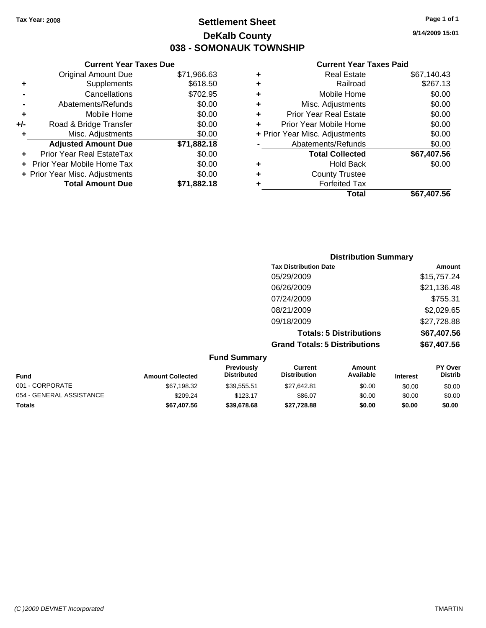## **Settlement Sheet Tax Year: 2008 Page 1 of 1 DeKalb County 038 - SOMONAUK TOWNSHIP**

**9/14/2009 15:01**

### **Current Year Taxes Paid**

|     | <b>Current Year Taxes Due</b>     |             |  |  |  |
|-----|-----------------------------------|-------------|--|--|--|
|     | <b>Original Amount Due</b>        | \$71,966.63 |  |  |  |
| ٠   | Supplements                       | \$618.50    |  |  |  |
|     | Cancellations                     | \$702.95    |  |  |  |
|     | Abatements/Refunds                | \$0.00      |  |  |  |
| ٠   | Mobile Home                       | \$0.00      |  |  |  |
| +/- | Road & Bridge Transfer            | \$0.00      |  |  |  |
|     | Misc. Adjustments                 | \$0.00      |  |  |  |
|     | <b>Adjusted Amount Due</b>        | \$71,882.18 |  |  |  |
|     | Prior Year Real EstateTax         | \$0.00      |  |  |  |
|     | <b>Prior Year Mobile Home Tax</b> | \$0.00      |  |  |  |
|     | + Prior Year Misc. Adjustments    | \$0.00      |  |  |  |
|     | <b>Total Amount Due</b>           | \$71.882.18 |  |  |  |
|     |                                   |             |  |  |  |

| ٠ | <b>Real Estate</b>             | \$67,140.43 |
|---|--------------------------------|-------------|
| ٠ | Railroad                       | \$267.13    |
| ٠ | Mobile Home                    | \$0.00      |
| ٠ | Misc. Adjustments              | \$0.00      |
| ÷ | <b>Prior Year Real Estate</b>  | \$0.00      |
|   | Prior Year Mobile Home         | \$0.00      |
|   | + Prior Year Misc. Adjustments | \$0.00      |
|   | Abatements/Refunds             | \$0.00      |
|   | <b>Total Collected</b>         | \$67,407.56 |
| ٠ | Hold Back                      | \$0.00      |
|   | <b>County Trustee</b>          |             |
| ٠ | <b>Forfeited Tax</b>           |             |
|   | Total                          | \$67,407.56 |
|   |                                |             |

| <b>Distribution Summary</b>          |             |
|--------------------------------------|-------------|
| <b>Tax Distribution Date</b>         | Amount      |
| 05/29/2009                           | \$15,757.24 |
| 06/26/2009                           | \$21,136.48 |
| 07/24/2009                           | \$755.31    |
| 08/21/2009                           | \$2,029.65  |
| 09/18/2009                           | \$27,728.88 |
| <b>Totals: 5 Distributions</b>       | \$67,407.56 |
| <b>Grand Totals: 5 Distributions</b> | \$67,407.56 |

| <b>Fund Summary</b>      |                         |                                  |                                |                            |                 |                                  |
|--------------------------|-------------------------|----------------------------------|--------------------------------|----------------------------|-----------------|----------------------------------|
| <b>Fund</b>              | <b>Amount Collected</b> | Previously<br><b>Distributed</b> | Current<br><b>Distribution</b> | <b>Amount</b><br>Available | <b>Interest</b> | <b>PY Over</b><br><b>Distrib</b> |
| 001 - CORPORATE          | \$67,198.32             | \$39.555.51                      | \$27.642.81                    | \$0.00                     | \$0.00          | \$0.00                           |
| 054 - GENERAL ASSISTANCE | \$209.24                | \$123.17                         | \$86.07                        | \$0.00                     | \$0.00          | \$0.00                           |
| <b>Totals</b>            | \$67,407.56             | \$39,678,68                      | \$27.728.88                    | \$0.00                     | \$0.00          | \$0.00                           |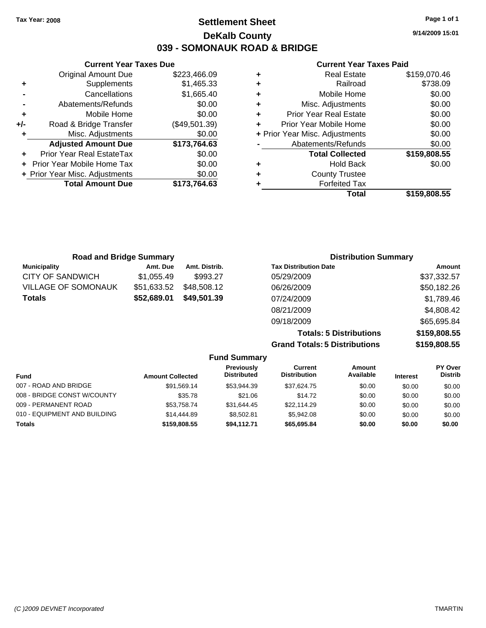## **Settlement Sheet Tax Year: 2008 Page 1 of 1 DeKalb County 039 - SOMONAUK ROAD & BRIDGE**

**9/14/2009 15:01**

### **Current Year Taxes Paid**

|   | Total                          | \$159,808.55 |
|---|--------------------------------|--------------|
|   | <b>Forfeited Tax</b>           |              |
|   | <b>County Trustee</b>          |              |
|   | <b>Hold Back</b>               | \$0.00       |
|   | <b>Total Collected</b>         | \$159,808.55 |
|   | Abatements/Refunds             | \$0.00       |
|   | + Prior Year Misc. Adjustments | \$0.00       |
| ٠ | Prior Year Mobile Home         | \$0.00       |
| ÷ | <b>Prior Year Real Estate</b>  | \$0.00       |
| ٠ | Misc. Adjustments              | \$0.00       |
| ٠ | Mobile Home                    | \$0.00       |
| ٠ | Railroad                       | \$738.09     |
| ٠ | Real Estate                    | \$159,070.46 |

|     | <b>Current Year Taxes Due</b>  |               |  |  |  |
|-----|--------------------------------|---------------|--|--|--|
|     | <b>Original Amount Due</b>     | \$223,466.09  |  |  |  |
| ٠   | Supplements                    | \$1,465.33    |  |  |  |
|     | Cancellations                  | \$1,665.40    |  |  |  |
|     | Abatements/Refunds             | \$0.00        |  |  |  |
| ٠   | Mobile Home                    | \$0.00        |  |  |  |
| +/- | Road & Bridge Transfer         | (\$49,501.39) |  |  |  |
| ٠   | Misc. Adjustments              | \$0.00        |  |  |  |
|     | <b>Adjusted Amount Due</b>     | \$173,764.63  |  |  |  |
|     | Prior Year Real EstateTax      | \$0.00        |  |  |  |
|     | Prior Year Mobile Home Tax     | \$0.00        |  |  |  |
|     | + Prior Year Misc. Adjustments | \$0.00        |  |  |  |
|     | <b>Total Amount Due</b>        | \$173.764.63  |  |  |  |

| <b>Road and Bridge Summary</b> |             | <b>Distribution Summary</b> |                                |              |
|--------------------------------|-------------|-----------------------------|--------------------------------|--------------|
| <b>Municipality</b>            | Amt. Due    | Amt. Distrib.               | <b>Tax Distribution Date</b>   | Amount       |
| CITY OF SANDWICH               | \$1,055.49  | \$993.27                    | 05/29/2009                     | \$37,332.57  |
| VILLAGE OF SOMONAUK            | \$51,633.52 | \$48,508.12                 | 06/26/2009                     | \$50,182.26  |
| Totals                         | \$52,689.01 | \$49,501.39                 | 07/24/2009                     | \$1,789.46   |
|                                |             |                             | 08/21/2009                     | \$4,808.42   |
|                                |             |                             | 09/18/2009                     | \$65,695.84  |
|                                |             |                             | <b>Totals: 5 Distributions</b> | \$159,808.55 |
|                                |             |                             |                                |              |

**Grand Totals: 5 Distributions** 

| .            |
|--------------|
| \$159,808.55 |
|              |

|                              |                         | <b>Fund Summary</b>                     |                                       |                     |                 |                           |
|------------------------------|-------------------------|-----------------------------------------|---------------------------------------|---------------------|-----------------|---------------------------|
| <b>Fund</b>                  | <b>Amount Collected</b> | <b>Previously</b><br><b>Distributed</b> | <b>Current</b><br><b>Distribution</b> | Amount<br>Available | <b>Interest</b> | PY Over<br><b>Distrib</b> |
| 007 - ROAD AND BRIDGE        | \$91,569.14             | \$53,944.39                             | \$37,624.75                           | \$0.00              | \$0.00          | \$0.00                    |
| 008 - BRIDGE CONST W/COUNTY  | \$35.78                 | \$21.06                                 | \$14.72                               | \$0.00              | \$0.00          | \$0.00                    |
| 009 - PERMANENT ROAD         | \$53.758.74             | \$31.644.45                             | \$22,114.29                           | \$0.00              | \$0.00          | \$0.00                    |
| 010 - EQUIPMENT AND BUILDING | \$14,444.89             | \$8,502.81                              | \$5.942.08                            | \$0.00              | \$0.00          | \$0.00                    |
| <b>Totals</b>                | \$159,808,55            | \$94.112.71                             | \$65,695.84                           | \$0.00              | \$0.00          | \$0.00                    |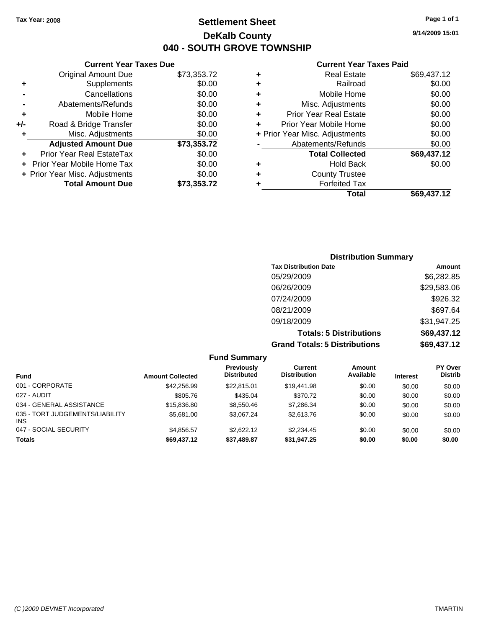**Current Year Taxes Due** Original Amount Due \$73,353.72

**Adjusted Amount Due \$73,353.72**

**Total Amount Due \$73,353.72**

**+** Supplements \$0.00 **-** Cancellations \$0.00 **-** Abatements/Refunds \$0.00 **+** Mobile Home \$0.00 **+/-** Road & Bridge Transfer \$0.00 **+** Misc. Adjustments \$0.00

**+** Prior Year Real EstateTax \$0.00 **+** Prior Year Mobile Home Tax \$0.00 **+ Prior Year Misc. Adjustments**  $$0.00$ 

## **Settlement Sheet Tax Year: 2008 Page 1 of 1 DeKalb County 040 - SOUTH GROVE TOWNSHIP**

**9/14/2009 15:01**

### **Current Year Taxes Paid**

| ٠ | <b>Real Estate</b>             | \$69,437.12 |
|---|--------------------------------|-------------|
| ٠ | Railroad                       | \$0.00      |
| ٠ | Mobile Home                    | \$0.00      |
| ÷ | Misc. Adjustments              | \$0.00      |
| ÷ | <b>Prior Year Real Estate</b>  | \$0.00      |
| ٠ | Prior Year Mobile Home         | \$0.00      |
|   | + Prior Year Misc. Adjustments | \$0.00      |
|   | Abatements/Refunds             | \$0.00      |
|   | <b>Total Collected</b>         | \$69,437.12 |
| ٠ | <b>Hold Back</b>               | \$0.00      |
| ٠ | <b>County Trustee</b>          |             |
|   | <b>Forfeited Tax</b>           |             |
|   | Total                          | \$69,437.12 |

| <b>Distribution Summary</b>          |             |  |  |  |
|--------------------------------------|-------------|--|--|--|
| <b>Tax Distribution Date</b>         | Amount      |  |  |  |
| 05/29/2009                           | \$6,282.85  |  |  |  |
| 06/26/2009                           | \$29,583.06 |  |  |  |
| 07/24/2009                           | \$926.32    |  |  |  |
| 08/21/2009                           | \$697.64    |  |  |  |
| 09/18/2009                           | \$31,947.25 |  |  |  |
| <b>Totals: 5 Distributions</b>       | \$69,437.12 |  |  |  |
| <b>Grand Totals: 5 Distributions</b> | \$69,437.12 |  |  |  |

|                                               |                         | <b>Fund Summary</b>              |                                |                            |                 |                           |
|-----------------------------------------------|-------------------------|----------------------------------|--------------------------------|----------------------------|-----------------|---------------------------|
| <b>Fund</b>                                   | <b>Amount Collected</b> | Previously<br><b>Distributed</b> | Current<br><b>Distribution</b> | <b>Amount</b><br>Available | <b>Interest</b> | PY Over<br><b>Distrib</b> |
| 001 - CORPORATE                               | \$42,256.99             | \$22,815,01                      | \$19,441.98                    | \$0.00                     | \$0.00          | \$0.00                    |
| 027 - AUDIT                                   | \$805.76                | \$435.04                         | \$370.72                       | \$0.00                     | \$0.00          | \$0.00                    |
| 034 - GENERAL ASSISTANCE                      | \$15,836.80             | \$8,550.46                       | \$7,286.34                     | \$0.00                     | \$0.00          | \$0.00                    |
| 035 - TORT JUDGEMENTS/LIABILITY<br><b>INS</b> | \$5,681.00              | \$3.067.24                       | \$2,613.76                     | \$0.00                     | \$0.00          | \$0.00                    |
| 047 - SOCIAL SECURITY                         | \$4.856.57              | \$2,622.12                       | \$2,234.45                     | \$0.00                     | \$0.00          | \$0.00                    |
| <b>Totals</b>                                 | \$69,437.12             | \$37,489.87                      | \$31,947.25                    | \$0.00                     | \$0.00          | \$0.00                    |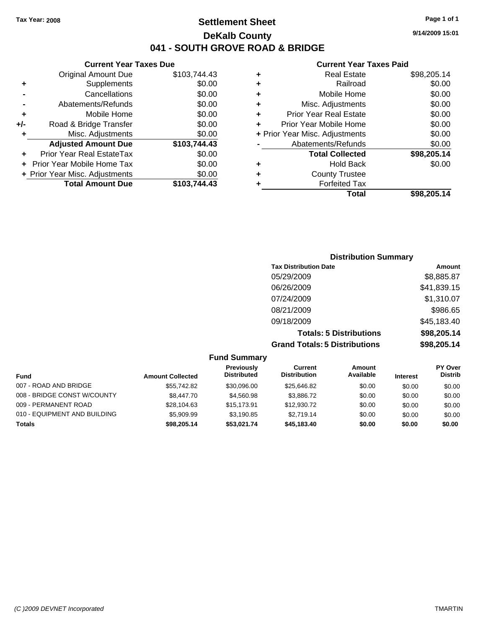## **Settlement Sheet Tax Year: 2008 Page 1 of 1 DeKalb County 041 - SOUTH GROVE ROAD & BRIDGE**

### **Current Year Taxes Due**

|     | <b>Original Amount Due</b>     | \$103,744.43 |
|-----|--------------------------------|--------------|
| ٠   | Supplements                    | \$0.00       |
|     | Cancellations                  | \$0.00       |
|     | Abatements/Refunds             | \$0.00       |
| ٠   | Mobile Home                    | \$0.00       |
| +/- | Road & Bridge Transfer         | \$0.00       |
| ٠   | Misc. Adjustments              | \$0.00       |
|     | <b>Adjusted Amount Due</b>     | \$103,744.43 |
|     | Prior Year Real EstateTax      | \$0.00       |
|     | Prior Year Mobile Home Tax     | \$0.00       |
|     |                                |              |
|     | + Prior Year Misc. Adjustments | \$0.00       |
|     | <b>Total Amount Due</b>        | \$103,744.43 |

### **Current Year Taxes Paid**

|   | <b>Real Estate</b>             | \$98,205.14 |
|---|--------------------------------|-------------|
| ٠ | Railroad                       | \$0.00      |
| ٠ | Mobile Home                    | \$0.00      |
| ٠ | Misc. Adjustments              | \$0.00      |
| ٠ | <b>Prior Year Real Estate</b>  | \$0.00      |
| ٠ | Prior Year Mobile Home         | \$0.00      |
|   | + Prior Year Misc. Adjustments | \$0.00      |
|   | Abatements/Refunds             | \$0.00      |
|   | <b>Total Collected</b>         | \$98,205.14 |
| ٠ | <b>Hold Back</b>               | \$0.00      |
| ٠ | <b>County Trustee</b>          |             |
| ٠ | <b>Forfeited Tax</b>           |             |
|   | Total                          | \$98,205.14 |
|   |                                |             |

### **Distribution Summary Tax Distribution Date Amount** 05/29/2009 \$8,885.87 06/26/2009 \$41,839.15 07/24/2009 \$1,310.07 08/21/2009 \$986.65 09/18/2009 \$45,183.40 **Totals: 5 Distributions \$98,205.14 Grand Totals: 5 Distributions \$98,205.14**

| <b>Fund Summary</b>          |                         |                                         |                                |                            |                 |                                  |
|------------------------------|-------------------------|-----------------------------------------|--------------------------------|----------------------------|-----------------|----------------------------------|
| Fund                         | <b>Amount Collected</b> | <b>Previously</b><br><b>Distributed</b> | Current<br><b>Distribution</b> | <b>Amount</b><br>Available | <b>Interest</b> | <b>PY Over</b><br><b>Distrib</b> |
| 007 - ROAD AND BRIDGE        | \$55.742.82             | \$30,096.00                             | \$25,646.82                    | \$0.00                     | \$0.00          | \$0.00                           |
| 008 - BRIDGE CONST W/COUNTY  | \$8,447.70              | \$4,560.98                              | \$3,886,72                     | \$0.00                     | \$0.00          | \$0.00                           |
| 009 - PERMANENT ROAD         | \$28,104.63             | \$15,173,91                             | \$12,930.72                    | \$0.00                     | \$0.00          | \$0.00                           |
| 010 - EQUIPMENT AND BUILDING | \$5,909.99              | \$3.190.85                              | \$2,719.14                     | \$0.00                     | \$0.00          | \$0.00                           |
| <b>Totals</b>                | \$98,205.14             | \$53.021.74                             | \$45,183.40                    | \$0.00                     | \$0.00          | \$0.00                           |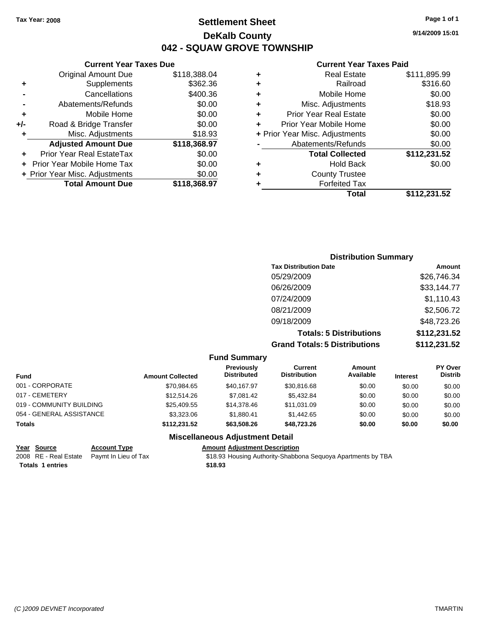## **Settlement Sheet Tax Year: 2008 Page 1 of 1 DeKalb County 042 - SQUAW GROVE TOWNSHIP**

|   | <b>Current Year Taxes Paid</b> |              |
|---|--------------------------------|--------------|
| ٠ | <b>Real Estate</b>             | \$111,895.99 |
| ٠ | Railroad                       | \$316.60     |
| ٠ | Mobile Home                    | \$0.00       |
| ÷ | Misc. Adjustments              | \$18.93      |
| ٠ | <b>Prior Year Real Estate</b>  | \$0.00       |
| ٠ | Prior Year Mobile Home         | \$0.00       |
|   | + Prior Year Misc. Adjustments | \$0.00       |
|   | Abatements/Refunds             | \$0.00       |
|   | <b>Total Collected</b>         | \$112,231.52 |
| ٠ | Hold Back                      | \$0.00       |
|   | <b>County Trustee</b>          |              |
| ٠ | <b>Forfeited Tax</b>           |              |
|   | Total                          | \$112.231.52 |

|     | <b>Current Year Taxes Due</b>     |              |
|-----|-----------------------------------|--------------|
|     | <b>Original Amount Due</b>        | \$118,388.04 |
| ٠   | Supplements                       | \$362.36     |
|     | Cancellations                     | \$400.36     |
|     | Abatements/Refunds                | \$0.00       |
| ÷   | Mobile Home                       | \$0.00       |
| +/- | Road & Bridge Transfer            | \$0.00       |
| ٠   | Misc. Adjustments                 | \$18.93      |
|     | <b>Adjusted Amount Due</b>        | \$118,368.97 |
|     | Prior Year Real EstateTax         | \$0.00       |
|     | <b>Prior Year Mobile Home Tax</b> | \$0.00       |
|     | + Prior Year Misc. Adjustments    | \$0.00       |
|     | <b>Total Amount Due</b>           | \$118,368.97 |

| <b>Distribution Summary</b>          |              |
|--------------------------------------|--------------|
| <b>Tax Distribution Date</b>         | Amount       |
| 05/29/2009                           | \$26,746.34  |
| 06/26/2009                           | \$33,144.77  |
| 07/24/2009                           | \$1,110.43   |
| 08/21/2009                           | \$2,506.72   |
| 09/18/2009                           | \$48,723.26  |
| <b>Totals: 5 Distributions</b>       | \$112,231.52 |
| <b>Grand Totals: 5 Distributions</b> | \$112,231.52 |
|                                      |              |

### **Fund Summary**

| <b>Fund</b>              | <b>Amount Collected</b> | Previously<br><b>Distributed</b> | Current<br><b>Distribution</b> | Amount<br>Available | <b>Interest</b> | PY Over<br><b>Distrib</b> |
|--------------------------|-------------------------|----------------------------------|--------------------------------|---------------------|-----------------|---------------------------|
| 001 - CORPORATE          | \$70.984.65             | \$40.167.97                      | \$30,816,68                    | \$0.00              | \$0.00          | \$0.00                    |
| 017 - CEMETERY           | \$12,514.26             | \$7.081.42                       | \$5.432.84                     | \$0.00              | \$0.00          | \$0.00                    |
| 019 - COMMUNITY BUILDING | \$25,409.55             | \$14,378,46                      | \$11,031.09                    | \$0.00              | \$0.00          | \$0.00                    |
| 054 - GENERAL ASSISTANCE | \$3,323,06              | \$1.880.41                       | \$1,442.65                     | \$0.00              | \$0.00          | \$0.00                    |
| <b>Totals</b>            | \$112,231.52            | \$63,508.26                      | \$48,723.26                    | \$0.00              | \$0.00          | \$0.00                    |

### **Miscellaneous Adjustment Detail**

| Year Source             | <b>Account Type</b>                        | <b>Amount Adjustment Description</b>                         |
|-------------------------|--------------------------------------------|--------------------------------------------------------------|
|                         | 2008 RE - Real Estate Paymt In Lieu of Tax | \$18.93 Housing Authority-Shabbona Seguoya Apartments by TBA |
| <b>Totals 1 entries</b> |                                            | \$18.93                                                      |

**9/14/2009 15:01**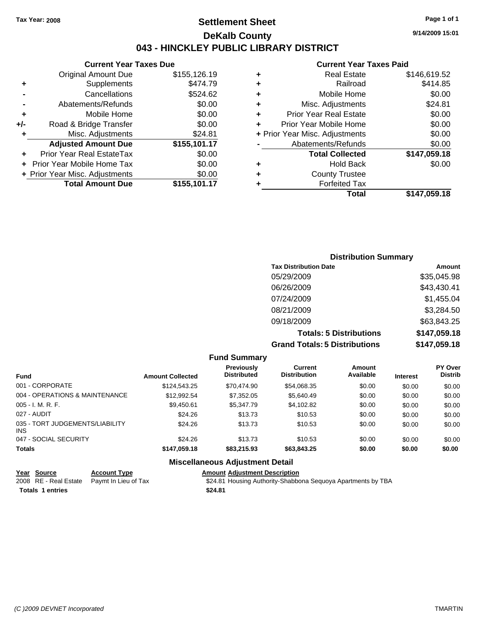## **Settlement Sheet Tax Year: 2008 Page 1 of 1 DeKalb County 043 - HINCKLEY PUBLIC LIBRARY DISTRICT**

### **Current Year Taxes Due**

|     | <b>Original Amount Due</b>        | \$155,126.19 |
|-----|-----------------------------------|--------------|
| ٠   | Supplements                       | \$474.79     |
|     | Cancellations                     | \$524.62     |
|     | Abatements/Refunds                | \$0.00       |
| ÷   | Mobile Home                       | \$0.00       |
| +/- | Road & Bridge Transfer            | \$0.00       |
| ٠   | Misc. Adjustments                 | \$24.81      |
|     | <b>Adjusted Amount Due</b>        | \$155,101.17 |
|     | Prior Year Real EstateTax         | \$0.00       |
|     | <b>Prior Year Mobile Home Tax</b> | \$0.00       |
|     | + Prior Year Misc. Adjustments    | \$0.00       |
|     | <b>Total Amount Due</b>           | \$155,101.17 |

#### **Current Year Taxes Paid**

| ٠ | <b>Real Estate</b>             | \$146,619.52 |
|---|--------------------------------|--------------|
| ٠ | Railroad                       | \$414.85     |
| ٠ | Mobile Home                    | \$0.00       |
| ٠ | Misc. Adjustments              | \$24.81      |
| ÷ | <b>Prior Year Real Estate</b>  | \$0.00       |
| ÷ | Prior Year Mobile Home         | \$0.00       |
|   | + Prior Year Misc. Adjustments | \$0.00       |
|   | Abatements/Refunds             | \$0.00       |
|   | <b>Total Collected</b>         | \$147,059.18 |
| ٠ | Hold Back                      | \$0.00       |
| ٠ | <b>County Trustee</b>          |              |
| ٠ | <b>Forfeited Tax</b>           |              |
|   | Total                          | \$147,059.18 |
|   |                                |              |

### **Distribution Summary Tax Distribution Date Amount** 05/29/2009 \$35,045.98 06/26/2009 \$43,430.41 07/24/2009 \$1,455.04 08/21/2009 \$3,284.50 09/18/2009 \$63,843.25 **Totals: 5 Distributions \$147,059.18 Grand Totals: 5 Distributions \$147,059.18**

**Fund Summary Fund Interest Amount Collected Distributed PY Over Distrib Amount Available Current Distribution Previously** 001 - CORPORATE \$124,543.25 \$70,474.90 \$54,068.35 \$0.00 \$0.00 \$0.00 004 - OPERATIONS & MAINTENANCE \$12,992.54 \$7,352.05 \$5,640.49 \$0.00 \$0.00 \$0.00 005 - I. M. R. F. \$9,450.61 \$5,347.79 \$4,102.82 \$0.00 \$0.00 \$0.00 027 - AUDIT \$24.26 \$13.73 \$10.53 \$0.00 \$0.00 \$0.00 035 - TORT JUDGEMENTS/LIABILITY INS \$24.26 \$13.73 \$10.53 \$0.00 \$0.00 \$0.00 047 - SOCIAL SECURITY \$24.26 \$13.73 \$0.00 \$0.00 \$0.00 \$0.00 **Totals \$147,059.18 \$83,215.93 \$63,843.25 \$0.00 \$0.00 \$0.00 Miscellaneous Adjustment Detail**

### **Year Source Account Type Amount Adjustment Description** 2008 RE - Real Estate Paymt In Lieu of Tax **\$24.81 Housing Authority-Shabbona Sequoya Apartments by TBA Totals \$24.81 1 entries**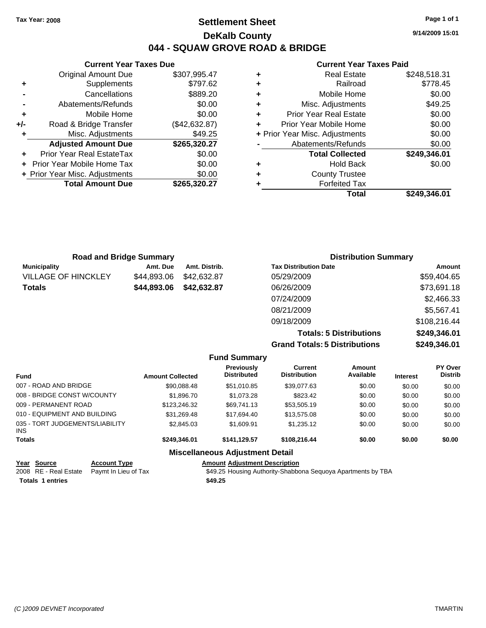## **Settlement Sheet Tax Year: 2008 Page 1 of 1 DeKalb County 044 - SQUAW GROVE ROAD & BRIDGE**

**9/14/2009 15:01**

### **Current Year Taxes Paid**

|     | <b>Current Year Taxes Due</b>  |               |
|-----|--------------------------------|---------------|
|     | <b>Original Amount Due</b>     | \$307,995.47  |
| ٠   | Supplements                    | \$797.62      |
|     | Cancellations                  | \$889.20      |
|     | Abatements/Refunds             | \$0.00        |
| ٠   | Mobile Home                    | \$0.00        |
| +/- | Road & Bridge Transfer         | (\$42,632.87) |
| ٠   | Misc. Adjustments              | \$49.25       |
|     | <b>Adjusted Amount Due</b>     | \$265,320.27  |
| ٠   | Prior Year Real EstateTax      | \$0.00        |
|     | Prior Year Mobile Home Tax     | \$0.00        |
|     | + Prior Year Misc. Adjustments | \$0.00        |
|     | <b>Total Amount Due</b>        | \$265,320.27  |
|     |                                |               |

| ٠ | <b>Real Estate</b>             | \$248,518.31 |
|---|--------------------------------|--------------|
| ٠ | Railroad                       | \$778.45     |
| ٠ | Mobile Home                    | \$0.00       |
| ٠ | Misc. Adjustments              | \$49.25      |
| ٠ | <b>Prior Year Real Estate</b>  | \$0.00       |
| ٠ | Prior Year Mobile Home         | \$0.00       |
|   | + Prior Year Misc. Adjustments | \$0.00       |
|   | Abatements/Refunds             | \$0.00       |
|   | <b>Total Collected</b>         | \$249,346.01 |
| ٠ | <b>Hold Back</b>               | \$0.00       |
| ٠ | <b>County Trustee</b>          |              |
| ٠ | <b>Forfeited Tax</b>           |              |
|   | Total                          | \$249.346.01 |

| <b>Road and Bridge Summary</b> |             |               | <b>Distribution Summary</b>  |              |  |
|--------------------------------|-------------|---------------|------------------------------|--------------|--|
| <b>Municipality</b>            | Amt. Due    | Amt. Distrib. | <b>Tax Distribution Date</b> | Amount       |  |
| <b>VILLAGE OF HINCKLEY</b>     | \$44,893.06 | \$42,632.87   | 05/29/2009                   | \$59,404.65  |  |
| <b>Totals</b>                  | \$44,893.06 | \$42,632.87   | 06/26/2009                   | \$73,691.18  |  |
|                                |             |               | 07/24/2009                   | \$2,466.33   |  |
|                                |             |               | 08/21/2009                   | \$5,567.41   |  |
|                                |             |               | 09/18/2009                   | \$108,216.44 |  |

**Totals: 5 Distributions \$249,346.01 Grand Totals: 5 Distributions \$249,346.01**

| <b>Fund Summary</b>                           |                         |                                  |                                |                     |                 |                           |  |
|-----------------------------------------------|-------------------------|----------------------------------|--------------------------------|---------------------|-----------------|---------------------------|--|
| <b>Fund</b>                                   | <b>Amount Collected</b> | Previously<br><b>Distributed</b> | Current<br><b>Distribution</b> | Amount<br>Available | <b>Interest</b> | PY Over<br><b>Distrib</b> |  |
| 007 - ROAD AND BRIDGE                         | \$90,088.48             | \$51,010.85                      | \$39,077.63                    | \$0.00              | \$0.00          | \$0.00                    |  |
| 008 - BRIDGE CONST W/COUNTY                   | \$1,896.70              | \$1,073.28                       | \$823.42                       | \$0.00              | \$0.00          | \$0.00                    |  |
| 009 - PERMANENT ROAD                          | \$123,246.32            | \$69.741.13                      | \$53,505.19                    | \$0.00              | \$0.00          | \$0.00                    |  |
| 010 - EQUIPMENT AND BUILDING                  | \$31.269.48             | \$17.694.40                      | \$13,575.08                    | \$0.00              | \$0.00          | \$0.00                    |  |
| 035 - TORT JUDGEMENTS/LIABILITY<br><b>INS</b> | \$2,845.03              | \$1.609.91                       | \$1.235.12                     | \$0.00              | \$0.00          | \$0.00                    |  |
| <b>Totals</b>                                 | \$249,346.01            | \$141.129.57                     | \$108,216,44                   | \$0.00              | \$0.00          | \$0.00                    |  |
| <b>Miscellaneous Adjustment Detail</b>        |                         |                                  |                                |                     |                 |                           |  |

| Year Source             | <b>Account Type</b>                        | <b>Amount Adiustment Description</b>                         |
|-------------------------|--------------------------------------------|--------------------------------------------------------------|
|                         | 2008 RE - Real Estate Paymt In Lieu of Tax | \$49.25 Housing Authority-Shabbona Seguoya Apartments by TBA |
| <b>Totals 1 entries</b> |                                            | \$49.25                                                      |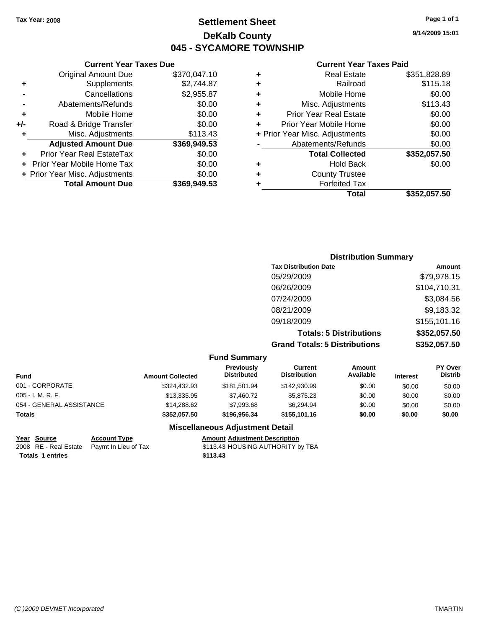## **Settlement Sheet Tax Year: 2008 Page 1 of 1 DeKalb County 045 - SYCAMORE TOWNSHIP**

### **Current Year Taxes Due**

| <b>Original Amount Due</b>        | \$370,047.10                   |
|-----------------------------------|--------------------------------|
| Supplements                       | \$2,744.87                     |
| Cancellations                     | \$2,955.87                     |
| Abatements/Refunds                | \$0.00                         |
| Mobile Home                       | \$0.00                         |
| Road & Bridge Transfer            | \$0.00                         |
| Misc. Adjustments                 | \$113.43                       |
| <b>Adjusted Amount Due</b>        | \$369,949.53                   |
| Prior Year Real EstateTax         | \$0.00                         |
| <b>Prior Year Mobile Home Tax</b> | \$0.00                         |
|                                   | \$0.00                         |
| <b>Total Amount Due</b>           | \$369,949.53                   |
|                                   | + Prior Year Misc. Adjustments |

#### **Current Year Taxes Paid**

|   | <b>Real Estate</b>             | \$351,828.89 |
|---|--------------------------------|--------------|
| ٠ | Railroad                       | \$115.18     |
| ٠ | Mobile Home                    | \$0.00       |
| ٠ | Misc. Adjustments              | \$113.43     |
| ٠ | <b>Prior Year Real Estate</b>  | \$0.00       |
|   | Prior Year Mobile Home         | \$0.00       |
|   | + Prior Year Misc. Adjustments | \$0.00       |
|   | Abatements/Refunds             | \$0.00       |
|   | <b>Total Collected</b>         | \$352,057.50 |
| ٠ | Hold Back                      | \$0.00       |
| ٠ | <b>County Trustee</b>          |              |
| ٠ | <b>Forfeited Tax</b>           |              |
|   | Total                          | \$352,057.50 |
|   |                                |              |

### **Distribution Summary Tax Distribution Date Amount** 05/29/2009 \$79,978.15 06/26/2009 \$104,710.31 07/24/2009 \$3,084.56 08/21/2009 \$9,183.32 09/18/2009 \$155,101.16 **Totals: 5 Distributions \$352,057.50**

**Grand Totals: 5 Distributions \$352,057.50**

#### **Fund Summary Fund Interest Amount Collected Distributed PY Over Distrib Amount Available Current Distribution Previously** 001 - CORPORATE \$324,432.93 \$181,501.94 \$142,930.99 \$0.00 \$0.00 \$0.00 005 - I. M. R. F. \$13,335.95 \$7,460.72 \$5,875.23 \$0.00 \$0.00 \$0.00 054 - GENERAL ASSISTANCE \$14,288.62 \$7,993.68 \$6,294.94 \$0.00 \$0.00 \$0.00 **Totals \$352,057.50 \$196,956.34 \$155,101.16 \$0.00 \$0.00 \$0.00**

### **Miscellaneous Adjustment Detail**

| Year Source             | <b>Account Type</b>                        | Amount   |
|-------------------------|--------------------------------------------|----------|
|                         | 2008 RE - Real Estate Paymt In Lieu of Tax | \$113.43 |
| <b>Totals 1 entries</b> |                                            | \$113.43 |

**Yearth Count Type Account Type Account Type Amount** Adjustment Description 2008 aymt In Lieu of Tax **Faymer Authority S113.43 HOUSING AUTHORITY** by TBA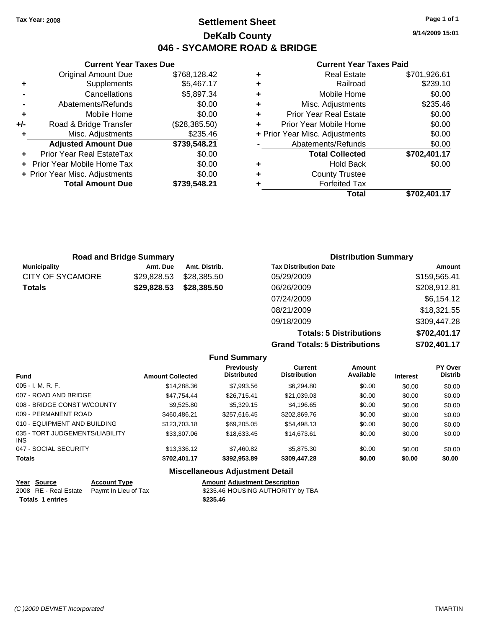**9/14/2009 15:01**

### **Current Year Taxes Paid**

|   | <b>Real Estate</b>             | \$701,926.61 |
|---|--------------------------------|--------------|
| ٠ | Railroad                       | \$239.10     |
| ٠ | Mobile Home                    | \$0.00       |
| ٠ | Misc. Adjustments              | \$235.46     |
| ٠ | <b>Prior Year Real Estate</b>  | \$0.00       |
| ÷ | Prior Year Mobile Home         | \$0.00       |
|   | + Prior Year Misc. Adjustments | \$0.00       |
|   | Abatements/Refunds             | \$0.00       |
|   | <b>Total Collected</b>         | \$702,401.17 |
| ٠ | <b>Hold Back</b>               | \$0.00       |
| ٠ | <b>County Trustee</b>          |              |
|   | <b>Forfeited Tax</b>           |              |
|   | Total                          | \$702.401.17 |

|     | <b>Current Year Taxes Due</b>  |               |
|-----|--------------------------------|---------------|
|     | <b>Original Amount Due</b>     | \$768,128.42  |
| ٠   | Supplements                    | \$5,467.17    |
|     | Cancellations                  | \$5,897.34    |
|     | Abatements/Refunds             | \$0.00        |
| ٠   | Mobile Home                    | \$0.00        |
| +/- | Road & Bridge Transfer         | (\$28,385.50) |
| ٠   | Misc. Adjustments              | \$235.46      |
|     | <b>Adjusted Amount Due</b>     | \$739,548.21  |
|     | Prior Year Real EstateTax      | \$0.00        |
|     | Prior Year Mobile Home Tax     | \$0.00        |
|     | + Prior Year Misc. Adjustments | \$0.00        |
|     | <b>Total Amount Due</b>        | \$739,548.21  |
|     |                                |               |

| <b>Road and Bridge Summary</b> |             |               | <b>Distribution Summary</b>  |              |  |
|--------------------------------|-------------|---------------|------------------------------|--------------|--|
| <b>Municipality</b>            | Amt. Due    | Amt. Distrib. | <b>Tax Distribution Date</b> | Amount       |  |
| CITY OF SYCAMORE               | \$29,828.53 | \$28,385.50   | 05/29/2009                   | \$159,565.41 |  |
| Totals                         | \$29,828.53 | \$28,385.50   | 06/26/2009                   | \$208,912.81 |  |
|                                |             |               | 07/24/2009                   | \$6,154.12   |  |
|                                |             |               | 08/21/2009                   | \$18,321.55  |  |
|                                |             |               | 09/18/2009                   | \$309,447.28 |  |

**Totals: 5 Distributions \$702,401.17 Grand Totals: 5 Distributions \$702,401.17**

|                                               |                         | <b>Fund Summary</b>                     |                                       |                     |                 |                           |
|-----------------------------------------------|-------------------------|-----------------------------------------|---------------------------------------|---------------------|-----------------|---------------------------|
| <b>Fund</b>                                   | <b>Amount Collected</b> | <b>Previously</b><br><b>Distributed</b> | <b>Current</b><br><b>Distribution</b> | Amount<br>Available | <b>Interest</b> | PY Over<br><b>Distrib</b> |
| $005 - I. M. R. F.$                           | \$14,288,36             | \$7,993.56                              | \$6,294.80                            | \$0.00              | \$0.00          | \$0.00                    |
| 007 - ROAD AND BRIDGE                         | \$47.754.44             | \$26,715.41                             | \$21,039.03                           | \$0.00              | \$0.00          | \$0.00                    |
| 008 - BRIDGE CONST W/COUNTY                   | \$9,525.80              | \$5,329.15                              | \$4,196.65                            | \$0.00              | \$0.00          | \$0.00                    |
| 009 - PERMANENT ROAD                          | \$460,486.21            | \$257.616.45                            | \$202,869.76                          | \$0.00              | \$0.00          | \$0.00                    |
| 010 - EQUIPMENT AND BUILDING                  | \$123,703.18            | \$69,205,05                             | \$54,498.13                           | \$0.00              | \$0.00          | \$0.00                    |
| 035 - TORT JUDGEMENTS/LIABILITY<br><b>INS</b> | \$33,307.06             | \$18,633.45                             | \$14,673.61                           | \$0.00              | \$0.00          | \$0.00                    |
| 047 - SOCIAL SECURITY                         | \$13,336.12             | \$7,460.82                              | \$5,875.30                            | \$0.00              | \$0.00          | \$0.00                    |
| <b>Totals</b>                                 | \$702,401.17            | \$392,953,89                            | \$309,447.28                          | \$0.00              | \$0.00          | \$0.00                    |
|                                               |                         | <b>Miscellaneous Adjustment Detail</b>  |                                       |                     |                 |                           |

| Year Source             | <b>Account Type</b>                        | <b>Amount Adjustment Description</b> |
|-------------------------|--------------------------------------------|--------------------------------------|
|                         | 2008 RE - Real Estate Paymt In Lieu of Tax | \$235.46 HOUSING AUTHORITY by TBA    |
| <b>Totals 1 entries</b> |                                            | \$235.46                             |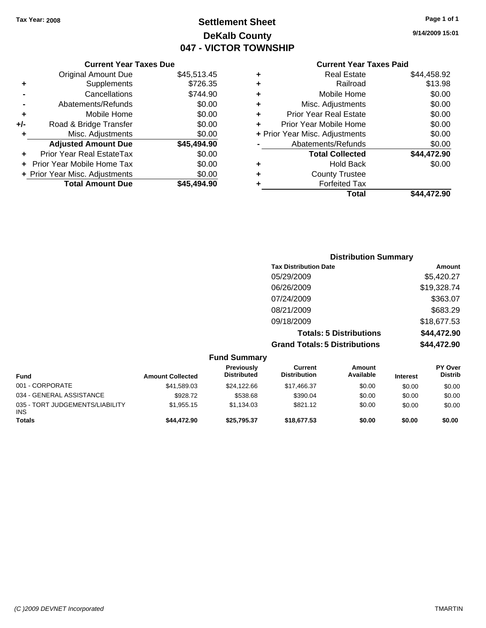## **Settlement Sheet Tax Year: 2008 Page 1 of 1 DeKalb County 047 - VICTOR TOWNSHIP**

## **9/14/2009 15:01**

## **Current Year Taxes Paid**

|     | <b>Current Year Taxes Due</b>  |             |  |  |
|-----|--------------------------------|-------------|--|--|
|     | <b>Original Amount Due</b>     | \$45,513.45 |  |  |
| ٠   | Supplements                    | \$726.35    |  |  |
|     | Cancellations                  | \$744.90    |  |  |
|     | Abatements/Refunds             | \$0.00      |  |  |
| ٠   | Mobile Home                    | \$0.00      |  |  |
| +/- | Road & Bridge Transfer         | \$0.00      |  |  |
| ٠   | Misc. Adjustments              | \$0.00      |  |  |
|     | <b>Adjusted Amount Due</b>     | \$45,494.90 |  |  |
| ÷   | Prior Year Real EstateTax      | \$0.00      |  |  |
|     | Prior Year Mobile Home Tax     | \$0.00      |  |  |
|     | + Prior Year Misc. Adjustments | \$0.00      |  |  |
|     | <b>Total Amount Due</b>        | \$45,494.90 |  |  |
|     |                                |             |  |  |

|   | Total                          | \$44,472.90 |
|---|--------------------------------|-------------|
| ٠ | <b>Forfeited Tax</b>           |             |
| ٠ | <b>County Trustee</b>          |             |
| ٠ | <b>Hold Back</b>               | \$0.00      |
|   | <b>Total Collected</b>         | \$44,472.90 |
|   | Abatements/Refunds             | \$0.00      |
|   | + Prior Year Misc. Adjustments | \$0.00      |
| ÷ | Prior Year Mobile Home         | \$0.00      |
| ÷ | <b>Prior Year Real Estate</b>  | \$0.00      |
| ٠ | Misc. Adjustments              | \$0.00      |
| ٠ | Mobile Home                    | \$0.00      |
| ٠ | Railroad                       | \$13.98     |
| ٠ | <b>Real Estate</b>             | \$44,458.92 |
|   |                                |             |

| <b>Distribution Summary</b>          |             |
|--------------------------------------|-------------|
| <b>Tax Distribution Date</b>         | Amount      |
| 05/29/2009                           | \$5,420.27  |
| 06/26/2009                           | \$19,328.74 |
| 07/24/2009                           | \$363.07    |
| 08/21/2009                           | \$683.29    |
| 09/18/2009                           | \$18,677.53 |
| <b>Totals: 5 Distributions</b>       | \$44,472.90 |
| <b>Grand Totals: 5 Distributions</b> | \$44,472.90 |

|                                               |                         | <b>Fund Summary</b>              |                                |                     |                 |                                  |
|-----------------------------------------------|-------------------------|----------------------------------|--------------------------------|---------------------|-----------------|----------------------------------|
| <b>Fund</b>                                   | <b>Amount Collected</b> | Previously<br><b>Distributed</b> | Current<br><b>Distribution</b> | Amount<br>Available | <b>Interest</b> | <b>PY Over</b><br><b>Distrib</b> |
| 001 - CORPORATE                               | \$41,589.03             | \$24.122.66                      | \$17.466.37                    | \$0.00              | \$0.00          | \$0.00                           |
| 034 - GENERAL ASSISTANCE                      | \$928.72                | \$538.68                         | \$390.04                       | \$0.00              | \$0.00          | \$0.00                           |
| 035 - TORT JUDGEMENTS/LIABILITY<br><b>INS</b> | \$1,955.15              | \$1.134.03                       | \$821.12                       | \$0.00              | \$0.00          | \$0.00                           |
| <b>Totals</b>                                 | \$44,472.90             | \$25.795.37                      | \$18,677.53                    | \$0.00              | \$0.00          | \$0.00                           |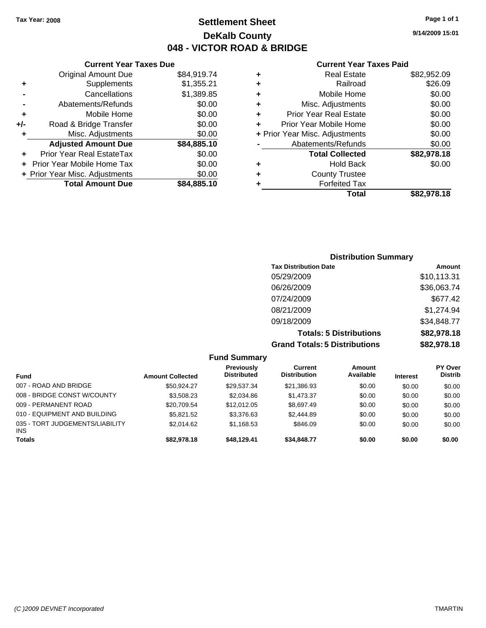**9/14/2009 15:01**

### **Current Year Taxes Paid**

|   | Real Estate                    | \$82,952.09 |
|---|--------------------------------|-------------|
| ٠ | Railroad                       | \$26.09     |
| ٠ | Mobile Home                    | \$0.00      |
| ٠ | Misc. Adjustments              | \$0.00      |
| ٠ | <b>Prior Year Real Estate</b>  | \$0.00      |
| ٠ | Prior Year Mobile Home         | \$0.00      |
|   | + Prior Year Misc. Adjustments | \$0.00      |
|   | Abatements/Refunds             | \$0.00      |
|   | <b>Total Collected</b>         | \$82,978.18 |
| ٠ | <b>Hold Back</b>               | \$0.00      |
|   | <b>County Trustee</b>          |             |
|   | <b>Forfeited Tax</b>           |             |
|   | Total                          | \$82.978.18 |

| <b>Original Amount Due</b>     | \$84,919.74                   |
|--------------------------------|-------------------------------|
| Supplements                    | \$1,355.21                    |
| Cancellations                  | \$1,389.85                    |
| Abatements/Refunds             | \$0.00                        |
| Mobile Home                    | \$0.00                        |
| Road & Bridge Transfer         | \$0.00                        |
| Misc. Adjustments              | \$0.00                        |
| <b>Adjusted Amount Due</b>     | \$84,885.10                   |
| Prior Year Real EstateTax      | \$0.00                        |
| Prior Year Mobile Home Tax     | \$0.00                        |
| + Prior Year Misc. Adjustments | \$0.00                        |
| <b>Total Amount Due</b>        | \$84,885.10                   |
|                                | <b>Current Year Taxes Due</b> |

### **Distribution Summary Tax Distribution Date Amount** 05/29/2009 \$10,113.31 06/26/2009 \$36,063.74 07/24/2009 \$677.42 08/21/2009 \$1,274.94 09/18/2009 \$34,848.77 **Totals: 5 Distributions \$82,978.18**

**Grand Totals: 5 Distributions \$82,978.18**

| <b>Fund Summary</b>                           |                         |                                  |                                |                     |                 |                           |
|-----------------------------------------------|-------------------------|----------------------------------|--------------------------------|---------------------|-----------------|---------------------------|
| <b>Fund</b>                                   | <b>Amount Collected</b> | Previously<br><b>Distributed</b> | Current<br><b>Distribution</b> | Amount<br>Available | <b>Interest</b> | PY Over<br><b>Distrib</b> |
| 007 - ROAD AND BRIDGE                         | \$50.924.27             | \$29.537.34                      | \$21,386.93                    | \$0.00              | \$0.00          | \$0.00                    |
| 008 - BRIDGE CONST W/COUNTY                   | \$3.508.23              | \$2,034.86                       | \$1,473.37                     | \$0.00              | \$0.00          | \$0.00                    |
| 009 - PERMANENT ROAD                          | \$20,709.54             | \$12,012.05                      | \$8,697.49                     | \$0.00              | \$0.00          | \$0.00                    |
| 010 - EQUIPMENT AND BUILDING                  | \$5.821.52              | \$3,376.63                       | \$2,444.89                     | \$0.00              | \$0.00          | \$0.00                    |
| 035 - TORT JUDGEMENTS/LIABILITY<br><b>INS</b> | \$2,014.62              | \$1,168.53                       | \$846.09                       | \$0.00              | \$0.00          | \$0.00                    |
| <b>Totals</b>                                 | \$82,978,18             | \$48,129.41                      | \$34,848,77                    | \$0.00              | \$0.00          | \$0.00                    |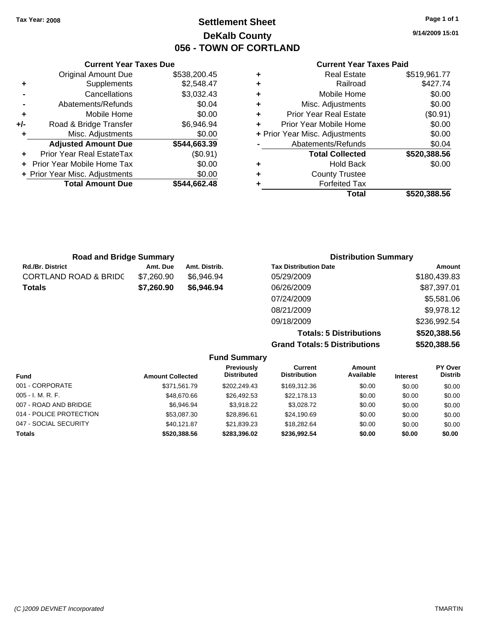## **Settlement Sheet Tax Year: 2008 Page 1 of 1 DeKalb County 056 - TOWN OF CORTLAND**

**9/14/2009 15:01**

### **Current Year Taxes Paid**

| ٠ | <b>Real Estate</b>             | \$519,961.77 |
|---|--------------------------------|--------------|
| ٠ | Railroad                       | \$427.74     |
| ٠ | Mobile Home                    | \$0.00       |
| ٠ | Misc. Adjustments              | \$0.00       |
| ٠ | <b>Prior Year Real Estate</b>  | (\$0.91)     |
| ÷ | Prior Year Mobile Home         | \$0.00       |
|   | + Prior Year Misc. Adjustments | \$0.00       |
|   | Abatements/Refunds             | \$0.04       |
|   | <b>Total Collected</b>         | \$520,388.56 |
| ٠ | <b>Hold Back</b>               | \$0.00       |
| ٠ | <b>County Trustee</b>          |              |
|   | <b>Forfeited Tax</b>           |              |
|   | Total                          | \$520.388.56 |

|     | <b>Current Year Taxes Due</b>  |              |  |  |  |  |  |
|-----|--------------------------------|--------------|--|--|--|--|--|
|     | <b>Original Amount Due</b>     | \$538,200.45 |  |  |  |  |  |
| ٠   | Supplements                    | \$2,548.47   |  |  |  |  |  |
|     | Cancellations                  | \$3,032.43   |  |  |  |  |  |
|     | Abatements/Refunds             | \$0.04       |  |  |  |  |  |
| ٠   | Mobile Home                    | \$0.00       |  |  |  |  |  |
| +/- | Road & Bridge Transfer         | \$6,946.94   |  |  |  |  |  |
| ٠   | Misc. Adjustments              | \$0.00       |  |  |  |  |  |
|     | <b>Adjusted Amount Due</b>     | \$544,663.39 |  |  |  |  |  |
|     | Prior Year Real EstateTax      | $(\$0.91)$   |  |  |  |  |  |
|     | Prior Year Mobile Home Tax     | \$0.00       |  |  |  |  |  |
|     | + Prior Year Misc. Adjustments | \$0.00       |  |  |  |  |  |
|     | <b>Total Amount Due</b>        | \$544.662.48 |  |  |  |  |  |
|     |                                |              |  |  |  |  |  |

| <b>Road and Bridge Summary</b> |            |               | <b>Distribution Summary</b>  |              |  |
|--------------------------------|------------|---------------|------------------------------|--------------|--|
| Rd./Br. District               | Amt. Due   | Amt. Distrib. | <b>Tax Distribution Date</b> | Amount       |  |
| CORTLAND ROAD & BRIDC          | \$7,260.90 | \$6,946.94    | 05/29/2009                   | \$180,439.83 |  |
| Totals                         | \$7,260.90 | \$6,946.94    | 06/26/2009                   | \$87,397.01  |  |
|                                |            |               | 07/24/2009                   | \$5,581.06   |  |
|                                |            |               | 08/21/2009                   | \$9,978.12   |  |
|                                |            |               | 09/18/2009                   | \$236,992.54 |  |

**Totals: 5 Distributions \$520,388.56 Grand Totals: 5 Distributions \$520,388.56**

| <b>Fund Summary</b>     |                         |                                  |                                |                            |                 |                                  |
|-------------------------|-------------------------|----------------------------------|--------------------------------|----------------------------|-----------------|----------------------------------|
| <b>Fund</b>             | <b>Amount Collected</b> | Previously<br><b>Distributed</b> | Current<br><b>Distribution</b> | <b>Amount</b><br>Available | <b>Interest</b> | <b>PY Over</b><br><b>Distrib</b> |
| 001 - CORPORATE         | \$371.561.79            | \$202.249.43                     | \$169,312.36                   | \$0.00                     | \$0.00          | \$0.00                           |
| $005 - I. M. R. F.$     | \$48,670.66             | \$26,492.53                      | \$22,178.13                    | \$0.00                     | \$0.00          | \$0.00                           |
| 007 - ROAD AND BRIDGE   | \$6.946.94              | \$3.918.22                       | \$3.028.72                     | \$0.00                     | \$0.00          | \$0.00                           |
| 014 - POLICE PROTECTION | \$53,087.30             | \$28,896.61                      | \$24,190.69                    | \$0.00                     | \$0.00          | \$0.00                           |
| 047 - SOCIAL SECURITY   | \$40.121.87             | \$21.839.23                      | \$18,282.64                    | \$0.00                     | \$0.00          | \$0.00                           |
| <b>Totals</b>           | \$520,388.56            | \$283.396.02                     | \$236,992.54                   | \$0.00                     | \$0.00          | \$0.00                           |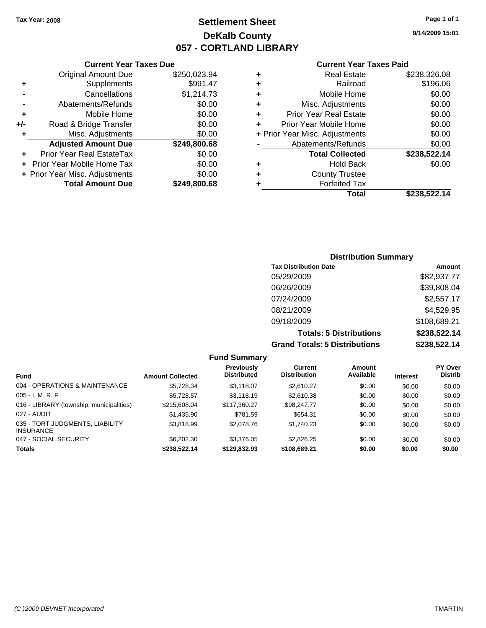## **Settlement Sheet Tax Year: 2008 Page 1 of 1 DeKalb County 057 - CORTLAND LIBRARY**

**9/14/2009 15:01**

### **Current Year Taxes Paid**

| ٠ | <b>County Trustee</b>                      |                        |
|---|--------------------------------------------|------------------------|
| ٠ | <b>Total Collected</b><br><b>Hold Back</b> | \$238,522.14<br>\$0.00 |
|   | Abatements/Refunds                         | \$0.00                 |
|   | + Prior Year Misc. Adjustments             | \$0.00                 |
| ٠ | Prior Year Mobile Home                     | \$0.00                 |
| ٠ | <b>Prior Year Real Estate</b>              | \$0.00                 |
| ٠ | Misc. Adjustments                          | \$0.00                 |
| ٠ | Mobile Home                                | \$0.00                 |
| ٠ | Railroad                                   | \$196.06               |
| ٠ | <b>Real Estate</b>                         | \$238,326.08           |

|     | <b>Current Year Taxes Due</b>     |              |
|-----|-----------------------------------|--------------|
|     | <b>Original Amount Due</b>        | \$250,023.94 |
| ٠   | Supplements                       | \$991.47     |
|     | Cancellations                     | \$1,214.73   |
|     | Abatements/Refunds                | \$0.00       |
| ٠   | Mobile Home                       | \$0.00       |
| +/- | Road & Bridge Transfer            | \$0.00       |
| ٠   | Misc. Adjustments                 | \$0.00       |
|     | <b>Adjusted Amount Due</b>        | \$249,800.68 |
|     | Prior Year Real EstateTax         | \$0.00       |
|     | <b>Prior Year Mobile Home Tax</b> | \$0.00       |
|     | + Prior Year Misc. Adjustments    | \$0.00       |
|     | <b>Total Amount Due</b>           | \$249,800.68 |

### **Distribution Summary Tax Distribution Date Amount** 05/29/2009 \$82,937.77 06/26/2009 \$39,808.04 07/24/2009 \$2,557.17 08/21/2009 \$4,529.95 09/18/2009 \$108,689.21 **Totals: 5 Distributions \$238,522.14**

**Grand Totals: 5 Distributions \$238,522.14**

| าร | \$238,5 |  |
|----|---------|--|
|    |         |  |

|                                                     |                         | <b>Fund Summary</b>                     |                                |                     |                 |                           |
|-----------------------------------------------------|-------------------------|-----------------------------------------|--------------------------------|---------------------|-----------------|---------------------------|
| <b>Fund</b>                                         | <b>Amount Collected</b> | <b>Previously</b><br><b>Distributed</b> | Current<br><b>Distribution</b> | Amount<br>Available | <b>Interest</b> | PY Over<br><b>Distrib</b> |
| 004 - OPERATIONS & MAINTENANCE                      | \$5,728.34              | \$3.118.07                              | \$2.610.27                     | \$0.00              | \$0.00          | \$0.00                    |
| $005 - I. M. R. F.$                                 | \$5,728.57              | \$3,118.19                              | \$2,610.38                     | \$0.00              | \$0.00          | \$0.00                    |
| 016 - LIBRARY (township, municipalities)            | \$215,608.04            | \$117,360.27                            | \$98,247.77                    | \$0.00              | \$0.00          | \$0.00                    |
| 027 - AUDIT                                         | \$1.435.90              | \$781.59                                | \$654.31                       | \$0.00              | \$0.00          | \$0.00                    |
| 035 - TORT JUDGMENTS, LIABILITY<br><b>INSURANCE</b> | \$3.818.99              | \$2,078.76                              | \$1,740.23                     | \$0.00              | \$0.00          | \$0.00                    |
| 047 - SOCIAL SECURITY                               | \$6,202,30              | \$3,376,05                              | \$2.826.25                     | \$0.00              | \$0.00          | \$0.00                    |
| <b>Totals</b>                                       | \$238,522.14            | \$129,832,93                            | \$108,689.21                   | \$0.00              | \$0.00          | \$0.00                    |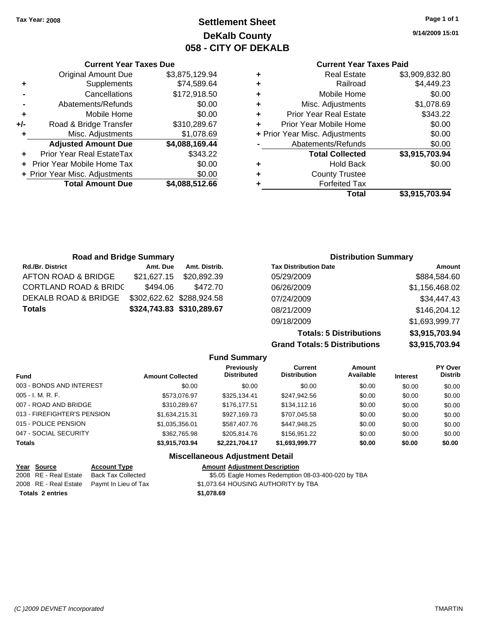**Current Year Taxes Due** Original Amount Due \$3,875,129.94

**Adjusted Amount Due \$4,088,169.44**

**Total Amount Due \$4,088,512.66**

**+** Supplements \$74,589.64 **-** Cancellations \$172,918.50 **-** Abatements/Refunds \$0.00 **+** Mobile Home \$0.00 **+/-** Road & Bridge Transfer \$310,289.67 **+** Misc. Adjustments \$1,078.69

**+** Prior Year Real EstateTax \$343.22 **+** Prior Year Mobile Home Tax \$0.00 **+ Prior Year Misc. Adjustments**  $$0.00$ 

## **Settlement Sheet Tax Year: 2008 Page 1 of 1 DeKalb County 058 - CITY OF DEKALB**

**9/14/2009 15:01**

### **Current Year Taxes Paid**

|   | Total                          | \$3,915,703.94 |
|---|--------------------------------|----------------|
|   | <b>Forfeited Tax</b>           |                |
| ٠ | <b>County Trustee</b>          |                |
| ٠ | <b>Hold Back</b>               | \$0.00         |
|   | <b>Total Collected</b>         | \$3,915,703.94 |
|   | Abatements/Refunds             | \$0.00         |
|   | + Prior Year Misc. Adjustments | \$0.00         |
| ٠ | Prior Year Mobile Home         | \$0.00         |
| ٠ | <b>Prior Year Real Estate</b>  | \$343.22       |
| ٠ | Misc. Adjustments              | \$1,078.69     |
| ٠ | Mobile Home                    | \$0.00         |
| ٠ | Railroad                       | \$4,449.23     |
| ٠ | <b>Real Estate</b>             | \$3,909,832.80 |
|   |                                |                |

| <b>Road and Bridge Summary</b>   |             |                           | <b>Distribution Summary</b>  |                |  |
|----------------------------------|-------------|---------------------------|------------------------------|----------------|--|
| <b>Rd./Br. District</b>          | Amt. Due    | Amt. Distrib.             | <b>Tax Distribution Date</b> | Amount         |  |
| AFTON ROAD & BRIDGE              | \$21.627.15 | \$20.892.39               | 05/29/2009                   | \$884,584.60   |  |
| <b>CORTLAND ROAD &amp; BRIDC</b> | \$494.06    | \$472.70                  | 06/26/2009                   | \$1,156,468.02 |  |
| DEKALB ROAD & BRIDGE             |             | \$302,622.62 \$288,924.58 | 07/24/2009                   | \$34,447.43    |  |
| <b>Totals</b>                    |             | \$324,743.83 \$310,289.67 | 08/21/2009                   | \$146,204.12   |  |
|                                  |             |                           | 09/18/2009                   | \$1,693,999.77 |  |

**Totals: 5 Distributions \$3,915,703.94 Grand Totals: 5 Distributions** 

| .              |
|----------------|
| \$3,915,703.94 |
|                |
|                |

| <b>Fund</b>                 | <b>Amount Collected</b> | <b>Previously</b><br><b>Distributed</b> | <b>Current</b><br><b>Distribution</b> | <b>Amount</b><br>Available | <b>Interest</b> | PY Over<br><b>Distrib</b> |
|-----------------------------|-------------------------|-----------------------------------------|---------------------------------------|----------------------------|-----------------|---------------------------|
| 003 - BONDS AND INTEREST    | \$0.00                  | \$0.00                                  | \$0.00                                | \$0.00                     | \$0.00          | \$0.00                    |
| 005 - I. M. R. F.           | \$573.076.97            | \$325.134.41                            | \$247,942.56                          | \$0.00                     | \$0.00          | \$0.00                    |
| 007 - ROAD AND BRIDGE       | \$310,289.67            | \$176,177.51                            | \$134,112.16                          | \$0.00                     | \$0.00          | \$0.00                    |
| 013 - FIREFIGHTER'S PENSION | \$1,634,215.31          | \$927,169.73                            | \$707,045.58                          | \$0.00                     | \$0.00          | \$0.00                    |
| 015 - POLICE PENSION        | \$1,035,356.01          | \$587,407.76                            | \$447,948.25                          | \$0.00                     | \$0.00          | \$0.00                    |
| 047 - SOCIAL SECURITY       | \$362.765.98            | \$205,814.76                            | \$156,951.22                          | \$0.00                     | \$0.00          | \$0.00                    |
| <b>Totals</b>               | \$3,915,703.94          | \$2,221,704.17                          | \$1,693,999.77                        | \$0.00                     | \$0.00          | \$0.00                    |
|                             |                         | <b>Miscellaneous Adjustment Detail</b>  |                                       |                            |                 |                           |

**Fund Summary**

| Year Source             | <b>Account Type</b>                        | <b>Amount Adjustment Description</b>               |
|-------------------------|--------------------------------------------|----------------------------------------------------|
| 2008 RE - Real Estate   | Back Tax Collected                         | \$5.05 Eagle Homes Redemption 08-03-400-020 by TBA |
|                         | 2008 RE - Real Estate Paymt In Lieu of Tax | \$1,073.64 HOUSING AUTHORITY by TBA                |
| <b>Totals 2 entries</b> |                                            | \$1,078.69                                         |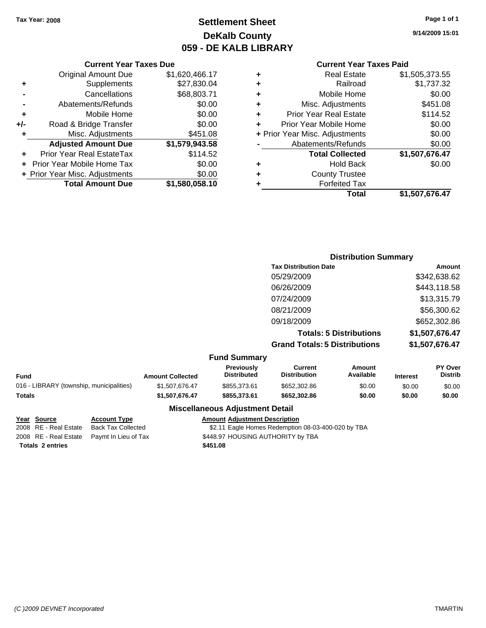## **Settlement Sheet Tax Year: 2008 Page 1 of 1 DeKalb County 059 - DE KALB LIBRARY**

**9/14/2009 15:01**

### **Current Year Taxes Paid**

### Original Amount Due \$1,620,466.17 **+** Supplements \$27,830.04 **-** Cancellations \$68,803.71 **-** Abatements/Refunds \$0.00 **+** Mobile Home \$0.00 **+/-** Road & Bridge Transfer \$0.00 **+** Misc. Adjustments \$451.08 **Adjusted Amount Due \$1,579,943.58 +** Prior Year Real EstateTax \$114.52 **+** Prior Year Mobile Home Tax \$0.00

**+ Prior Year Misc. Adjustments**  $$0.00$ 

**Total Amount Due \$1,580,058.10**

**Current Year Taxes Due**

#### **Distribution Summary Tax Distribution Date Amount** 05/29/2009 \$342,638.62 06/26/2009 \$443,118.58 07/24/2009 \$13,315.79 08/21/2009 \$56,300.62 09/18/2009 \$652,302.86 **Totals: 5 Distributions \$1,507,676.47 Grand Totals: 5 Distributions \$1,507,676.47 Fund Summary Fund Interest Amount Collected Distributed PY Over Distrib Amount Available Current Distribution Previously** 016 - LIBRARY (township, municipalities)  $$1,507,676.47$   $$855,373.61$   $$652,302.86$  \$0.00 \$0.00 \$0.00 \$0.00 **Totals \$1,507,676.47 \$855,373.61 \$652,302.86 \$0.00 \$0.00 \$0.00**

### **Miscellaneous Adjustment Detail**

### **Year Source Account Type Amount Adjustment Description**

2008 RE - Real Estate Back Tax Collected \$2.11 Eagle Homes Redemption 08-03-400-020 by TBA 2008 RE - Real Estate Paymt In Lieu of Tax 5448.97 HOUSING AUTHORITY by TBA

**Totals \$451.08 2 entries**

*(C )2009 DEVNET Incorporated* TMARTIN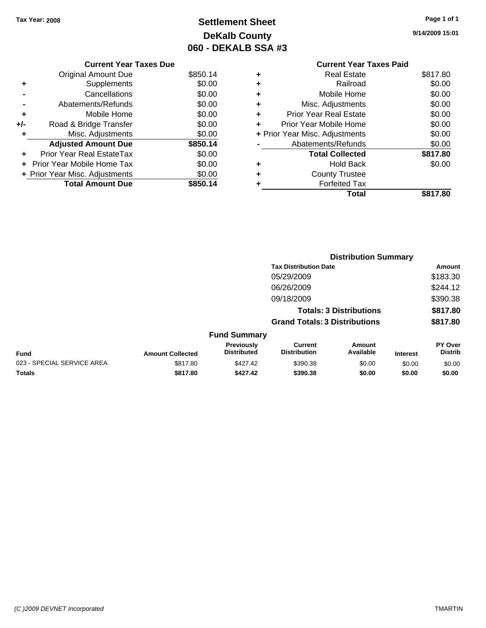## **Settlement Sheet Tax Year: 2008 Page 1 of 1 DeKalb County 060 - DEKALB SSA #3**

**9/14/2009 15:01**

|   | <b>Current Year Taxes Paid</b> |          |
|---|--------------------------------|----------|
| ٠ | <b>Real Estate</b>             | \$817.80 |
| ٠ | Railroad                       | \$0.00   |
| ٠ | Mobile Home                    | \$0.00   |
| ٠ | Misc. Adjustments              | \$0.00   |
| ٠ | <b>Prior Year Real Estate</b>  | \$0.00   |
| ÷ | Prior Year Mobile Home         | \$0.00   |
|   | + Prior Year Misc. Adjustments | \$0.00   |
|   | Abatements/Refunds             | \$0.00   |
|   | <b>Total Collected</b>         | \$817.80 |
| ٠ | <b>Hold Back</b>               | \$0.00   |
| ٠ | <b>County Trustee</b>          |          |
|   | <b>Forfeited Tax</b>           |          |
|   | Total                          | \$817.80 |

|     | <b>Current Year Taxes Due</b>  |          |
|-----|--------------------------------|----------|
|     | <b>Original Amount Due</b>     | \$850.14 |
|     | Supplements                    | \$0.00   |
|     | Cancellations                  | \$0.00   |
|     | Abatements/Refunds             | \$0.00   |
| ٠   | Mobile Home                    | \$0.00   |
| +/- | Road & Bridge Transfer         | \$0.00   |
| ٠   | Misc. Adjustments              | \$0.00   |
|     | <b>Adjusted Amount Due</b>     | \$850.14 |
|     | Prior Year Real EstateTax      | \$0.00   |
|     | Prior Year Mobile Home Tax     | \$0.00   |
|     | + Prior Year Misc. Adjustments | \$0.00   |
|     | <b>Total Amount Due</b>        | \$850.14 |

|                            |                         |                                  | <b>Distribution Summary</b>           |                     |                 |                           |  |
|----------------------------|-------------------------|----------------------------------|---------------------------------------|---------------------|-----------------|---------------------------|--|
|                            |                         |                                  | <b>Tax Distribution Date</b>          |                     |                 | Amount                    |  |
|                            |                         |                                  | 05/29/2009                            |                     |                 | \$183.30                  |  |
|                            |                         |                                  | 06/26/2009                            |                     |                 | \$244.12                  |  |
|                            |                         |                                  | 09/18/2009                            |                     |                 | \$390.38                  |  |
|                            |                         |                                  | <b>Totals: 3 Distributions</b>        |                     | \$817.80        |                           |  |
|                            |                         |                                  | <b>Grand Totals: 3 Distributions</b>  |                     |                 | \$817.80                  |  |
|                            |                         | <b>Fund Summary</b>              |                                       |                     |                 |                           |  |
| <b>Fund</b>                | <b>Amount Collected</b> | Previously<br><b>Distributed</b> | <b>Current</b><br><b>Distribution</b> | Amount<br>Available | <b>Interest</b> | PY Over<br><b>Distrib</b> |  |
| 023 - SPECIAL SERVICE AREA | \$817.80                | \$427.42                         | \$390.38                              | \$0.00              | \$0.00          | \$0.00                    |  |
| Totals                     | \$817.80                | \$427.42                         | \$390.38                              | \$0.00              | \$0.00          | \$0.00                    |  |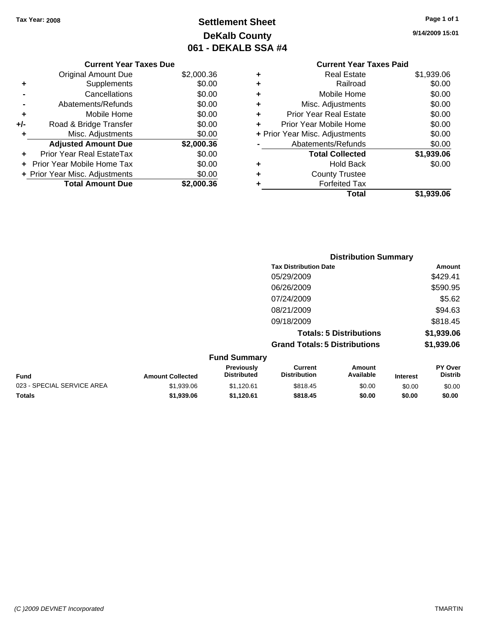## **Settlement Sheet Tax Year: 2008 Page 1 of 1 DeKalb County 061 - DEKALB SSA #4**

**9/14/2009 15:01**

|     | <b>Current Year Taxes Due</b>  |            |  |  |  |  |
|-----|--------------------------------|------------|--|--|--|--|
|     | Original Amount Due            | \$2,000.36 |  |  |  |  |
| ٠   | Supplements                    | \$0.00     |  |  |  |  |
|     | Cancellations                  | \$0.00     |  |  |  |  |
|     | Abatements/Refunds             | \$0.00     |  |  |  |  |
| ٠   | Mobile Home                    | \$0.00     |  |  |  |  |
| +/- | Road & Bridge Transfer         | \$0.00     |  |  |  |  |
|     | Misc. Adjustments              | \$0.00     |  |  |  |  |
|     | <b>Adjusted Amount Due</b>     | \$2,000.36 |  |  |  |  |
| ٠   | Prior Year Real EstateTax      | \$0.00     |  |  |  |  |
|     | Prior Year Mobile Home Tax     | \$0.00     |  |  |  |  |
|     | + Prior Year Misc. Adjustments | \$0.00     |  |  |  |  |
|     | <b>Total Amount Due</b>        | \$2,000.36 |  |  |  |  |
|     |                                |            |  |  |  |  |

# **Current Year Taxes Paid**

|   | Real Estate                    | \$1,939.06 |
|---|--------------------------------|------------|
| ٠ | Railroad                       | \$0.00     |
| ٠ | Mobile Home                    | \$0.00     |
| ٠ | Misc. Adjustments              | \$0.00     |
| ٠ | <b>Prior Year Real Estate</b>  | \$0.00     |
| ٠ | Prior Year Mobile Home         | \$0.00     |
|   | + Prior Year Misc. Adjustments | \$0.00     |
|   | Abatements/Refunds             | \$0.00     |
|   | <b>Total Collected</b>         | \$1,939.06 |
| ٠ | <b>Hold Back</b>               | \$0.00     |
| ٠ | <b>County Trustee</b>          |            |
| ٠ | <b>Forfeited Tax</b>           |            |
|   | Total                          | \$1,939.06 |
|   |                                |            |

|                            |                         |                                  | <b>Distribution Summary</b>           |                                |                 |                           |
|----------------------------|-------------------------|----------------------------------|---------------------------------------|--------------------------------|-----------------|---------------------------|
|                            |                         |                                  | <b>Tax Distribution Date</b>          |                                |                 | Amount                    |
|                            |                         |                                  | 05/29/2009                            |                                |                 | \$429.41                  |
|                            |                         |                                  | 06/26/2009                            |                                |                 | \$590.95                  |
|                            |                         |                                  | 07/24/2009                            |                                |                 | \$5.62                    |
|                            |                         |                                  | 08/21/2009                            |                                |                 | \$94.63                   |
|                            |                         |                                  | 09/18/2009                            |                                |                 | \$818.45                  |
|                            |                         |                                  |                                       | <b>Totals: 5 Distributions</b> |                 | \$1,939.06                |
|                            |                         |                                  | <b>Grand Totals: 5 Distributions</b>  |                                |                 | \$1,939.06                |
|                            |                         | <b>Fund Summary</b>              |                                       |                                |                 |                           |
| <b>Fund</b>                | <b>Amount Collected</b> | Previously<br><b>Distributed</b> | <b>Current</b><br><b>Distribution</b> | Amount<br>Available            | <b>Interest</b> | PY Over<br><b>Distrib</b> |
| 023 - SPECIAL SERVICE AREA | \$1,939.06              | \$1,120.61                       | \$818.45                              | \$0.00                         | \$0.00          | \$0.00                    |

**Totals \$1,939.06 \$1,120.61 \$818.45 \$0.00 \$0.00 \$0.00**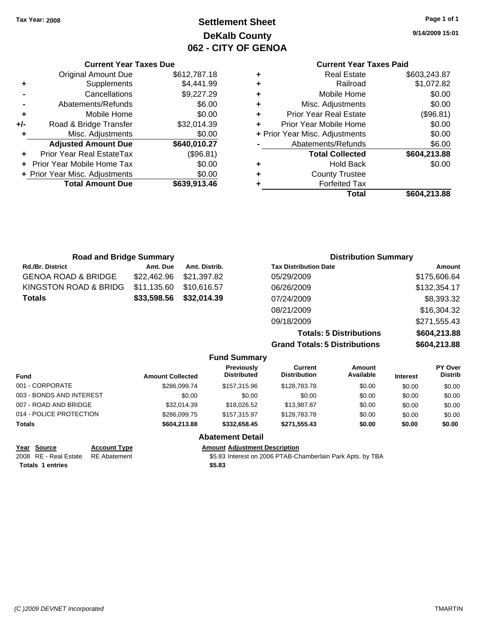## **Settlement Sheet Tax Year: 2008 Page 1 of 1 DeKalb County 062 - CITY OF GENOA**

**9/14/2009 15:01**

### **Current Year Taxes Paid**

| ٠ | <b>County Trustee</b><br><b>Forfeited Tax</b> |                        |
|---|-----------------------------------------------|------------------------|
| ٠ | <b>Total Collected</b><br>Hold Back           | \$604,213.88<br>\$0.00 |
|   | Abatements/Refunds                            | \$6.00                 |
|   | + Prior Year Misc. Adjustments                | \$0.00                 |
| ٠ | Prior Year Mobile Home                        | \$0.00                 |
| ٠ | <b>Prior Year Real Estate</b>                 | (\$96.81)              |
| ٠ | Misc. Adjustments                             | \$0.00                 |
| ٠ | Mobile Home                                   | \$0.00                 |
| ٠ | Railroad                                      | \$1,072.82             |
| ٠ | <b>Real Estate</b>                            | \$603,243.87           |

|     | <b>Current Year Taxes Due</b>    |              |
|-----|----------------------------------|--------------|
|     | <b>Original Amount Due</b>       | \$612,787.18 |
| ٠   | Supplements                      | \$4,441.99   |
|     | Cancellations                    | \$9,227.29   |
|     | Abatements/Refunds               | \$6.00       |
| ٠   | Mobile Home                      | \$0.00       |
| +/- | Road & Bridge Transfer           | \$32,014.39  |
| ٠   | Misc. Adjustments                | \$0.00       |
|     | <b>Adjusted Amount Due</b>       | \$640,010.27 |
|     | <b>Prior Year Real EstateTax</b> | (\$96.81)    |
|     | Prior Year Mobile Home Tax       | \$0.00       |
|     | + Prior Year Misc. Adjustments   | \$0.00       |
|     | <b>Total Amount Due</b>          | \$639,913.46 |
|     |                                  |              |

| <b>Road and Bridge Summary</b> |             |               | <b>Distribution Summary</b>  |              |  |
|--------------------------------|-------------|---------------|------------------------------|--------------|--|
| <b>Rd./Br. District</b>        | Amt. Due    | Amt. Distrib. | <b>Tax Distribution Date</b> | Amount       |  |
| GENOA ROAD & BRIDGE            | \$22,462.96 | \$21,397.82   | 05/29/2009                   | \$175,606.64 |  |
| KINGSTON ROAD & BRIDG          | \$11,135.60 | \$10.616.57   | 06/26/2009                   | \$132,354.17 |  |
| Totals                         | \$33,598.56 | \$32,014.39   | 07/24/2009                   | \$8,393.32   |  |
|                                |             |               | 08/21/2009                   | \$16,304.32  |  |
|                                |             |               | 09/18/2009                   | \$271,555.43 |  |
|                                |             |               |                              |              |  |

**Totals: 5 Distributions \$604,213.88 Grand Totals: 5 Distributions \$604,213.88**

|                          |                     |                         | <b>Fund Summary</b>                     |                                |                     |                 |                           |
|--------------------------|---------------------|-------------------------|-----------------------------------------|--------------------------------|---------------------|-----------------|---------------------------|
| <b>Fund</b>              |                     | <b>Amount Collected</b> | <b>Previously</b><br><b>Distributed</b> | Current<br><b>Distribution</b> | Amount<br>Available | <b>Interest</b> | PY Over<br><b>Distrib</b> |
| 001 - CORPORATE          |                     | \$286.099.74            | \$157,315,96                            | \$128,783.78                   | \$0.00              | \$0.00          | \$0.00                    |
| 003 - BONDS AND INTEREST |                     | \$0.00                  | \$0.00                                  | \$0.00                         | \$0.00              | \$0.00          | \$0.00                    |
| 007 - ROAD AND BRIDGE    |                     | \$32,014.39             | \$18,026.52                             | \$13,987.87                    | \$0.00              | \$0.00          | \$0.00                    |
| 014 - POLICE PROTECTION  |                     | \$286,099.75            | \$157,315,97                            | \$128,783,78                   | \$0.00              | \$0.00          | \$0.00                    |
| <b>Totals</b>            |                     | \$604,213.88            | \$332.658.45                            | \$271,555.43                   | \$0.00              | \$0.00          | \$0.00                    |
|                          |                     |                         | <b>Abatement Detail</b>                 |                                |                     |                 |                           |
| Source<br>Year           | <b>Account Type</b> |                         | <b>Amount Adiustment Description</b>    |                                |                     |                 |                           |

**Totals \$5.83 1 entries**

2008 RE - Real Estate RE Abatement S5.83 Interest on 2006 PTAB-Chamberlain Park Apts. by TBA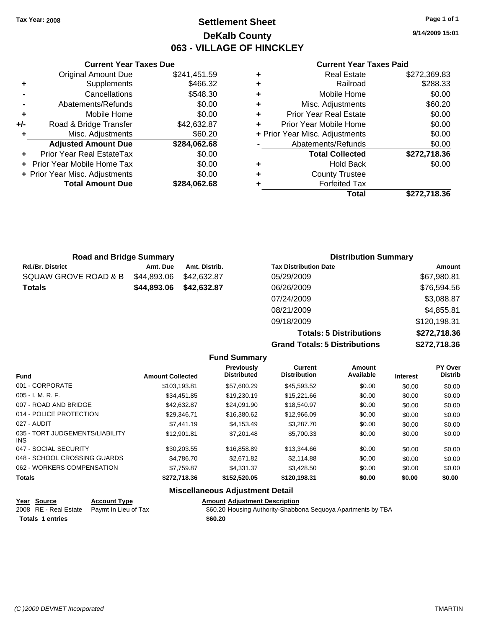## **Settlement Sheet Tax Year: 2008 Page 1 of 1 DeKalb County 063 - VILLAGE OF HINCKLEY**

**9/14/2009 15:01**

### **Current Year Taxes Paid**

|     | <b>Current Year Taxes Due</b>  |              |           |
|-----|--------------------------------|--------------|-----------|
|     | <b>Original Amount Due</b>     | \$241,451.59 | ٠         |
|     | Supplements                    | \$466.32     | ٠         |
|     | Cancellations                  | \$548.30     | ٠         |
|     | Abatements/Refunds             | \$0.00       | ٠         |
|     | Mobile Home                    | \$0.00       | ٠         |
| +/- | Road & Bridge Transfer         | \$42,632.87  | P         |
|     | Misc. Adjustments              | \$60.20      | + Prior Y |
|     | <b>Adjusted Amount Due</b>     | \$284,062.68 |           |
|     | Prior Year Real EstateTax      | \$0.00       |           |
|     | Prior Year Mobile Home Tax     | \$0.00       | ٠         |
|     | + Prior Year Misc. Adjustments | \$0.00       |           |
|     | <b>Total Amount Due</b>        | \$284,062.68 |           |
|     |                                |              |           |

|   | Total                          | \$272,718.36 |
|---|--------------------------------|--------------|
|   | <b>Forfeited Tax</b>           |              |
| ٠ | <b>County Trustee</b>          |              |
| ٠ | <b>Hold Back</b>               | \$0.00       |
|   | <b>Total Collected</b>         | \$272,718.36 |
|   | Abatements/Refunds             | \$0.00       |
|   | + Prior Year Misc. Adjustments | \$0.00       |
| ÷ | Prior Year Mobile Home         | \$0.00       |
| ٠ | <b>Prior Year Real Estate</b>  | \$0.00       |
| ٠ | Misc. Adjustments              | \$60.20      |
| ٠ | Mobile Home                    | \$0.00       |
| ٠ | Railroad                       | \$288.33     |
|   | <b>Real Estate</b>             | \$272,369.83 |

| <b>Road and Bridge Summary</b> |             |               | <b>Distribution Summary</b>  |              |  |
|--------------------------------|-------------|---------------|------------------------------|--------------|--|
| <b>Rd./Br. District</b>        | Amt. Due    | Amt. Distrib. | <b>Tax Distribution Date</b> | Amount       |  |
| SQUAW GROVE ROAD & B           | \$44,893.06 | \$42.632.87   | 05/29/2009                   | \$67,980.81  |  |
| <b>Totals</b>                  | \$44,893.06 | \$42,632.87   | 06/26/2009                   | \$76,594.56  |  |
|                                |             |               | 07/24/2009                   | \$3,088.87   |  |
|                                |             |               | 08/21/2009                   | \$4,855.81   |  |
|                                |             |               | 09/18/2009                   | \$120,198.31 |  |

**Totals: 5 Distributions \$272,718.36 Grand Totals: 5 Distributions \$272,718.36**

|                                               |                         | <b>Fund Summary</b>                                                                                            |                                |                     |                 |                           |
|-----------------------------------------------|-------------------------|----------------------------------------------------------------------------------------------------------------|--------------------------------|---------------------|-----------------|---------------------------|
| <b>Fund</b>                                   | <b>Amount Collected</b> | Previously<br>Distributed                                                                                      | Current<br><b>Distribution</b> | Amount<br>Available | <b>Interest</b> | PY Over<br><b>Distrib</b> |
| 001 - CORPORATE                               | \$103,193.81            | \$57,600.29                                                                                                    | \$45,593.52                    | \$0.00              | \$0.00          | \$0.00                    |
| $005 - I. M. R. F.$                           | \$34,451.85             | \$19,230.19                                                                                                    | \$15,221.66                    | \$0.00              | \$0.00          | \$0.00                    |
| 007 - ROAD AND BRIDGE                         | \$42,632.87             | \$24,091.90                                                                                                    | \$18,540.97                    | \$0.00              | \$0.00          | \$0.00                    |
| 014 - POLICE PROTECTION                       | \$29.346.71             | \$16,380.62                                                                                                    | \$12,966.09                    | \$0.00              | \$0.00          | \$0.00                    |
| 027 - AUDIT                                   | \$7,441.19              | \$4,153.49                                                                                                     | \$3,287.70                     | \$0.00              | \$0.00          | \$0.00                    |
| 035 - TORT JUDGEMENTS/LIABILITY<br><b>INS</b> | \$12,901.81             | \$7,201.48                                                                                                     | \$5,700.33                     | \$0.00              | \$0.00          | \$0.00                    |
| 047 - SOCIAL SECURITY                         | \$30.203.55             | \$16,858,89                                                                                                    | \$13,344.66                    | \$0.00              | \$0.00          | \$0.00                    |
| 048 - SCHOOL CROSSING GUARDS                  | \$4.786.70              | \$2,671.82                                                                                                     | \$2,114.88                     | \$0.00              | \$0.00          | \$0.00                    |
| 062 - WORKERS COMPENSATION                    | \$7,759.87              | \$4,331,37                                                                                                     | \$3,428.50                     | \$0.00              | \$0.00          | \$0.00                    |
| <b>Totals</b>                                 | \$272,718.36            | \$152,520.05                                                                                                   | \$120,198.31                   | \$0.00              | \$0.00          | \$0.00                    |
|                                               |                         | All control of the control of the control of the control of the control of the control of the control of the c |                                |                     |                 |                           |

### **Miscellaneous Adjustment Detail**

| Year Source             | <b>Account Type</b>                        | <b>Amount Adiustment Description</b>                         |
|-------------------------|--------------------------------------------|--------------------------------------------------------------|
|                         | 2008 RE - Real Estate Paymt In Lieu of Tax | \$60.20 Housing Authority-Shabbona Seguoya Apartments by TBA |
| <b>Totals 1 entries</b> |                                            | \$60.20                                                      |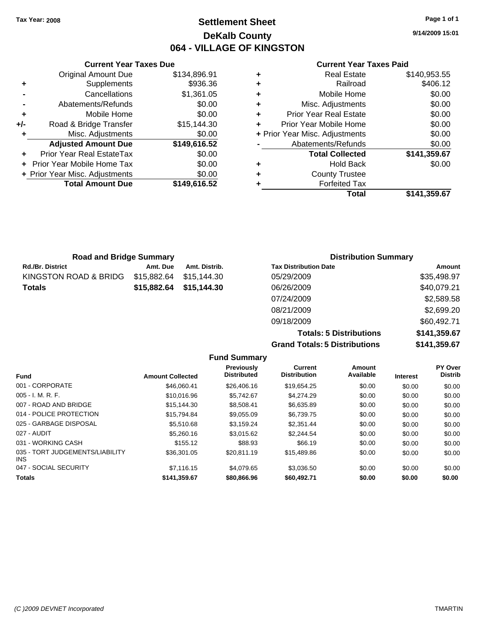## **Settlement Sheet Tax Year: 2008 Page 1 of 1 DeKalb County 064 - VILLAGE OF KINGSTON**

**9/14/2009 15:01**

### **Current Year Taxes Paid**

|     | <b>Current Year Taxes Due</b>  |              |
|-----|--------------------------------|--------------|
|     | <b>Original Amount Due</b>     | \$134,896.91 |
| ٠   | Supplements                    | \$936.36     |
|     | Cancellations                  | \$1,361.05   |
| -   | Abatements/Refunds             | \$0.00       |
| ٠   | Mobile Home                    | \$0.00       |
| +/- | Road & Bridge Transfer         | \$15,144.30  |
| ٠   | Misc. Adjustments              | \$0.00       |
|     | <b>Adjusted Amount Due</b>     | \$149,616.52 |
| ٠   | Prior Year Real EstateTax      | \$0.00       |
|     | Prior Year Mobile Home Tax     | \$0.00       |
|     | + Prior Year Misc. Adjustments | \$0.00       |
|     | <b>Total Amount Due</b>        | \$149,616.52 |
|     |                                |              |

| \$140,953.55<br><b>Real Estate</b>       |
|------------------------------------------|
| \$406.12<br>Railroad                     |
| \$0.00<br>Mobile Home                    |
| \$0.00<br>Misc. Adjustments              |
| \$0.00<br><b>Prior Year Real Estate</b>  |
| \$0.00<br>Prior Year Mobile Home         |
| \$0.00<br>+ Prior Year Misc. Adjustments |
| \$0.00<br>Abatements/Refunds             |
| \$141,359.67<br><b>Total Collected</b>   |
| \$0.00<br><b>Hold Back</b>               |
| <b>County Trustee</b>                    |
| <b>Forfeited Tax</b>                     |
| Total<br>\$141,359.67                    |
|                                          |

| <b>Road and Bridge Summary</b> |             |               | <b>Distribution Summary</b>  |             |  |
|--------------------------------|-------------|---------------|------------------------------|-------------|--|
| Rd./Br. District               | Amt. Due    | Amt. Distrib. | <b>Tax Distribution Date</b> | Amount      |  |
| KINGSTON ROAD & BRIDG          | \$15,882.64 | \$15.144.30   | 05/29/2009                   | \$35,498.97 |  |
| Totals                         | \$15,882.64 | \$15,144.30   | 06/26/2009                   | \$40,079.21 |  |
|                                |             |               | 07/24/2009                   | \$2,589.58  |  |
|                                |             |               | 08/21/2009                   | \$2,699.20  |  |
|                                |             |               | 09/18/2009                   | \$60,492.71 |  |

**Totals: 5 Distributions \$141,359.67 Grand Totals: 5 Distributions \$141,359.67**

|                                         |                         | <b>Fund Summary</b>              |                                       |                     |                 |                           |
|-----------------------------------------|-------------------------|----------------------------------|---------------------------------------|---------------------|-----------------|---------------------------|
| <b>Fund</b>                             | <b>Amount Collected</b> | Previously<br><b>Distributed</b> | <b>Current</b><br><b>Distribution</b> | Amount<br>Available | <b>Interest</b> | PY Over<br><b>Distrib</b> |
| 001 - CORPORATE                         | \$46,060.41             | \$26,406.16                      | \$19.654.25                           | \$0.00              | \$0.00          | \$0.00                    |
| 005 - I. M. R. F.                       | \$10,016.96             | \$5.742.67                       | \$4,274.29                            | \$0.00              | \$0.00          | \$0.00                    |
| 007 - ROAD AND BRIDGE                   | \$15,144.30             | \$8.508.41                       | \$6,635.89                            | \$0.00              | \$0.00          | \$0.00                    |
| 014 - POLICE PROTECTION                 | \$15,794.84             | \$9.055.09                       | \$6.739.75                            | \$0.00              | \$0.00          | \$0.00                    |
| 025 - GARBAGE DISPOSAL                  | \$5,510.68              | \$3,159.24                       | \$2,351.44                            | \$0.00              | \$0.00          | \$0.00                    |
| 027 - AUDIT                             | \$5,260.16              | \$3.015.62                       | \$2,244.54                            | \$0.00              | \$0.00          | \$0.00                    |
| 031 - WORKING CASH                      | \$155.12                | \$88.93                          | \$66.19                               | \$0.00              | \$0.00          | \$0.00                    |
| 035 - TORT JUDGEMENTS/LIABILITY<br>INS. | \$36,301.05             | \$20.811.19                      | \$15,489.86                           | \$0.00              | \$0.00          | \$0.00                    |
| 047 - SOCIAL SECURITY                   | \$7,116.15              | \$4.079.65                       | \$3,036.50                            | \$0.00              | \$0.00          | \$0.00                    |
| <b>Totals</b>                           | \$141,359.67            | \$80,866.96                      | \$60,492.71                           | \$0.00              | \$0.00          | \$0.00                    |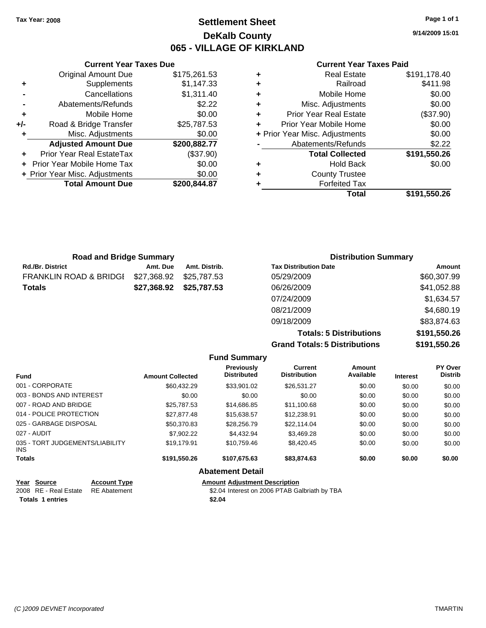## **Settlement Sheet Tax Year: 2008 Page 1 of 1 DeKalb County 065 - VILLAGE OF KIRKLAND**

**9/14/2009 15:01**

### **Current Year Taxes Paid**

|   | Total                          | \$191,550.26 |
|---|--------------------------------|--------------|
|   | <b>Forfeited Tax</b>           |              |
| ٠ | <b>County Trustee</b>          |              |
| ٠ | <b>Hold Back</b>               | \$0.00       |
|   | <b>Total Collected</b>         | \$191,550.26 |
|   | Abatements/Refunds             | \$2.22       |
|   | + Prior Year Misc. Adjustments | \$0.00       |
|   | Prior Year Mobile Home         | \$0.00       |
| ٠ | <b>Prior Year Real Estate</b>  | (\$37.90)    |
| ٠ | Misc. Adjustments              | \$0.00       |
| ٠ | Mobile Home                    | \$0.00       |
| ٠ | Railroad                       | \$411.98     |
| ٠ | <b>Real Estate</b>             | \$191,178.40 |

|                | Cancellations                  | \$1,311.40   |     |
|----------------|--------------------------------|--------------|-----|
| $\blacksquare$ | Abatements/Refunds             | \$2.22       | ٠   |
| ٠              | Mobile Home                    | \$0.00       |     |
| $+/-$          | Road & Bridge Transfer         | \$25,787.53  | ٠   |
| ÷              | Misc. Adjustments              | \$0.00       | + P |
|                | <b>Adjusted Amount Due</b>     | \$200,882.77 |     |
|                |                                |              |     |
|                | Prior Year Real EstateTax      | (\$37.90)    |     |
|                | + Prior Year Mobile Home Tax   | \$0.00       |     |
|                | + Prior Year Misc. Adjustments | \$0.00       |     |

**Current Year Taxes Due** Original Amount Due \$175,261.53

**+** Supplements \$1,147.33

| <b>Road and Bridge Summary</b>    |             |               | <b>Distribution Summary</b>  |             |
|-----------------------------------|-------------|---------------|------------------------------|-------------|
| <b>Rd./Br. District</b>           | Amt. Due    | Amt. Distrib. | <b>Tax Distribution Date</b> | Amount      |
| <b>FRANKLIN ROAD &amp; BRIDGI</b> | \$27,368.92 | \$25.787.53   | 05/29/2009                   | \$60,307.99 |
| <b>Totals</b>                     | \$27,368.92 | \$25,787.53   | 06/26/2009                   | \$41,052.88 |
|                                   |             |               | 07/24/2009                   | \$1,634.57  |
|                                   |             |               | 08/21/2009                   | \$4,680.19  |
|                                   |             |               | 09/18/2009                   | \$83,874.63 |

**Totals: 5 Distributions \$191,550.26 Grand Totals: 5 Distributions \$191,550.26**

|                                         |                     |                         | <b>Fund Summary</b>                  |                                               |                     |                 |                           |
|-----------------------------------------|---------------------|-------------------------|--------------------------------------|-----------------------------------------------|---------------------|-----------------|---------------------------|
| <b>Fund</b>                             |                     | <b>Amount Collected</b> | Previously<br><b>Distributed</b>     | <b>Current</b><br><b>Distribution</b>         | Amount<br>Available | <b>Interest</b> | PY Over<br><b>Distrib</b> |
| 001 - CORPORATE                         |                     | \$60.432.29             | \$33,901.02                          | \$26,531.27                                   | \$0.00              | \$0.00          | \$0.00                    |
| 003 - BONDS AND INTEREST                |                     | \$0.00                  | \$0.00                               | \$0.00                                        | \$0.00              | \$0.00          | \$0.00                    |
| 007 - ROAD AND BRIDGE                   |                     | \$25,787.53             | \$14,686.85                          | \$11,100.68                                   | \$0.00              | \$0.00          | \$0.00                    |
| 014 - POLICE PROTECTION                 |                     | \$27,877.48             | \$15,638.57                          | \$12,238.91                                   | \$0.00              | \$0.00          | \$0.00                    |
| 025 - GARBAGE DISPOSAL                  |                     | \$50,370.83             | \$28,256.79                          | \$22,114.04                                   | \$0.00              | \$0.00          | \$0.00                    |
| 027 - AUDIT                             |                     | \$7,902.22              | \$4.432.94                           | \$3,469.28                                    | \$0.00              | \$0.00          | \$0.00                    |
| 035 - TORT JUDGEMENTS/LIABILITY<br>INS. |                     | \$19,179.91             | \$10,759.46                          | \$8,420.45                                    | \$0.00              | \$0.00          | \$0.00                    |
| <b>Totals</b>                           |                     | \$191,550.26            | \$107,675.63                         | \$83,874.63                                   | \$0.00              | \$0.00          | \$0.00                    |
|                                         |                     |                         | <b>Abatement Detail</b>              |                                               |                     |                 |                           |
| <b>Source</b><br>Year                   | <b>Account Type</b> |                         | <b>Amount Adjustment Description</b> |                                               |                     |                 |                           |
| 2008 RE - Real Estate                   | <b>RE</b> Abatement |                         |                                      | \$2.04 Interest on 2006 PTAB Galbriath by TBA |                     |                 |                           |

**Totals \$2.04 1 entries**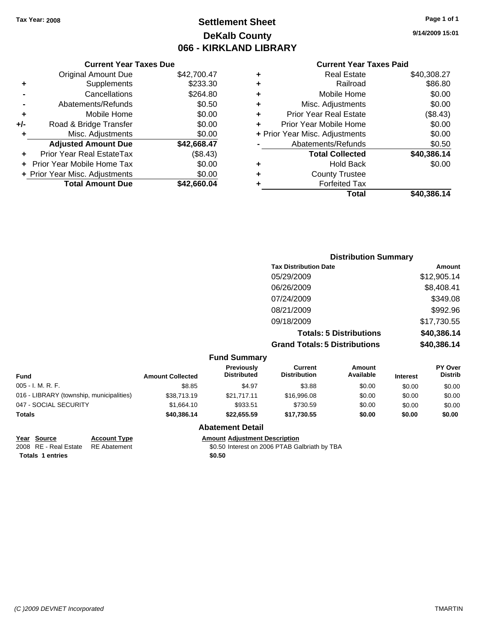## **Settlement Sheet Tax Year: 2008 Page 1 of 1 DeKalb County 066 - KIRKLAND LIBRARY**

### **Current Year Taxes Due**

|     | <b>Original Amount Due</b>        | \$42,700.47 |
|-----|-----------------------------------|-------------|
| ٠   | Supplements                       | \$233.30    |
|     | Cancellations                     | \$264.80    |
|     | Abatements/Refunds                | \$0.50      |
| ٠   | Mobile Home                       | \$0.00      |
| +/- | Road & Bridge Transfer            | \$0.00      |
| ٠   | Misc. Adjustments                 | \$0.00      |
|     | <b>Adjusted Amount Due</b>        | \$42,668.47 |
|     | <b>Prior Year Real EstateTax</b>  | (\$8.43)    |
|     | <b>Prior Year Mobile Home Tax</b> | \$0.00      |
|     | + Prior Year Misc. Adjustments    | \$0.00      |
|     | <b>Total Amount Due</b>           | \$42,660.04 |

### **Current Year Taxes Paid**

| ٠ | <b>Real Estate</b>             | \$40,308.27 |
|---|--------------------------------|-------------|
| ٠ | Railroad                       | \$86.80     |
| ٠ | Mobile Home                    | \$0.00      |
| ٠ | Misc. Adjustments              | \$0.00      |
| ٠ | <b>Prior Year Real Estate</b>  | (\$8.43)    |
| ٠ | Prior Year Mobile Home         | \$0.00      |
|   | + Prior Year Misc. Adjustments | \$0.00      |
|   | Abatements/Refunds             | \$0.50      |
|   | <b>Total Collected</b>         | \$40,386.14 |
| ٠ | Hold Back                      | \$0.00      |
| ٠ | <b>County Trustee</b>          |             |
| ٠ | <b>Forfeited Tax</b>           |             |
|   | Total                          | \$40,386.14 |
|   |                                |             |

## **Distribution Summary Tax Distribution Date Amount** 05/29/2009 \$12,905.14 06/26/2009 \$8,408.41 07/24/2009 \$349.08 08/21/2009 \$992.96 09/18/2009 \$17,730.55 **Totals: 5 Distributions \$40,386.14 Grand Totals: 5 Distributions \$40,386.14**

#### **Fund Summary Fund Interest Amount Collected Distributed PY Over Distrib Amount Available Current Distribution Previously** 005 - I. M. R. F. \$8.85 \$4.97 \$3.88 \$0.00 \$0.00 \$0.00 016 - LIBRARY (township, municipalities)  $$38,713.19$   $$21,717.11$   $$16,996.08$  \$0.00 \$0.00 \$0.00 \$0.00 047 - SOCIAL SECURITY \$1,664.10 \$933.51 \$730.59 \$0.00 \$0.00 \$0.00 **Totals \$40,386.14 \$22,655.59 \$17,730.55 \$0.00 \$0.00 \$0.00**

### **Abatement Detail**

**Year Source Account Type Amount Adjustment Description**

2008 RE - Real Estate RE Abatement **1996** 80.50 Interest on 2006 PTAB Galbriath by TBA **Totals 1 entries** \$0.50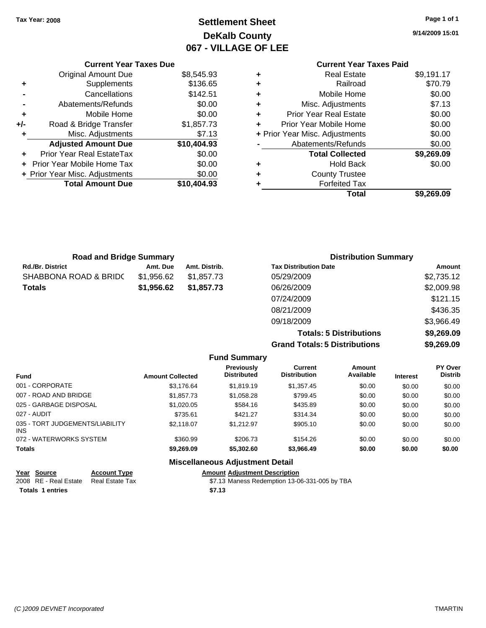## **Settlement Sheet Tax Year: 2008 Page 1 of 1 DeKalb County 067 - VILLAGE OF LEE**

**9/14/2009 15:01**

|     | <b>Current Year Taxes Due</b>  |             |
|-----|--------------------------------|-------------|
|     | <b>Original Amount Due</b>     | \$8,545.93  |
| ٠   | Supplements                    | \$136.65    |
|     | Cancellations                  | \$142.51    |
|     | Abatements/Refunds             | \$0.00      |
| ٠   | Mobile Home                    | \$0.00      |
| +/- | Road & Bridge Transfer         | \$1,857.73  |
| ٠   | Misc. Adjustments              | \$7.13      |
|     | <b>Adjusted Amount Due</b>     | \$10,404.93 |
|     | Prior Year Real EstateTax      | \$0.00      |
|     | Prior Year Mobile Home Tax     | \$0.00      |
|     | + Prior Year Misc. Adjustments | \$0.00      |
|     | <b>Total Amount Due</b>        | \$10,404.93 |
|     |                                |             |

# **Current Year Taxes Paid**

| ٠ | <b>Real Estate</b>             | \$9,191.17 |
|---|--------------------------------|------------|
| ٠ | Railroad                       | \$70.79    |
| ٠ | Mobile Home                    | \$0.00     |
| ٠ | Misc. Adjustments              | \$7.13     |
| ٠ | <b>Prior Year Real Estate</b>  | \$0.00     |
|   | Prior Year Mobile Home         | \$0.00     |
|   | + Prior Year Misc. Adjustments | \$0.00     |
|   | Abatements/Refunds             | \$0.00     |
|   | <b>Total Collected</b>         | \$9,269.09 |
| ٠ | <b>Hold Back</b>               | \$0.00     |
| ٠ | <b>County Trustee</b>          |            |
| ٠ | <b>Forfeited Tax</b>           |            |
|   | Total                          | \$9,269.09 |
|   |                                |            |

| <b>Road and Bridge Summary</b> |            |               | <b>Distribution Summary</b>  |            |
|--------------------------------|------------|---------------|------------------------------|------------|
| <b>Rd./Br. District</b>        | Amt. Due   | Amt. Distrib. | <b>Tax Distribution Date</b> | Amount     |
| SHABBONA ROAD & BRIDC          | \$1,956.62 | \$1.857.73    | 05/29/2009                   | \$2,735.12 |
| <b>Totals</b>                  | \$1,956.62 | \$1,857.73    | 06/26/2009                   | \$2,009.98 |
|                                |            |               | 07/24/2009                   | \$121.15   |
|                                |            |               | 08/21/2009                   | \$436.35   |
|                                |            |               | 09/18/2009                   | \$3,966.49 |

**Totals: 5 Distributions \$9,269.09 Grand Totals: 5 Distributions \$9,269.09**

|                                               |                         | <b>Fund Summary</b>                     |                                       |                     |                 |                                  |
|-----------------------------------------------|-------------------------|-----------------------------------------|---------------------------------------|---------------------|-----------------|----------------------------------|
| <b>Fund</b>                                   | <b>Amount Collected</b> | <b>Previously</b><br><b>Distributed</b> | <b>Current</b><br><b>Distribution</b> | Amount<br>Available | <b>Interest</b> | <b>PY Over</b><br><b>Distrib</b> |
| 001 - CORPORATE                               | \$3.176.64              | \$1,819.19                              | \$1,357.45                            | \$0.00              | \$0.00          | \$0.00                           |
| 007 - ROAD AND BRIDGE                         | \$1,857,73              | \$1,058.28                              | \$799.45                              | \$0.00              | \$0.00          | \$0.00                           |
| 025 - GARBAGE DISPOSAL                        | \$1,020,05              | \$584.16                                | \$435.89                              | \$0.00              | \$0.00          | \$0.00                           |
| 027 - AUDIT                                   | \$735.61                | \$421.27                                | \$314.34                              | \$0.00              | \$0.00          | \$0.00                           |
| 035 - TORT JUDGEMENTS/LIABILITY<br><b>INS</b> | \$2.118.07              | \$1.212.97                              | \$905.10                              | \$0.00              | \$0.00          | \$0.00                           |
| 072 - WATERWORKS SYSTEM                       | \$360.99                | \$206.73                                | \$154.26                              | \$0.00              | \$0.00          | \$0.00                           |
| <b>Totals</b>                                 | \$9,269.09              | \$5,302.60                              | \$3,966.49                            | \$0.00              | \$0.00          | \$0.00                           |
|                                               |                         | <b>Miscellaneous Adjustment Detail</b>  |                                       |                     |                 |                                  |

| <b>Account Type</b>                                             | <b>Amount Adiustment Description</b>          |
|-----------------------------------------------------------------|-----------------------------------------------|
| Real Estate Tax                                                 | \$7.13 Maness Redemption 13-06-331-005 by TBA |
|                                                                 | \$7.13                                        |
| Year Source<br>2008 RE - Real Estate<br><b>Totals 1 entries</b> |                                               |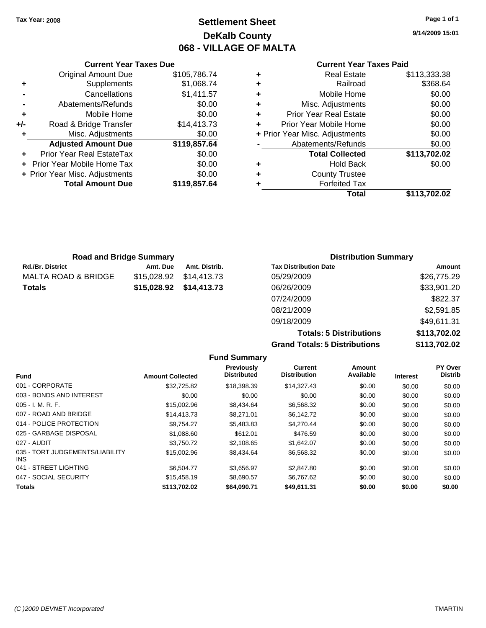## **Settlement Sheet Tax Year: 2008 Page 1 of 1 DeKalb County 068 - VILLAGE OF MALTA**

**9/14/2009 15:01**

### **Current Year Taxes Paid**

|   | Total                          | \$113,702.02 |
|---|--------------------------------|--------------|
|   | <b>Forfeited Tax</b>           |              |
| ٠ | <b>County Trustee</b>          |              |
| ٠ | <b>Hold Back</b>               | \$0.00       |
|   | <b>Total Collected</b>         | \$113,702.02 |
|   | Abatements/Refunds             | \$0.00       |
|   | + Prior Year Misc. Adjustments | \$0.00       |
|   | Prior Year Mobile Home         | \$0.00       |
| ٠ | <b>Prior Year Real Estate</b>  | \$0.00       |
| ٠ | Misc. Adjustments              | \$0.00       |
| ٠ | Mobile Home                    | \$0.00       |
| ٠ | Railroad                       | \$368.64     |
|   | <b>Real Estate</b>             | \$113,333.38 |

| <b>Total Amount Due</b>        | \$119,857.64 |
|--------------------------------|--------------|
| + Prior Year Misc. Adjustments | \$0.00       |
| + Prior Year Mobile Home Tax   | \$0.00       |
| Prior Year Real EstateTax      | \$0.00       |
| <b>Adjusted Amount Due</b>     | \$119,857.64 |
| Misc. Adjustments              | \$0.00       |
| Road & Bridge Transfer         | \$14,413.73  |
| Mobile Home                    | \$0.00       |
| Abatements/Refunds             | \$0.00       |
| Cancellations                  | \$1,411.57   |
| Supplements                    | \$1,068.74   |
| <b>Original Amount Due</b>     | \$105,786.74 |
|                                |              |

**Current Year Taxes Due**

| <b>Road and Bridge Summary</b> |             |               | <b>Distribution Summary</b>  |             |  |
|--------------------------------|-------------|---------------|------------------------------|-------------|--|
| Rd./Br. District               | Amt. Due    | Amt. Distrib. | <b>Tax Distribution Date</b> | Amount      |  |
| MALTA ROAD & BRIDGE            | \$15.028.92 | \$14.413.73   | 05/29/2009                   | \$26,775.29 |  |
| Totals                         | \$15.028.92 | \$14,413.73   | 06/26/2009                   | \$33,901.20 |  |
|                                |             |               | 07/24/2009                   | \$822.37    |  |
|                                |             |               | 08/21/2009                   | \$2,591.85  |  |
|                                |             |               | 09/18/2009                   | \$49,611.31 |  |

**Totals: 5 Distributions \$113,702.02 Grand Totals: 5 Distributions \$113,702.02**

|                                               |                         | <b>Fund Summary</b>                     |                                       |                            |                 |                           |
|-----------------------------------------------|-------------------------|-----------------------------------------|---------------------------------------|----------------------------|-----------------|---------------------------|
| <b>Fund</b>                                   | <b>Amount Collected</b> | <b>Previously</b><br><b>Distributed</b> | <b>Current</b><br><b>Distribution</b> | <b>Amount</b><br>Available | <b>Interest</b> | PY Over<br><b>Distrib</b> |
| 001 - CORPORATE                               | \$32,725.82             | \$18,398.39                             | \$14,327.43                           | \$0.00                     | \$0.00          | \$0.00                    |
| 003 - BONDS AND INTEREST                      | \$0.00                  | \$0.00                                  | \$0.00                                | \$0.00                     | \$0.00          | \$0.00                    |
| $005 - I. M. R. F.$                           | \$15,002.96             | \$8,434.64                              | \$6,568.32                            | \$0.00                     | \$0.00          | \$0.00                    |
| 007 - ROAD AND BRIDGE                         | \$14,413.73             | \$8.271.01                              | \$6,142.72                            | \$0.00                     | \$0.00          | \$0.00                    |
| 014 - POLICE PROTECTION                       | \$9,754.27              | \$5,483.83                              | \$4,270.44                            | \$0.00                     | \$0.00          | \$0.00                    |
| 025 - GARBAGE DISPOSAL                        | \$1,088.60              | \$612.01                                | \$476.59                              | \$0.00                     | \$0.00          | \$0.00                    |
| 027 - AUDIT                                   | \$3.750.72              | \$2,108.65                              | \$1.642.07                            | \$0.00                     | \$0.00          | \$0.00                    |
| 035 - TORT JUDGEMENTS/LIABILITY<br><b>INS</b> | \$15,002.96             | \$8,434.64                              | \$6,568.32                            | \$0.00                     | \$0.00          | \$0.00                    |
| 041 - STREET LIGHTING                         | \$6,504.77              | \$3,656.97                              | \$2,847.80                            | \$0.00                     | \$0.00          | \$0.00                    |
| 047 - SOCIAL SECURITY                         | \$15,458.19             | \$8,690.57                              | \$6,767.62                            | \$0.00                     | \$0.00          | \$0.00                    |
| <b>Totals</b>                                 | \$113,702.02            | \$64.090.71                             | \$49,611.31                           | \$0.00                     | \$0.00          | \$0.00                    |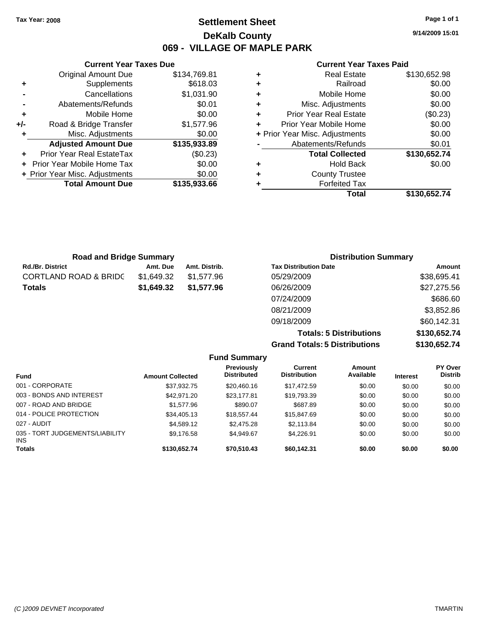**Current Year Taxes Due** Original Amount Due \$134,769.81

**Adjusted Amount Due \$135,933.89**

**Total Amount Due \$135,933.66**

**+** Supplements \$618.03 **-** Cancellations \$1,031.90 **-** Abatements/Refunds \$0.01 **+** Mobile Home \$0.00 **+/-** Road & Bridge Transfer \$1,577.96 **+** Misc. Adjustments \$0.00

**+** Prior Year Real EstateTax (\$0.23) **+** Prior Year Mobile Home Tax \$0.00 **+ Prior Year Misc. Adjustments**  $$0.00$ 

## **Settlement Sheet Tax Year: 2008 Page 1 of 1 DeKalb County 069 - VILLAGE OF MAPLE PARK**

**9/14/2009 15:01**

### **Current Year Taxes Paid**

| <b>Road and Bridge Summary</b>   |            |               | <b>Distribution Summary</b>  |             |  |
|----------------------------------|------------|---------------|------------------------------|-------------|--|
| <b>Rd./Br. District</b>          | Amt. Due   | Amt. Distrib. | <b>Tax Distribution Date</b> | Amount      |  |
| <b>CORTLAND ROAD &amp; BRIDC</b> | \$1.649.32 | \$1.577.96    | 05/29/2009                   | \$38,695.41 |  |
| <b>Totals</b>                    | \$1,649.32 | \$1,577.96    | 06/26/2009                   | \$27,275.56 |  |
|                                  |            |               | 07/24/2009                   | \$686.60    |  |
|                                  |            |               | 08/21/2009                   | \$3,852.86  |  |
|                                  |            |               | 09/18/2009                   | \$60,142.31 |  |

**Totals: 5 Distributions \$130,652.74 Grand Totals: 5 Distributions \$130,652.74**

|                                         |                         | <b>Fund Summary</b>                     |                                |                     |                 |                           |
|-----------------------------------------|-------------------------|-----------------------------------------|--------------------------------|---------------------|-----------------|---------------------------|
| <b>Fund</b>                             | <b>Amount Collected</b> | <b>Previously</b><br><b>Distributed</b> | Current<br><b>Distribution</b> | Amount<br>Available | <b>Interest</b> | PY Over<br><b>Distrib</b> |
| 001 - CORPORATE                         | \$37,932.75             | \$20,460.16                             | \$17,472.59                    | \$0.00              | \$0.00          | \$0.00                    |
| 003 - BONDS AND INTEREST                | \$42,971,20             | \$23,177.81                             | \$19,793.39                    | \$0.00              | \$0.00          | \$0.00                    |
| 007 - ROAD AND BRIDGE                   | \$1,577.96              | \$890.07                                | \$687.89                       | \$0.00              | \$0.00          | \$0.00                    |
| 014 - POLICE PROTECTION                 | \$34,405.13             | \$18,557,44                             | \$15,847.69                    | \$0.00              | \$0.00          | \$0.00                    |
| 027 - AUDIT                             | \$4,589.12              | \$2,475.28                              | \$2,113.84                     | \$0.00              | \$0.00          | \$0.00                    |
| 035 - TORT JUDGEMENTS/LIABILITY<br>INS. | \$9,176.58              | \$4.949.67                              | \$4.226.91                     | \$0.00              | \$0.00          | \$0.00                    |
| <b>Totals</b>                           | \$130,652.74            | \$70,510.43                             | \$60,142.31                    | \$0.00              | \$0.00          | \$0.00                    |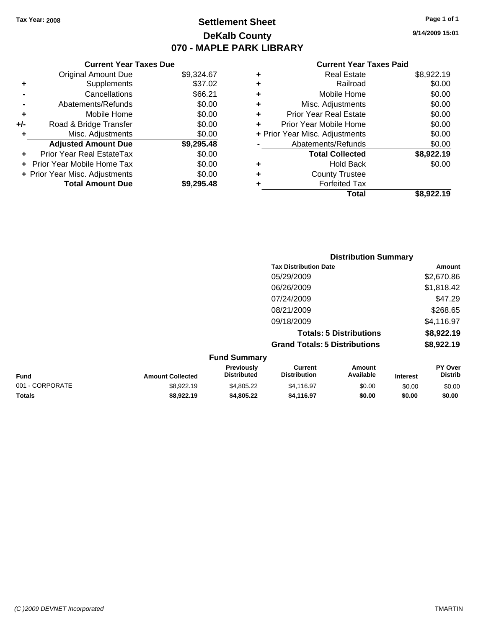**Current Year Taxes Due** Original Amount Due \$9,324.67

**Adjusted Amount Due \$9,295.48**

**Total Amount Due \$9,295.48**

**+** Supplements \$37.02 **-** Cancellations \$66.21 **-** Abatements/Refunds \$0.00 **+** Mobile Home \$0.00 **+/-** Road & Bridge Transfer \$0.00 **+** Misc. Adjustments \$0.00

**+** Prior Year Real EstateTax \$0.00 **+** Prior Year Mobile Home Tax \$0.00 **+ Prior Year Misc. Adjustments**  $$0.00$ 

## **Settlement Sheet Tax Year: 2008 Page 1 of 1 DeKalb County 070 - MAPLE PARK LIBRARY**

**9/14/2009 15:01**

### **Current Year Taxes Paid**

|                 |                         |                                  | <b>Distribution Summary</b>           |                                |                 |                                  |
|-----------------|-------------------------|----------------------------------|---------------------------------------|--------------------------------|-----------------|----------------------------------|
|                 |                         |                                  | <b>Tax Distribution Date</b>          |                                |                 | Amount                           |
|                 |                         |                                  | 05/29/2009                            |                                |                 | \$2,670.86                       |
|                 |                         |                                  | 06/26/2009                            |                                |                 | \$1,818.42                       |
|                 |                         |                                  | 07/24/2009                            |                                |                 | \$47.29                          |
|                 |                         |                                  | 08/21/2009                            |                                |                 | \$268.65                         |
|                 |                         |                                  | 09/18/2009                            |                                |                 | \$4,116.97                       |
|                 |                         |                                  |                                       | <b>Totals: 5 Distributions</b> |                 | \$8,922.19                       |
|                 |                         |                                  | <b>Grand Totals: 5 Distributions</b>  |                                |                 | \$8,922.19                       |
|                 |                         | <b>Fund Summary</b>              |                                       |                                |                 |                                  |
| Fund            | <b>Amount Collected</b> | Previously<br><b>Distributed</b> | <b>Current</b><br><b>Distribution</b> | Amount<br>Available            | <b>Interest</b> | <b>PY Over</b><br><b>Distrib</b> |
| 001 - CORPORATE | \$8,922.19              | \$4,805.22                       | \$4,116.97                            | \$0.00                         | \$0.00          | \$0.00                           |

**Totals \$8,922.19 \$4,805.22 \$4,116.97 \$0.00 \$0.00 \$0.00**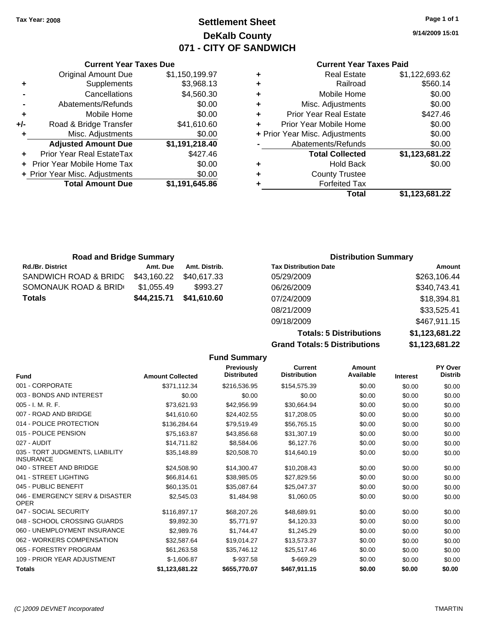## **Settlement Sheet Tax Year: 2008 Page 1 of 1 DeKalb County 071 - CITY OF SANDWICH**

**9/14/2009 15:01**

### **Current Year Taxes Paid**

|   | Total                          | \$1,123,681.22 |
|---|--------------------------------|----------------|
|   | <b>Forfeited Tax</b>           |                |
| ٠ | <b>County Trustee</b>          |                |
| ٠ | <b>Hold Back</b>               | \$0.00         |
|   | <b>Total Collected</b>         | \$1,123,681.22 |
|   | Abatements/Refunds             | \$0.00         |
|   | + Prior Year Misc. Adjustments | \$0.00         |
| ٠ | Prior Year Mobile Home         | \$0.00         |
| ٠ | <b>Prior Year Real Estate</b>  | \$427.46       |
| ٠ | Misc. Adjustments              | \$0.00         |
| ٠ | Mobile Home                    | \$0.00         |
| ٠ | Railroad                       | \$560.14       |
| ٠ | <b>Real Estate</b>             | \$1,122,693.62 |

|     | <b>Current Year Taxes Due</b>    |                |
|-----|----------------------------------|----------------|
|     | <b>Original Amount Due</b>       | \$1,150,199.97 |
| ٠   | Supplements                      | \$3,968.13     |
|     | Cancellations                    | \$4,560.30     |
|     | Abatements/Refunds               | \$0.00         |
| ٠   | Mobile Home                      | \$0.00         |
| +/- | Road & Bridge Transfer           | \$41,610.60    |
| ٠   | Misc. Adjustments                | \$0.00         |
|     | <b>Adjusted Amount Due</b>       | \$1,191,218.40 |
|     | <b>Prior Year Real EstateTax</b> | \$427.46       |
|     | Prior Year Mobile Home Tax       | \$0.00         |
|     | + Prior Year Misc. Adjustments   | \$0.00         |
|     | <b>Total Amount Due</b>          | \$1,191,645.86 |
|     |                                  |                |

| <b>Road and Bridge Summary</b> |             |               | <b>Distribution Summary</b>  |              |
|--------------------------------|-------------|---------------|------------------------------|--------------|
| Rd./Br. District               | Amt. Due    | Amt. Distrib. | <b>Tax Distribution Date</b> | Amount       |
| SANDWICH ROAD & BRIDC          | \$43,160.22 | \$40,617,33   | 05/29/2009                   | \$263,106.44 |
| SOMONAUK ROAD & BRID⊖          | \$1,055.49  | \$993.27      | 06/26/2009                   | \$340,743.41 |
| Totals                         | \$44,215.71 | \$41,610.60   | 07/24/2009                   | \$18,394.81  |
|                                |             |               | 08/21/2009                   | \$33,525.41  |
|                                |             |               | 09/18/2009                   | \$467,911.15 |

**Totals: 5 Distributions \$1,123,681.22 Grand Totals: 5 Distributions** 

| \$1,123,681.22 |  |
|----------------|--|
|                |  |

|                                                     |                         | <b>Fund Summary</b>              |                                       |                     |                 |                           |
|-----------------------------------------------------|-------------------------|----------------------------------|---------------------------------------|---------------------|-----------------|---------------------------|
| <b>Fund</b>                                         | <b>Amount Collected</b> | Previously<br><b>Distributed</b> | <b>Current</b><br><b>Distribution</b> | Amount<br>Available | <b>Interest</b> | PY Over<br><b>Distrib</b> |
| 001 - CORPORATE                                     | \$371,112.34            | \$216,536.95                     | \$154,575.39                          | \$0.00              | \$0.00          | \$0.00                    |
| 003 - BONDS AND INTEREST                            | \$0.00                  | \$0.00                           | \$0.00                                | \$0.00              | \$0.00          | \$0.00                    |
| 005 - I. M. R. F.                                   | \$73,621.93             | \$42,956.99                      | \$30,664.94                           | \$0.00              | \$0.00          | \$0.00                    |
| 007 - ROAD AND BRIDGE                               | \$41,610.60             | \$24,402.55                      | \$17,208.05                           | \$0.00              | \$0.00          | \$0.00                    |
| 014 - POLICE PROTECTION                             | \$136,284.64            | \$79,519.49                      | \$56,765.15                           | \$0.00              | \$0.00          | \$0.00                    |
| 015 - POLICE PENSION                                | \$75,163.87             | \$43,856.68                      | \$31,307.19                           | \$0.00              | \$0.00          | \$0.00                    |
| 027 - AUDIT                                         | \$14,711.82             | \$8,584.06                       | \$6,127.76                            | \$0.00              | \$0.00          | \$0.00                    |
| 035 - TORT JUDGMENTS, LIABILITY<br><b>INSURANCE</b> | \$35.148.89             | \$20,508.70                      | \$14.640.19                           | \$0.00              | \$0.00          | \$0.00                    |
| 040 - STREET AND BRIDGE                             | \$24,508.90             | \$14,300.47                      | \$10,208.43                           | \$0.00              | \$0.00          | \$0.00                    |
| 041 - STREET LIGHTING                               | \$66,814.61             | \$38,985.05                      | \$27,829.56                           | \$0.00              | \$0.00          | \$0.00                    |
| 045 - PUBLIC BENEFIT                                | \$60,135.01             | \$35,087.64                      | \$25,047.37                           | \$0.00              | \$0.00          | \$0.00                    |
| 046 - EMERGENCY SERV & DISASTER<br><b>OPER</b>      | \$2,545.03              | \$1,484.98                       | \$1,060.05                            | \$0.00              | \$0.00          | \$0.00                    |
| 047 - SOCIAL SECURITY                               | \$116.897.17            | \$68,207.26                      | \$48,689.91                           | \$0.00              | \$0.00          | \$0.00                    |
| 048 - SCHOOL CROSSING GUARDS                        | \$9,892.30              | \$5,771.97                       | \$4,120.33                            | \$0.00              | \$0.00          | \$0.00                    |
| 060 - UNEMPLOYMENT INSURANCE                        | \$2.989.76              | \$1,744.47                       | \$1,245.29                            | \$0.00              | \$0.00          | \$0.00                    |
| 062 - WORKERS COMPENSATION                          | \$32,587.64             | \$19,014.27                      | \$13,573.37                           | \$0.00              | \$0.00          | \$0.00                    |
| 065 - FORESTRY PROGRAM                              | \$61.263.58             | \$35.746.12                      | \$25,517.46                           | \$0.00              | \$0.00          | \$0.00                    |
| 109 - PRIOR YEAR ADJUSTMENT                         | $$-1,606.87$            | $$-937.58$                       | $$-669.29$                            | \$0.00              | \$0.00          | \$0.00                    |
| <b>Totals</b>                                       | \$1,123,681.22          | \$655,770.07                     | \$467,911.15                          | \$0.00              | \$0.00          | \$0.00                    |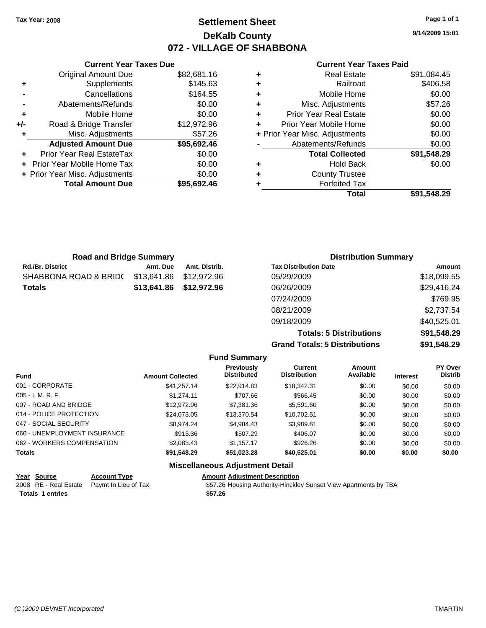## **Settlement Sheet Tax Year: 2008 Page 1 of 1 DeKalb County 072 - VILLAGE OF SHABBONA**

**9/14/2009 15:01**

### **Current Year Taxes Paid**

| ٠ | <b>Real Estate</b>             | \$91,084.45 |
|---|--------------------------------|-------------|
| ٠ | Railroad                       | \$406.58    |
| ٠ | Mobile Home                    | \$0.00      |
| ٠ | Misc. Adjustments              | \$57.26     |
| ٠ | <b>Prior Year Real Estate</b>  | \$0.00      |
| ÷ | Prior Year Mobile Home         | \$0.00      |
|   | + Prior Year Misc. Adjustments | \$0.00      |
|   | Abatements/Refunds             | \$0.00      |
|   | <b>Total Collected</b>         | \$91,548.29 |
| ٠ | <b>Hold Back</b>               | \$0.00      |
| ٠ | <b>County Trustee</b>          |             |
|   | <b>Forfeited Tax</b>           |             |
|   | Total                          | \$91.548.29 |

|     | <b>Original Amount Due</b>       | \$82,681.16 |
|-----|----------------------------------|-------------|
| ٠   | Supplements                      | \$145.63    |
|     | Cancellations                    | \$164.55    |
|     | Abatements/Refunds               | \$0.00      |
| ÷   | Mobile Home                      | \$0.00      |
| +/- | Road & Bridge Transfer           | \$12,972.96 |
| ٠   | Misc. Adjustments                | \$57.26     |
|     | <b>Adjusted Amount Due</b>       | \$95,692.46 |
|     | <b>Prior Year Real EstateTax</b> | \$0.00      |
|     | Prior Year Mobile Home Tax       | \$0.00      |
|     | + Prior Year Misc. Adjustments   | \$0.00      |
|     | <b>Total Amount Due</b>          | \$95,692.46 |

**Current Year Taxes Due**

| <b>Road and Bridge Summary</b> |             |               | <b>Distribution Summary</b>    |             |
|--------------------------------|-------------|---------------|--------------------------------|-------------|
| Rd./Br. District               | Amt. Due    | Amt. Distrib. | <b>Tax Distribution Date</b>   | Amount      |
| SHABBONA ROAD & BRIDC          | \$13.641.86 | \$12.972.96   | 05/29/2009                     | \$18,099.55 |
| Totals                         | \$13,641.86 | \$12,972.96   | 06/26/2009                     | \$29,416.24 |
|                                |             |               | 07/24/2009                     | \$769.95    |
|                                |             |               | 08/21/2009                     | \$2,737.54  |
|                                |             |               | 09/18/2009                     | \$40,525.01 |
|                                |             |               | <b>Totals: 5 Distributions</b> | \$91,548.29 |

**Grand Totals: 5 Distributions \$91,548.29**

|                              |                         | <b>Fund Summary</b>                     |                                       |                     |                 |                           |
|------------------------------|-------------------------|-----------------------------------------|---------------------------------------|---------------------|-----------------|---------------------------|
| <b>Fund</b>                  | <b>Amount Collected</b> | <b>Previously</b><br><b>Distributed</b> | <b>Current</b><br><b>Distribution</b> | Amount<br>Available | <b>Interest</b> | PY Over<br><b>Distrib</b> |
| 001 - CORPORATE              | \$41.257.14             | \$22,914.83                             | \$18.342.31                           | \$0.00              | \$0.00          | \$0.00                    |
| $005 - I. M. R. F.$          | \$1.274.11              | \$707.66                                | \$566.45                              | \$0.00              | \$0.00          | \$0.00                    |
| 007 - ROAD AND BRIDGE        | \$12,972.96             | \$7,381,36                              | \$5,591.60                            | \$0.00              | \$0.00          | \$0.00                    |
| 014 - POLICE PROTECTION      | \$24.073.05             | \$13,370.54                             | \$10.702.51                           | \$0.00              | \$0.00          | \$0.00                    |
| 047 - SOCIAL SECURITY        | \$8.974.24              | \$4.984.43                              | \$3.989.81                            | \$0.00              | \$0.00          | \$0.00                    |
| 060 - UNEMPLOYMENT INSURANCE | \$913.36                | \$507.29                                | \$406.07                              | \$0.00              | \$0.00          | \$0.00                    |
| 062 - WORKERS COMPENSATION   | \$2.083.43              | \$1.157.17                              | \$926.26                              | \$0.00              | \$0.00          | \$0.00                    |
| <b>Totals</b>                | \$91,548.29             | \$51.023.28                             | \$40,525.01                           | \$0.00              | \$0.00          | \$0.00                    |
|                              |                         | <b>Miscellaneous Adjustment Detail</b>  |                                       |                     |                 |                           |

| Year Source             | <b>Account Type</b>                        | <b>Amount Adiustment Description</b>                             |
|-------------------------|--------------------------------------------|------------------------------------------------------------------|
|                         | 2008 RE - Real Estate Paymt In Lieu of Tax | \$57.26 Housing Authority-Hinckley Sunset View Apartments by TBA |
| <b>Totals 1 entries</b> |                                            | \$57.26                                                          |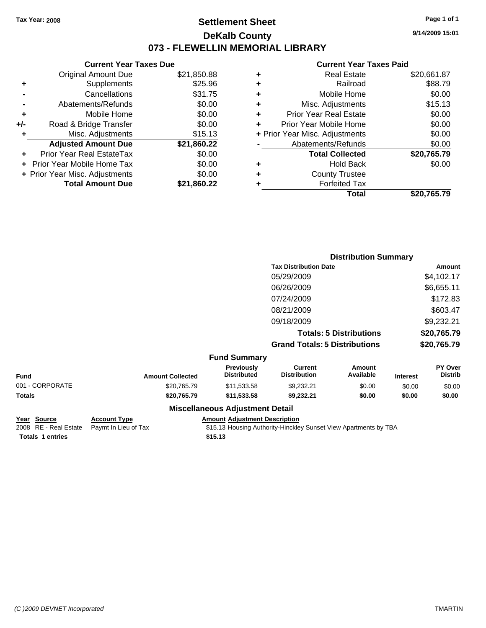## **Settlement Sheet Tax Year: 2008 Page 1 of 1 DeKalb County 073 - FLEWELLIN MEMORIAL LIBRARY**

**9/14/2009 15:01**

### **Current Year Taxes Paid**

| ٠ | Real Estate                    | \$20,661.87 |
|---|--------------------------------|-------------|
| ٠ | Railroad                       | \$88.79     |
| ٠ | Mobile Home                    | \$0.00      |
| ٠ | Misc. Adjustments              | \$15.13     |
| ÷ | <b>Prior Year Real Estate</b>  | \$0.00      |
| ٠ | Prior Year Mobile Home         | \$0.00      |
|   | + Prior Year Misc. Adjustments | \$0.00      |
|   | Abatements/Refunds             | \$0.00      |
|   | <b>Total Collected</b>         | \$20,765.79 |
| ٠ | <b>Hold Back</b>               | \$0.00      |
| ٠ | <b>County Trustee</b>          |             |
|   | <b>Forfeited Tax</b>           |             |
|   | Total                          | \$20.765.79 |

|                 |                     |                         |                                         | <b>Distribution Summary</b>           |                                |                 |                           |
|-----------------|---------------------|-------------------------|-----------------------------------------|---------------------------------------|--------------------------------|-----------------|---------------------------|
|                 |                     |                         |                                         | <b>Tax Distribution Date</b>          |                                |                 | Amount                    |
|                 |                     |                         |                                         | 05/29/2009                            |                                |                 | \$4,102.17                |
|                 |                     |                         |                                         | 06/26/2009                            |                                |                 | \$6,655.11                |
|                 |                     |                         |                                         | 07/24/2009                            |                                |                 | \$172.83                  |
|                 |                     |                         |                                         | 08/21/2009                            |                                |                 | \$603.47                  |
|                 |                     |                         |                                         | 09/18/2009                            |                                |                 | \$9,232.21                |
|                 |                     |                         |                                         |                                       | <b>Totals: 5 Distributions</b> |                 | \$20,765.79               |
|                 |                     |                         |                                         | <b>Grand Totals: 5 Distributions</b>  |                                | \$20,765.79     |                           |
|                 |                     |                         | <b>Fund Summary</b>                     |                                       |                                |                 |                           |
| <b>Fund</b>     |                     | <b>Amount Collected</b> | <b>Previously</b><br><b>Distributed</b> | <b>Current</b><br><b>Distribution</b> | Amount<br>Available            | <b>Interest</b> | PY Over<br><b>Distrib</b> |
| 001 - CORPORATE |                     | \$20,765.79             | \$11,533.58                             | \$9,232.21                            | \$0.00                         | \$0.00          | \$0.00                    |
| <b>Totals</b>   |                     | \$20,765.79             | \$11,533.58                             | \$9,232.21                            | \$0.00                         | \$0.00          | \$0.00                    |
|                 |                     |                         | <b>Miscellaneous Adjustment Detail</b>  |                                       |                                |                 |                           |
| Year Source     | <b>Account Type</b> |                         | <b>Amount Adjustment Description</b>    |                                       |                                |                 |                           |

**Totals \$15.13 1 entries**

**Current Year Taxes Due** Original Amount Due \$21,850.88

**Adjusted Amount Due \$21,860.22**

**Total Amount Due \$21,860.22**

**+** Supplements \$25.96 **-** Cancellations \$31.75 **-** Abatements/Refunds \$0.00 **+** Mobile Home \$0.00 **+/-** Road & Bridge Transfer \$0.00 **+** Misc. Adjustments \$15.13

**+** Prior Year Real EstateTax \$0.00 **+** Prior Year Mobile Home Tax \$0.00 **+ Prior Year Misc. Adjustments**  $$0.00$ 

2008 RE - Real Estate Paymt In Lieu of Tax **\$15.13 Housing Authority-Hinckley Sunset View Apartments by TBA**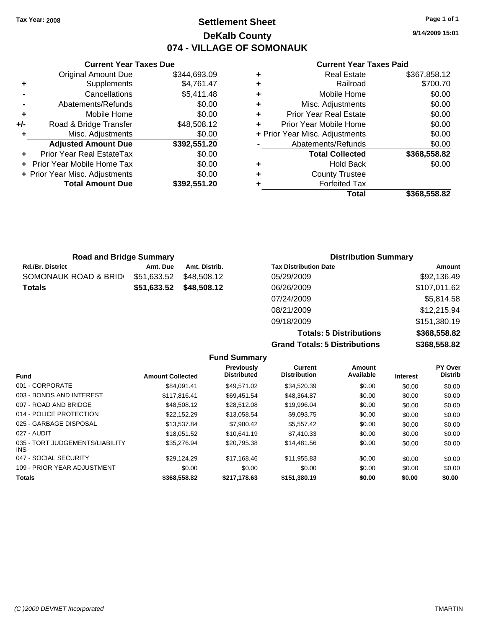**Current Year Taxes Due** Original Amount Due \$344,693.09

**Adjusted Amount Due \$392,551.20**

**Total Amount Due \$392,551.20**

**+** Supplements \$4,761.47 **-** Cancellations \$5,411.48 **-** Abatements/Refunds \$0.00 **+** Mobile Home \$0.00 **+/-** Road & Bridge Transfer \$48,508.12 **+** Misc. Adjustments \$0.00

**+** Prior Year Real EstateTax \$0.00 **+** Prior Year Mobile Home Tax \$0.00 **+ Prior Year Misc. Adjustments**  $$0.00$ 

## **Settlement Sheet Tax Year: 2008 Page 1 of 1 DeKalb County 074 - VILLAGE OF SOMONAUK**

**9/14/2009 15:01**

### **Current Year Taxes Paid**

|   | <b>Forfeited Tax</b><br>Total  | \$368.558.82 |
|---|--------------------------------|--------------|
|   | <b>County Trustee</b>          |              |
| ٠ | <b>Hold Back</b>               | \$0.00       |
|   | <b>Total Collected</b>         | \$368,558.82 |
|   | Abatements/Refunds             | \$0.00       |
|   | + Prior Year Misc. Adjustments | \$0.00       |
|   | Prior Year Mobile Home         | \$0.00       |
| ٠ | <b>Prior Year Real Estate</b>  | \$0.00       |
| ٠ | Misc. Adjustments              | \$0.00       |
| ٠ | Mobile Home                    | \$0.00       |
| ٠ | Railroad                       | \$700.70     |
|   | <b>Real Estate</b>             | \$367,858.12 |

| <b>Road and Bridge Summary</b> |             |               | <b>Distribution Summary</b>  |              |
|--------------------------------|-------------|---------------|------------------------------|--------------|
| <b>Rd./Br. District</b>        | Amt. Due    | Amt. Distrib. | <b>Tax Distribution Date</b> | Amount       |
| SOMONAUK ROAD & BRID           | \$51,633.52 | \$48,508.12   | 05/29/2009                   | \$92,136.49  |
| <b>Totals</b>                  | \$51,633.52 | \$48,508.12   | 06/26/2009                   | \$107,011.62 |
|                                |             |               | 07/24/2009                   | \$5,814.58   |
|                                |             |               | 08/21/2009                   | \$12,215.94  |

**Totals: 5 Distributions \$368,558.82 Grand Totals: 5 Distributions \$368,558.82**

09/18/2009 \$151,380.19

|                                               |                         | <b>Fund Summary</b>                     |                                |                     |                 |                                  |
|-----------------------------------------------|-------------------------|-----------------------------------------|--------------------------------|---------------------|-----------------|----------------------------------|
| <b>Fund</b>                                   | <b>Amount Collected</b> | <b>Previously</b><br><b>Distributed</b> | Current<br><b>Distribution</b> | Amount<br>Available | <b>Interest</b> | <b>PY Over</b><br><b>Distrib</b> |
| 001 - CORPORATE                               | \$84.091.41             | \$49.571.02                             | \$34,520.39                    | \$0.00              | \$0.00          | \$0.00                           |
| 003 - BONDS AND INTEREST                      | \$117,816.41            | \$69.451.54                             | \$48,364.87                    | \$0.00              | \$0.00          | \$0.00                           |
| 007 - ROAD AND BRIDGE                         | \$48,508.12             | \$28,512.08                             | \$19,996.04                    | \$0.00              | \$0.00          | \$0.00                           |
| 014 - POLICE PROTECTION                       | \$22.152.29             | \$13,058.54                             | \$9,093.75                     | \$0.00              | \$0.00          | \$0.00                           |
| 025 - GARBAGE DISPOSAL                        | \$13.537.84             | \$7,980.42                              | \$5.557.42                     | \$0.00              | \$0.00          | \$0.00                           |
| 027 - AUDIT                                   | \$18.051.52             | \$10.641.19                             | \$7.410.33                     | \$0.00              | \$0.00          | \$0.00                           |
| 035 - TORT JUDGEMENTS/LIABILITY<br><b>INS</b> | \$35,276.94             | \$20.795.38                             | \$14,481.56                    | \$0.00              | \$0.00          | \$0.00                           |
| 047 - SOCIAL SECURITY                         | \$29.124.29             | \$17.168.46                             | \$11.955.83                    | \$0.00              | \$0.00          | \$0.00                           |
| 109 - PRIOR YEAR ADJUSTMENT                   | \$0.00                  | \$0.00                                  | \$0.00                         | \$0.00              | \$0.00          | \$0.00                           |
| <b>Totals</b>                                 | \$368,558.82            | \$217,178.63                            | \$151,380.19                   | \$0.00              | \$0.00          | \$0.00                           |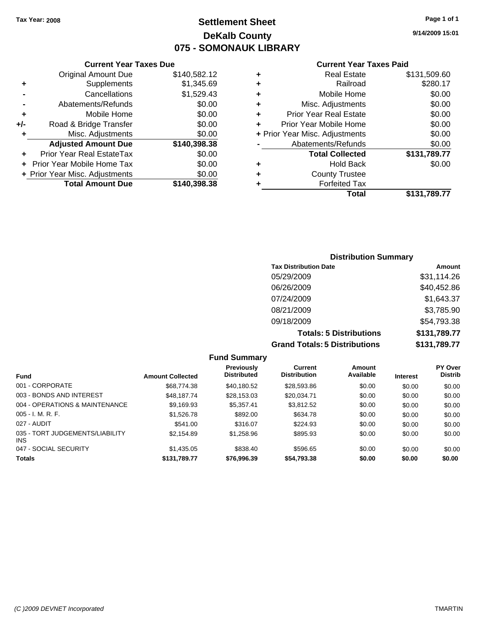## **Settlement Sheet Tax Year: 2008 Page 1 of 1 DeKalb County 075 - SOMONAUK LIBRARY**

**9/14/2009 15:01**

### **Current Year Taxes Paid**

|     | <b>Current Year Taxes Due</b>  |              |        |  |  |  |
|-----|--------------------------------|--------------|--------|--|--|--|
|     | <b>Original Amount Due</b>     | \$140,582.12 |        |  |  |  |
|     | Supplements                    | \$1,345.69   | ٠      |  |  |  |
|     | Cancellations                  | \$1,529.43   | ٠      |  |  |  |
|     | Abatements/Refunds             | \$0.00       | ٠      |  |  |  |
|     | Mobile Home                    | \$0.00       |        |  |  |  |
| +/- | Road & Bridge Transfer         | \$0.00       |        |  |  |  |
|     | Misc. Adjustments              | \$0.00       | + Prio |  |  |  |
|     | <b>Adjusted Amount Due</b>     | \$140,398.38 |        |  |  |  |
|     | Prior Year Real EstateTax      | \$0.00       |        |  |  |  |
|     | Prior Year Mobile Home Tax     | \$0.00       | ٠      |  |  |  |
|     | + Prior Year Misc. Adjustments | \$0.00       |        |  |  |  |
|     | <b>Total Amount Due</b>        | \$140,398.38 |        |  |  |  |
|     |                                |              |        |  |  |  |

| ٠ | <b>Real Estate</b>             | \$131,509.60 |
|---|--------------------------------|--------------|
| ٠ | Railroad                       | \$280.17     |
| ٠ | Mobile Home                    | \$0.00       |
| ٠ | Misc. Adjustments              | \$0.00       |
| ÷ | <b>Prior Year Real Estate</b>  | \$0.00       |
|   | Prior Year Mobile Home         | \$0.00       |
|   | + Prior Year Misc. Adjustments | \$0.00       |
|   | Abatements/Refunds             | \$0.00       |
|   | <b>Total Collected</b>         | \$131,789.77 |
| ٠ | <b>Hold Back</b>               | \$0.00       |
| ٠ | <b>County Trustee</b>          |              |
|   | <b>Forfeited Tax</b>           |              |
|   | Total                          | \$131,789.77 |
|   |                                |              |

### **Distribution Summary Tax Distribution Date Amount** 05/29/2009 \$31,114.26 06/26/2009 \$40,452.86 07/24/2009 \$1,643.37 08/21/2009 \$3,785.90 09/18/2009 \$54,793.38 **Totals: 5 Distributions \$131,789.77 Grand Totals: 5 Distributions \$131,789.77**

|                                         |                         | <b>Fund Summary</b>                     |                                |                     |                 |                                  |
|-----------------------------------------|-------------------------|-----------------------------------------|--------------------------------|---------------------|-----------------|----------------------------------|
| <b>Fund</b>                             | <b>Amount Collected</b> | <b>Previously</b><br><b>Distributed</b> | Current<br><b>Distribution</b> | Amount<br>Available | <b>Interest</b> | <b>PY Over</b><br><b>Distrib</b> |
| 001 - CORPORATE                         | \$68,774.38             | \$40.180.52                             | \$28,593.86                    | \$0.00              | \$0.00          | \$0.00                           |
| 003 - BONDS AND INTEREST                | \$48.187.74             | \$28,153,03                             | \$20.034.71                    | \$0.00              | \$0.00          | \$0.00                           |
| 004 - OPERATIONS & MAINTENANCE          | \$9.169.93              | \$5.357.41                              | \$3.812.52                     | \$0.00              | \$0.00          | \$0.00                           |
| 005 - I. M. R. F.                       | \$1,526.78              | \$892.00                                | \$634.78                       | \$0.00              | \$0.00          | \$0.00                           |
| 027 - AUDIT                             | \$541.00                | \$316.07                                | \$224.93                       | \$0.00              | \$0.00          | \$0.00                           |
| 035 - TORT JUDGEMENTS/LIABILITY<br>INS. | \$2.154.89              | \$1,258.96                              | \$895.93                       | \$0.00              | \$0.00          | \$0.00                           |
| 047 - SOCIAL SECURITY                   | \$1,435.05              | \$838.40                                | \$596.65                       | \$0.00              | \$0.00          | \$0.00                           |
| <b>Totals</b>                           | \$131,789.77            | \$76.996.39                             | \$54,793.38                    | \$0.00              | \$0.00          | \$0.00                           |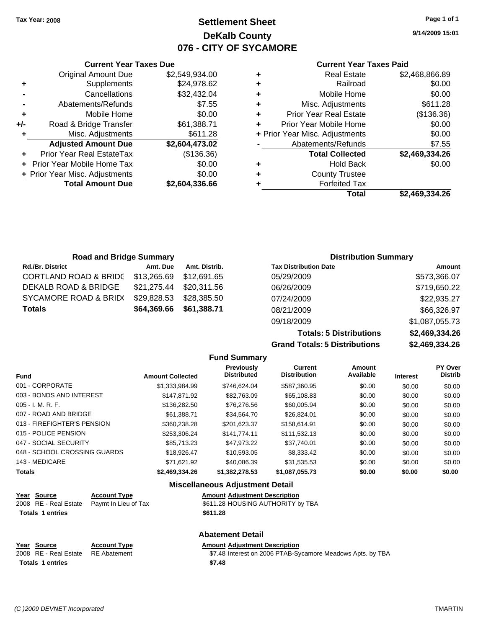**Current Year Taxes Due** Original Amount Due \$2,549,934.00

**Adjusted Amount Due \$2,604,473.02**

**Total Amount Due \$2,604,336.66**

**+** Supplements \$24,978.62 **-** Cancellations \$32,432.04 **-** Abatements/Refunds \$7.55 **+** Mobile Home \$0.00 **+/-** Road & Bridge Transfer \$61,388.71 **+** Misc. Adjustments \$611.28

**+** Prior Year Real EstateTax (\$136.36) **+** Prior Year Mobile Home Tax \$0.00 **+ Prior Year Misc. Adjustments**  $$0.00$ 

## **Settlement Sheet Tax Year: 2008 Page 1 of 1 DeKalb County 076 - CITY OF SYCAMORE**

**9/14/2009 15:01**

### **Current Year Taxes Paid**

|   | Total                          | \$2.469.334.26 |
|---|--------------------------------|----------------|
|   | <b>Forfeited Tax</b>           |                |
| ٠ | <b>County Trustee</b>          |                |
| ٠ | <b>Hold Back</b>               | \$0.00         |
|   | <b>Total Collected</b>         | \$2,469,334.26 |
|   | Abatements/Refunds             | \$7.55         |
|   | + Prior Year Misc. Adjustments | \$0.00         |
| ÷ | Prior Year Mobile Home         | \$0.00         |
| ٠ | <b>Prior Year Real Estate</b>  | (\$136.36)     |
| ٠ | Misc. Adjustments              | \$611.28       |
| ٠ | Mobile Home                    | \$0.00         |
| ٠ | Railroad                       | \$0.00         |
| ٠ | <b>Real Estate</b>             | \$2,468,866.89 |

| <b>Road and Bridge Summary</b>                |                         |                         | <b>Distribution Summary</b>  |              |
|-----------------------------------------------|-------------------------|-------------------------|------------------------------|--------------|
| <b>Rd./Br. District</b>                       | Amt. Due                | Amt. Distrib.           | <b>Tax Distribution Date</b> | Amount       |
| CORTLAND ROAD & BRIDC \$13,265.69 \$12,691.65 |                         |                         | 05/29/2009                   | \$573,366.07 |
| DEKALB ROAD & BRIDGE                          | \$21,275.44 \$20,311.56 |                         | 06/26/2009                   | \$719,650.22 |
| SYCAMORE ROAD & BRID(                         | \$29,828.53 \$28,385.50 |                         | 07/24/2009                   | \$22,935.27  |
| <b>Totals</b>                                 |                         | \$64,369.66 \$61,388.71 | 08/21/2009                   | \$66,326.97  |

**Fund Summary**

**Grand Totals: 5 Distributions** 

09/18/2009 \$1,087,055.73

**Totals: 5 Distributions \$2,469,334.26**

| \$2,469,334.26 |  |
|----------------|--|
|                |  |
|                |  |

| <b>Fund</b>                  | <b>Amount Collected</b> | Previously<br><b>Distributed</b> | Current<br><b>Distribution</b> | Amount<br>Available | <b>Interest</b> | PY Over<br><b>Distrib</b> |
|------------------------------|-------------------------|----------------------------------|--------------------------------|---------------------|-----------------|---------------------------|
| 001 - CORPORATE              | \$1.333.984.99          | \$746.624.04                     | \$587,360.95                   | \$0.00              | \$0.00          | \$0.00                    |
| 003 - BONDS AND INTEREST     | \$147.871.92            | \$82.763.09                      | \$65,108.83                    | \$0.00              | \$0.00          | \$0.00                    |
| 005 - I. M. R. F.            | \$136,282,50            | \$76,276.56                      | \$60,005.94                    | \$0.00              | \$0.00          | \$0.00                    |
| 007 - ROAD AND BRIDGE        | \$61.388.71             | \$34.564.70                      | \$26,824.01                    | \$0.00              | \$0.00          | \$0.00                    |
| 013 - FIREFIGHTER'S PENSION  | \$360,238.28            | \$201.623.37                     | \$158,614.91                   | \$0.00              | \$0.00          | \$0.00                    |
| 015 - POLICE PENSION         | \$253.306.24            | \$141,774.11                     | \$111.532.13                   | \$0.00              | \$0.00          | \$0.00                    |
| 047 - SOCIAL SECURITY        | \$85,713.23             | \$47.973.22                      | \$37.740.01                    | \$0.00              | \$0.00          | \$0.00                    |
| 048 - SCHOOL CROSSING GUARDS | \$18,926.47             | \$10.593.05                      | \$8.333.42                     | \$0.00              | \$0.00          | \$0.00                    |
| 143 - MEDICARE               | \$71.621.92             | \$40.086.39                      | \$31,535.53                    | \$0.00              | \$0.00          | \$0.00                    |
| Totals                       | \$2,469,334.26          | \$1,382,278.53                   | \$1,087,055.73                 | \$0.00              | \$0.00          | \$0.00                    |

### **Miscellaneous Adjustment Detail**

| Year Source             | <b>Account Type</b>                        | <b>Amount Adiustment Description</b> |
|-------------------------|--------------------------------------------|--------------------------------------|
|                         | 2008 RE - Real Estate Paymt In Lieu of Tax | \$611.28 HOUSING AUTHORITY by TBA    |
| <b>Totals 1 entries</b> |                                            | \$611.28                             |

### **Abatement Detail**

| Year Source                        | <b>Account Type</b> | <b>Amount Adjustment Description</b>                       |
|------------------------------------|---------------------|------------------------------------------------------------|
| 2008 RE - Real Estate RE Abatement |                     | \$7.48 Interest on 2006 PTAB-Sycamore Meadows Apts. by TBA |
| <b>Totals 1 entries</b>            |                     | \$7.48                                                     |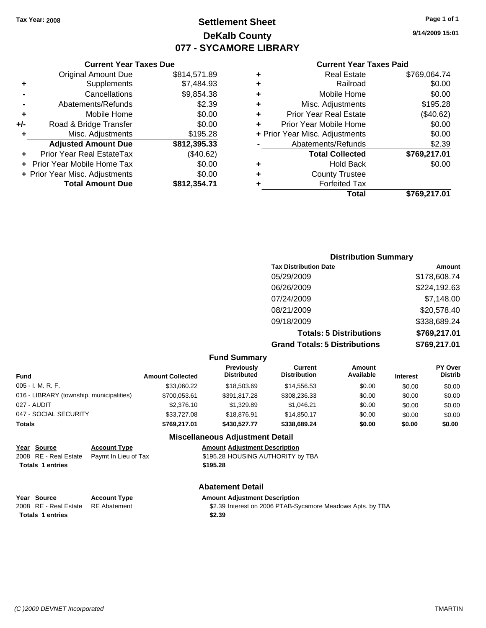## **Settlement Sheet Tax Year: 2008 Page 1 of 1 DeKalb County 077 - SYCAMORE LIBRARY**

**9/14/2009 15:01**

### **Current Year Taxes Paid**

|   | Total                          | \$769,217.01 |
|---|--------------------------------|--------------|
| ٠ | <b>Forfeited Tax</b>           |              |
| ٠ | <b>County Trustee</b>          |              |
| ٠ | <b>Hold Back</b>               | \$0.00       |
|   | <b>Total Collected</b>         | \$769,217.01 |
|   | Abatements/Refunds             | \$2.39       |
|   | + Prior Year Misc. Adjustments | \$0.00       |
| ٠ | Prior Year Mobile Home         | \$0.00       |
| ٠ | <b>Prior Year Real Estate</b>  | (\$40.62)    |
| ٠ | Misc. Adjustments              | \$195.28     |
| ٠ | Mobile Home                    | \$0.00       |
| ٠ | Railroad                       | \$0.00       |
| ٠ | <b>Real Estate</b>             | \$769,064.74 |

|     | <b>Current Year Taxes Due</b>  |              |  |  |  |  |
|-----|--------------------------------|--------------|--|--|--|--|
|     | <b>Original Amount Due</b>     | \$814,571.89 |  |  |  |  |
| ٠   | Supplements                    | \$7,484.93   |  |  |  |  |
|     | Cancellations                  | \$9,854.38   |  |  |  |  |
|     | Abatements/Refunds             | \$2.39       |  |  |  |  |
| ٠   | Mobile Home                    | \$0.00       |  |  |  |  |
| +/- | Road & Bridge Transfer         | \$0.00       |  |  |  |  |
| ٠   | Misc. Adjustments              | \$195.28     |  |  |  |  |
|     | <b>Adjusted Amount Due</b>     | \$812,395.33 |  |  |  |  |
|     | Prior Year Real EstateTax      | (\$40.62)    |  |  |  |  |
|     | Prior Year Mobile Home Tax     | \$0.00       |  |  |  |  |
|     | + Prior Year Misc. Adjustments | \$0.00       |  |  |  |  |
|     | <b>Total Amount Due</b>        | \$812,354.71 |  |  |  |  |

### **Distribution Summary**

| <b>Tax Distribution Date</b>         | Amount       |
|--------------------------------------|--------------|
| 05/29/2009                           | \$178,608.74 |
| 06/26/2009                           | \$224,192.63 |
| 07/24/2009                           | \$7,148.00   |
| 08/21/2009                           | \$20,578.40  |
| 09/18/2009                           | \$338,689.24 |
| <b>Totals: 5 Distributions</b>       | \$769,217.01 |
| <b>Grand Totals: 5 Distributions</b> | \$769,217.01 |

### **Fund Summary**

| <b>Fund</b>                              | <b>Amount Collected</b> | <b>Previously</b><br><b>Distributed</b> | Current<br><b>Distribution</b> | Amount<br>Available | <b>Interest</b> | <b>PY Over</b><br><b>Distrib</b> |
|------------------------------------------|-------------------------|-----------------------------------------|--------------------------------|---------------------|-----------------|----------------------------------|
| 005 - I. M. R. F.                        | \$33,060.22             | \$18,503,69                             | \$14,556.53                    | \$0.00              | \$0.00          | \$0.00                           |
| 016 - LIBRARY (township, municipalities) | \$700.053.61            | \$391.817.28                            | \$308,236,33                   | \$0.00              | \$0.00          | \$0.00                           |
| 027 - AUDIT                              | \$2,376.10              | \$1.329.89                              | \$1,046.21                     | \$0.00              | \$0.00          | \$0.00                           |
| 047 - SOCIAL SECURITY                    | \$33,727.08             | \$18,876.91                             | \$14.850.17                    | \$0.00              | \$0.00          | \$0.00                           |
| <b>Totals</b>                            | \$769,217.01            | \$430,527.77                            | \$338,689.24                   | \$0.00              | \$0.00          | \$0.00                           |
|                                          |                         |                                         |                                |                     |                 |                                  |

### **Miscellaneous Adjustment Detail**

| Year Source             | <b>Account Type</b>                        | <b>Amount Adjustment Description</b> |
|-------------------------|--------------------------------------------|--------------------------------------|
|                         | 2008 RE - Real Estate Paymt In Lieu of Tax | \$195.28 HOUSING AUTHORITY by TBA    |
| <b>Totals 1 entries</b> |                                            | \$195.28                             |

### **Abatement Detail**

#### **Year Source Account Type Amount Amount Adjustment Description**<br>2008 RE - Real Estate RE Abatement **\$2.39** Interest on 2006 PTAB-Sy \$2.39 Interest on 2006 PTAB-Sycamore Meadows Apts. by TBA **Totals \$2.39 1 entries**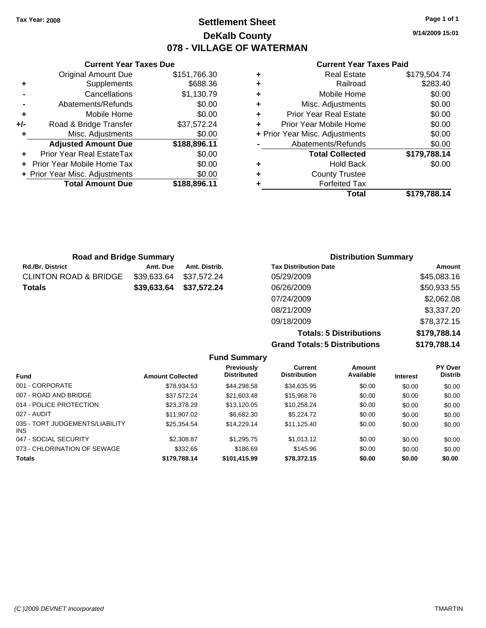**Current Year Taxes Due** Original Amount Due \$151,766.30

**Adjusted Amount Due \$188,896.11**

**Total Amount Due \$188,896.11**

**+** Supplements \$688.36 **-** Cancellations \$1,130.79 **-** Abatements/Refunds \$0.00 **+** Mobile Home \$0.00 **+/-** Road & Bridge Transfer \$37,572.24 **+** Misc. Adjustments \$0.00

**+** Prior Year Real EstateTax \$0.00 **+** Prior Year Mobile Home Tax \$0.00 **+ Prior Year Misc. Adjustments**  $$0.00$ 

## **Settlement Sheet Tax Year: 2008 Page 1 of 1 DeKalb County 078 - VILLAGE OF WATERMAN**

**9/14/2009 15:01**

### **Current Year Taxes Paid**

| <b>Road and Bridge Summary</b>   |             |               | <b>Distribution Summary</b>  |             |  |
|----------------------------------|-------------|---------------|------------------------------|-------------|--|
| <b>Rd./Br. District</b>          | Amt. Due    | Amt. Distrib. | <b>Tax Distribution Date</b> | Amount      |  |
| <b>CLINTON ROAD &amp; BRIDGE</b> | \$39,633.64 | \$37,572.24   | 05/29/2009                   | \$45,083.16 |  |
| <b>Totals</b>                    | \$39,633.64 | \$37,572.24   | 06/26/2009                   | \$50,933.55 |  |
|                                  |             |               | 07/24/2009                   | \$2,062.08  |  |
|                                  |             |               | 08/21/2009                   | \$3,337.20  |  |

**Totals: 5 Distributions \$179,788.14 Grand Totals: 5 Distributions \$179,788.14**

09/18/2009 \$78,372.15

| <b>Amount Collected</b> | <b>Previously</b><br><b>Distributed</b> | <b>Current</b><br><b>Distribution</b> | Amount<br>Available | <b>Interest</b> | PY Over<br><b>Distrib</b> |  |  |
|-------------------------|-----------------------------------------|---------------------------------------|---------------------|-----------------|---------------------------|--|--|
| \$78.934.53             | \$44.298.58                             | \$34,635.95                           | \$0.00              | \$0.00          | \$0.00                    |  |  |
| \$37.572.24             | \$21.603.48                             | \$15,968.76                           | \$0.00              | \$0.00          | \$0.00                    |  |  |
| \$23,378.29             | \$13.120.05                             | \$10.258.24                           | \$0.00              | \$0.00          | \$0.00                    |  |  |
| \$11.907.02             | \$6,682,30                              | \$5,224.72                            | \$0.00              | \$0.00          | \$0.00                    |  |  |
| \$25.354.54             | \$14.229.14                             | \$11.125.40                           | \$0.00              | \$0.00          | \$0.00                    |  |  |
| \$2,308.87              | \$1,295.75                              | \$1.013.12                            | \$0.00              | \$0.00          | \$0.00                    |  |  |
| \$332.65                | \$186.69                                | \$145.96                              | \$0.00              | \$0.00          | \$0.00                    |  |  |
| \$179,788.14            | \$101,415.99                            | \$78,372.15                           | \$0.00              | \$0.00          | \$0.00                    |  |  |
|                         |                                         | <b>Fund Summary</b>                   |                     |                 |                           |  |  |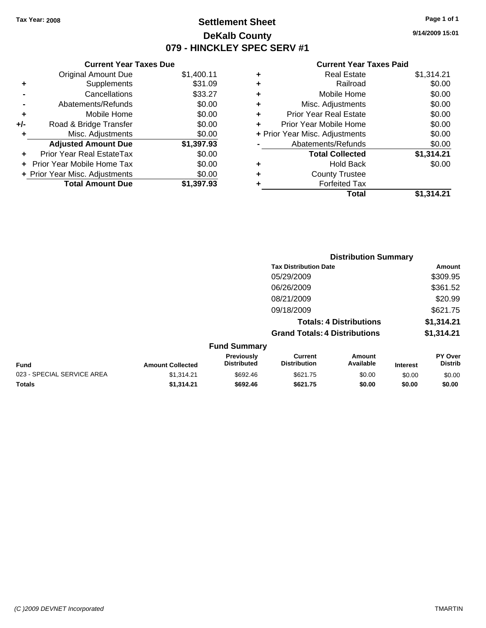**Current Year Taxes Due** Original Amount Due \$1,400.11

**Adjusted Amount Due \$1,397.93**

**Total Amount Due \$1,397.93**

**+** Supplements \$31.09 **-** Cancellations \$33.27 **-** Abatements/Refunds \$0.00 **+** Mobile Home \$0.00 **+/-** Road & Bridge Transfer \$0.00 **+** Misc. Adjustments \$0.00

**+** Prior Year Real EstateTax \$0.00 **+** Prior Year Mobile Home Tax \$0.00 **+ Prior Year Misc. Adjustments**  $$0.00$ 

## **Settlement Sheet Tax Year: 2008 Page 1 of 1 DeKalb County 079 - HINCKLEY SPEC SERV #1**

**9/14/2009 15:01**

#### **Current Year Taxes Paid**

|   | Total                          | \$1.314.21 |
|---|--------------------------------|------------|
|   | <b>Forfeited Tax</b>           |            |
| ٠ | <b>County Trustee</b>          |            |
| ٠ | <b>Hold Back</b>               | \$0.00     |
|   | <b>Total Collected</b>         | \$1,314.21 |
|   | Abatements/Refunds             | \$0.00     |
|   | + Prior Year Misc. Adjustments | \$0.00     |
| ÷ | Prior Year Mobile Home         | \$0.00     |
| ٠ | <b>Prior Year Real Estate</b>  | \$0.00     |
| ٠ | Misc. Adjustments              | \$0.00     |
| ÷ | Mobile Home                    | \$0.00     |
| ÷ | Railroad                       | \$0.00     |
| ٠ | <b>Real Estate</b>             | \$1,314.21 |

|                            |                         |                                         |                                       | <b>Distribution Summary</b>    |                 |                           |
|----------------------------|-------------------------|-----------------------------------------|---------------------------------------|--------------------------------|-----------------|---------------------------|
|                            |                         |                                         | <b>Tax Distribution Date</b>          |                                |                 | Amount                    |
|                            |                         |                                         | 05/29/2009                            |                                |                 | \$309.95                  |
|                            |                         |                                         | 06/26/2009                            |                                |                 | \$361.52                  |
|                            |                         |                                         | 08/21/2009                            |                                |                 | \$20.99                   |
|                            |                         |                                         | 09/18/2009                            |                                |                 | \$621.75                  |
|                            |                         |                                         |                                       | <b>Totals: 4 Distributions</b> |                 | \$1,314.21                |
|                            |                         |                                         | <b>Grand Totals: 4 Distributions</b>  |                                |                 | \$1,314.21                |
|                            |                         | <b>Fund Summary</b>                     |                                       |                                |                 |                           |
| Fund                       | <b>Amount Collected</b> | <b>Previously</b><br><b>Distributed</b> | <b>Current</b><br><b>Distribution</b> | Amount<br>Available            | <b>Interest</b> | PY Over<br><b>Distrib</b> |
| 023 - SPECIAL SERVICE AREA | \$1,314.21              | \$692.46                                | \$621.75                              | \$0.00                         | \$0.00          | \$0.00                    |
|                            |                         |                                         |                                       |                                |                 |                           |

**Totals \$1,314.21 \$692.46 \$621.75 \$0.00 \$0.00 \$0.00**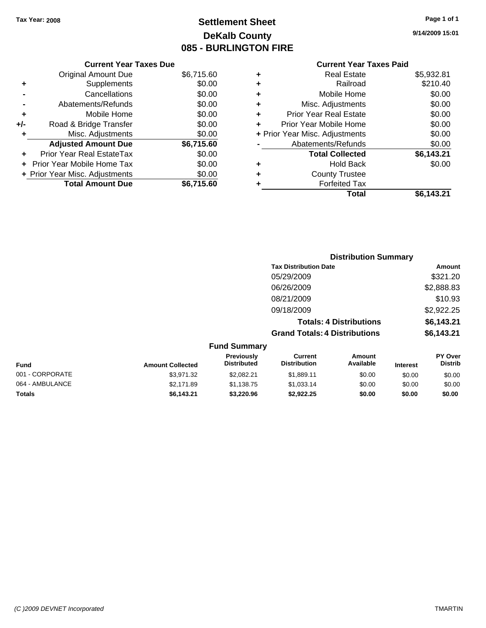## **Settlement Sheet Tax Year: 2008 Page 1 of 1 DeKalb County 085 - BURLINGTON FIRE**

**9/14/2009 15:01**

|     | <b>Current Year Taxes Due</b>  |            |  |  |  |  |
|-----|--------------------------------|------------|--|--|--|--|
|     | <b>Original Amount Due</b>     | \$6,715.60 |  |  |  |  |
| ٠   | Supplements                    | \$0.00     |  |  |  |  |
|     | Cancellations                  | \$0.00     |  |  |  |  |
|     | Abatements/Refunds             | \$0.00     |  |  |  |  |
| ÷   | Mobile Home                    | \$0.00     |  |  |  |  |
| +/- | Road & Bridge Transfer         | \$0.00     |  |  |  |  |
| ٠   | Misc. Adjustments              | \$0.00     |  |  |  |  |
|     | <b>Adjusted Amount Due</b>     | \$6,715.60 |  |  |  |  |
|     | Prior Year Real EstateTax      | \$0.00     |  |  |  |  |
|     | Prior Year Mobile Home Tax     | \$0.00     |  |  |  |  |
|     | + Prior Year Misc. Adjustments | \$0.00     |  |  |  |  |
|     | <b>Total Amount Due</b>        | \$6.715.60 |  |  |  |  |

|   | <b>Current Year Taxes Paid</b> |            |
|---|--------------------------------|------------|
| ٠ | <b>Real Estate</b>             | \$5,932.81 |
| ٠ | Railroad                       | \$210.40   |
| ٠ | Mobile Home                    | \$0.00     |
| ٠ | Misc. Adjustments              | \$0.00     |
| ٠ | <b>Prior Year Real Estate</b>  | \$0.00     |
| ٠ | Prior Year Mobile Home         | \$0.00     |
|   | + Prior Year Misc. Adjustments | \$0.00     |
|   | Abatements/Refunds             | \$0.00     |
|   | <b>Total Collected</b>         | \$6,143.21 |
| ٠ | <b>Hold Back</b>               | \$0.00     |
| ٠ | <b>County Trustee</b>          |            |
| ٠ | <b>Forfeited Tax</b>           |            |
|   | Total                          | \$6,143.21 |

|                         |                                  |                                      | <b>Distribution Summary</b>    |                 |                                  |
|-------------------------|----------------------------------|--------------------------------------|--------------------------------|-----------------|----------------------------------|
|                         |                                  | <b>Tax Distribution Date</b>         |                                |                 | Amount                           |
|                         |                                  | 05/29/2009                           |                                |                 | \$321.20                         |
|                         |                                  | 06/26/2009                           |                                |                 | \$2,888.83                       |
|                         |                                  | 08/21/2009                           |                                |                 | \$10.93                          |
|                         |                                  | 09/18/2009                           |                                |                 | \$2,922.25                       |
|                         |                                  |                                      | <b>Totals: 4 Distributions</b> |                 | \$6,143.21                       |
|                         |                                  | <b>Grand Totals: 4 Distributions</b> |                                |                 | \$6,143.21                       |
|                         | <b>Fund Summary</b>              |                                      |                                |                 |                                  |
| <b>Amount Collected</b> | Previously<br><b>Distributed</b> | Current<br><b>Distribution</b>       | Amount<br>Available            | <b>Interest</b> | <b>PY Over</b><br><b>Distrib</b> |

| <b>Fund</b>     | <b>Amount Collected</b> | <b>Previously</b><br><b>Distributed</b> | Current<br><b>Distribution</b> | Amount<br>Available | <b>Interest</b> | <b>PY Over</b><br><b>Distrib</b> |
|-----------------|-------------------------|-----------------------------------------|--------------------------------|---------------------|-----------------|----------------------------------|
| 001 - CORPORATE | \$3.971.32              | \$2.082.21                              | \$1,889.11                     | \$0.00              | \$0.00          | \$0.00                           |
| 064 - AMBULANCE | \$2,171.89              | \$1.138.75                              | \$1.033.14                     | \$0.00              | \$0.00          | \$0.00                           |
| <b>Totals</b>   | \$6.143.21              | \$3.220.96                              | \$2.922.25                     | \$0.00              | \$0.00          | \$0.00                           |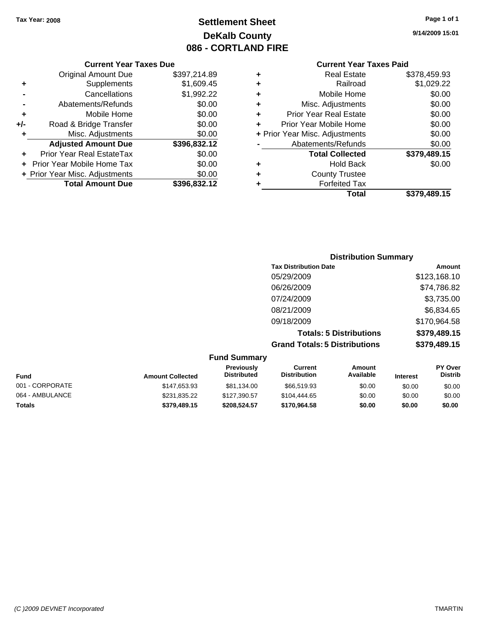## **Settlement Sheet Tax Year: 2008 Page 1 of 1 DeKalb County 086 - CORTLAND FIRE**

#### **Current Year Taxes Due**

|       | <b>Original Amount Due</b>       | \$397,214.89 |
|-------|----------------------------------|--------------|
| ٠     | Supplements                      | \$1,609.45   |
|       | Cancellations                    | \$1,992.22   |
|       | Abatements/Refunds               | \$0.00       |
| ٠     | Mobile Home                      | \$0.00       |
| $+/-$ | Road & Bridge Transfer           | \$0.00       |
| ٠     | Misc. Adjustments                | \$0.00       |
|       | <b>Adjusted Amount Due</b>       | \$396,832.12 |
|       | <b>Prior Year Real EstateTax</b> | \$0.00       |
|       | Prior Year Mobile Home Tax       | \$0.00       |
|       | + Prior Year Misc. Adjustments   | \$0.00       |
|       | <b>Total Amount Due</b>          | \$396,832.12 |

#### **Current Year Taxes Paid**

|   | <b>Real Estate</b>             | \$378,459.93 |
|---|--------------------------------|--------------|
| ٠ | Railroad                       | \$1,029.22   |
| ٠ | Mobile Home                    | \$0.00       |
| ٠ | Misc. Adjustments              | \$0.00       |
| ٠ | <b>Prior Year Real Estate</b>  | \$0.00       |
| ٠ | Prior Year Mobile Home         | \$0.00       |
|   | + Prior Year Misc. Adjustments | \$0.00       |
|   | Abatements/Refunds             | \$0.00       |
|   | <b>Total Collected</b>         | \$379,489.15 |
| ٠ | <b>Hold Back</b>               | \$0.00       |
| ٠ | <b>County Trustee</b>          |              |
|   | <b>Forfeited Tax</b>           |              |
|   | Total                          | \$379,489.15 |
|   |                                |              |

## **Distribution Summary Tax Distribution Date Amount** 05/29/2009 \$123,168.10 06/26/2009 \$74,786.82 07/24/2009 \$3,735.00 08/21/2009 \$6,834.65 09/18/2009 \$170,964.58 **Totals: 5 Distributions \$379,489.15 Grand Totals: 5 Distributions \$379,489.15**

| <b>Fund Summary</b> |                         |                                  |                                |                            |                 |                                  |
|---------------------|-------------------------|----------------------------------|--------------------------------|----------------------------|-----------------|----------------------------------|
| <b>Fund</b>         | <b>Amount Collected</b> | Previously<br><b>Distributed</b> | Current<br><b>Distribution</b> | <b>Amount</b><br>Available | <b>Interest</b> | <b>PY Over</b><br><b>Distrib</b> |
| 001 - CORPORATE     | \$147,653.93            | \$81,134.00                      | \$66,519.93                    | \$0.00                     | \$0.00          | \$0.00                           |
| 064 - AMBULANCE     | \$231,835.22            | \$127,390.57                     | \$104,444.65                   | \$0.00                     | \$0.00          | \$0.00                           |
| <b>Totals</b>       | \$379,489.15            | \$208,524.57                     | \$170,964.58                   | \$0.00                     | \$0.00          | \$0.00                           |

**9/14/2009 15:01**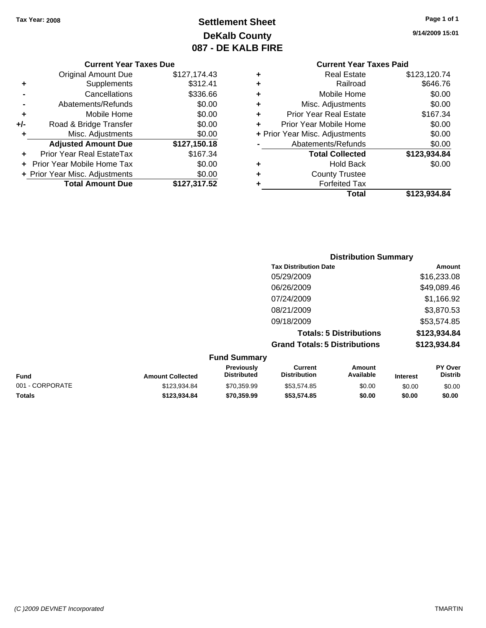## **Settlement Sheet Tax Year: 2008 Page 1 of 1 DeKalb County 087 - DE KALB FIRE**

**9/14/2009 15:01**

#### **Current Year Taxes Due**

|       | <b>Original Amount Due</b>        | \$127,174.43 |
|-------|-----------------------------------|--------------|
| ٠     | Supplements                       | \$312.41     |
|       | Cancellations                     | \$336.66     |
|       | Abatements/Refunds                | \$0.00       |
| ٠     | Mobile Home                       | \$0.00       |
| $+/-$ | Road & Bridge Transfer            | \$0.00       |
|       | Misc. Adjustments                 | \$0.00       |
|       | <b>Adjusted Amount Due</b>        | \$127,150.18 |
|       | Prior Year Real EstateTax         | \$167.34     |
|       | <b>Prior Year Mobile Home Tax</b> | \$0.00       |
|       | + Prior Year Misc. Adjustments    | \$0.00       |
|       | <b>Total Amount Due</b>           | \$127,317.52 |

## **Current Year Taxes Paid**

|   | <b>Real Estate</b>             | \$123,120.74 |
|---|--------------------------------|--------------|
| ٠ | Railroad                       | \$646.76     |
| ٠ | Mobile Home                    | \$0.00       |
| ٠ | Misc. Adjustments              | \$0.00       |
| ٠ | <b>Prior Year Real Estate</b>  | \$167.34     |
|   | Prior Year Mobile Home         | \$0.00       |
|   | + Prior Year Misc. Adjustments | \$0.00       |
|   | Abatements/Refunds             | \$0.00       |
|   | <b>Total Collected</b>         | \$123,934.84 |
| ٠ | Hold Back                      | \$0.00       |
| ٠ | <b>County Trustee</b>          |              |
|   | <b>Forfeited Tax</b>           |              |
|   | Total                          | \$123,934.84 |
|   |                                |              |

## **Distribution Summary Tax Distribution Date Amount** 05/29/2009 \$16,233.08 06/26/2009 \$49,089.46 07/24/2009 \$1,166.92 08/21/2009 \$3,870.53 09/18/2009 \$53,574.85 **Totals: 5 Distributions \$123,934.84 Grand Totals: 5 Distributions \$123,934.84**

| <b>Fund Summary</b> |                         |                                         |                                |                     |                 |                           |
|---------------------|-------------------------|-----------------------------------------|--------------------------------|---------------------|-----------------|---------------------------|
| <b>Fund</b>         | <b>Amount Collected</b> | <b>Previously</b><br><b>Distributed</b> | Current<br><b>Distribution</b> | Amount<br>Available | <b>Interest</b> | PY Over<br><b>Distrib</b> |
| 001 - CORPORATE     | \$123.934.84            | \$70.359.99                             | \$53.574.85                    | \$0.00              | \$0.00          | \$0.00                    |
| <b>Totals</b>       | \$123.934.84            | \$70,359.99                             | \$53.574.85                    | \$0.00              | \$0.00          | \$0.00                    |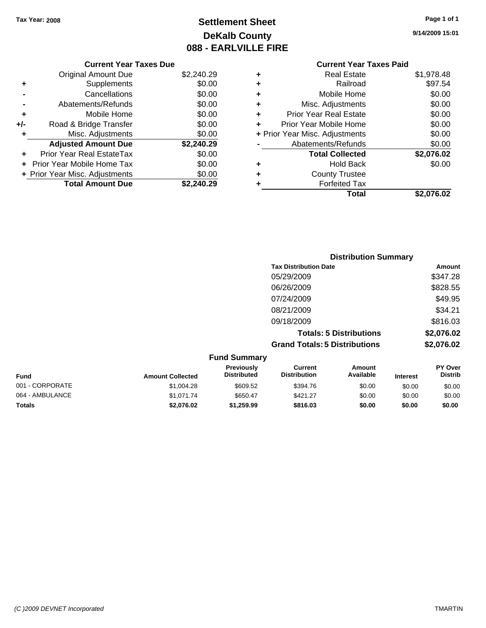## **Settlement Sheet Tax Year: 2008 Page 1 of 1 DeKalb County 088 - EARLVILLE FIRE**

**9/14/2009 15:01**

## **Current Year Taxes Due**

|       | <b>Original Amount Due</b>        | \$2,240.29 |
|-------|-----------------------------------|------------|
| ٠     | Supplements                       | \$0.00     |
|       | Cancellations                     | \$0.00     |
|       | Abatements/Refunds                | \$0.00     |
| ÷     | Mobile Home                       | \$0.00     |
| $+/-$ | Road & Bridge Transfer            | \$0.00     |
| ٠     | Misc. Adjustments                 | \$0.00     |
|       | <b>Adjusted Amount Due</b>        | \$2,240.29 |
|       | Prior Year Real EstateTax         | \$0.00     |
|       | <b>Prior Year Mobile Home Tax</b> | \$0.00     |
|       | + Prior Year Misc. Adjustments    | \$0.00     |
|       | <b>Total Amount Due</b>           | \$2.240.29 |

## **Current Year Taxes Paid**

| ٠ | Real Estate                    | \$1,978.48 |
|---|--------------------------------|------------|
| ٠ | Railroad                       | \$97.54    |
| ٠ | Mobile Home                    | \$0.00     |
| ٠ | Misc. Adjustments              | \$0.00     |
| ٠ | <b>Prior Year Real Estate</b>  | \$0.00     |
| ٠ | Prior Year Mobile Home         | \$0.00     |
|   | + Prior Year Misc. Adjustments | \$0.00     |
|   | Abatements/Refunds             | \$0.00     |
|   | <b>Total Collected</b>         | \$2,076.02 |
| ٠ | <b>Hold Back</b>               | \$0.00     |
| ٠ | <b>County Trustee</b>          |            |
| ٠ | <b>Forfeited Tax</b>           |            |
|   | Total                          | \$2,076.02 |
|   |                                |            |

|                     | <b>Distribution Summary</b>          |            |
|---------------------|--------------------------------------|------------|
|                     | <b>Tax Distribution Date</b>         | Amount     |
|                     | 05/29/2009                           | \$347.28   |
|                     | 06/26/2009                           | \$828.55   |
|                     | 07/24/2009                           | \$49.95    |
|                     | 08/21/2009                           | \$34.21    |
|                     | 09/18/2009                           | \$816.03   |
|                     | <b>Totals: 5 Distributions</b>       | \$2,076.02 |
|                     | <b>Grand Totals: 5 Distributions</b> | \$2,076.02 |
| <b>Eund Cummory</b> |                                      |            |

| <b>Fund Summary</b> |                         |                                         |                                |                     |                 |                                  |
|---------------------|-------------------------|-----------------------------------------|--------------------------------|---------------------|-----------------|----------------------------------|
| <b>Fund</b>         | <b>Amount Collected</b> | <b>Previously</b><br><b>Distributed</b> | Current<br><b>Distribution</b> | Amount<br>Available | <b>Interest</b> | <b>PY Over</b><br><b>Distrib</b> |
| 001 - CORPORATE     | \$1,004.28              | \$609.52                                | \$394.76                       | \$0.00              | \$0.00          | \$0.00                           |
| 064 - AMBULANCE     | \$1.071.74              | \$650.47                                | \$421.27                       | \$0.00              | \$0.00          | \$0.00                           |
| <b>Totals</b>       | \$2.076.02              | \$1.259.99                              | \$816.03                       | \$0.00              | \$0.00          | \$0.00                           |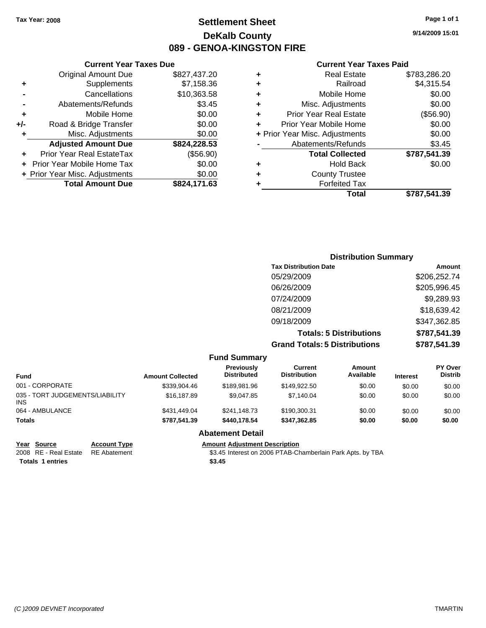## **Settlement Sheet Tax Year: 2008 Page 1 of 1 DeKalb County 089 - GENOA-KINGSTON FIRE**

**9/14/2009 15:01**

#### **Current Year Taxes Paid**

| ٠ | <b>Real Estate</b>             | \$783,286.20 |
|---|--------------------------------|--------------|
| ٠ | Railroad                       | \$4,315.54   |
| ٠ | Mobile Home                    | \$0.00       |
| ٠ | Misc. Adjustments              | \$0.00       |
| ٠ | <b>Prior Year Real Estate</b>  | (\$56.90)    |
| ÷ | Prior Year Mobile Home         | \$0.00       |
|   | + Prior Year Misc. Adjustments | \$0.00       |
|   | Abatements/Refunds             | \$3.45       |
|   | <b>Total Collected</b>         | \$787,541.39 |
| ٠ | <b>Hold Back</b>               | \$0.00       |
| ٠ | <b>County Trustee</b>          |              |
|   | <b>Forfeited Tax</b>           |              |
|   | Total                          | \$787.541.39 |

|     | <b>Current Year Taxes Due</b>  |              |
|-----|--------------------------------|--------------|
|     | <b>Original Amount Due</b>     | \$827,437.20 |
| ٠   | Supplements                    | \$7,158.36   |
|     | Cancellations                  | \$10,363.58  |
|     | Abatements/Refunds             | \$3.45       |
| ٠   | Mobile Home                    | \$0.00       |
| +/- | Road & Bridge Transfer         | \$0.00       |
| ٠   | Misc. Adjustments              | \$0.00       |
|     | <b>Adjusted Amount Due</b>     | \$824,228.53 |
|     | Prior Year Real EstateTax      | (\$56.90)    |
|     | Prior Year Mobile Home Tax     | \$0.00       |
|     | + Prior Year Misc. Adjustments | \$0.00       |
|     | <b>Total Amount Due</b>        | \$824,171.63 |

| <b>Distribution Summary</b>          |              |  |
|--------------------------------------|--------------|--|
| <b>Tax Distribution Date</b>         | Amount       |  |
| 05/29/2009                           | \$206,252.74 |  |
| 06/26/2009                           | \$205,996.45 |  |
| 07/24/2009                           | \$9,289.93   |  |
| 08/21/2009                           | \$18,639.42  |  |
| 09/18/2009                           | \$347,362.85 |  |
| <b>Totals: 5 Distributions</b>       | \$787,541.39 |  |
| <b>Grand Totals: 5 Distributions</b> | \$787,541.39 |  |

|                                         |                         | <b>Fund Summary</b>                     |                                |                     |                 |                                  |
|-----------------------------------------|-------------------------|-----------------------------------------|--------------------------------|---------------------|-----------------|----------------------------------|
| <b>Fund</b>                             | <b>Amount Collected</b> | <b>Previously</b><br><b>Distributed</b> | Current<br><b>Distribution</b> | Amount<br>Available | <b>Interest</b> | <b>PY Over</b><br><b>Distrib</b> |
| 001 - CORPORATE                         | \$339,904.46            | \$189.981.96                            | \$149,922.50                   | \$0.00              | \$0.00          | \$0.00                           |
| 035 - TORT JUDGEMENTS/LIABILITY<br>INS. | \$16,187.89             | \$9.047.85                              | \$7,140.04                     | \$0.00              | \$0.00          | \$0.00                           |
| 064 - AMBULANCE                         | \$431,449.04            | \$241,148.73                            | \$190,300,31                   | \$0.00              | \$0.00          | \$0.00                           |
| <b>Totals</b>                           | \$787,541.39            | \$440.178.54                            | \$347.362.85                   | \$0.00              | \$0.00          | \$0.00                           |
|                                         |                         | <b>Abatement Detail</b>                 |                                |                     |                 |                                  |
| Source<br>Year<br><b>Account Type</b>   |                         | <b>Amount Adjustment Description</b>    |                                |                     |                 |                                  |

**Totals \$3.45 1 entries**

2008 RE - Real Estate RE Abatement S3.45 Interest on 2006 PTAB-Chamberlain Park Apts. by TBA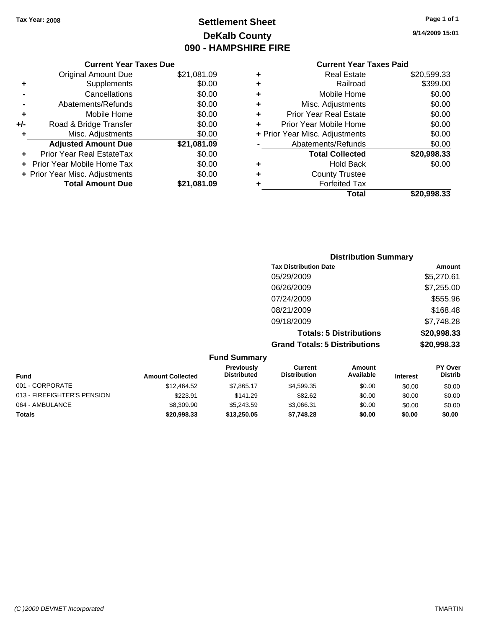## **Settlement Sheet Tax Year: 2008 Page 1 of 1 DeKalb County 090 - HAMPSHIRE FIRE**

**9/14/2009 15:01**

|   | <b>Current Year Taxes Paid</b>   |             |  |  |  |
|---|----------------------------------|-------------|--|--|--|
| ٠ | <b>Real Estate</b>               | \$20,599.33 |  |  |  |
| ٠ | Railroad                         | \$399.00    |  |  |  |
| ٠ | Mobile Home                      | \$0.00      |  |  |  |
| ٠ | Misc. Adjustments                | \$0.00      |  |  |  |
| ÷ | <b>Prior Year Real Estate</b>    | \$0.00      |  |  |  |
| ÷ | \$0.00<br>Prior Year Mobile Home |             |  |  |  |
|   | + Prior Year Misc. Adjustments   | \$0.00      |  |  |  |
|   | Abatements/Refunds               | \$0.00      |  |  |  |
|   | <b>Total Collected</b>           | \$20,998.33 |  |  |  |
|   | <b>Hold Back</b>                 | \$0.00      |  |  |  |
| ٠ | <b>County Trustee</b>            |             |  |  |  |
|   | <b>Forfeited Tax</b>             |             |  |  |  |
|   | Total                            | \$20,998.33 |  |  |  |

## **Current Year Taxes Due** Original Amount Due \$21,081.09 **+** Supplements \$0.00 **-** Cancellations \$0.00 **-** Abatements/Refunds \$0.00 **+** Mobile Home \$0.00 **+/-** Road & Bridge Transfer \$0.00 **+** Misc. Adjustments \$0.00 **Adjusted Amount Due \$21,081.09 +** Prior Year Real EstateTax \$0.00 **+** Prior Year Mobile Home Tax \$0.00 **+ Prior Year Misc. Adjustments**  $$0.00$ **Total Amount Due \$21,081.09**

## **Distribution Summary Tax Distribution Date Amount** 05/29/2009 \$5,270.61 06/26/2009 \$7,255.00 07/24/2009 \$555.96 08/21/2009 \$168.48 09/18/2009 \$7,748.28 **Totals: 5 Distributions \$20,998.33 Grand Totals: 5 Distributions \$20,998.33**

|                             |                         | <b>Fund Summary</b>                     |                                |                            |                 |                           |
|-----------------------------|-------------------------|-----------------------------------------|--------------------------------|----------------------------|-----------------|---------------------------|
| Fund                        | <b>Amount Collected</b> | <b>Previously</b><br><b>Distributed</b> | Current<br><b>Distribution</b> | <b>Amount</b><br>Available | <b>Interest</b> | PY Over<br><b>Distrib</b> |
| 001 - CORPORATE             | \$12,464.52             | \$7.865.17                              | \$4,599.35                     | \$0.00                     | \$0.00          | \$0.00                    |
| 013 - FIREFIGHTER'S PENSION | \$223.91                | \$141.29                                | \$82.62                        | \$0.00                     | \$0.00          | \$0.00                    |
| 064 - AMBULANCE             | \$8,309.90              | \$5.243.59                              | \$3.066.31                     | \$0.00                     | \$0.00          | \$0.00                    |
| <b>Totals</b>               | \$20,998.33             | \$13,250.05                             | \$7,748.28                     | \$0.00                     | \$0.00          | \$0.00                    |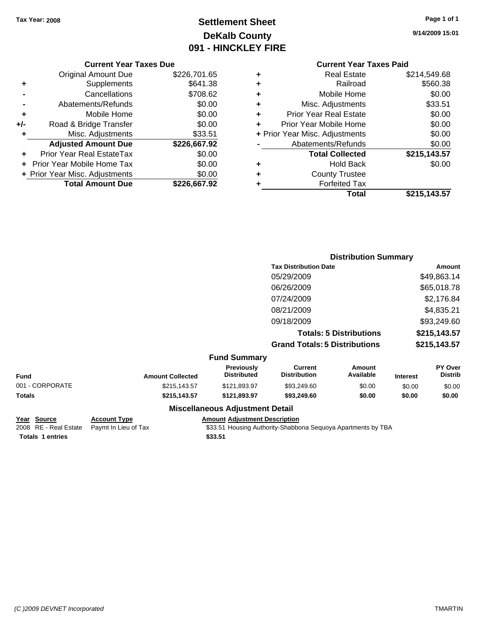## **Settlement Sheet Tax Year: 2008 Page 1 of 1 DeKalb County 091 - HINCKLEY FIRE**

**9/14/2009 15:01**

#### **Current Year Taxes Due**

|       | <b>Original Amount Due</b>       | \$226,701.65 |
|-------|----------------------------------|--------------|
| ٠     | Supplements                      | \$641.38     |
|       | Cancellations                    | \$708.62     |
|       | Abatements/Refunds               | \$0.00       |
| ٠     | Mobile Home                      | \$0.00       |
| $+/-$ | Road & Bridge Transfer           | \$0.00       |
| ÷     | Misc. Adjustments                | \$33.51      |
|       | <b>Adjusted Amount Due</b>       | \$226,667.92 |
|       | <b>Prior Year Real EstateTax</b> | \$0.00       |
|       | Prior Year Mobile Home Tax       | \$0.00       |
|       | + Prior Year Misc. Adjustments   | \$0.00       |
|       | <b>Total Amount Due</b>          | \$226.667.92 |

## **Current Year Taxes Paid**

| ٠ | <b>Real Estate</b>             | \$214,549.68 |
|---|--------------------------------|--------------|
| ٠ | Railroad                       | \$560.38     |
| ٠ | Mobile Home                    | \$0.00       |
| ٠ | Misc. Adjustments              | \$33.51      |
| ٠ | <b>Prior Year Real Estate</b>  | \$0.00       |
|   | Prior Year Mobile Home         | \$0.00       |
|   | + Prior Year Misc. Adjustments | \$0.00       |
|   | Abatements/Refunds             | \$0.00       |
|   | <b>Total Collected</b>         | \$215,143.57 |
| ٠ | <b>Hold Back</b>               | \$0.00       |
| ٠ | <b>County Trustee</b>          |              |
| ٠ | <b>Forfeited Tax</b>           |              |
|   | Total                          | \$215,143.57 |
|   |                                |              |

|                 |                         |                                  |                                      | <b>Distribution Summary</b>    |                 |                           |
|-----------------|-------------------------|----------------------------------|--------------------------------------|--------------------------------|-----------------|---------------------------|
|                 |                         |                                  | <b>Tax Distribution Date</b>         |                                |                 | Amount                    |
|                 |                         |                                  | 05/29/2009                           |                                |                 | \$49,863.14               |
|                 |                         |                                  | 06/26/2009                           |                                |                 | \$65,018.78               |
|                 |                         |                                  | 07/24/2009                           |                                |                 | \$2,176.84                |
|                 |                         |                                  | 08/21/2009                           |                                |                 | \$4,835.21                |
|                 |                         |                                  | 09/18/2009                           |                                |                 | \$93,249.60               |
|                 |                         |                                  |                                      | <b>Totals: 5 Distributions</b> |                 | \$215,143.57              |
|                 |                         |                                  | <b>Grand Totals: 5 Distributions</b> |                                |                 | \$215,143.57              |
|                 |                         | <b>Fund Summary</b>              |                                      |                                |                 |                           |
| <b>Fund</b>     | <b>Amount Collected</b> | Previously<br><b>Distributed</b> | Current<br><b>Distribution</b>       | Amount<br>Available            | <b>Interest</b> | PY Over<br><b>Distrib</b> |
| 001 - CORPORATE | \$215,143.57            | \$121,893.97                     | \$93,249.60                          | \$0.00                         | \$0.00          | \$0.00                    |
|                 |                         |                                  |                                      |                                |                 |                           |

| Year Source             | <b>Account Type</b>                        | Amount  |
|-------------------------|--------------------------------------------|---------|
|                         | 2008 RE - Real Estate Paymt In Lieu of Tax | \$33.51 |
| <b>Totals 1 entries</b> |                                            | \$33.51 |

## **Miscellaneous Adjustment Detail**

**Totals \$215,143.57 \$121,893.97 \$93,249.60 \$0.00 \$0.00 \$0.00**

**Account Type Amount Adjustment Description** 

tate Paymt In Lieu of Tax **Face 19 and State 10** \$33.51 Housing Authority-Shabbona Sequoya Apartments by TBA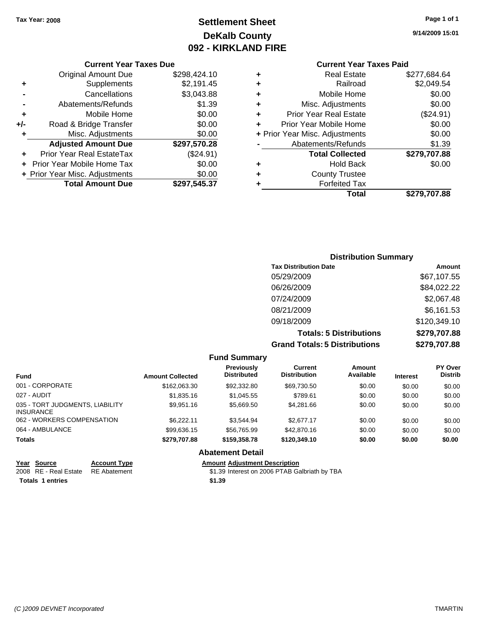## **Settlement Sheet Tax Year: 2008 Page 1 of 1 DeKalb County 092 - KIRKLAND FIRE**

#### **Current Year Taxes Due**

|     | <b>Original Amount Due</b>        | \$298,424.10 |
|-----|-----------------------------------|--------------|
| ٠   | Supplements                       | \$2,191.45   |
|     | Cancellations                     | \$3,043.88   |
|     | Abatements/Refunds                | \$1.39       |
| ٠   | Mobile Home                       | \$0.00       |
| +/- | Road & Bridge Transfer            | \$0.00       |
| ٠   | Misc. Adjustments                 | \$0.00       |
|     | <b>Adjusted Amount Due</b>        | \$297,570.28 |
|     | <b>Prior Year Real EstateTax</b>  | (\$24.91)    |
|     | <b>Prior Year Mobile Home Tax</b> | \$0.00       |
|     | + Prior Year Misc. Adjustments    | \$0.00       |
|     | <b>Total Amount Due</b>           | \$297,545.37 |

## **Current Year Taxes Paid**

| ٠ | <b>Real Estate</b>             | \$277,684.64 |
|---|--------------------------------|--------------|
| ٠ | Railroad                       | \$2,049.54   |
| ٠ | Mobile Home                    | \$0.00       |
| ٠ | Misc. Adjustments              | \$0.00       |
| ٠ | <b>Prior Year Real Estate</b>  | (\$24.91)    |
| ٠ | Prior Year Mobile Home         | \$0.00       |
|   | + Prior Year Misc. Adjustments | \$0.00       |
|   | Abatements/Refunds             | \$1.39       |
|   | <b>Total Collected</b>         | \$279,707.88 |
| ٠ | Hold Back                      | \$0.00       |
| ٠ | <b>County Trustee</b>          |              |
| ٠ | <b>Forfeited Tax</b>           |              |
|   | Total                          | \$279,707.88 |
|   |                                |              |

## **Distribution Summary Tax Distribution Date Amount** 05/29/2009 \$67,107.55 06/26/2009 \$84,022.22 07/24/2009 \$2,067.48 08/21/2009 \$6,161.53 09/18/2009 \$120,349.10 **Totals: 5 Distributions \$279,707.88 Grand Totals: 5 Distributions \$279,707.88**

|                                                     |                         | <b>Fund Summary</b>                     |                                       |                     |                 |                           |
|-----------------------------------------------------|-------------------------|-----------------------------------------|---------------------------------------|---------------------|-----------------|---------------------------|
| <b>Fund</b>                                         | <b>Amount Collected</b> | <b>Previously</b><br><b>Distributed</b> | <b>Current</b><br><b>Distribution</b> | Amount<br>Available | <b>Interest</b> | PY Over<br><b>Distrib</b> |
| 001 - CORPORATE                                     | \$162,063.30            | \$92,332.80                             | \$69,730.50                           | \$0.00              | \$0.00          | \$0.00                    |
| 027 - AUDIT                                         | \$1,835.16              | \$1,045.55                              | \$789.61                              | \$0.00              | \$0.00          | \$0.00                    |
| 035 - TORT JUDGMENTS, LIABILITY<br><b>INSURANCE</b> | \$9,951.16              | \$5,669.50                              | \$4,281.66                            | \$0.00              | \$0.00          | \$0.00                    |
| 062 - WORKERS COMPENSATION                          | \$6.222.11              | \$3,544.94                              | \$2.677.17                            | \$0.00              | \$0.00          | \$0.00                    |
| 064 - AMBULANCE                                     | \$99,636.15             | \$56,765.99                             | \$42,870.16                           | \$0.00              | \$0.00          | \$0.00                    |
| <b>Totals</b>                                       | \$279,707.88            | \$159,358,78                            | \$120,349.10                          | \$0.00              | \$0.00          | \$0.00                    |
|                                                     |                         | <b>Abatement Detail</b>                 |                                       |                     |                 |                           |
| $\sim$ $\sim$ $\sim$ $\sim$                         |                         |                                         |                                       |                     |                 |                           |

| Year Source                        | <b>Account Type</b> | <b>Amount Adiustment Description</b>          |
|------------------------------------|---------------------|-----------------------------------------------|
| 2008 RE - Real Estate RE Abatement |                     | \$1.39 Interest on 2006 PTAB Galbriath by TBA |
| <b>Totals 1 entries</b>            |                     | \$1.39                                        |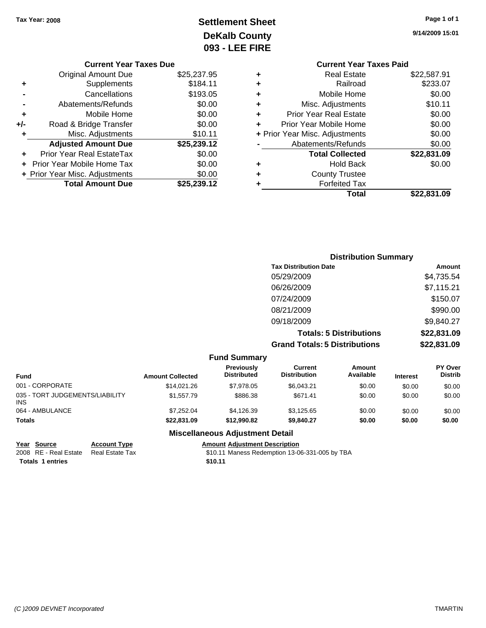# **Settlement Sheet Tax Year: 2008 Page 1 of 1 DeKalb County 093 - LEE FIRE**

**9/14/2009 15:01**

| <b>Current Year Taxes Paid</b> |             |
|--------------------------------|-------------|
| <b>Real Estate</b>             | \$22,587.91 |
| Railroad                       | \$233.07    |
| Mobile Home                    | \$0.00      |
| Misc. Adjustments              | \$10.11     |
| <b>Prior Year Real Estate</b>  | \$0.00      |
| Prior Year Mobile Home         | \$0.00      |
| + Prior Year Misc. Adjustments | \$0.00      |
| Abatements/Refunds             | \$0.00      |
| <b>Total Collected</b>         | \$22,831.09 |
| <b>Hold Back</b>               | \$0.00      |
| <b>County Trustee</b>          |             |
| <b>Forfeited Tax</b>           |             |
| Total                          | \$22.831.09 |
|                                |             |

## **Current Year Taxes Due** Original Amount Due \$25,237.95 **+** Supplements \$184.11 **-** Cancellations \$193.05 **-** Abatements/Refunds \$0.00 **+** Mobile Home \$0.00 **+/-** Road & Bridge Transfer \$0.00 **+** Misc. Adjustments \$10.11 **Adjusted Amount Due \$25,239.12 +** Prior Year Real EstateTax \$0.00 **+** Prior Year Mobile Home Tax \$0.00 **+ Prior Year Misc. Adjustments**  $$0.00$ **Total Amount Due \$25,239.12**

| <b>Distribution Summary</b>          |             |
|--------------------------------------|-------------|
| <b>Tax Distribution Date</b>         | Amount      |
| 05/29/2009                           | \$4,735.54  |
| 06/26/2009                           | \$7,115.21  |
| 07/24/2009                           | \$150.07    |
| 08/21/2009                           | \$990.00    |
| 09/18/2009                           | \$9,840.27  |
| <b>Totals: 5 Distributions</b>       | \$22,831.09 |
| <b>Grand Totals: 5 Distributions</b> | \$22,831.09 |

#### **Fund Summary Fund Interest Amount Collected Distributed PY Over Distrib Amount Available Current Distribution Previously** 001 - CORPORATE \$14,021.26 \$7,978.05 \$6,043.21 \$0.00 \$0.00 \$0.00 035 - TORT JUDGEMENTS/LIABILITY INS \$1,557.79 \$886.38 \$671.41 \$0.00 \$0.00 \$0.00 064 - AMBULANCE 6 \$1,1252.04 \$4,126.39 \$3,125.65 \$0.00 \$0.00 \$0.00 \$0.00 **Totals \$22,831.09 \$12,990.82 \$9,840.27 \$0.00 \$0.00 \$0.00 Miscellaneous Adjustment Detail**

**Year Source Account Type Amount Adjustment Description** 2008 RE - Real Estate Real Estate Tax St0.11 Maness Redemption 13-06-331-005 by TBA **Totals 1 entries** \$10.11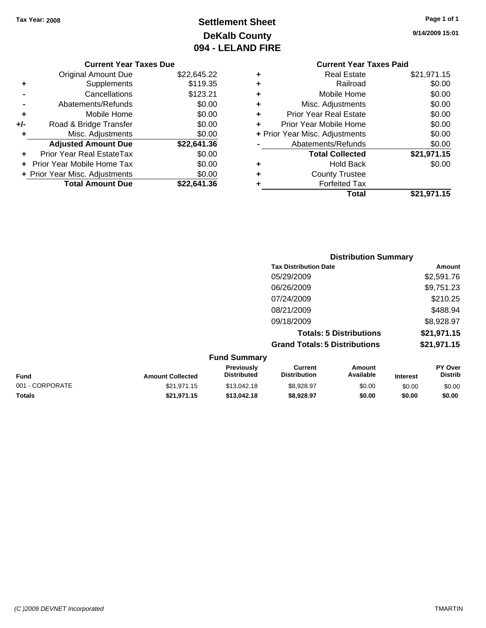# **Settlement Sheet Tax Year: 2008 Page 1 of 1 DeKalb County 094 - LELAND FIRE**

**9/14/2009 15:01**

#### **Current Year Taxes Due**

|       | <b>Original Amount Due</b>        | \$22,645.22 |
|-------|-----------------------------------|-------------|
| ٠     | Supplements                       | \$119.35    |
|       | Cancellations                     | \$123.21    |
|       | Abatements/Refunds                | \$0.00      |
| ٠     | Mobile Home                       | \$0.00      |
| $+/-$ | Road & Bridge Transfer            | \$0.00      |
| ٠     | Misc. Adjustments                 | \$0.00      |
|       | <b>Adjusted Amount Due</b>        | \$22,641.36 |
|       | Prior Year Real EstateTax         | \$0.00      |
|       | <b>Prior Year Mobile Home Tax</b> | \$0.00      |
|       | + Prior Year Misc. Adjustments    | \$0.00      |
|       | <b>Total Amount Due</b>           | \$22.641.36 |

## **Current Year Taxes Paid +** Real Estate \$21,971.15 **+** Railroad \$0.00 **+** Mobile Home \$0.00

|   | Total                          | \$21,971.15 |
|---|--------------------------------|-------------|
| ٠ | <b>Forfeited Tax</b>           |             |
| ÷ | <b>County Trustee</b>          |             |
|   | <b>Hold Back</b>               | \$0.00      |
|   | <b>Total Collected</b>         | \$21,971.15 |
|   | Abatements/Refunds             | \$0.00      |
|   | + Prior Year Misc. Adjustments | \$0.00      |
|   | Prior Year Mobile Home         | \$0.00      |
| ÷ | <b>Prior Year Real Estate</b>  | \$0.00      |
|   | Misc. Adjustments              | \$0.00      |

| <b>Distribution Summary</b>          |             |
|--------------------------------------|-------------|
| <b>Tax Distribution Date</b>         | Amount      |
| 05/29/2009                           | \$2,591.76  |
| 06/26/2009                           | \$9,751.23  |
| 07/24/2009                           | \$210.25    |
| 08/21/2009                           | \$488.94    |
| 09/18/2009                           | \$8,928.97  |
| <b>Totals: 5 Distributions</b>       | \$21,971.15 |
| <b>Grand Totals: 5 Distributions</b> | \$21,971.15 |

| <b>Fund Summary</b> |                         |                                         |                                |                     |                 |                                  |
|---------------------|-------------------------|-----------------------------------------|--------------------------------|---------------------|-----------------|----------------------------------|
| Fund                | <b>Amount Collected</b> | <b>Previously</b><br><b>Distributed</b> | Current<br><b>Distribution</b> | Amount<br>Available | <b>Interest</b> | <b>PY Over</b><br><b>Distrib</b> |
| 001 - CORPORATE     | \$21.971.15             | \$13,042.18                             | \$8.928.97                     | \$0.00              | \$0.00          | \$0.00                           |
| <b>Totals</b>       | \$21.971.15             | \$13,042.18                             | \$8.928.97                     | \$0.00              | \$0.00          | \$0.00                           |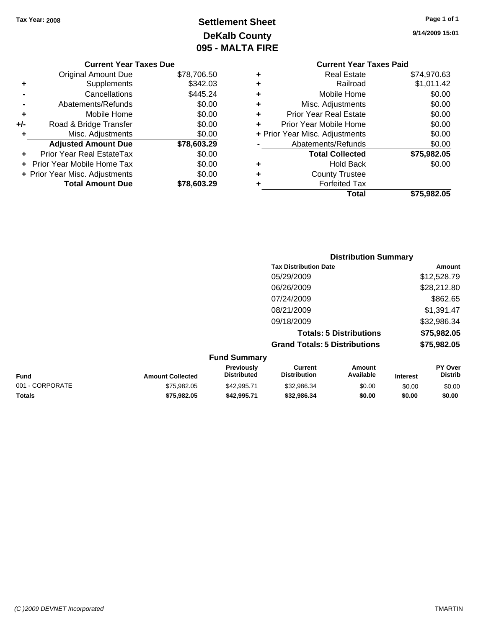# **Settlement Sheet Tax Year: 2008 Page 1 of 1 DeKalb County 095 - MALTA FIRE**

**9/14/2009 15:01**

|  | <b>Current Year Taxes Due</b> |  |
|--|-------------------------------|--|
|  |                               |  |

|     | <b>Total Amount Due</b>          | \$78.603.29 |
|-----|----------------------------------|-------------|
|     | + Prior Year Misc. Adjustments   | \$0.00      |
|     | Prior Year Mobile Home Tax       | \$0.00      |
|     | <b>Prior Year Real EstateTax</b> | \$0.00      |
|     | <b>Adjusted Amount Due</b>       | \$78,603.29 |
| ٠   | Misc. Adjustments                | \$0.00      |
| +/- | Road & Bridge Transfer           | \$0.00      |
| ٠   | Mobile Home                      | \$0.00      |
|     | Abatements/Refunds               | \$0.00      |
|     | Cancellations                    | \$445.24    |
| ٠   | Supplements                      | \$342.03    |
|     | <b>Original Amount Due</b>       | \$78,706.50 |

## **Current Year Taxes Paid +** Real Estate \$74,970.63 **+** Railroad \$1,011.42 **+** Mobile Home \$0.00 **+** Misc. Adjustments \$0.00 **+** Prior Year Real Estate \$0.00 **+** Prior Year Mobile Home \$0.00 **+ Prior Year Misc. Adjustments**  $$0.00$ **-** Abatements/Refunds \$0.00 **Total Collected \$75,982.05 +** Hold Back \$0.00 **+** County Trustee **+** Forfeited Tax **Total \$75,982.05**

|                 |                         |                                  | <b>Distribution Summary</b>           |                                |                 |                           |
|-----------------|-------------------------|----------------------------------|---------------------------------------|--------------------------------|-----------------|---------------------------|
|                 |                         |                                  | <b>Tax Distribution Date</b>          |                                |                 | Amount                    |
|                 |                         |                                  | 05/29/2009                            |                                |                 | \$12,528.79               |
|                 |                         |                                  | 06/26/2009                            |                                |                 | \$28,212.80               |
|                 |                         |                                  | 07/24/2009                            |                                |                 | \$862.65                  |
|                 |                         |                                  | 08/21/2009                            |                                |                 | \$1,391.47                |
|                 |                         |                                  | 09/18/2009                            |                                |                 | \$32,986.34               |
|                 |                         |                                  |                                       | <b>Totals: 5 Distributions</b> |                 | \$75,982.05               |
|                 |                         |                                  | <b>Grand Totals: 5 Distributions</b>  |                                |                 | \$75,982.05               |
|                 |                         | <b>Fund Summary</b>              |                                       |                                |                 |                           |
| <b>Fund</b>     | <b>Amount Collected</b> | Previously<br><b>Distributed</b> | <b>Current</b><br><b>Distribution</b> | <b>Amount</b><br>Available     | <b>Interest</b> | PY Over<br><b>Distrib</b> |
| 001 - CORPORATE | \$75,982.05             | \$42,995.71                      | \$32,986.34                           | \$0.00                         | \$0.00          | \$0.00                    |

**Totals \$75,982.05 \$42,995.71 \$32,986.34 \$0.00 \$0.00 \$0.00**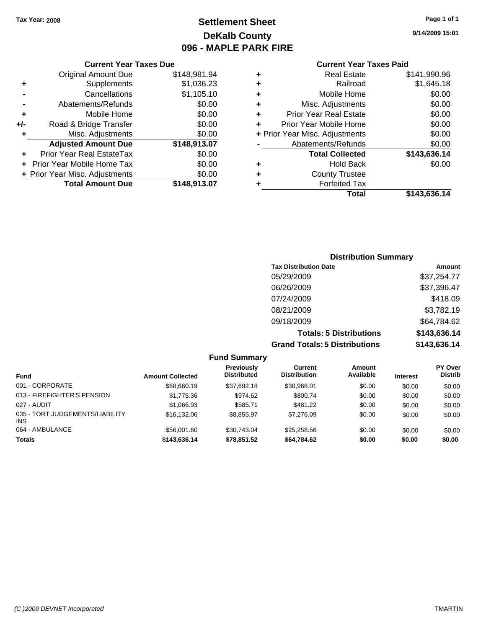**Current Year Taxes Due** Original Amount Due \$148,981.94

**Adjusted Amount Due \$148,913.07**

**Total Amount Due \$148,913.07**

**+** Supplements \$1,036.23 **-** Cancellations \$1,105.10 **-** Abatements/Refunds \$0.00 **+** Mobile Home \$0.00 **+/-** Road & Bridge Transfer \$0.00 **+** Misc. Adjustments \$0.00

**+** Prior Year Real EstateTax \$0.00 **+** Prior Year Mobile Home Tax \$0.00 **+ Prior Year Misc. Adjustments**  $$0.00$ 

## **Settlement Sheet Tax Year: 2008 Page 1 of 1 DeKalb County 096 - MAPLE PARK FIRE**

**9/14/2009 15:01**

#### **Current Year Taxes Paid**

## **Distribution Summary Tax Distribution Date Amount** 05/29/2009 \$37,254.77 06/26/2009 \$37,396.47 07/24/2009 \$418.09 08/21/2009 \$3,782.19 09/18/2009 \$64,784.62 **Totals: 5 Distributions \$143,636.14 Grand Totals: 5 Distributions \$143,636.14**

**Fund Summary Fund Interest Amount Collected Distributed PY Over Distrib Amount Available Current Distribution Previously** 001 - CORPORATE \$68,660.19 \$37,692.18 \$30,968.01 \$0.00 \$0.00 \$0.00 013 - FIREFIGHTER'S PENSION \$1,775.36 \$974.62 \$800.74 \$0.00 \$0.00 \$0.00 \$0.00 027 - AUDIT \$1,066.93 \$585.71 \$481.22 \$0.00 \$0.00 \$0.00 035 - TORT JUDGEMENTS/LIABILITY INS \$16,132.06 \$8,855.97 \$7,276.09 \$0.00 \$0.00 \$0.00 064 - AMBULANCE \$56,001.60 \$30,743.04 \$25,258.56 \$0.00 \$0.00 \$0.00 **Totals \$143,636.14 \$78,851.52 \$64,784.62 \$0.00 \$0.00 \$0.00**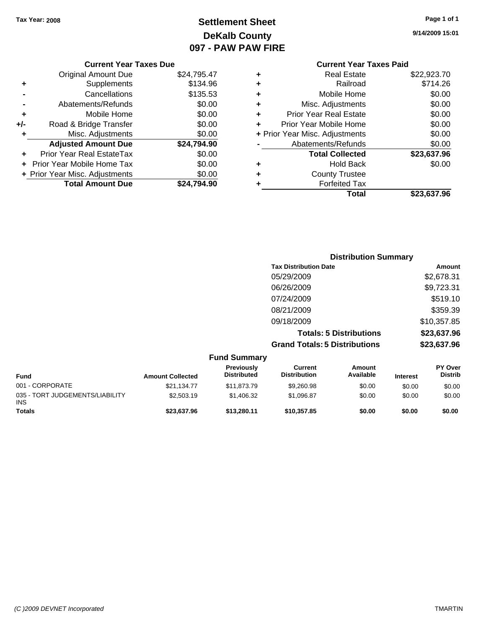## **Settlement Sheet Tax Year: 2008 Page 1 of 1 DeKalb County 097 - PAW PAW FIRE**

**9/14/2009 15:01**

\$23,637.96

|     | <b>Original Amount Due</b>     | \$24,795.47 |
|-----|--------------------------------|-------------|
|     | Supplements                    | \$134.96    |
|     | Cancellations                  | \$135.53    |
|     | Abatements/Refunds             | \$0.00      |
| ٠   | Mobile Home                    | \$0.00      |
| +/- | Road & Bridge Transfer         | \$0.00      |
| ÷   | Misc. Adjustments              | \$0.00      |
|     | <b>Adjusted Amount Due</b>     | \$24,794.90 |
|     | Prior Year Real EstateTax      | \$0.00      |
|     | Prior Year Mobile Home Tax     | \$0.00      |
|     | + Prior Year Misc. Adjustments | \$0.00      |
|     | <b>Total Amount Due</b>        | \$24.794.90 |

## **Current Year Taxes Paid +** Real Estate \$22,923.70 **+** Railroad \$714.26 **+** Mobile Home \$0.00 **+** Misc. Adjustments \$0.00 **+** Prior Year Real Estate \$0.00 **+** Prior Year Mobile Home \$0.00 **+ Prior Year Misc. Adjustments**  $$0.00$ **-** Abatements/Refunds \$0.00 **Total Collected \$23,637.96 +** Hold Back \$0.00

| ٠ | <b>Forfeited Tax</b> |  |
|---|----------------------|--|
|   | Total                |  |

|                     | <b>Distribution Summary</b>          |             |
|---------------------|--------------------------------------|-------------|
|                     | <b>Tax Distribution Date</b>         | Amount      |
|                     | 05/29/2009                           | \$2,678.31  |
|                     | 06/26/2009                           | \$9,723.31  |
|                     | 07/24/2009                           | \$519.10    |
|                     | 08/21/2009                           | \$359.39    |
|                     | 09/18/2009                           | \$10,357.85 |
|                     | <b>Totals: 5 Distributions</b>       | \$23,637.96 |
|                     | <b>Grand Totals: 5 Distributions</b> | \$23,637.96 |
| <b>Fund Summary</b> |                                      |             |

**+** County Trustee

| <b>Fund</b>                                   | <b>Amount Collected</b> | Previously<br><b>Distributed</b> | Current<br><b>Distribution</b> | Amount<br>Available | <b>Interest</b> | <b>PY Over</b><br><b>Distrib</b> |
|-----------------------------------------------|-------------------------|----------------------------------|--------------------------------|---------------------|-----------------|----------------------------------|
| 001 - CORPORATE                               | \$21.134.77             | \$11,873,79                      | \$9,260.98                     | \$0.00              | \$0.00          | \$0.00                           |
| 035 - TORT JUDGEMENTS/LIABILITY<br><b>INS</b> | \$2,503.19              | \$1,406.32                       | \$1.096.87                     | \$0.00              | \$0.00          | \$0.00                           |
| <b>Totals</b>                                 | \$23,637.96             | \$13.280.11                      | \$10.357.85                    | \$0.00              | \$0.00          | \$0.00                           |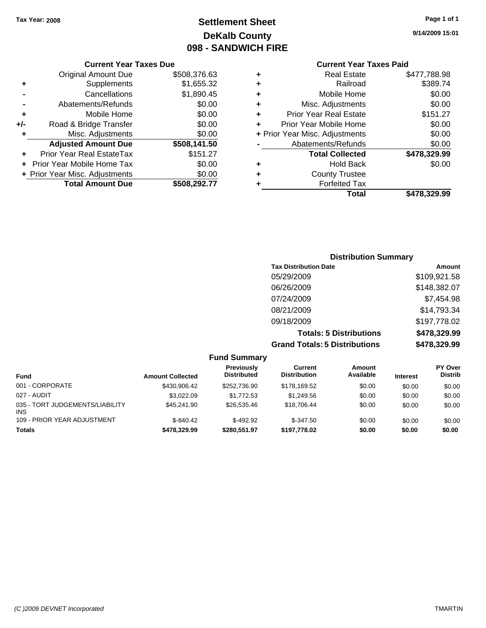## **Settlement Sheet Tax Year: 2008 Page 1 of 1 DeKalb County 098 - SANDWICH FIRE**

**9/14/2009 15:01**

## **Current Year Taxes Paid**

| ٠ | <b>Real Estate</b>             | \$477,788.98 |
|---|--------------------------------|--------------|
| ٠ | Railroad                       | \$389.74     |
| ٠ | Mobile Home                    | \$0.00       |
| ٠ | Misc. Adjustments              | \$0.00       |
| ÷ | <b>Prior Year Real Estate</b>  | \$151.27     |
| ÷ | Prior Year Mobile Home         | \$0.00       |
|   | + Prior Year Misc. Adjustments | \$0.00       |
|   | Abatements/Refunds             | \$0.00       |
|   | <b>Total Collected</b>         | \$478,329.99 |
| ÷ | Hold Back                      | \$0.00       |
| ٠ | <b>County Trustee</b>          |              |
|   | <b>Forfeited Tax</b>           |              |
|   | Total                          | \$478.329.99 |

#### **Current Year Taxes Due** Original Amount Due \$508,376.63 **+** Supplements \$1,655.32 **-** Cancellations \$1,890.45 **-** Abatements/Refunds \$0.00 **+** Mobile Home \$0.00 **+/-** Road & Bridge Transfer \$0.00<br> **4** Misc Adjustments \$0.00 **+** Misc Adjustments

| <b>MOVE LANDARITION</b>        | wv.vv        |
|--------------------------------|--------------|
| <b>Adjusted Amount Due</b>     | \$508,141.50 |
| Prior Year Real EstateTax      | \$151.27     |
| + Prior Year Mobile Home Tax   | \$0.00       |
| + Prior Year Misc. Adjustments | \$0.00       |
| <b>Total Amount Due</b>        | \$508,292.77 |

## **Distribution Summary Tax Distribution Date Amount**

| <b>Grand Totals: 5 Distributions</b> | \$478,329.99 |
|--------------------------------------|--------------|
| <b>Totals: 5 Distributions</b>       | \$478,329.99 |
| 09/18/2009                           | \$197,778.02 |
| 08/21/2009                           | \$14,793.34  |
| 07/24/2009                           | \$7,454.98   |
| 06/26/2009                           | \$148,382.07 |
| 05/29/2009                           | \$109,921.58 |

#### **Fund Summary Fund Interest Amount Collected Distributed PY Over Distrib Amount Available Current Distribution Previously** 001 - CORPORATE \$430,906.42 \$252,736.90 \$178,169.52 \$0.00 \$0.00 \$0.00 027 - AUDIT \$3,022.09 \$1,772.53 \$1,249.56 \$0.00 \$0.00 \$0.00 035 - TORT JUDGEMENTS/LIABILITY INS \$45,241.90 \$26,535.46 \$18,706.44 \$0.00 \$0.00 \$0.00 109 - PRIOR YEAR ADJUSTMENT  $$-840.42$   $$-492.92$   $$-347.50$   $$0.00$   $$0.00$   $$0.00$ **Totals \$478,329.99 \$280,551.97 \$197,778.02 \$0.00 \$0.00 \$0.00**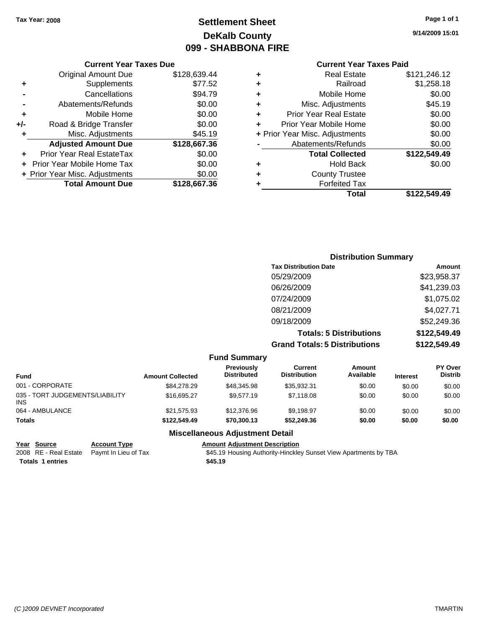## **Settlement Sheet Tax Year: 2008 Page 1 of 1 DeKalb County 099 - SHABBONA FIRE**

#### **Current Year Taxes Due**

|       | <b>Original Amount Due</b>       | \$128,639.44 |
|-------|----------------------------------|--------------|
| ٠     | Supplements                      | \$77.52      |
|       | Cancellations                    | \$94.79      |
|       | Abatements/Refunds               | \$0.00       |
| ٠     | Mobile Home                      | \$0.00       |
| $+/-$ | Road & Bridge Transfer           | \$0.00       |
| ٠     | Misc. Adjustments                | \$45.19      |
|       | <b>Adjusted Amount Due</b>       | \$128,667.36 |
|       | <b>Prior Year Real EstateTax</b> | \$0.00       |
|       | Prior Year Mobile Home Tax       | \$0.00       |
|       | + Prior Year Misc. Adjustments   | \$0.00       |
|       | <b>Total Amount Due</b>          | \$128,667.36 |

## **Current Year Taxes Paid**

|   | <b>Real Estate</b>             | \$121,246.12 |
|---|--------------------------------|--------------|
| ٠ | Railroad                       | \$1,258.18   |
| ٠ | Mobile Home                    | \$0.00       |
| ٠ | Misc. Adjustments              | \$45.19      |
| ٠ | <b>Prior Year Real Estate</b>  | \$0.00       |
| ÷ | Prior Year Mobile Home         | \$0.00       |
|   | + Prior Year Misc. Adjustments | \$0.00       |
|   | Abatements/Refunds             | \$0.00       |
|   | <b>Total Collected</b>         | \$122,549.49 |
| ٠ | <b>Hold Back</b>               | \$0.00       |
| ٠ | <b>County Trustee</b>          |              |
| ٠ | <b>Forfeited Tax</b>           |              |
|   | Total                          | \$122,549.49 |
|   |                                |              |

## **Distribution Summary Tax Distribution Date Amount** 05/29/2009 \$23,958.37 06/26/2009 \$41,239.03 07/24/2009 \$1,075.02 08/21/2009 \$4,027.71 09/18/2009 \$52,249.36 **Totals: 5 Distributions \$122,549.49 Grand Totals: 5 Distributions \$122,549.49**

|                                        |                         | <b>Fund Summary</b>              |                                |                     |                 |                                  |
|----------------------------------------|-------------------------|----------------------------------|--------------------------------|---------------------|-----------------|----------------------------------|
| <b>Fund</b>                            | <b>Amount Collected</b> | Previously<br><b>Distributed</b> | Current<br><b>Distribution</b> | Amount<br>Available | <b>Interest</b> | <b>PY Over</b><br><b>Distrib</b> |
| 001 - CORPORATE                        | \$84,278,29             | \$48,345.98                      | \$35.932.31                    | \$0.00              | \$0.00          | \$0.00                           |
| 035 - TORT JUDGEMENTS/LIABILITY<br>INS | \$16,695.27             | \$9.577.19                       | \$7,118,08                     | \$0.00              | \$0.00          | \$0.00                           |
| 064 - AMBULANCE                        | \$21,575.93             | \$12,376.96                      | \$9.198.97                     | \$0.00              | \$0.00          | \$0.00                           |
| <b>Totals</b>                          | \$122,549,49            | \$70,300,13                      | \$52,249.36                    | \$0.00              | \$0.00          | \$0.00                           |
|                                        |                         | Micrallangous Adjustment Detail  |                                |                     |                 |                                  |

#### **Miscellaneous Adjustment Detail**

| Year Source             | <b>Account Type</b>                        | <b>Amount Adiustment Description</b>                             |
|-------------------------|--------------------------------------------|------------------------------------------------------------------|
|                         | 2008 RE - Real Estate Paymt In Lieu of Tax | \$45.19 Housing Authority-Hinckley Sunset View Apartments by TBA |
| <b>Totals 1 entries</b> |                                            | \$45.19                                                          |

**9/14/2009 15:01**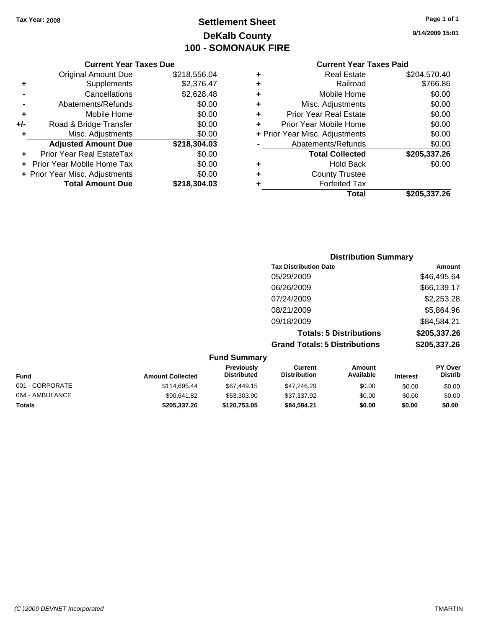## **Settlement Sheet Tax Year: 2008 Page 1 of 1 DeKalb County 100 - SOMONAUK FIRE**

#### **Current Year Taxes Due**

|     | <b>Original Amount Due</b>       | \$218,556.04 |
|-----|----------------------------------|--------------|
| ٠   | Supplements                      | \$2,376.47   |
|     | Cancellations                    | \$2,628.48   |
|     | Abatements/Refunds               | \$0.00       |
| ٠   | Mobile Home                      | \$0.00       |
| +/- | Road & Bridge Transfer           | \$0.00       |
| ۰   | Misc. Adjustments                | \$0.00       |
|     | <b>Adjusted Amount Due</b>       | \$218,304.03 |
|     | <b>Prior Year Real EstateTax</b> | \$0.00       |
|     | Prior Year Mobile Home Tax       | \$0.00       |
|     | + Prior Year Misc. Adjustments   | \$0.00       |
|     | <b>Total Amount Due</b>          | \$218,304.03 |

#### **Current Year Taxes Paid**

|   | <b>Real Estate</b>             | \$204,570.40 |
|---|--------------------------------|--------------|
| ٠ | Railroad                       | \$766.86     |
| ٠ | Mobile Home                    | \$0.00       |
| ٠ | Misc. Adjustments              | \$0.00       |
| ٠ | Prior Year Real Estate         | \$0.00       |
|   | Prior Year Mobile Home         | \$0.00       |
|   | + Prior Year Misc. Adjustments | \$0.00       |
|   | Abatements/Refunds             | \$0.00       |
|   | <b>Total Collected</b>         | \$205,337.26 |
| ٠ | <b>Hold Back</b>               | \$0.00       |
| ٠ | <b>County Trustee</b>          |              |
| ٠ | <b>Forfeited Tax</b>           |              |
|   | Total                          | \$205,337.26 |
|   |                                |              |

## **Distribution Summary Tax Distribution Date Amount** 05/29/2009 \$46,495.64 06/26/2009 \$66,139.17 07/24/2009 \$2,253.28 08/21/2009 \$5,864.96 09/18/2009 \$84,584.21 **Totals: 5 Distributions \$205,337.26**

**Grand Totals: 5 Distributions \$205,337.26**

| <b>Fund Summary</b> |                         |                                         |                                |                     |                 |                                  |
|---------------------|-------------------------|-----------------------------------------|--------------------------------|---------------------|-----------------|----------------------------------|
| Fund                | <b>Amount Collected</b> | <b>Previously</b><br><b>Distributed</b> | Current<br><b>Distribution</b> | Amount<br>Available | <b>Interest</b> | <b>PY Over</b><br><b>Distrib</b> |
| 001 - CORPORATE     | \$114,695.44            | \$67,449.15                             | \$47,246.29                    | \$0.00              | \$0.00          | \$0.00                           |
| 064 - AMBULANCE     | \$90,641.82             | \$53,303.90                             | \$37,337.92                    | \$0.00              | \$0.00          | \$0.00                           |
| <b>Totals</b>       | \$205,337.26            | \$120,753.05                            | \$84.584.21                    | \$0.00              | \$0.00          | \$0.00                           |

**9/14/2009 15:01**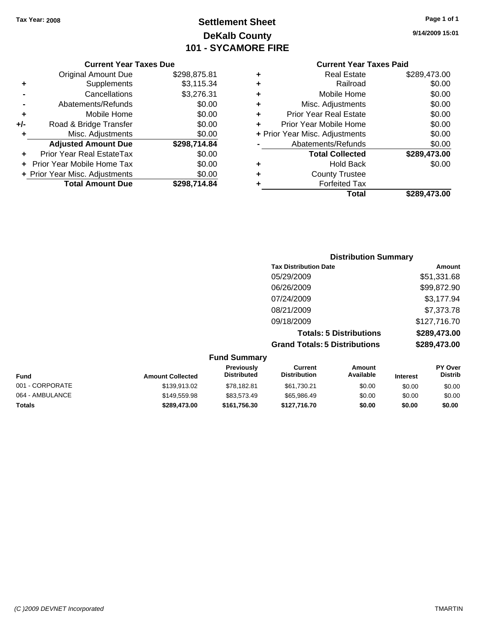**Current Year Taxes Due**

## **Settlement Sheet Tax Year: 2008 Page 1 of 1 DeKalb County 101 - SYCAMORE FIRE**

|     | <b>Current Year Taxes Due</b>  |              |   | <b>Current Year Taxes Paid</b> |              |  |
|-----|--------------------------------|--------------|---|--------------------------------|--------------|--|
|     | <b>Original Amount Due</b>     | \$298,875.81 | ٠ | <b>Real Estate</b>             | \$289,473.00 |  |
| ٠   | Supplements                    | \$3,115.34   | ٠ | Railroad                       | \$0.00       |  |
|     | Cancellations                  | \$3,276.31   | ٠ | Mobile Home                    | \$0.00       |  |
|     | Abatements/Refunds             | \$0.00       | ٠ | Misc. Adjustments              | \$0.00       |  |
| ٠   | Mobile Home                    | \$0.00       | ٠ | <b>Prior Year Real Estate</b>  | \$0.00       |  |
| +/- | Road & Bridge Transfer         | \$0.00       | ٠ | Prior Year Mobile Home         | \$0.00       |  |
|     | Misc. Adjustments              | \$0.00       |   | + Prior Year Misc. Adjustments | \$0.00       |  |
|     | <b>Adjusted Amount Due</b>     | \$298,714.84 |   | Abatements/Refunds             | \$0.00       |  |
| ÷.  | Prior Year Real EstateTax      | \$0.00       |   | <b>Total Collected</b>         | \$289,473.00 |  |
|     | + Prior Year Mobile Home Tax   | \$0.00       | ٠ | <b>Hold Back</b>               | \$0.00       |  |
|     | + Prior Year Misc. Adjustments | \$0.00       | ٠ | <b>County Trustee</b>          |              |  |
|     | <b>Total Amount Due</b>        | \$298,714.84 |   | <b>Forfeited Tax</b>           |              |  |
|     |                                |              |   | <b>Total</b>                   | \$289,473.00 |  |

## **Distribution Summary Tax Distribution Date Amount** 05/29/2009 \$51,331.68 06/26/2009 \$99,872.90 07/24/2009 \$3,177.94 08/21/2009 \$7,373.78 09/18/2009 \$127,716.70 **Totals: 5 Distributions \$289,473.00 Grand Totals: 5 Distributions \$289,473.00 Fund Summary**

| Fund            | <b>Amount Collected</b> | <b>Previously</b><br><b>Distributed</b> | Current<br><b>Distribution</b> | Amount<br>Available | <b>Interest</b> | <b>PY Over</b><br><b>Distrib</b> |
|-----------------|-------------------------|-----------------------------------------|--------------------------------|---------------------|-----------------|----------------------------------|
| 001 - CORPORATE | \$139,913.02            | \$78.182.81                             | \$61,730.21                    | \$0.00              | \$0.00          | \$0.00                           |
| 064 - AMBULANCE | \$149,559.98            | \$83.573.49                             | \$65.986.49                    | \$0.00              | \$0.00          | \$0.00                           |
| <b>Totals</b>   | \$289,473.00            | \$161.756.30                            | \$127.716.70                   | \$0.00              | \$0.00          | \$0.00                           |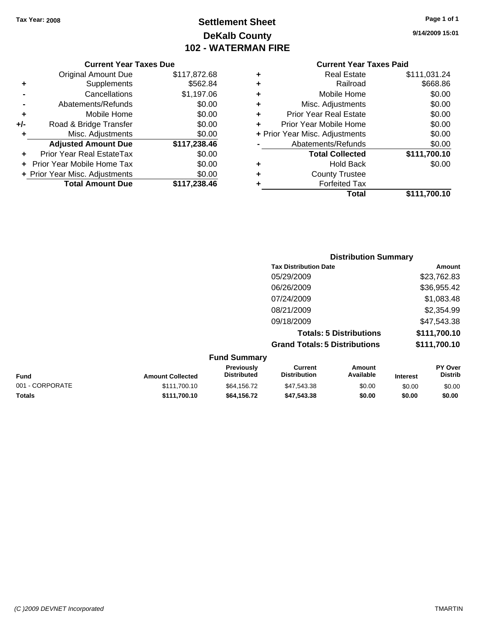## **Settlement Sheet Tax Year: 2008 Page 1 of 1 DeKalb County 102 - WATERMAN FIRE**

**9/14/2009 15:01**

#### **Current Year Taxes Due**

|     | <b>Original Amount Due</b>       | \$117,872.68 |
|-----|----------------------------------|--------------|
| ٠   | Supplements                      | \$562.84     |
|     | Cancellations                    | \$1,197.06   |
|     | Abatements/Refunds               | \$0.00       |
| ٠   | Mobile Home                      | \$0.00       |
| +/- | Road & Bridge Transfer           | \$0.00       |
| ٠   | Misc. Adjustments                | \$0.00       |
|     | <b>Adjusted Amount Due</b>       | \$117,238.46 |
|     | <b>Prior Year Real EstateTax</b> | \$0.00       |
|     | Prior Year Mobile Home Tax       | \$0.00       |
|     | + Prior Year Misc. Adjustments   | \$0.00       |
|     | <b>Total Amount Due</b>          | \$117,238.46 |

## **Current Year Taxes Paid**

| ٠ | <b>Real Estate</b>             | \$111,031.24 |
|---|--------------------------------|--------------|
| ٠ | Railroad                       | \$668.86     |
| ٠ | Mobile Home                    | \$0.00       |
| ٠ | Misc. Adjustments              | \$0.00       |
| ٠ | Prior Year Real Estate         | \$0.00       |
| ÷ | Prior Year Mobile Home         | \$0.00       |
|   | + Prior Year Misc. Adjustments | \$0.00       |
|   | Abatements/Refunds             | \$0.00       |
|   | <b>Total Collected</b>         | \$111,700.10 |
| ٠ | <b>Hold Back</b>               | \$0.00       |
| ٠ | <b>County Trustee</b>          |              |
| ٠ | <b>Forfeited Tax</b>           |              |
|   | Total                          | \$111,700.10 |
|   |                                |              |

## **Distribution Summary Tax Distribution Date Amount** 05/29/2009 \$23,762.83 06/26/2009 \$36,955.42 07/24/2009 \$1,083.48 08/21/2009 \$2,354.99 09/18/2009 \$47,543.38 **Totals: 5 Distributions \$111,700.10 Grand Totals: 5 Distributions \$111,700.10**

| <b>Fund Summary</b> |                         |                                         |                                |                     |                 |                                  |  |
|---------------------|-------------------------|-----------------------------------------|--------------------------------|---------------------|-----------------|----------------------------------|--|
| <b>Fund</b>         | <b>Amount Collected</b> | <b>Previously</b><br><b>Distributed</b> | Current<br><b>Distribution</b> | Amount<br>Available | <b>Interest</b> | <b>PY Over</b><br><b>Distrib</b> |  |
| 001 - CORPORATE     | \$111.700.10            | \$64,156.72                             | \$47,543,38                    | \$0.00              | \$0.00          | \$0.00                           |  |
| <b>Totals</b>       | \$111.700.10            | \$64,156,72                             | \$47,543,38                    | \$0.00              | \$0.00          | \$0.00                           |  |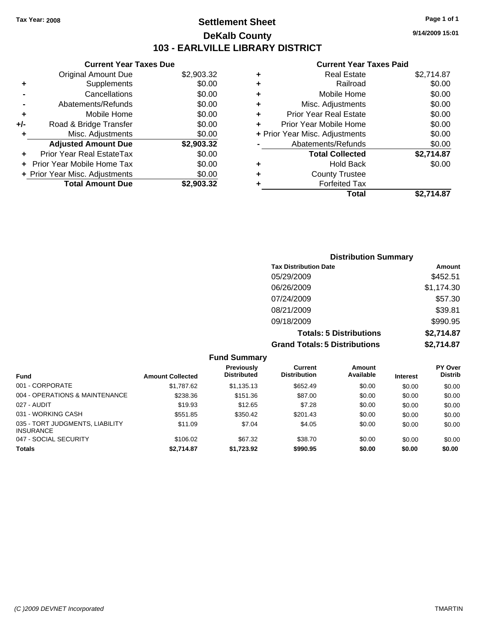## **Settlement Sheet Tax Year: 2008 Page 1 of 1 DeKalb County 103 - EARLVILLE LIBRARY DISTRICT**

**9/14/2009 15:01**

## **Current Year Taxes Paid**

|     | <b>Current Year Taxes Due</b>     |            |
|-----|-----------------------------------|------------|
|     | <b>Original Amount Due</b>        | \$2,903.32 |
| ٠   | Supplements                       | \$0.00     |
|     | Cancellations                     | \$0.00     |
|     | Abatements/Refunds                | \$0.00     |
| ٠   | Mobile Home                       | \$0.00     |
| +/- | Road & Bridge Transfer            | \$0.00     |
|     | Misc. Adjustments                 | \$0.00     |
|     | <b>Adjusted Amount Due</b>        | \$2,903.32 |
| ÷   | Prior Year Real EstateTax         | \$0.00     |
|     | <b>Prior Year Mobile Home Tax</b> | \$0.00     |
|     | + Prior Year Misc. Adjustments    | \$0.00     |
|     | <b>Total Amount Due</b>           | \$2,903.32 |
|     |                                   |            |

| \$2,714.87 |
|------------|
| \$0.00     |
| \$0.00     |
| \$0.00     |
| \$0.00     |
| \$0.00     |
| \$0.00     |
| \$0.00     |
| \$2,714.87 |
| \$0.00     |
|            |
|            |
| \$2.714.87 |
|            |

| <b>Distribution Summary</b>          |            |
|--------------------------------------|------------|
| <b>Tax Distribution Date</b>         | Amount     |
| 05/29/2009                           | \$452.51   |
| 06/26/2009                           | \$1,174.30 |
| 07/24/2009                           | \$57.30    |
| 08/21/2009                           | \$39.81    |
| 09/18/2009                           | \$990.95   |
| <b>Totals: 5 Distributions</b>       | \$2,714.87 |
| <b>Grand Totals: 5 Distributions</b> | \$2,714.87 |

|                                                     |                         | <b>Fund Summary</b>              |                                |                     |                 |                                  |
|-----------------------------------------------------|-------------------------|----------------------------------|--------------------------------|---------------------|-----------------|----------------------------------|
| <b>Fund</b>                                         | <b>Amount Collected</b> | Previously<br><b>Distributed</b> | Current<br><b>Distribution</b> | Amount<br>Available | <b>Interest</b> | <b>PY Over</b><br><b>Distrib</b> |
| 001 - CORPORATE                                     | \$1,787.62              | \$1,135.13                       | \$652.49                       | \$0.00              | \$0.00          | \$0.00                           |
| 004 - OPERATIONS & MAINTENANCE                      | \$238.36                | \$151.36                         | \$87.00                        | \$0.00              | \$0.00          | \$0.00                           |
| 027 - AUDIT                                         | \$19.93                 | \$12.65                          | \$7.28                         | \$0.00              | \$0.00          | \$0.00                           |
| 031 - WORKING CASH                                  | \$551.85                | \$350.42                         | \$201.43                       | \$0.00              | \$0.00          | \$0.00                           |
| 035 - TORT JUDGMENTS, LIABILITY<br><b>INSURANCE</b> | \$11.09                 | \$7.04                           | \$4.05                         | \$0.00              | \$0.00          | \$0.00                           |
| 047 - SOCIAL SECURITY                               | \$106.02                | \$67.32                          | \$38.70                        | \$0.00              | \$0.00          | \$0.00                           |
| <b>Totals</b>                                       | \$2,714.87              | \$1,723.92                       | \$990.95                       | \$0.00              | \$0.00          | \$0.00                           |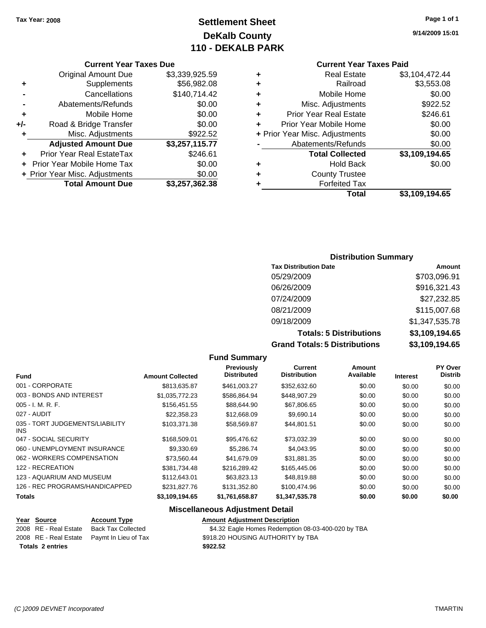## **Settlement Sheet Tax Year: 2008 Page 1 of 1 DeKalb County 110 - DEKALB PARK**

#### **Current Year Taxes Due**

|       | <b>Original Amount Due</b>     | \$3,339,925.59 |
|-------|--------------------------------|----------------|
| ٠     | Supplements                    | \$56,982.08    |
|       | Cancellations                  | \$140,714.42   |
|       | Abatements/Refunds             | \$0.00         |
| ÷     | Mobile Home                    | \$0.00         |
| $+/-$ | Road & Bridge Transfer         | \$0.00         |
|       | Misc. Adjustments              | \$922.52       |
|       | <b>Adjusted Amount Due</b>     | \$3,257,115.77 |
|       | Prior Year Real EstateTax      | \$246.61       |
|       | Prior Year Mobile Home Tax     | \$0.00         |
|       | + Prior Year Misc. Adjustments | \$0.00         |
|       | <b>Total Amount Due</b>        | \$3,257,362.38 |
|       |                                |                |

## **Current Year Taxes Paid**

|   | Total                          | \$3,109,194.65 |
|---|--------------------------------|----------------|
| ٠ | <b>Forfeited Tax</b>           |                |
| ٠ | <b>County Trustee</b>          |                |
| ٠ | <b>Hold Back</b>               | \$0.00         |
|   | <b>Total Collected</b>         | \$3,109,194.65 |
|   | Abatements/Refunds             | \$0.00         |
|   | + Prior Year Misc. Adjustments | \$0.00         |
| ÷ | Prior Year Mobile Home         | \$0.00         |
| ٠ | <b>Prior Year Real Estate</b>  | \$246.61       |
| ٠ | Misc. Adjustments              | \$922.52       |
| ÷ | Mobile Home                    | \$0.00         |
| ٠ | Railroad                       | \$3,553.08     |
| ٠ | <b>Real Estate</b>             | \$3,104,472.44 |

## **Distribution Summary**

| <b>Tax Distribution Date</b>         | Amount         |
|--------------------------------------|----------------|
| 05/29/2009                           | \$703,096.91   |
| 06/26/2009                           | \$916,321.43   |
| 07/24/2009                           | \$27,232.85    |
| 08/21/2009                           | \$115,007.68   |
| 09/18/2009                           | \$1,347,535.78 |
| <b>Totals: 5 Distributions</b>       | \$3,109,194.65 |
| <b>Grand Totals: 5 Distributions</b> | \$3,109,194.65 |

## **Fund Summary**

|                                         |                         | <b>Previously</b>  | Current             | Amount    |                 | <b>PY Over</b> |
|-----------------------------------------|-------------------------|--------------------|---------------------|-----------|-----------------|----------------|
| <b>Fund</b>                             | <b>Amount Collected</b> | <b>Distributed</b> | <b>Distribution</b> | Available | <b>Interest</b> | <b>Distrib</b> |
| 001 - CORPORATE                         | \$813,635.87            | \$461,003.27       | \$352,632.60        | \$0.00    | \$0.00          | \$0.00         |
| 003 - BONDS AND INTEREST                | \$1,035,772.23          | \$586.864.94       | \$448,907.29        | \$0.00    | \$0.00          | \$0.00         |
| $005 - I. M. R. F.$                     | \$156,451.55            | \$88,644.90        | \$67,806.65         | \$0.00    | \$0.00          | \$0.00         |
| 027 - AUDIT                             | \$22,358.23             | \$12,668.09        | \$9,690.14          | \$0.00    | \$0.00          | \$0.00         |
| 035 - TORT JUDGEMENTS/LIABILITY<br>INS. | \$103.371.38            | \$58.569.87        | \$44,801.51         | \$0.00    | \$0.00          | \$0.00         |
| 047 - SOCIAL SECURITY                   | \$168,509.01            | \$95,476.62        | \$73,032.39         | \$0.00    | \$0.00          | \$0.00         |
| 060 - UNEMPLOYMENT INSURANCE            | \$9,330.69              | \$5.286.74         | \$4,043.95          | \$0.00    | \$0.00          | \$0.00         |
| 062 - WORKERS COMPENSATION              | \$73.560.44             | \$41.679.09        | \$31,881.35         | \$0.00    | \$0.00          | \$0.00         |
| 122 - RECREATION                        | \$381,734.48            | \$216,289.42       | \$165,445.06        | \$0.00    | \$0.00          | \$0.00         |
| 123 - AQUARIUM AND MUSEUM               | \$112,643.01            | \$63,823.13        | \$48,819.88         | \$0.00    | \$0.00          | \$0.00         |
| 126 - REC PROGRAMS/HANDICAPPED          | \$231,827,76            | \$131.352.80       | \$100.474.96        | \$0.00    | \$0.00          | \$0.00         |
| <b>Totals</b>                           | \$3,109,194.65          | \$1,761,658.87     | \$1,347,535.78      | \$0.00    | \$0.00          | \$0.00         |

## **Miscellaneous Adjustment Detail**

# **Year Source Account Type Amount Adjustment Description**

**Totals \$922.52 2 entries**

2008 RE - Real Estate Back Tax Collected \$4.32 Eagle Homes Redemption 08-03-400-020 by TBA 2008 RE - Real Estate Paymt In Lieu of Tax S918.20 HOUSING AUTHORITY by TBA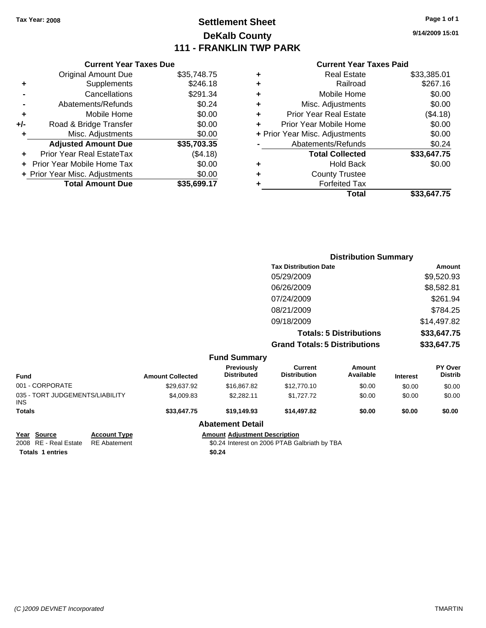## **Settlement Sheet Tax Year: 2008 Page 1 of 1 DeKalb County 111 - FRANKLIN TWP PARK**

**9/14/2009 15:01**

#### **Current Year Taxes Paid**

|     | <b>Current Year Taxes Due</b>  |             |  |  |  |
|-----|--------------------------------|-------------|--|--|--|
|     | <b>Original Amount Due</b>     | \$35,748.75 |  |  |  |
| ÷   | Supplements                    | \$246.18    |  |  |  |
|     | Cancellations                  | \$291.34    |  |  |  |
|     | Abatements/Refunds             | \$0.24      |  |  |  |
| ٠   | Mobile Home                    | \$0.00      |  |  |  |
| +/- | Road & Bridge Transfer         | \$0.00      |  |  |  |
|     | Misc. Adjustments              | \$0.00      |  |  |  |
|     | <b>Adjusted Amount Due</b>     | \$35,703.35 |  |  |  |
| ٠   | Prior Year Real EstateTax      | (\$4.18)    |  |  |  |
|     | Prior Year Mobile Home Tax     | \$0.00      |  |  |  |
|     | + Prior Year Misc. Adjustments | \$0.00      |  |  |  |
|     | <b>Total Amount Due</b>        | \$35,699.17 |  |  |  |
|     |                                |             |  |  |  |

| ٠ | <b>Real Estate</b>             | \$33,385.01 |
|---|--------------------------------|-------------|
| ٠ | Railroad                       | \$267.16    |
| ٠ | Mobile Home                    | \$0.00      |
| ٠ | Misc. Adjustments              | \$0.00      |
| ÷ | <b>Prior Year Real Estate</b>  | (\$4.18)    |
| ٠ | Prior Year Mobile Home         | \$0.00      |
|   | + Prior Year Misc. Adjustments | \$0.00      |
|   | Abatements/Refunds             | \$0.24      |
|   | <b>Total Collected</b>         | \$33,647.75 |
| ٠ | <b>Hold Back</b>               | \$0.00      |
| ٠ | <b>County Trustee</b>          |             |
| ٠ | <b>Forfeited Tax</b>           |             |
|   | Total                          | \$33,647.75 |
|   |                                |             |

|                                 |                         |                                  | <b>Distribution Summary</b>           |                                |                 |                           |
|---------------------------------|-------------------------|----------------------------------|---------------------------------------|--------------------------------|-----------------|---------------------------|
|                                 |                         |                                  | <b>Tax Distribution Date</b>          |                                |                 | Amount                    |
|                                 |                         |                                  | 05/29/2009                            |                                |                 | \$9,520.93                |
|                                 |                         |                                  | 06/26/2009                            |                                |                 | \$8,582.81                |
|                                 |                         |                                  | 07/24/2009                            |                                |                 | \$261.94                  |
|                                 |                         |                                  | 08/21/2009                            |                                |                 | \$784.25                  |
|                                 |                         |                                  | 09/18/2009                            |                                |                 | \$14,497.82               |
|                                 |                         |                                  |                                       | <b>Totals: 5 Distributions</b> |                 | \$33,647.75               |
|                                 |                         |                                  | <b>Grand Totals: 5 Distributions</b>  |                                |                 | \$33,647.75               |
|                                 |                         | <b>Fund Summary</b>              |                                       |                                |                 |                           |
| <b>Fund</b>                     | <b>Amount Collected</b> | Previously<br><b>Distributed</b> | <b>Current</b><br><b>Distribution</b> | <b>Amount</b><br>Available     | <b>Interest</b> | PY Over<br><b>Distrib</b> |
| 001 - CORPORATE                 | \$29,637.92             | \$16,867.82                      | \$12,770.10                           | \$0.00                         | \$0.00          | \$0.00                    |
| 035 - TORT JUDGEMENTS/LIABILITY | \$4,009.83              | \$2,282.11                       | \$1,727.72                            | \$0.00                         | \$0.00          | \$0.00                    |

## **Totals \$33,647.75 \$19,149.93 \$14,497.82 \$0.00 \$0.00 \$0.00 Abatement Detail**

| Year Source           | <b>Account Tvi</b> |
|-----------------------|--------------------|
| 2008 RE - Real Estate | <b>RE</b> Abateme  |
| _                     |                    |

INS

**Totals \$0.24 1 entries**

**PE Source Account Adjustment Description** 2008 PTAB Galbriath by TBA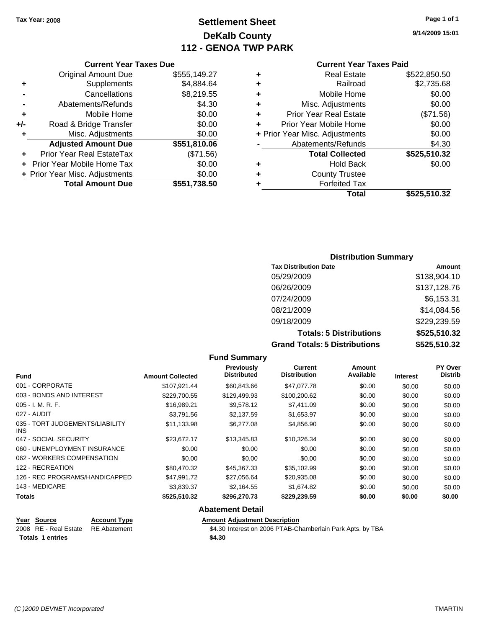Original Amount Due

**Adjusted Amount Due** 

**Total Amount Due** 

**+** Supplements **-** Cancellations **-** Abatements/Refunds **+** Mobile Home **+/-** Road & Bridge Transfer **+** Misc. Adjustments

**+** Prior Year Real EstateTax **+** Prior Year Mobile Home Tax **+ Prior Year Misc. Adjustments** 

## **Settlement Sheet Tax Year: 2008 Page 1 of 1 DeKalb County 112 - GENOA TWP PARK**

## **9/14/2009 15:01**

| <b>Current Year Taxes Paid</b> |  |
|--------------------------------|--|
|--------------------------------|--|

| <b>Current Year Taxes Due</b> |              |   | <b>Current Year Taxes Paid</b> |              |  |
|-------------------------------|--------------|---|--------------------------------|--------------|--|
| ıl Amount Due                 | \$555,149.27 | ÷ | <b>Real Estate</b>             | \$522,850.50 |  |
| Supplements                   | \$4,884.64   | ٠ | Railroad                       | \$2,735.68   |  |
| Cancellations                 | \$8,219.55   | ÷ | Mobile Home                    | \$0.00       |  |
| าents/Refunds                 | \$4.30       | ÷ | Misc. Adjustments              | \$0.00       |  |
| Mobile Home                   | \$0.00       | ÷ | <b>Prior Year Real Estate</b>  | (\$71.56)    |  |
| ridge Transfer                | \$0.00       | ÷ | Prior Year Mobile Home         | \$0.00       |  |
| . Adjustments                 | \$0.00       |   | + Prior Year Misc. Adjustments | \$0.00       |  |
| <b>Amount Due</b>             | \$551,810.06 |   | Abatements/Refunds             | \$4.30       |  |
| eal EstateTax                 | (\$71.56)    |   | <b>Total Collected</b>         | \$525,510.32 |  |
| pile Home Tax                 | \$0.00       | ÷ | <b>Hold Back</b>               | \$0.00       |  |
| . Adjustments                 | \$0.00       | ÷ | <b>County Trustee</b>          |              |  |
| <b>Amount Due</b>             | \$551,738.50 | ٠ | <b>Forfeited Tax</b>           |              |  |
|                               |              |   | Total                          | \$525,510.32 |  |

#### **Distribution Summary**

| <b>Tax Distribution Date</b>         | Amount       |
|--------------------------------------|--------------|
| 05/29/2009                           | \$138,904.10 |
| 06/26/2009                           | \$137,128.76 |
| 07/24/2009                           | \$6,153.31   |
| 08/21/2009                           | \$14,084.56  |
| 09/18/2009                           | \$229,239.59 |
| <b>Totals: 5 Distributions</b>       | \$525,510.32 |
| <b>Grand Totals: 5 Distributions</b> | \$525,510.32 |

**Fund Summary Fund Interest Amount Collected Distributed PY Over Distrib Amount Available Current Distribution Previously** 001 - CORPORATE \$107,921.44 \$60,843.66 \$47,077.78 \$0.00 \$0.00 \$0.00 003 - BONDS AND INTEREST  $$229,700.55$  \$129,499.93 \$100,200.62 \$0.00 \$0.00 \$0.00 005 - I. M. R. F. \$16,989.21 \$9,578.12 \$7,411.09 \$0.00 \$0.00 \$0.00 027 - AUDIT \$3,791.56 \$2,137.59 \$1,653.97 \$0.00 \$0.00 \$0.00 035 - TORT JUDGEMENTS/LIABILITY INS \$11,133.98 \$6,277.08 \$4,856.90 \$0.00 \$0.00 \$0.00 047 - SOCIAL SECURITY \$23,672.17 \$13,345.83 \$10,326.34 \$0.00 \$0.00 \$0.00 060 - UNEMPLOYMENT INSURANCE  $$0.00$   $$0.00$   $$0.00$   $$0.00$   $$0.00$   $$0.00$   $$0.00$ 062 - WORKERS COMPENSATION \$0.00 \$0.00 \$0.00 \$0.00 \$0.00 \$0.00 \$0.00 \$0.00 \$0.00 \$0.00 122 - RECREATION \$80,470.32 \$45,367.33 \$35,102.99 \$0.00 \$0.00 \$0.00 126 - REC PROGRAMS/HANDICAPPED \$47,991.72 \$27,056.64 \$20,935.08 \$0.00 \$0.00 \$0.00 \$0.00 143 - MEDICARE \$3,839.37 \$2,164.55 \$1,674.82 \$0.00 \$0.00 \$0.00 **Totals \$525,510.32 \$296,270.73 \$229,239.59 \$0.00 \$0.00 \$0.00 Abatement Detail**

| Year Source                        | <b>Account Type</b> | Amount |
|------------------------------------|---------------------|--------|
| 2008 RE - Real Estate RE Abatement |                     | \$4.30 |
| <b>Totals 1 entries</b>            |                     | \$4.30 |

**Amount Adjustment Description** 

\$4.30 Interest on 2006 PTAB-Chamberlain Park Apts. by TBA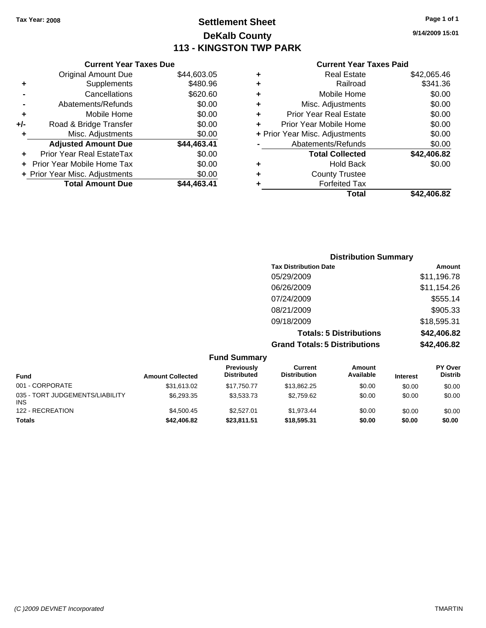## **Settlement Sheet Tax Year: 2008 Page 1 of 1 DeKalb County 113 - KINGSTON TWP PARK**

**9/14/2009 15:01**

#### **Current Year Taxes Paid**

## **Distribution Summary Tax Distribution Date Amount** 05/29/2009 \$11,196.78 06/26/2009 \$11,154.26 07/24/2009 \$555.14 08/21/2009 \$905.33 09/18/2009 \$18,595.31 **Totals: 5 Distributions \$42,406.82 Grand Totals: 5 Distributions \$42,406.82**

|                                               |                         | <b>Fund Summary</b>                     |                                |                     |                 |                                  |
|-----------------------------------------------|-------------------------|-----------------------------------------|--------------------------------|---------------------|-----------------|----------------------------------|
| <b>Fund</b>                                   | <b>Amount Collected</b> | <b>Previously</b><br><b>Distributed</b> | Current<br><b>Distribution</b> | Amount<br>Available | <b>Interest</b> | <b>PY Over</b><br><b>Distrib</b> |
| 001 - CORPORATE                               | \$31,613.02             | \$17.750.77                             | \$13.862.25                    | \$0.00              | \$0.00          | \$0.00                           |
| 035 - TORT JUDGEMENTS/LIABILITY<br><b>INS</b> | \$6,293.35              | \$3,533,73                              | \$2,759.62                     | \$0.00              | \$0.00          | \$0.00                           |
| 122 - RECREATION                              | \$4,500.45              | \$2,527.01                              | \$1.973.44                     | \$0.00              | \$0.00          | \$0.00                           |
| <b>Totals</b>                                 | \$42,406.82             | \$23,811.51                             | \$18,595.31                    | \$0.00              | \$0.00          | \$0.00                           |

## **-** Cancellations \$620.60 **-** Abatements/Refunds \$0.00 **+** Mobile Home \$0.00 **+/-** Road & Bridge Transfer \$0.00 **+** Misc. Adjustments \$0.00 **Adjusted Amount Due \$44,463.41 +** Prior Year Real EstateTax \$0.00 **+** Prior Year Mobile Home Tax \$0.00 **+ Prior Year Misc. Adjustments**  $$0.00$

**Current Year Taxes Due** Original Amount Due \$44,603.05

**Total Amount Due \$44,463.41**

**+** Supplements \$480.96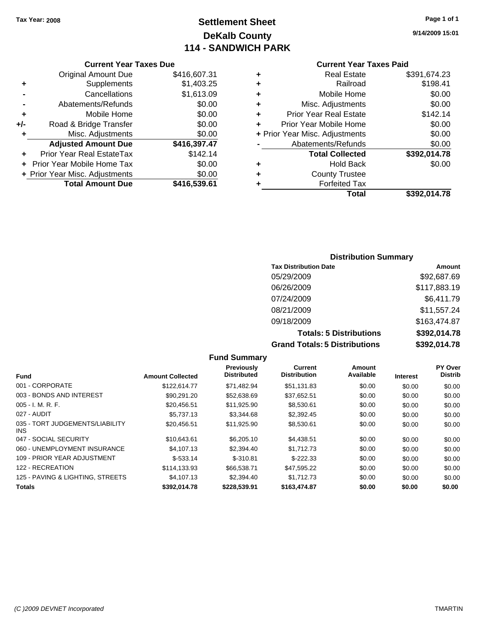## **Settlement Sheet Tax Year: 2008 Page 1 of 1 DeKalb County 114 - SANDWICH PARK**

**9/14/2009 15:01**

| <b>Current Year Taxes Due</b> |
|-------------------------------|
|-------------------------------|

|     | <b>Original Amount Due</b>     | \$416,607.31 |
|-----|--------------------------------|--------------|
| ٠   | Supplements                    | \$1,403.25   |
|     | Cancellations                  | \$1,613.09   |
|     | Abatements/Refunds             | \$0.00       |
| ÷   | Mobile Home                    | \$0.00       |
| +/- | Road & Bridge Transfer         | \$0.00       |
| ٠   | Misc. Adjustments              | \$0.00       |
|     | <b>Adjusted Amount Due</b>     | \$416,397.47 |
|     | Prior Year Real EstateTax      | \$142.14     |
|     | Prior Year Mobile Home Tax     | \$0.00       |
|     | + Prior Year Misc. Adjustments | \$0.00       |
|     | <b>Total Amount Due</b>        | \$416,539.61 |
|     |                                |              |

#### **Current Year Taxes Paid**

| ٠ | <b>Real Estate</b>             | \$391,674.23 |
|---|--------------------------------|--------------|
| ٠ | Railroad                       | \$198.41     |
| ٠ | Mobile Home                    | \$0.00       |
| ٠ | Misc. Adjustments              | \$0.00       |
| ٠ | <b>Prior Year Real Estate</b>  | \$142.14     |
| ٠ | Prior Year Mobile Home         | \$0.00       |
|   | + Prior Year Misc. Adjustments | \$0.00       |
|   | Abatements/Refunds             | \$0.00       |
|   | <b>Total Collected</b>         | \$392,014.78 |
| ٠ | <b>Hold Back</b>               | \$0.00       |
| ٠ | <b>County Trustee</b>          |              |
| ٠ | <b>Forfeited Tax</b>           |              |
|   | Total                          | \$392,014.78 |

## **Distribution Summary**

| <b>Tax Distribution Date</b>         | Amount       |
|--------------------------------------|--------------|
| 05/29/2009                           | \$92,687.69  |
| 06/26/2009                           | \$117,883.19 |
| 07/24/2009                           | \$6,411.79   |
| 08/21/2009                           | \$11,557.24  |
| 09/18/2009                           | \$163,474.87 |
| <b>Totals: 5 Distributions</b>       | \$392,014.78 |
| <b>Grand Totals: 5 Distributions</b> | \$392,014.78 |

**Fund Summary Fund Interest Amount Collected Distributed PY Over Distrib Amount Available Current Distribution Previously** 001 - CORPORATE \$122,614.77 \$71,482.94 \$51,131.83 \$0.00 \$0.00 \$0.00 003 - BONDS AND INTEREST 60.00 \$90,291.20 \$52,638.69 \$37,652.51 \$0.00 \$0.00 \$0.00 005 - I. M. R. F. \$20,456.51 \$11,925.90 \$8,530.61 \$0.00 \$0.00 \$0.00 027 - AUDIT \$5,737.13 \$3,344.68 \$2,392.45 \$0.00 \$0.00 \$0.00 035 - TORT JUDGEMENTS/LIABILITY INS  $$20,456.51$   $$11,925.90$   $$8,530.61$   $$0.00$   $$0.00$   $$0.00$ 047 - SOCIAL SECURITY \$10,643.61 \$6,205.10 \$4,438.51 \$0.00 \$0.00 \$0.00 060 - UNEMPLOYMENT INSURANCE  $$4,107.13$   $$2,394.40$   $$1,712.73$   $$0.00$   $$0.00$   $$0.00$ 109 - PRIOR YEAR ADJUSTMENT  $$-533.14$   $$-310.81$   $$-222.33$   $$0.00$   $$0.00$   $$0.00$ 122 - RECREATION \$114,133.93 \$66,538.71 \$47,595.22 \$0.00 \$0.00 \$0.00 125 - PAVING & LIGHTING, STREETS  $$4,107.13$   $$2,394.40$   $$1,712.73$   $$0.00$   $$0.00$   $$0.00$ **Totals \$392,014.78 \$228,539.91 \$163,474.87 \$0.00 \$0.00 \$0.00**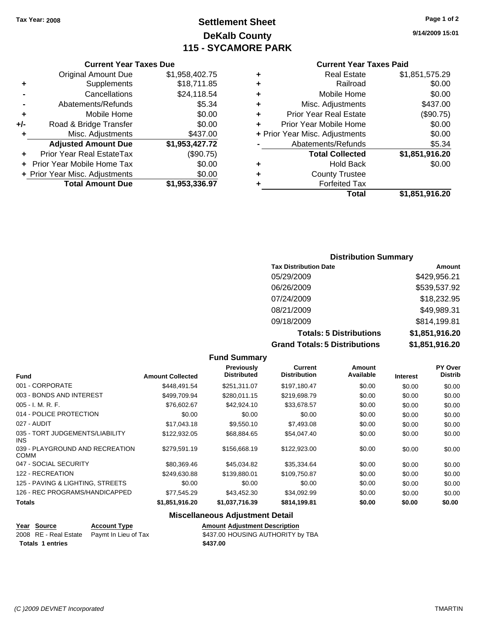## **Settlement Sheet Tax Year: 2008 Page 1 of 2 DeKalb County 115 - SYCAMORE PARK**

**9/14/2009 15:01**

#### **Current Year Taxes Paid**

| ٠ | Real Estate                    | \$1,851,575.29 |
|---|--------------------------------|----------------|
| ٠ | Railroad                       | \$0.00         |
| ٠ | Mobile Home                    | \$0.00         |
| ÷ | Misc. Adjustments              | \$437.00       |
| ÷ | <b>Prior Year Real Estate</b>  | (\$90.75)      |
| ÷ | Prior Year Mobile Home         | \$0.00         |
|   | + Prior Year Misc. Adjustments | \$0.00         |
|   | Abatements/Refunds             | \$5.34         |
|   | <b>Total Collected</b>         | \$1,851,916.20 |
| ٠ | <b>Hold Back</b>               | \$0.00         |
| ٠ | <b>County Trustee</b>          |                |
|   | <b>Forfeited Tax</b>           |                |
|   | <b>Total</b>                   | \$1.851.916.20 |

## **Current Year Taxes Due** Original Amount Due \$1,958,402.75

|     | <b>Total Amount Due</b>        | \$1,953,336.97 |
|-----|--------------------------------|----------------|
|     | + Prior Year Misc. Adjustments | \$0.00         |
|     | + Prior Year Mobile Home Tax   | \$0.00         |
|     | Prior Year Real EstateTax      | (\$90.75)      |
|     | <b>Adjusted Amount Due</b>     | \$1,953,427.72 |
| ÷   | Misc. Adjustments              | \$437.00       |
| +/- | Road & Bridge Transfer         | \$0.00         |
| ÷   | Mobile Home                    | \$0.00         |
|     | Abatements/Refunds             | \$5.34         |
|     | Cancellations                  | \$24,118.54    |
|     | Supplements                    | \$18,711.85    |

#### **Distribution Summary**

| <b>Tax Distribution Date</b>         | Amount         |
|--------------------------------------|----------------|
| 05/29/2009                           | \$429,956.21   |
| 06/26/2009                           | \$539,537.92   |
| 07/24/2009                           | \$18,232.95    |
| 08/21/2009                           | \$49,989.31    |
| 09/18/2009                           | \$814,199.81   |
| <b>Totals: 5 Distributions</b>       | \$1,851,916.20 |
| <b>Grand Totals: 5 Distributions</b> | \$1,851,916.20 |

**Fund Summary Fund Interest Amount Collected Distributed PY Over Distrib Amount Available Current Distribution Previously** 001 - CORPORATE \$448,491.54 \$251,311.07 \$197,180.47 \$0.00 \$0.00 \$0.00 003 - BONDS AND INTEREST 6499,709.94 \$280,011.15 \$219,698.79 \$0.00 \$0.00 \$0.00 005 - I. M. R. F. \$76,602.67 \$42,924.10 \$33,678.57 \$0.00 \$0.00 \$0.00 014 - POLICE PROTECTION  $$0.00$  \$0.00 \$0.00 \$0.00 \$0.00 \$0.00 \$0.00 \$0.00 027 - AUDIT \$17,043.18 \$9,550.10 \$7,493.08 \$0.00 \$0.00 \$0.00 035 - TORT JUDGEMENTS/LIABILITY INS \$122,932.05 \$68,884.65 \$54,047.40 \$0.00 \$0.00 \$0.00 039 - PLAYGROUND AND RECREATION COMM  $$279,591.19$   $$156,668.19$   $$122,923.00$  \$0.00 \$0.00 \$0.00 047 - SOCIAL SECURITY \$80,369.46 \$45,034.82 \$35,334.64 \$0.00 \$0.00 \$0.00 122 - RECREATION \$249,630.88 \$139,880.01 \$109,750.87 \$0.00 \$0.00 \$0.00 125 - PAVING & LIGHTING, STREETS  $$0.00$  \$0.00 \$0.00 \$0.00 \$0.00 \$0.00 \$0.00 \$0.00 126 - REC PROGRAMS/HANDICAPPED \$77,545.29 \$43,452.30 \$34,092.99 \$0.00 \$0.00 \$0.00 **Totals \$1,851,916.20 \$1,037,716.39 \$814,199.81 \$0.00 \$0.00 \$0.00**

#### **Miscellaneous Adjustment Detail**

**Year Source Account Type Amount Adjustment Description**

2008 RE - Real Estate Paymt In Lieu of Tax S437.00 HOUSING AUTHORITY by TBA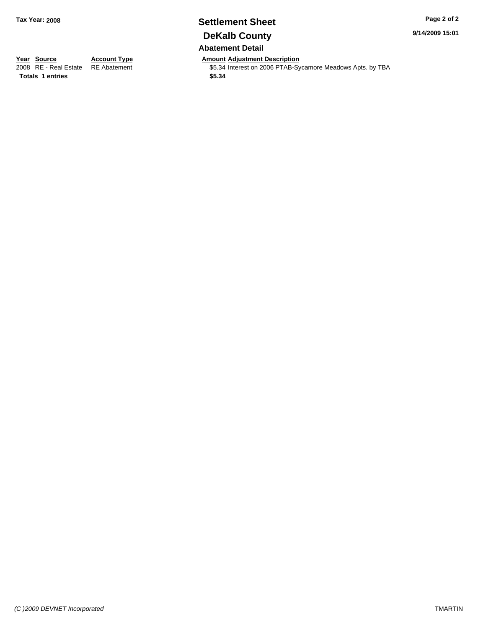## **Settlement Sheet Tax Year: 2008 Page 2 of 2 DeKalb County Abatement Detail**

**9/14/2009 15:01**

**Year Source Account Type Amount Adjustment Description**<br>2008 RE - Real Estate RE Abatement **Adjustment** \$5.34 Interest on 2006 PTAB-Sy

\$5.34 Interest on 2006 PTAB-Sycamore Meadows Apts. by TBA

**Totals \$5.34 1 entries**

*(C )2009 DEVNET Incorporated* TMARTIN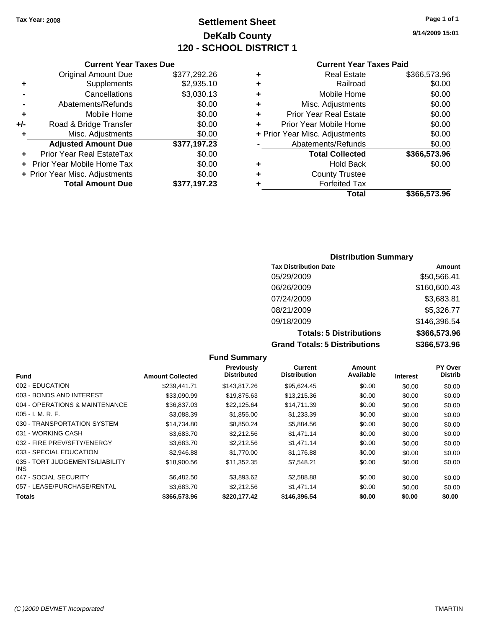## **Settlement Sheet Tax Year: 2008 Page 1 of 1 DeKalb County 120 - SCHOOL DISTRICT 1**

**9/14/2009 15:01**

#### **Current Year Taxes Due**

|       | <b>Original Amount Due</b>       | \$377,292.26 |
|-------|----------------------------------|--------------|
| ٠     | Supplements                      | \$2,935.10   |
|       | Cancellations                    | \$3,030.13   |
|       | Abatements/Refunds               | \$0.00       |
| ٠     | Mobile Home                      | \$0.00       |
| $+/-$ | Road & Bridge Transfer           | \$0.00       |
| ٠     | Misc. Adjustments                | \$0.00       |
|       | <b>Adjusted Amount Due</b>       | \$377,197.23 |
|       | <b>Prior Year Real EstateTax</b> | \$0.00       |
|       | Prior Year Mobile Home Tax       | \$0.00       |
|       | + Prior Year Misc. Adjustments   | \$0.00       |
|       | <b>Total Amount Due</b>          | \$377,197.23 |

#### **Current Year Taxes Paid**

| ٠ | <b>Real Estate</b>             | \$366,573.96 |
|---|--------------------------------|--------------|
| ٠ | Railroad                       | \$0.00       |
| ٠ | Mobile Home                    | \$0.00       |
| ٠ | Misc. Adjustments              | \$0.00       |
| ٠ | <b>Prior Year Real Estate</b>  | \$0.00       |
| ٠ | Prior Year Mobile Home         | \$0.00       |
|   | + Prior Year Misc. Adjustments | \$0.00       |
|   | Abatements/Refunds             | \$0.00       |
|   | <b>Total Collected</b>         | \$366,573.96 |
| ٠ | Hold Back                      | \$0.00       |
| ٠ | <b>County Trustee</b>          |              |
| ٠ | <b>Forfeited Tax</b>           |              |
|   | Total                          | \$366,573.96 |
|   |                                |              |

#### **Distribution Summary**

| <b>Tax Distribution Date</b>         | Amount       |
|--------------------------------------|--------------|
| 05/29/2009                           | \$50,566.41  |
| 06/26/2009                           | \$160,600.43 |
| 07/24/2009                           | \$3,683.81   |
| 08/21/2009                           | \$5,326.77   |
| 09/18/2009                           | \$146,396.54 |
| <b>Totals: 5 Distributions</b>       | \$366,573.96 |
| <b>Grand Totals: 5 Distributions</b> | \$366,573.96 |

**Fund Summary Fund Interest Amount Collected Distributed PY Over Distrib Amount Available Current Distribution Previously** 002 - EDUCATION \$239,441.71 \$143,817.26 \$95,624.45 \$0.00 \$0.00 \$0.00 003 - BONDS AND INTEREST  $$33,090.99$   $$19,875.63$   $$13,215.36$   $$0.00$   $$0.00$   $$0.00$ 004 - OPERATIONS & MAINTENANCE \$36,837.03 \$22,125.64 \$14,711.39 \$0.00 \$0.00 \$0.00 \$0.00 005 - I. M. R. F. \$3,088.39 \$1,855.00 \$1,233.39 \$0.00 \$0.00 \$0.00 030 - TRANSPORTATION SYSTEM \$14,734.80 \$8,850.24 \$5,884.56 \$0.00 \$0.00 \$0.00 \$0.00 031 - WORKING CASH \$3,683.70 \$2,212.56 \$1,471.14 \$0.00 \$0.00 \$0.00 \$0.00 032 - FIRE PREV/SFTY/ENERGY \$3,683.70 \$2,212.56 \$1,471.14 \$0.00 \$0.00 \$0.00 \$0.00 033 - SPECIAL EDUCATION \$2,946.88 \$1,770.00 \$1,176.88 \$0.00 \$0.00 \$0.00 \$0.00 035 - TORT JUDGEMENTS/LIABILITY INS \$18,900.56 \$11,352.35 \$7,548.21 \$0.00 \$0.00 \$0.00 047 - SOCIAL SECURITY \$6,482.50 \$3,893.62 \$2,588.88 \$0.00 \$0.00 \$0.00 \$0.00 \$0.00 \$0.00 \$0.00 \$0.00 \$0.00 \$0.00 057 - LEASE/PURCHASE/RENTAL \$3,683.70 \$2,212.56 \$1,471.14 \$0.00 \$0.00 \$0.00 **Totals \$366,573.96 \$220,177.42 \$146,396.54 \$0.00 \$0.00 \$0.00**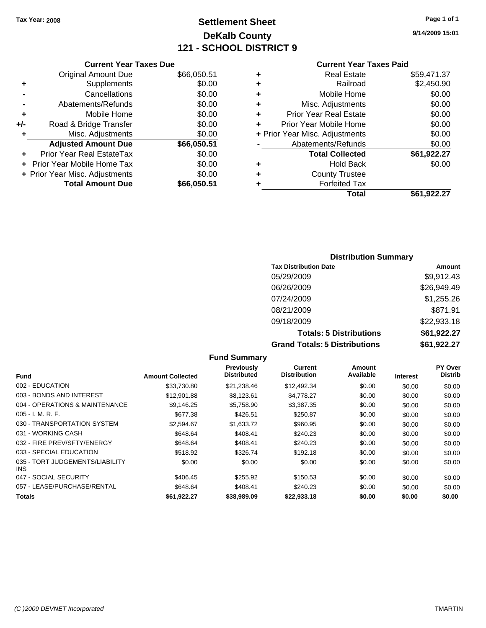## **Settlement Sheet Tax Year: 2008 Page 1 of 1 DeKalb County 121 - SCHOOL DISTRICT 9**

**9/14/2009 15:01**

**Total \$61,922.27**

#### **Current Year Taxes Paid**

|           |   | Total                          | \$61.922.27 |
|-----------|---|--------------------------------|-------------|
| 66,050.51 |   | <b>Forfeited Tax</b>           |             |
| \$0.00    | ÷ | <b>County Trustee</b>          |             |
| \$0.00    | ÷ | <b>Hold Back</b>               | \$0.00      |
| \$0.00    |   | <b>Total Collected</b>         | \$61,922.27 |
| 66,050.51 |   | Abatements/Refunds             | \$0.00      |
| \$0.00    |   | + Prior Year Misc. Adjustments | \$0.00      |
| \$0.00    | ÷ | Prior Year Mobile Home         | \$0.00      |
| \$0.00    | ٠ | <b>Prior Year Real Estate</b>  | \$0.00      |
| \$0.00    | ٠ | Misc. Adjustments              | \$0.00      |
| \$0.00    | ٠ | Mobile Home                    | \$0.00      |
| \$0.00    | ٠ | Railroad                       | \$2,450.90  |
| 66,050.51 | ٠ | <b>Real Estate</b>             | \$59,471.37 |
|           |   |                                |             |

| <b>Distribution Summary</b>    |                    |
|--------------------------------|--------------------|
| <b>Tax Distribution Date</b>   | Amount             |
| 05/29/2009                     | \$9,912.43         |
| 06/26/2009                     | \$26,949.49        |
| 07/24/2009                     | \$1,255.26         |
| 08/21/2009                     | \$871.91           |
| 09/18/2009                     | \$22,933.18        |
| <b>Totals: 5 Distributions</b> | \$61,922.27        |
| _______________                | *** *** * <b>*</b> |

**Grand Totals: 5 Distributions \$61,922.27**

| <b>Fund Summary</b>                     |                         |                                  |                                |                     |                 |                           |
|-----------------------------------------|-------------------------|----------------------------------|--------------------------------|---------------------|-----------------|---------------------------|
| <b>Fund</b>                             | <b>Amount Collected</b> | Previously<br><b>Distributed</b> | Current<br><b>Distribution</b> | Amount<br>Available | <b>Interest</b> | PY Over<br><b>Distrib</b> |
| 002 - EDUCATION                         | \$33,730.80             | \$21,238.46                      | \$12,492.34                    | \$0.00              | \$0.00          | \$0.00                    |
| 003 - BONDS AND INTEREST                | \$12,901.88             | \$8,123.61                       | \$4,778.27                     | \$0.00              | \$0.00          | \$0.00                    |
| 004 - OPERATIONS & MAINTENANCE          | \$9,146.25              | \$5,758.90                       | \$3,387.35                     | \$0.00              | \$0.00          | \$0.00                    |
| $005 - I. M. R. F.$                     | \$677.38                | \$426.51                         | \$250.87                       | \$0.00              | \$0.00          | \$0.00                    |
| 030 - TRANSPORTATION SYSTEM             | \$2,594.67              | \$1,633.72                       | \$960.95                       | \$0.00              | \$0.00          | \$0.00                    |
| 031 - WORKING CASH                      | \$648.64                | \$408.41                         | \$240.23                       | \$0.00              | \$0.00          | \$0.00                    |
| 032 - FIRE PREV/SFTY/ENERGY             | \$648.64                | \$408.41                         | \$240.23                       | \$0.00              | \$0.00          | \$0.00                    |
| 033 - SPECIAL EDUCATION                 | \$518.92                | \$326.74                         | \$192.18                       | \$0.00              | \$0.00          | \$0.00                    |
| 035 - TORT JUDGEMENTS/LIABILITY<br>INS. | \$0.00                  | \$0.00                           | \$0.00                         | \$0.00              | \$0.00          | \$0.00                    |
| 047 - SOCIAL SECURITY                   | \$406.45                | \$255.92                         | \$150.53                       | \$0.00              | \$0.00          | \$0.00                    |
| 057 - LEASE/PURCHASE/RENTAL             | \$648.64                | \$408.41                         | \$240.23                       | \$0.00              | \$0.00          | \$0.00                    |
| <b>Totals</b>                           | \$61.922.27             | \$38,989.09                      | \$22,933,18                    | \$0.00              | \$0.00          | \$0.00                    |

**Current Year Taxes Due** Original Amount Due \$ **+** Supplements **-** Cancellations **-** Abatements/Refunds **+** Mobile Home

| +/-       | Road & Bridge Transfer         | \$0.00      |
|-----------|--------------------------------|-------------|
| $\ddot{}$ | Misc. Adjustments              | \$0.00      |
|           | <b>Adjusted Amount Due</b>     | \$66,050.51 |
|           | Prior Year Real EstateTax      | \$0.00      |
|           | + Prior Year Mobile Home Tax   | \$0.00      |
|           | + Prior Year Misc. Adjustments | \$0.00      |
|           | <b>Total Amount Due</b>        | \$66,050.51 |
|           |                                |             |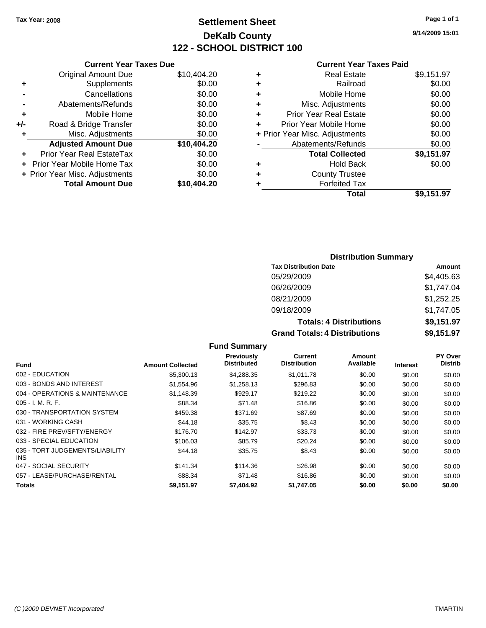## **Settlement Sheet Tax Year: 2008 Page 1 of 1 DeKalb County 122 - SCHOOL DISTRICT 100**

**9/14/2009 15:01**

#### **Current Year Taxes Paid**

|       | <b>Current Year Taxes Due</b>  |             |
|-------|--------------------------------|-------------|
|       | <b>Original Amount Due</b>     | \$10,404.20 |
| ٠     | Supplements                    | \$0.00      |
|       | Cancellations                  | \$0.00      |
|       | Abatements/Refunds             | \$0.00      |
| ٠     | Mobile Home                    | \$0.00      |
| $+/-$ | Road & Bridge Transfer         | \$0.00      |
| ÷     | Misc. Adjustments              | \$0.00      |
|       | <b>Adjusted Amount Due</b>     | \$10,404.20 |
| ÷     | Prior Year Real EstateTax      | \$0.00      |
|       | Prior Year Mobile Home Tax     | \$0.00      |
|       | + Prior Year Misc. Adjustments | \$0.00      |
|       | <b>Total Amount Due</b>        | \$10,404.20 |

|   | <b>Real Estate</b>             | \$9,151.97 |
|---|--------------------------------|------------|
| ٠ | Railroad                       | \$0.00     |
| ٠ | Mobile Home                    | \$0.00     |
| ٠ | Misc. Adjustments              | \$0.00     |
| ٠ | <b>Prior Year Real Estate</b>  | \$0.00     |
|   | Prior Year Mobile Home         | \$0.00     |
|   | + Prior Year Misc. Adjustments | \$0.00     |
|   | Abatements/Refunds             | \$0.00     |
|   | <b>Total Collected</b>         | \$9,151.97 |
| ٠ | <b>Hold Back</b>               | \$0.00     |
| ٠ | <b>County Trustee</b>          |            |
| ٠ | <b>Forfeited Tax</b>           |            |
|   | Total                          | \$9,151.97 |
|   |                                |            |

## **Distribution Summary**

| <b>Tax Distribution Date</b>         | Amount     |
|--------------------------------------|------------|
| 05/29/2009                           | \$4,405.63 |
| 06/26/2009                           | \$1,747.04 |
| 08/21/2009                           | \$1,252.25 |
| 09/18/2009                           | \$1,747.05 |
| <b>Totals: 4 Distributions</b>       | \$9,151.97 |
| <b>Grand Totals: 4 Distributions</b> | \$9,151.97 |

#### **Fund Summary**

|                                         |                         | Previously         | Current             | Amount    |                 | PY Over        |
|-----------------------------------------|-------------------------|--------------------|---------------------|-----------|-----------------|----------------|
| Fund                                    | <b>Amount Collected</b> | <b>Distributed</b> | <b>Distribution</b> | Available | <b>Interest</b> | <b>Distrib</b> |
| 002 - EDUCATION                         | \$5,300.13              | \$4,288.35         | \$1.011.78          | \$0.00    | \$0.00          | \$0.00         |
| 003 - BONDS AND INTEREST                | \$1,554.96              | \$1,258.13         | \$296.83            | \$0.00    | \$0.00          | \$0.00         |
| 004 - OPERATIONS & MAINTENANCE          | \$1.148.39              | \$929.17           | \$219.22            | \$0.00    | \$0.00          | \$0.00         |
| $005 - I. M. R. F.$                     | \$88.34                 | \$71.48            | \$16.86             | \$0.00    | \$0.00          | \$0.00         |
| 030 - TRANSPORTATION SYSTEM             | \$459.38                | \$371.69           | \$87.69             | \$0.00    | \$0.00          | \$0.00         |
| 031 - WORKING CASH                      | \$44.18                 | \$35.75            | \$8.43              | \$0.00    | \$0.00          | \$0.00         |
| 032 - FIRE PREV/SFTY/ENERGY             | \$176.70                | \$142.97           | \$33.73             | \$0.00    | \$0.00          | \$0.00         |
| 033 - SPECIAL EDUCATION                 | \$106.03                | \$85.79            | \$20.24             | \$0.00    | \$0.00          | \$0.00         |
| 035 - TORT JUDGEMENTS/LIABILITY<br>INS. | \$44.18                 | \$35.75            | \$8.43              | \$0.00    | \$0.00          | \$0.00         |
| 047 - SOCIAL SECURITY                   | \$141.34                | \$114.36           | \$26.98             | \$0.00    | \$0.00          | \$0.00         |
| 057 - LEASE/PURCHASE/RENTAL             | \$88.34                 | \$71.48            | \$16.86             | \$0.00    | \$0.00          | \$0.00         |
| Totals                                  | \$9.151.97              | \$7.404.92         | \$1.747.05          | \$0.00    | \$0.00          | \$0.00         |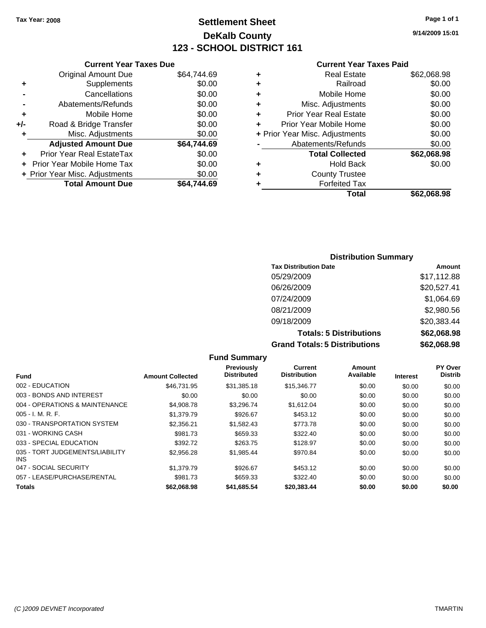## **Settlement Sheet Tax Year: 2008 Page 1 of 1 DeKalb County 123 - SCHOOL DISTRICT 161**

**9/14/2009 15:01**

#### **Current Year Taxes Paid**

|     | <b>Current Year Taxes Due</b>  |             |  |
|-----|--------------------------------|-------------|--|
|     | <b>Original Amount Due</b>     | \$64,744.69 |  |
| ٠   | Supplements                    | \$0.00      |  |
|     | Cancellations                  | \$0.00      |  |
|     | Abatements/Refunds             | \$0.00      |  |
| ٠   | Mobile Home                    | \$0.00      |  |
| +/- | Road & Bridge Transfer         | \$0.00      |  |
| ٠   | Misc. Adjustments              | \$0.00      |  |
|     | <b>Adjusted Amount Due</b>     | \$64,744.69 |  |
| ÷   | Prior Year Real EstateTax      | \$0.00      |  |
|     | Prior Year Mobile Home Tax     | \$0.00      |  |
|     | + Prior Year Misc. Adjustments | \$0.00      |  |
|     | <b>Total Amount Due</b>        | \$64.744.69 |  |
|     |                                |             |  |

| ٠ | <b>Real Estate</b>             | \$62,068.98 |
|---|--------------------------------|-------------|
| ٠ | Railroad                       | \$0.00      |
| ٠ | Mobile Home                    | \$0.00      |
| ٠ | Misc. Adjustments              | \$0.00      |
| ÷ | <b>Prior Year Real Estate</b>  | \$0.00      |
| ÷ | Prior Year Mobile Home         | \$0.00      |
|   | + Prior Year Misc. Adjustments | \$0.00      |
|   | Abatements/Refunds             | \$0.00      |
|   | <b>Total Collected</b>         | \$62,068.98 |
| ٠ | <b>Hold Back</b>               | \$0.00      |
| ٠ | <b>County Trustee</b>          |             |
| ٠ | <b>Forfeited Tax</b>           |             |
|   | Total                          | \$62.068.98 |
|   |                                |             |

## **Distribution Summary**

| <b>Tax Distribution Date</b>         | Amount      |
|--------------------------------------|-------------|
| 05/29/2009                           | \$17,112.88 |
| 06/26/2009                           | \$20,527.41 |
| 07/24/2009                           | \$1,064.69  |
| 08/21/2009                           | \$2,980.56  |
| 09/18/2009                           | \$20,383.44 |
| <b>Totals: 5 Distributions</b>       | \$62,068.98 |
| <b>Grand Totals: 5 Distributions</b> | \$62,068.98 |

**Fund Summary Fund Interest Amount Collected Distributed PY Over Distrib Amount Available Current Distribution Previously** 002 - EDUCATION \$46,731.95 \$31,385.18 \$15,346.77 \$0.00 \$0.00 \$0.00 003 - BONDS AND INTEREST  $$0.00$   $$0.00$   $$0.00$   $$0.00$   $$0.00$   $$0.00$   $$0.00$   $$0.00$ 004 - OPERATIONS & MAINTENANCE \$4,908.78 \$3,296.74 \$1,612.04 \$0.00 \$0.00 \$0.00 005 - I. M. R. F. \$1,379.79 \$926.67 \$453.12 \$0.00 \$0.00 \$0.00 030 - TRANSPORTATION SYSTEM \$2,356.21 \$1,582.43 \$773.78 \$0.00 \$0.00 \$0.00 \$0.00 031 - WORKING CASH \$981.73 \$659.33 \$322.40 \$0.00 \$0.00 \$0.00 033 - SPECIAL EDUCATION 6302.72 \$263.75 \$128.97 \$0.00 \$0.00 \$0.00 \$0.00 035 - TORT JUDGEMENTS/LIABILITY INS \$2,956.28 \$1,985.44 \$970.84 \$0.00 \$0.00 \$0.00 047 - SOCIAL SECURITY \$1,379.79 \$926.67 \$453.12 \$0.00 \$0.00 \$0.00 057 - LEASE/PURCHASE/RENTAL \$981.73 \$322.40 \$0.00 \$0.00 \$0.00 \$0.00 **Totals \$62,068.98 \$41,685.54 \$20,383.44 \$0.00 \$0.00 \$0.00**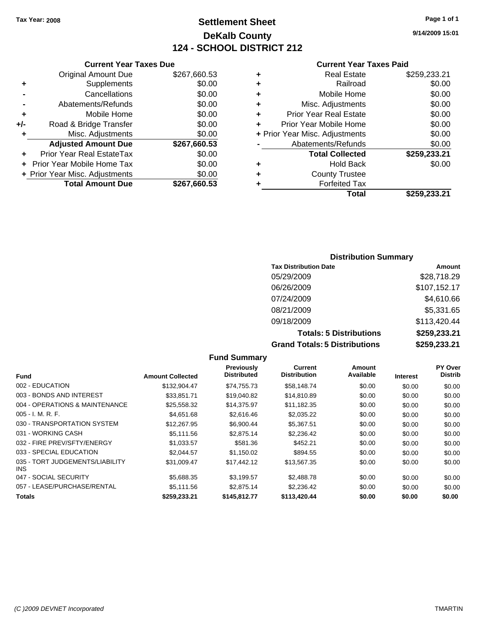**Current Year Taxes Due** Original Amount Due \$267,660.53

**Adjusted Amount Due \$267,660.53**

**Total Amount Due \$267,660.53**

**+** Supplements \$0.00 **-** Cancellations \$0.00 **-** Abatements/Refunds \$0.00 **+** Mobile Home \$0.00 **+/-** Road & Bridge Transfer \$0.00 **+** Misc. Adjustments \$0.00

**+** Prior Year Real EstateTax \$0.00 **+** Prior Year Mobile Home Tax \$0.00 **+ Prior Year Misc. Adjustments**  $$0.00$ 

## **Settlement Sheet Tax Year: 2008 Page 1 of 1 DeKalb County 124 - SCHOOL DISTRICT 212**

**9/14/2009 15:01**

#### **Current Year Taxes Paid**

|   | Total                          | \$259,233,21 |
|---|--------------------------------|--------------|
|   | <b>Forfeited Tax</b>           |              |
| ٠ | <b>County Trustee</b>          |              |
| ٠ | <b>Hold Back</b>               | \$0.00       |
|   | <b>Total Collected</b>         | \$259,233.21 |
|   | Abatements/Refunds             | \$0.00       |
|   | + Prior Year Misc. Adjustments | \$0.00       |
|   | Prior Year Mobile Home         | \$0.00       |
| ٠ | <b>Prior Year Real Estate</b>  | \$0.00       |
| ٠ | Misc. Adjustments              | \$0.00       |
| ٠ | Mobile Home                    | \$0.00       |
|   | Railroad                       | \$0.00       |
| ٠ | <b>Real Estate</b>             | \$259,233.21 |
|   |                                |              |

## **Distribution Summary Tax Distribution Date Amount**

| <b>Grand Totals: 5 Distributions</b> | \$259,233.21        |
|--------------------------------------|---------------------|
| <b>Totals: 5 Distributions</b>       | \$259,233.21        |
| 09/18/2009                           | \$113,420.44        |
| 08/21/2009                           | \$5,331.65          |
| 07/24/2009                           | \$4,610.66          |
| 06/26/2009                           | \$107,152.17        |
| 05/29/2009                           | \$28,718.29         |
| TAX DISTINUTION DATE                 | $\mathbf{A}$ iiuuii |

|                                         |                         | Fund Summary                            |                                       |                     |                 |                           |
|-----------------------------------------|-------------------------|-----------------------------------------|---------------------------------------|---------------------|-----------------|---------------------------|
| Fund                                    | <b>Amount Collected</b> | <b>Previously</b><br><b>Distributed</b> | <b>Current</b><br><b>Distribution</b> | Amount<br>Available | <b>Interest</b> | PY Over<br><b>Distrib</b> |
| 002 - EDUCATION                         | \$132,904.47            | \$74,755.73                             | \$58,148.74                           | \$0.00              | \$0.00          | \$0.00                    |
| 003 - BONDS AND INTEREST                | \$33.851.71             | \$19,040.82                             | \$14,810.89                           | \$0.00              | \$0.00          | \$0.00                    |
| 004 - OPERATIONS & MAINTENANCE          | \$25,558.32             | \$14,375.97                             | \$11,182.35                           | \$0.00              | \$0.00          | \$0.00                    |
| $005 - I. M. R. F.$                     | \$4.651.68              | \$2,616.46                              | \$2,035.22                            | \$0.00              | \$0.00          | \$0.00                    |
| 030 - TRANSPORTATION SYSTEM             | \$12,267.95             | \$6,900.44                              | \$5,367.51                            | \$0.00              | \$0.00          | \$0.00                    |
| 031 - WORKING CASH                      | \$5.111.56              | \$2,875.14                              | \$2,236.42                            | \$0.00              | \$0.00          | \$0.00                    |
| 032 - FIRE PREV/SFTY/ENERGY             | \$1,033.57              | \$581.36                                | \$452.21                              | \$0.00              | \$0.00          | \$0.00                    |
| 033 - SPECIAL EDUCATION                 | \$2.044.57              | \$1.150.02                              | \$894.55                              | \$0.00              | \$0.00          | \$0.00                    |
| 035 - TORT JUDGEMENTS/LIABILITY<br>INS. | \$31,009.47             | \$17,442.12                             | \$13,567.35                           | \$0.00              | \$0.00          | \$0.00                    |
| 047 - SOCIAL SECURITY                   | \$5,688.35              | \$3,199.57                              | \$2,488.78                            | \$0.00              | \$0.00          | \$0.00                    |
| 057 - LEASE/PURCHASE/RENTAL             | \$5,111.56              | \$2.875.14                              | \$2,236.42                            | \$0.00              | \$0.00          | \$0.00                    |
| <b>Totals</b>                           | \$259,233.21            | \$145.812.77                            | \$113,420,44                          | \$0.00              | \$0.00          | \$0.00                    |

**Fund Summary**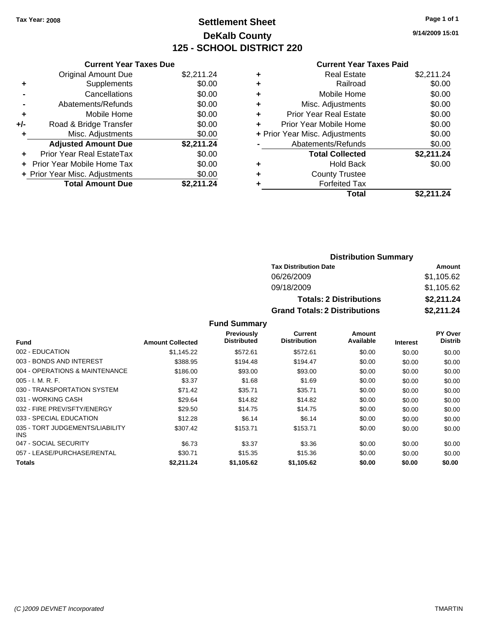## **Settlement Sheet Tax Year: 2008 Page 1 of 1 DeKalb County 125 - SCHOOL DISTRICT 220**

**9/14/2009 15:01**

#### **Current Year Taxes Paid**

| <b>Current Year Taxes Due</b>     |                                |
|-----------------------------------|--------------------------------|
| <b>Original Amount Due</b>        | \$2,211.24                     |
| Supplements                       | \$0.00                         |
| Cancellations                     | \$0.00                         |
| Abatements/Refunds                | \$0.00                         |
| Mobile Home                       | \$0.00                         |
| Road & Bridge Transfer            | \$0.00                         |
| Misc. Adjustments                 | \$0.00                         |
| <b>Adjusted Amount Due</b>        | \$2,211.24                     |
| Prior Year Real EstateTax         | \$0.00                         |
| <b>Prior Year Mobile Home Tax</b> | \$0.00                         |
|                                   | \$0.00                         |
| <b>Total Amount Due</b>           | \$2,211.24                     |
|                                   | + Prior Year Misc. Adjustments |

| ٠ | <b>Real Estate</b>             | \$2,211.24 |
|---|--------------------------------|------------|
| ٠ | Railroad                       | \$0.00     |
| ٠ | Mobile Home                    | \$0.00     |
| ٠ | Misc. Adjustments              | \$0.00     |
| ٠ | <b>Prior Year Real Estate</b>  | \$0.00     |
| ÷ | Prior Year Mobile Home         | \$0.00     |
|   | + Prior Year Misc. Adjustments | \$0.00     |
|   | Abatements/Refunds             | \$0.00     |
|   | <b>Total Collected</b>         | \$2,211.24 |
| ٠ | <b>Hold Back</b>               | \$0.00     |
| ٠ | <b>County Trustee</b>          |            |
|   | <b>Forfeited Tax</b>           |            |
|   | Total                          | \$2,211.24 |

| <b>Distribution Summary</b>          |            |  |  |  |
|--------------------------------------|------------|--|--|--|
| <b>Tax Distribution Date</b>         | Amount     |  |  |  |
| 06/26/2009                           | \$1,105.62 |  |  |  |
| 09/18/2009                           | \$1,105.62 |  |  |  |
| <b>Totals: 2 Distributions</b>       | \$2,211.24 |  |  |  |
| <b>Grand Totals: 2 Distributions</b> | \$2,211.24 |  |  |  |

|                                               |                         | <b>Previously</b>  | <b>Current</b>      | <b>Amount</b> |                 | PY Over        |
|-----------------------------------------------|-------------------------|--------------------|---------------------|---------------|-----------------|----------------|
| <b>Fund</b>                                   | <b>Amount Collected</b> | <b>Distributed</b> | <b>Distribution</b> | Available     | <b>Interest</b> | <b>Distrib</b> |
| 002 - EDUCATION                               | \$1.145.22              | \$572.61           | \$572.61            | \$0.00        | \$0.00          | \$0.00         |
| 003 - BONDS AND INTEREST                      | \$388.95                | \$194.48           | \$194.47            | \$0.00        | \$0.00          | \$0.00         |
| 004 - OPERATIONS & MAINTENANCE                | \$186.00                | \$93.00            | \$93.00             | \$0.00        | \$0.00          | \$0.00         |
| $005 - I. M. R. F.$                           | \$3.37                  | \$1.68             | \$1.69              | \$0.00        | \$0.00          | \$0.00         |
| 030 - TRANSPORTATION SYSTEM                   | \$71.42                 | \$35.71            | \$35.71             | \$0.00        | \$0.00          | \$0.00         |
| 031 - WORKING CASH                            | \$29.64                 | \$14.82            | \$14.82             | \$0.00        | \$0.00          | \$0.00         |
| 032 - FIRE PREV/SFTY/ENERGY                   | \$29.50                 | \$14.75            | \$14.75             | \$0.00        | \$0.00          | \$0.00         |
| 033 - SPECIAL EDUCATION                       | \$12.28                 | \$6.14             | \$6.14              | \$0.00        | \$0.00          | \$0.00         |
| 035 - TORT JUDGEMENTS/LIABILITY<br><b>INS</b> | \$307.42                | \$153.71           | \$153.71            | \$0.00        | \$0.00          | \$0.00         |
| 047 - SOCIAL SECURITY                         | \$6.73                  | \$3.37             | \$3.36              | \$0.00        | \$0.00          | \$0.00         |
| 057 - LEASE/PURCHASE/RENTAL                   | \$30.71                 | \$15.35            | \$15.36             | \$0.00        | \$0.00          | \$0.00         |
| <b>Totals</b>                                 | \$2.211.24              | \$1,105.62         | \$1.105.62          | \$0.00        | \$0.00          | \$0.00         |

**Fund Summary**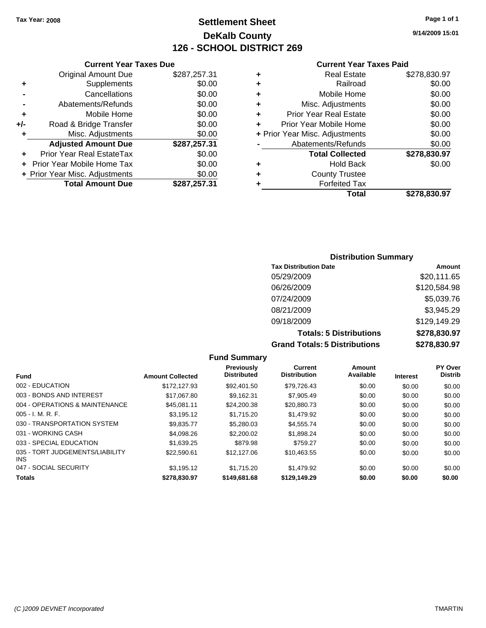**Current Year Taxes Due** Original Amount Due \$287,257.31

**Adjusted Amount Due \$287,257.31**

**Total Amount Due \$287,257.31**

**+** Supplements \$0.00 **-** Cancellations \$0.00 **-** Abatements/Refunds \$0.00 **+** Mobile Home \$0.00 **+/-** Road & Bridge Transfer \$0.00 **+** Misc. Adjustments \$0.00

**+** Prior Year Real EstateTax \$0.00 **+** Prior Year Mobile Home Tax \$0.00 **+ Prior Year Misc. Adjustments**  $$0.00$ 

## **Settlement Sheet Tax Year: 2008 Page 1 of 1 DeKalb County 126 - SCHOOL DISTRICT 269**

**9/14/2009 15:01**

#### **Current Year Taxes Paid**

|   | Total                          | \$278,830.97 |
|---|--------------------------------|--------------|
|   | <b>Forfeited Tax</b>           |              |
|   | <b>County Trustee</b>          |              |
| ٠ | <b>Hold Back</b>               | \$0.00       |
|   | <b>Total Collected</b>         | \$278,830.97 |
|   | Abatements/Refunds             | \$0.00       |
|   | + Prior Year Misc. Adjustments | \$0.00       |
|   | Prior Year Mobile Home         | \$0.00       |
|   | <b>Prior Year Real Estate</b>  | \$0.00       |
| ٠ | Misc. Adjustments              | \$0.00       |
| ٠ | Mobile Home                    | \$0.00       |
| ٠ | Railroad                       | \$0.00       |
| ٠ | Real Estate                    | \$278,830.97 |
|   |                                |              |

# **Distribution Summary**

| <b>Tax Distribution Date</b>         | Amount       |
|--------------------------------------|--------------|
| 05/29/2009                           | \$20,111.65  |
| 06/26/2009                           | \$120,584.98 |
| 07/24/2009                           | \$5,039.76   |
| 08/21/2009                           | \$3,945.29   |
| 09/18/2009                           | \$129,149.29 |
| <b>Totals: 5 Distributions</b>       | \$278,830.97 |
| <b>Grand Totals: 5 Distributions</b> | \$278,830.97 |

|                                         |                         | <b>Fund Summary</b>              |                                       |                     |                 |                                  |
|-----------------------------------------|-------------------------|----------------------------------|---------------------------------------|---------------------|-----------------|----------------------------------|
| <b>Fund</b>                             | <b>Amount Collected</b> | Previously<br><b>Distributed</b> | <b>Current</b><br><b>Distribution</b> | Amount<br>Available | <b>Interest</b> | <b>PY Over</b><br><b>Distrib</b> |
| 002 - EDUCATION                         | \$172.127.93            | \$92,401.50                      | \$79.726.43                           | \$0.00              | \$0.00          | \$0.00                           |
| 003 - BONDS AND INTEREST                | \$17.067.80             | \$9,162.31                       | \$7,905.49                            | \$0.00              | \$0.00          | \$0.00                           |
| 004 - OPERATIONS & MAINTENANCE          | \$45.081.11             | \$24,200.38                      | \$20,880.73                           | \$0.00              | \$0.00          | \$0.00                           |
| $005 - I. M. R. F.$                     | \$3.195.12              | \$1,715.20                       | \$1,479.92                            | \$0.00              | \$0.00          | \$0.00                           |
| 030 - TRANSPORTATION SYSTEM             | \$9,835.77              | \$5,280.03                       | \$4,555.74                            | \$0.00              | \$0.00          | \$0.00                           |
| 031 - WORKING CASH                      | \$4,098.26              | \$2,200.02                       | \$1,898.24                            | \$0.00              | \$0.00          | \$0.00                           |
| 033 - SPECIAL EDUCATION                 | \$1.639.25              | \$879.98                         | \$759.27                              | \$0.00              | \$0.00          | \$0.00                           |
| 035 - TORT JUDGEMENTS/LIABILITY<br>INS. | \$22,590.61             | \$12,127.06                      | \$10.463.55                           | \$0.00              | \$0.00          | \$0.00                           |
| 047 - SOCIAL SECURITY                   | \$3.195.12              | \$1,715.20                       | \$1,479.92                            | \$0.00              | \$0.00          | \$0.00                           |
| <b>Totals</b>                           | \$278.830.97            | \$149,681,68                     | \$129,149.29                          | \$0.00              | \$0.00          | \$0.00                           |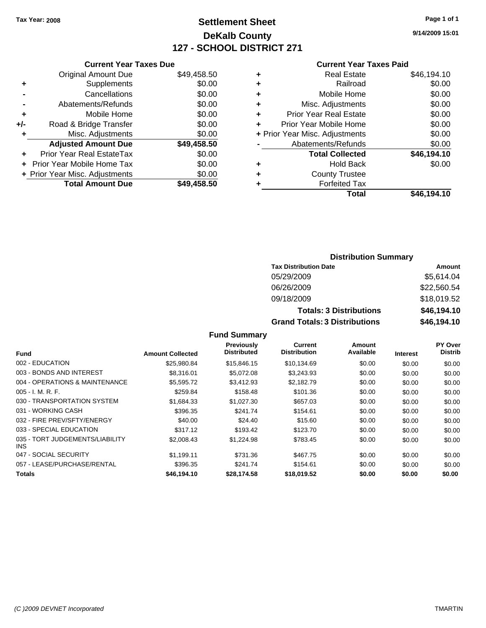## **Settlement Sheet Tax Year: 2008 Page 1 of 1 DeKalb County 127 - SCHOOL DISTRICT 271**

**9/14/2009 15:01**

#### **Current Year Taxes Paid**

|     | <b>Current Year Taxes Due</b>  |             |  |
|-----|--------------------------------|-------------|--|
|     | <b>Original Amount Due</b>     | \$49,458.50 |  |
| ٠   | Supplements                    | \$0.00      |  |
|     | Cancellations                  | \$0.00      |  |
|     | Abatements/Refunds             | \$0.00      |  |
| ٠   | Mobile Home                    | \$0.00      |  |
| +/- | Road & Bridge Transfer         | \$0.00      |  |
| ٠   | Misc. Adjustments              | \$0.00      |  |
|     | <b>Adjusted Amount Due</b>     | \$49,458.50 |  |
| ٠   | Prior Year Real EstateTax      | \$0.00      |  |
|     | Prior Year Mobile Home Tax     | \$0.00      |  |
|     | + Prior Year Misc. Adjustments | \$0.00      |  |
|     | <b>Total Amount Due</b>        | \$49,458.50 |  |
|     |                                |             |  |

| <b>Real Estate</b>             | \$46,194.10 |
|--------------------------------|-------------|
| Railroad                       | \$0.00      |
| Mobile Home                    | \$0.00      |
| Misc. Adjustments              | \$0.00      |
| <b>Prior Year Real Estate</b>  | \$0.00      |
| Prior Year Mobile Home         | \$0.00      |
| + Prior Year Misc. Adjustments | \$0.00      |
| Abatements/Refunds             | \$0.00      |
| <b>Total Collected</b>         | \$46,194.10 |
| <b>Hold Back</b>               | \$0.00      |
| <b>County Trustee</b>          |             |
| <b>Forfeited Tax</b>           |             |
| Total                          | \$46,194.10 |
|                                |             |

## **Distribution Summary Tax Distribution Date Amount** 05/29/2009 \$5,614.04 06/26/2009 \$22,560.54 09/18/2009 \$18,019.52 **Totals: 3 Distributions \$46,194.10 Grand Totals: 3 Distributions \$46,194.10**

#### **Fund Summary**

|                                         |                         | <b>Previously</b>  | Current             | Amount    |                 | PY Over        |
|-----------------------------------------|-------------------------|--------------------|---------------------|-----------|-----------------|----------------|
| <b>Fund</b>                             | <b>Amount Collected</b> | <b>Distributed</b> | <b>Distribution</b> | Available | <b>Interest</b> | <b>Distrib</b> |
| 002 - EDUCATION                         | \$25,980.84             | \$15,846.15        | \$10.134.69         | \$0.00    | \$0.00          | \$0.00         |
| 003 - BONDS AND INTEREST                | \$8.316.01              | \$5.072.08         | \$3.243.93          | \$0.00    | \$0.00          | \$0.00         |
| 004 - OPERATIONS & MAINTENANCE          | \$5,595.72              | \$3,412.93         | \$2,182.79          | \$0.00    | \$0.00          | \$0.00         |
| $005 - I. M. R. F.$                     | \$259.84                | \$158.48           | \$101.36            | \$0.00    | \$0.00          | \$0.00         |
| 030 - TRANSPORTATION SYSTEM             | \$1,684.33              | \$1,027.30         | \$657.03            | \$0.00    | \$0.00          | \$0.00         |
| 031 - WORKING CASH                      | \$396.35                | \$241.74           | \$154.61            | \$0.00    | \$0.00          | \$0.00         |
| 032 - FIRE PREV/SFTY/ENERGY             | \$40.00                 | \$24.40            | \$15.60             | \$0.00    | \$0.00          | \$0.00         |
| 033 - SPECIAL EDUCATION                 | \$317.12                | \$193.42           | \$123.70            | \$0.00    | \$0.00          | \$0.00         |
| 035 - TORT JUDGEMENTS/LIABILITY<br>INS. | \$2,008.43              | \$1.224.98         | \$783.45            | \$0.00    | \$0.00          | \$0.00         |
| 047 - SOCIAL SECURITY                   | \$1.199.11              | \$731.36           | \$467.75            | \$0.00    | \$0.00          | \$0.00         |
| 057 - LEASE/PURCHASE/RENTAL             | \$396.35                | \$241.74           | \$154.61            | \$0.00    | \$0.00          | \$0.00         |
| Totals                                  | \$46,194.10             | \$28,174.58        | \$18,019.52         | \$0.00    | \$0.00          | \$0.00         |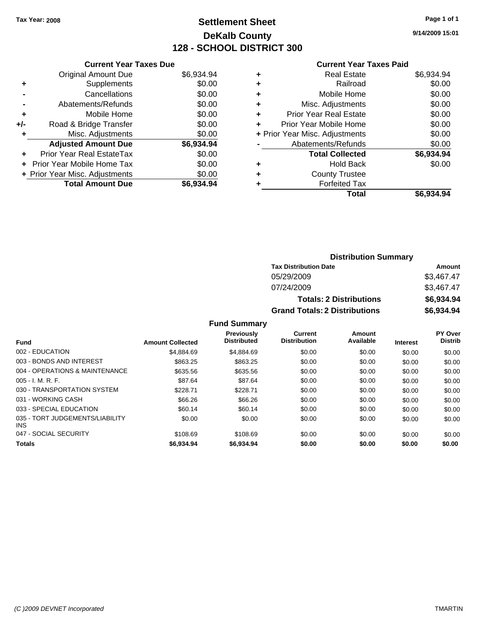## **Settlement Sheet Tax Year: 2008 Page 1 of 1 DeKalb County 128 - SCHOOL DISTRICT 300**

**9/14/2009 15:01**

#### **Current Year Taxes Paid**

| <b>Current Year Taxes Due</b>            |            |  |  |  |  |
|------------------------------------------|------------|--|--|--|--|
| <b>Original Amount Due</b><br>\$6,934.94 |            |  |  |  |  |
| Supplements                              | \$0.00     |  |  |  |  |
| Cancellations                            | \$0.00     |  |  |  |  |
| Abatements/Refunds                       | \$0.00     |  |  |  |  |
| Mobile Home                              | \$0.00     |  |  |  |  |
| Road & Bridge Transfer                   | \$0.00     |  |  |  |  |
| Misc. Adjustments                        | \$0.00     |  |  |  |  |
| <b>Adjusted Amount Due</b>               | \$6,934.94 |  |  |  |  |
| Prior Year Real EstateTax                | \$0.00     |  |  |  |  |
| <b>Prior Year Mobile Home Tax</b>        | \$0.00     |  |  |  |  |
| + Prior Year Misc. Adjustments           | \$0.00     |  |  |  |  |
| <b>Total Amount Due</b>                  | \$6,934.94 |  |  |  |  |
|                                          |            |  |  |  |  |

| ٠                              | <b>Real Estate</b>            | \$6,934.94 |
|--------------------------------|-------------------------------|------------|
| ÷                              | Railroad                      | \$0.00     |
| ÷                              | Mobile Home                   | \$0.00     |
| ٠                              | Misc. Adjustments             | \$0.00     |
| ٠                              | <b>Prior Year Real Estate</b> | \$0.00     |
| ٠                              | Prior Year Mobile Home        | \$0.00     |
| + Prior Year Misc. Adjustments |                               | \$0.00     |
|                                | Abatements/Refunds            | \$0.00     |
|                                | <b>Total Collected</b>        | \$6,934.94 |
| ٠                              | <b>Hold Back</b>              | \$0.00     |
| ٠                              | <b>County Trustee</b>         |            |
| ٠                              | <b>Forfeited Tax</b>          |            |
|                                | Total                         | \$6,934.94 |
|                                |                               |            |

## **Distribution Summary Tax Distribution Date Amount** 05/29/2009 \$3,467.47 07/24/2009 \$3,467.47 **Totals: 2 Distributions \$6,934.94 Grand Totals: 2 Distributions \$6,934.94**

**Fund Summary**

|                                               |                         | <b>Previously</b>  | Current             | Amount    |                 | <b>PY Over</b> |
|-----------------------------------------------|-------------------------|--------------------|---------------------|-----------|-----------------|----------------|
| <b>Fund</b>                                   | <b>Amount Collected</b> | <b>Distributed</b> | <b>Distribution</b> | Available | <b>Interest</b> | <b>Distrib</b> |
| 002 - EDUCATION                               | \$4,884.69              | \$4.884.69         | \$0.00              | \$0.00    | \$0.00          | \$0.00         |
| 003 - BONDS AND INTEREST                      | \$863.25                | \$863.25           | \$0.00              | \$0.00    | \$0.00          | \$0.00         |
| 004 - OPERATIONS & MAINTENANCE                | \$635.56                | \$635.56           | \$0.00              | \$0.00    | \$0.00          | \$0.00         |
| $005 - I. M. R. F.$                           | \$87.64                 | \$87.64            | \$0.00              | \$0.00    | \$0.00          | \$0.00         |
| 030 - TRANSPORTATION SYSTEM                   | \$228.71                | \$228.71           | \$0.00              | \$0.00    | \$0.00          | \$0.00         |
| 031 - WORKING CASH                            | \$66.26                 | \$66.26            | \$0.00              | \$0.00    | \$0.00          | \$0.00         |
| 033 - SPECIAL EDUCATION                       | \$60.14                 | \$60.14            | \$0.00              | \$0.00    | \$0.00          | \$0.00         |
| 035 - TORT JUDGEMENTS/LIABILITY<br><b>INS</b> | \$0.00                  | \$0.00             | \$0.00              | \$0.00    | \$0.00          | \$0.00         |
| 047 - SOCIAL SECURITY                         | \$108.69                | \$108.69           | \$0.00              | \$0.00    | \$0.00          | \$0.00         |
| <b>Totals</b>                                 | \$6,934.94              | \$6,934.94         | \$0.00              | \$0.00    | \$0.00          | \$0.00         |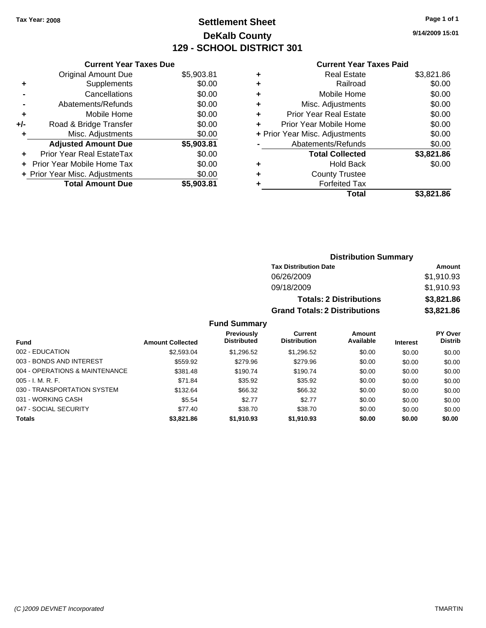# **Settlement Sheet Tax Year: 2008 Page 1 of 1 DeKalb County 129 - SCHOOL DISTRICT 301**

**9/14/2009 15:01**

| <b>Current Year Taxes Due</b>     |                                |
|-----------------------------------|--------------------------------|
| <b>Original Amount Due</b>        | \$5,903.81                     |
| Supplements                       | \$0.00                         |
| Cancellations                     | \$0.00                         |
| Abatements/Refunds                | \$0.00                         |
| Mobile Home                       | \$0.00                         |
| Road & Bridge Transfer            | \$0.00                         |
| Misc. Adjustments                 | \$0.00                         |
| <b>Adjusted Amount Due</b>        | \$5,903.81                     |
| Prior Year Real EstateTax         | \$0.00                         |
| <b>Prior Year Mobile Home Tax</b> | \$0.00                         |
|                                   | \$0.00                         |
| <b>Total Amount Due</b>           | \$5.903.81                     |
|                                   | + Prior Year Misc. Adjustments |

| ٠ | <b>Real Estate</b>             | \$3,821.86 |
|---|--------------------------------|------------|
| ٠ | Railroad                       | \$0.00     |
| ٠ | Mobile Home                    | \$0.00     |
| ٠ | Misc. Adjustments              | \$0.00     |
| ٠ | Prior Year Real Estate         | \$0.00     |
|   | Prior Year Mobile Home         | \$0.00     |
|   | + Prior Year Misc. Adjustments | \$0.00     |
|   | Abatements/Refunds             | \$0.00     |
|   | <b>Total Collected</b>         | \$3,821.86 |
| ٠ | <b>Hold Back</b>               | \$0.00     |
| ٠ | <b>County Trustee</b>          |            |
| ٠ | <b>Forfeited Tax</b>           |            |
|   | Total                          | \$3,821.86 |
|   |                                |            |

|                     | <b>Distribution Summary</b>          |            |
|---------------------|--------------------------------------|------------|
|                     | <b>Tax Distribution Date</b>         | Amount     |
|                     | 06/26/2009                           | \$1,910.93 |
|                     | 09/18/2009                           | \$1,910.93 |
|                     | <b>Totals: 2 Distributions</b>       | \$3,821.86 |
|                     | <b>Grand Totals: 2 Distributions</b> | \$3,821.86 |
| <b>Fund Summary</b> |                                      |            |

|                                |                         | <b>Previously</b>  | Current             | <b>Amount</b> |                 | <b>PY Over</b> |
|--------------------------------|-------------------------|--------------------|---------------------|---------------|-----------------|----------------|
| <b>Fund</b>                    | <b>Amount Collected</b> | <b>Distributed</b> | <b>Distribution</b> | Available     | <b>Interest</b> | <b>Distrib</b> |
| 002 - EDUCATION                | \$2,593.04              | \$1.296.52         | \$1,296.52          | \$0.00        | \$0.00          | \$0.00         |
| 003 - BONDS AND INTEREST       | \$559.92                | \$279.96           | \$279.96            | \$0.00        | \$0.00          | \$0.00         |
| 004 - OPERATIONS & MAINTENANCE | \$381.48                | \$190.74           | \$190.74            | \$0.00        | \$0.00          | \$0.00         |
| $005 - I. M. R. F.$            | \$71.84                 | \$35.92            | \$35.92             | \$0.00        | \$0.00          | \$0.00         |
| 030 - TRANSPORTATION SYSTEM    | \$132.64                | \$66.32            | \$66.32             | \$0.00        | \$0.00          | \$0.00         |
| 031 - WORKING CASH             | \$5.54                  | \$2.77             | \$2.77              | \$0.00        | \$0.00          | \$0.00         |
| 047 - SOCIAL SECURITY          | \$77.40                 | \$38.70            | \$38.70             | \$0.00        | \$0.00          | \$0.00         |
| <b>Totals</b>                  | \$3,821.86              | \$1,910.93         | \$1,910.93          | \$0.00        | \$0.00          | \$0.00         |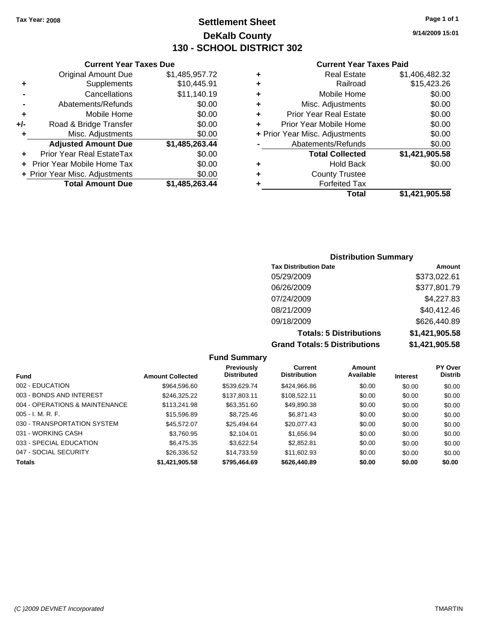# **Settlement Sheet Tax Year: 2008 Page 1 of 1 DeKalb County 130 - SCHOOL DISTRICT 302**

**Current Year Taxes Paid**

| ٠                                  | Misc. Adjustments      | \$0.00         |
|------------------------------------|------------------------|----------------|
| <b>Prior Year Real Estate</b><br>٠ |                        | \$0.00         |
| Prior Year Mobile Home<br>٠        |                        | \$0.00         |
| + Prior Year Misc. Adjustments     |                        | \$0.00         |
|                                    | Abatements/Refunds     | \$0.00         |
|                                    | <b>Total Collected</b> | \$1,421,905.58 |
| ٠                                  | <b>Hold Back</b>       | \$0.00         |
| ٠                                  | <b>County Trustee</b>  |                |
| ٠                                  | <b>Forfeited Tax</b>   |                |
|                                    |                        |                |
|                                    | Total                  | \$1,421,905.58 |

|     | <b>Current Year Taxes Due</b>     |                |
|-----|-----------------------------------|----------------|
|     | <b>Original Amount Due</b>        | \$1,485,957.72 |
| ٠   | Supplements                       | \$10,445.91    |
|     | Cancellations                     | \$11,140.19    |
|     | Abatements/Refunds                | \$0.00         |
| ٠   | Mobile Home                       | \$0.00         |
| +/- | Road & Bridge Transfer            | \$0.00         |
| ٠   | Misc. Adjustments                 | \$0.00         |
|     | <b>Adjusted Amount Due</b>        | \$1,485,263.44 |
|     | <b>Prior Year Real EstateTax</b>  | \$0.00         |
|     | <b>Prior Year Mobile Home Tax</b> | \$0.00         |
|     | + Prior Year Misc. Adjustments    | \$0.00         |
|     | <b>Total Amount Due</b>           | \$1.485.263.44 |

# **Distribution Summary**

| <b>Tax Distribution Date</b>         | Amount         |
|--------------------------------------|----------------|
| 05/29/2009                           | \$373,022.61   |
| 06/26/2009                           | \$377,801.79   |
| 07/24/2009                           | \$4,227.83     |
| 08/21/2009                           | \$40,412.46    |
| 09/18/2009                           | \$626,440.89   |
| <b>Totals: 5 Distributions</b>       | \$1,421,905.58 |
| <b>Grand Totals: 5 Distributions</b> | \$1,421,905.58 |

|                                |                         | <b>Fund Summary</b>              |                                       |                     |                 |                           |
|--------------------------------|-------------------------|----------------------------------|---------------------------------------|---------------------|-----------------|---------------------------|
| <b>Fund</b>                    | <b>Amount Collected</b> | Previously<br><b>Distributed</b> | <b>Current</b><br><b>Distribution</b> | Amount<br>Available | <b>Interest</b> | PY Over<br><b>Distrib</b> |
| 002 - EDUCATION                | \$964,596.60            | \$539.629.74                     | \$424,966,86                          | \$0.00              | \$0.00          | \$0.00                    |
| 003 - BONDS AND INTEREST       | \$246,325.22            | \$137,803.11                     | \$108.522.11                          | \$0.00              | \$0.00          | \$0.00                    |
| 004 - OPERATIONS & MAINTENANCE | \$113.241.98            | \$63.351.60                      | \$49,890.38                           | \$0.00              | \$0.00          | \$0.00                    |
| $005 - I. M. R. F.$            | \$15,596.89             | \$8,725.46                       | \$6.871.43                            | \$0.00              | \$0.00          | \$0.00                    |
| 030 - TRANSPORTATION SYSTEM    | \$45,572.07             | \$25.494.64                      | \$20,077.43                           | \$0.00              | \$0.00          | \$0.00                    |
| 031 - WORKING CASH             | \$3.760.95              | \$2,104.01                       | \$1.656.94                            | \$0.00              | \$0.00          | \$0.00                    |
| 033 - SPECIAL EDUCATION        | \$6,475.35              | \$3.622.54                       | \$2.852.81                            | \$0.00              | \$0.00          | \$0.00                    |
| 047 - SOCIAL SECURITY          | \$26,336.52             | \$14.733.59                      | \$11,602.93                           | \$0.00              | \$0.00          | \$0.00                    |
| <b>Totals</b>                  | \$1,421,905.58          | \$795,464.69                     | \$626,440.89                          | \$0.00              | \$0.00          | \$0.00                    |

**9/14/2009 15:01**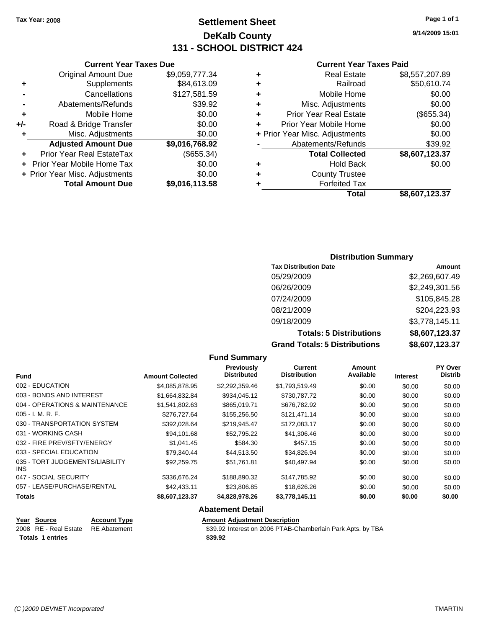# **Settlement Sheet Tax Year: 2008 Page 1 of 1 DeKalb County 131 - SCHOOL DISTRICT 424**

**9/14/2009 15:01**

### **Current Year Taxes Paid**

| ٠ | <b>Real Estate</b>             | \$8,557,207.89 |
|---|--------------------------------|----------------|
| ٠ | Railroad                       | \$50,610.74    |
| ٠ | Mobile Home                    | \$0.00         |
| ٠ | Misc. Adjustments              | \$0.00         |
| ٠ | <b>Prior Year Real Estate</b>  | (\$655.34)     |
| ÷ | Prior Year Mobile Home         | \$0.00         |
|   | + Prior Year Misc. Adjustments | \$0.00         |
|   | Abatements/Refunds             | \$39.92        |
|   | <b>Total Collected</b>         | \$8,607,123.37 |
| ٠ | <b>Hold Back</b>               | \$0.00         |
| ٠ | <b>County Trustee</b>          |                |
|   | <b>Forfeited Tax</b>           |                |
|   | Total                          | \$8,607,123.37 |

## **Current Year Taxes Due** Original Amount Due \$9,059,777.34 **+** Supplements \$84,613.09 **-** Cancellations \$127,581.59 **-** Abatements/Refunds **\$39.92 +** Mobile Home \$0.00

|     | <b>Total Amount Due</b>        | \$9,016,113.58 |
|-----|--------------------------------|----------------|
|     | + Prior Year Misc. Adjustments | \$0.00         |
|     | + Prior Year Mobile Home Tax   | \$0.00         |
|     | Prior Year Real EstateTax      | (\$655.34)     |
|     | <b>Adjusted Amount Due</b>     | \$9,016,768.92 |
| ÷   | Misc. Adjustments              | \$0.00         |
| +/- | Road & Bridge Transfer         | \$0.00         |
|     |                                |                |

## **Distribution Summary**

| <b>Tax Distribution Date</b>         | Amount         |
|--------------------------------------|----------------|
| 05/29/2009                           | \$2,269,607.49 |
| 06/26/2009                           | \$2,249,301.56 |
| 07/24/2009                           | \$105,845.28   |
| 08/21/2009                           | \$204,223.93   |
| 09/18/2009                           | \$3,778,145.11 |
| <b>Totals: 5 Distributions</b>       | \$8,607,123.37 |
| <b>Grand Totals: 5 Distributions</b> | \$8,607,123.37 |

### **Fund Summary Fund Interest Amount Collected Distributed PY Over Distrib Amount Available Current Distribution Previously** 002 - EDUCATION \$4,085,878.95 \$2,292,359.46 \$1,793,519.49 \$0.00 \$0.00 \$0.00 003 - BONDS AND INTEREST \$1,664,832.84 \$934,045.12 \$730,787.72 \$0.00 \$0.00 \$0.00 004 - OPERATIONS & MAINTENANCE \$1,541,802.63 \$865,019.71 \$676,782.92 \$0.00 \$0.00 \$0.00 \$0.00 005 - I. M. R. F. \$276,727.64 \$155,256.50 \$121,471.14 \$0.00 \$0.00 \$0.00 030 - TRANSPORTATION SYSTEM \$392,028.64 \$219,945.47 \$172,083.17 \$0.00 \$0.00 \$0.00 031 - WORKING CASH \$94,101.68 \$52,795.22 \$41,306.46 \$0.00 \$0.00 \$0.00 032 - FIRE PREV/SFTY/ENERGY \$1,041.45 \$584.30 \$457.15 \$0.00 \$0.00 \$0.00 \$0.00 033 - SPECIAL EDUCATION 679,340.44 \$44,513.50 \$34,826.94 \$0.00 \$0.00 \$0.00 \$0.00 035 - TORT JUDGEMENTS/LIABILITY INS \$92,259.75 \$51,761.81 \$40,497.94 \$0.00 \$0.00 \$0.00 047 - SOCIAL SECURITY 66.00 \$336,676.24 \$188,890.32 \$147,785.92 \$0.00 \$0.00 \$0.00 \$0.00 057 - LEASE/PURCHASE/RENTAL  $$42,433.11$   $$23,806.85$   $$18,626.26$   $$0.00$   $$0.00$   $$0.00$ **Totals \$8,607,123.37 \$4,828,978.26 \$3,778,145.11 \$0.00 \$0.00 \$0.00 Abatement Detail Year Source Account Type Amount Adjustment Description**

**Totals \$39.92 1 entries**

2008 RE - Real Estate RE Abatement **\$39.92** Interest on 2006 PTAB-Chamberlain Park Apts. by TBA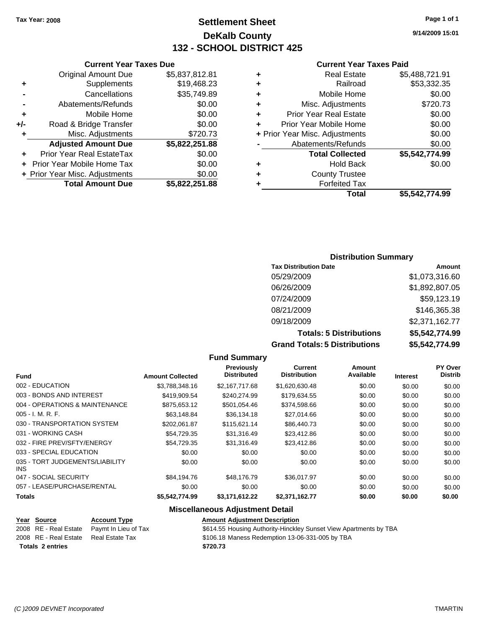# **Settlement Sheet Tax Year: 2008 Page 1 of 1 DeKalb County 132 - SCHOOL DISTRICT 425**

**9/14/2009 15:01**

## **Current Year Taxes Paid**

| ٠ | <b>Real Estate</b>             | \$5,488,721.91 |
|---|--------------------------------|----------------|
| ٠ | Railroad                       | \$53,332.35    |
| ٠ | Mobile Home                    | \$0.00         |
| ٠ | Misc. Adjustments              | \$720.73       |
| ٠ | <b>Prior Year Real Estate</b>  | \$0.00         |
| ٠ | Prior Year Mobile Home         | \$0.00         |
|   | + Prior Year Misc. Adjustments | \$0.00         |
|   | Abatements/Refunds             | \$0.00         |
|   | <b>Total Collected</b>         | \$5,542,774.99 |
| ٠ | Hold Back                      | \$0.00         |
| ÷ | <b>County Trustee</b>          |                |
| ٠ | <b>Forfeited Tax</b>           |                |
|   | Total                          | \$5.542.774.99 |

|     | <b>Current Year Taxes Due</b>                |                |  |  |  |
|-----|----------------------------------------------|----------------|--|--|--|
|     | \$5,837,812.81<br><b>Original Amount Due</b> |                |  |  |  |
| ٠   | Supplements                                  | \$19,468.23    |  |  |  |
|     | Cancellations                                | \$35,749.89    |  |  |  |
|     | Abatements/Refunds                           | \$0.00         |  |  |  |
| ٠   | Mobile Home                                  | \$0.00         |  |  |  |
| +/- | Road & Bridge Transfer                       | \$0.00         |  |  |  |
| ٠   | Misc. Adjustments                            | \$720.73       |  |  |  |
|     | <b>Adjusted Amount Due</b>                   | \$5,822,251.88 |  |  |  |
|     | Prior Year Real EstateTax                    | \$0.00         |  |  |  |
|     | <b>Prior Year Mobile Home Tax</b>            | \$0.00         |  |  |  |
|     | + Prior Year Misc. Adjustments               | \$0.00         |  |  |  |
|     | <b>Total Amount Due</b>                      | \$5,822,251.88 |  |  |  |

## **Distribution Summary**

| <b>Tax Distribution Date</b>         | Amount         |
|--------------------------------------|----------------|
| 05/29/2009                           | \$1,073,316.60 |
| 06/26/2009                           | \$1,892,807.05 |
| 07/24/2009                           | \$59,123.19    |
| 08/21/2009                           | \$146,365.38   |
| 09/18/2009                           | \$2,371,162.77 |
| <b>Totals: 5 Distributions</b>       | \$5,542,774.99 |
| <b>Grand Totals: 5 Distributions</b> | \$5,542,774.99 |

### **Fund Summary Fund Interest Amount Collected Distributed PY Over Distrib Amount Available Current Distribution Previously** 002 - EDUCATION \$3,788,348.16 \$2,167,717.68 \$1,620,630.48 \$0.00 \$0.00 \$0.00 003 - BONDS AND INTEREST \$419,909.54 \$240,274.99 \$179,634.55 \$0.00 \$0.00 \$0.00 004 - OPERATIONS & MAINTENANCE \$875,653.12 \$501,054.46 \$374,598.66 \$0.00 \$0.00 \$0.00 005 - I. M. R. F. \$63,148.84 \$36,134.18 \$27,014.66 \$0.00 \$0.00 \$0.00 030 - TRANSPORTATION SYSTEM \$202,061.87 \$115,621.14 \$86,440.73 \$0.00 \$0.00 \$0.00 031 - WORKING CASH \$54,729.35 \$31,316.49 \$23,412.86 \$0.00 \$0.00 \$0.00 \$0.00 \$0.00 \$0.00 \$0.00 \$0.00 \$0.00 032 - FIRE PREV/SFTY/ENERGY **\$54,729.35** \$31,316.49 \$23,412.86 \$0.00 \$0.00 \$0.00 033 - SPECIAL EDUCATION 60.00 \$0.00 \$0.00 \$0.00 \$0.00 \$0.00 \$0.00 \$0.00 \$0.00 \$0.00 035 - TORT JUDGEMENTS/LIABILITY INS \$0.00 \$0.00 \$0.00 \$0.00 \$0.00 \$0.00 047 - SOCIAL SECURITY \$84,194.76 \$48,176.79 \$36,017.97 \$0.00 \$0.00 \$0.00 \$0.00 \$0.00 \$0.00 \$0.00 \$0.00 \$0.00 \$0.00 057 - LEASE/PURCHASE/RENTAL  $$0.00$   $$0.00$   $$0.00$   $$0.00$   $$0.00$   $$0.00$   $$0.00$   $$0.00$ **Totals \$5,542,774.99 \$3,171,612.22 \$2,371,162.77 \$0.00 \$0.00 \$0.00**

## **Miscellaneous Adjustment Detail**

| Year Source             | <b>Account Type</b>  | <b>Amount Adiustment Description</b>                              |
|-------------------------|----------------------|-------------------------------------------------------------------|
| 2008 RE - Real Estate   | Pavmt In Lieu of Tax | \$614.55 Housing Authority-Hinckley Sunset View Apartments by TBA |
| 2008 RE - Real Estate   | Real Estate Tax      | \$106.18 Maness Redemption 13-06-331-005 by TBA                   |
| <b>Totals 2 entries</b> |                      | \$720.73                                                          |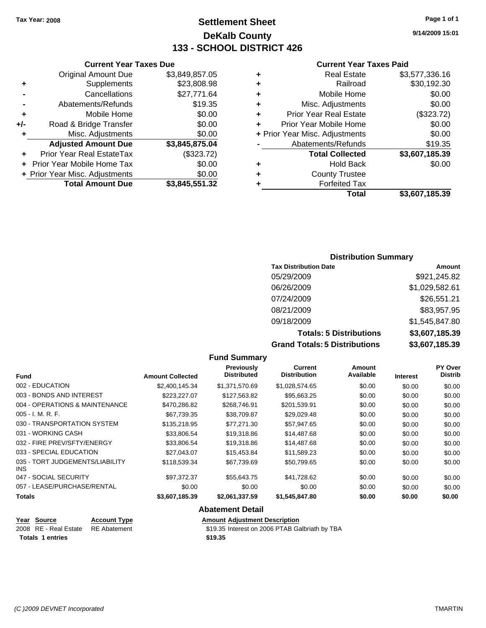# **Settlement Sheet Tax Year: 2008 Page 1 of 1 DeKalb County 133 - SCHOOL DISTRICT 426**

**9/14/2009 15:01**

## **Current Year Taxes Paid**

|   | Total                          | \$3,607,185.39 |
|---|--------------------------------|----------------|
|   | <b>Forfeited Tax</b>           |                |
| ٠ | <b>County Trustee</b>          |                |
| ٠ | <b>Hold Back</b>               | \$0.00         |
|   | <b>Total Collected</b>         | \$3,607,185.39 |
|   | Abatements/Refunds             | \$19.35        |
|   | + Prior Year Misc. Adjustments | \$0.00         |
| ٠ | Prior Year Mobile Home         | \$0.00         |
| ٠ | <b>Prior Year Real Estate</b>  | (\$323.72)     |
| ٠ | Misc. Adjustments              | \$0.00         |
| ٠ | Mobile Home                    | \$0.00         |
| ٠ | Railroad                       | \$30,192.30    |
| ٠ | Real Estate                    | \$3,577,336.16 |
|   |                                |                |

|     | <b>Current Year Taxes Due</b>    |                |  |  |  |
|-----|----------------------------------|----------------|--|--|--|
|     | <b>Original Amount Due</b>       | \$3,849,857.05 |  |  |  |
| ٠   | Supplements                      | \$23,808.98    |  |  |  |
|     | Cancellations                    | \$27,771.64    |  |  |  |
|     | Abatements/Refunds               | \$19.35        |  |  |  |
| ٠   | \$0.00<br>Mobile Home            |                |  |  |  |
| +/- | \$0.00<br>Road & Bridge Transfer |                |  |  |  |
| ٠   | Misc. Adjustments                | \$0.00         |  |  |  |
|     | <b>Adjusted Amount Due</b>       | \$3,845,875.04 |  |  |  |
|     | Prior Year Real EstateTax        | (\$323.72)     |  |  |  |
|     | Prior Year Mobile Home Tax       | \$0.00         |  |  |  |
|     | + Prior Year Misc. Adjustments   | \$0.00         |  |  |  |
|     | <b>Total Amount Due</b>          | \$3,845,551.32 |  |  |  |

# **Distribution Summary**

| <b>Tax Distribution Date</b>         | Amount         |
|--------------------------------------|----------------|
| 05/29/2009                           | \$921,245.82   |
| 06/26/2009                           | \$1,029,582.61 |
| 07/24/2009                           | \$26,551.21    |
| 08/21/2009                           | \$83,957.95    |
| 09/18/2009                           | \$1,545,847.80 |
| <b>Totals: 5 Distributions</b>       | \$3,607,185.39 |
| <b>Grand Totals: 5 Distributions</b> | \$3,607,185.39 |

|                                         |                     |                         | <b>Fund Summary</b>                     |                                       |                            |                 |                                  |
|-----------------------------------------|---------------------|-------------------------|-----------------------------------------|---------------------------------------|----------------------------|-----------------|----------------------------------|
| <b>Fund</b>                             |                     | <b>Amount Collected</b> | <b>Previously</b><br><b>Distributed</b> | <b>Current</b><br><b>Distribution</b> | <b>Amount</b><br>Available | <b>Interest</b> | <b>PY Over</b><br><b>Distrib</b> |
| 002 - EDUCATION                         |                     | \$2,400,145.34          | \$1,371,570.69                          | \$1,028,574.65                        | \$0.00                     | \$0.00          | \$0.00                           |
| 003 - BONDS AND INTEREST                |                     | \$223,227.07            | \$127,563.82                            | \$95,663.25                           | \$0.00                     | \$0.00          | \$0.00                           |
| 004 - OPERATIONS & MAINTENANCE          |                     | \$470,286.82            | \$268,746.91                            | \$201,539.91                          | \$0.00                     | \$0.00          | \$0.00                           |
| $005 - I. M. R. F.$                     |                     | \$67,739.35             | \$38,709.87                             | \$29,029.48                           | \$0.00                     | \$0.00          | \$0.00                           |
| 030 - TRANSPORTATION SYSTEM             |                     | \$135,218.95            | \$77,271.30                             | \$57,947.65                           | \$0.00                     | \$0.00          | \$0.00                           |
| 031 - WORKING CASH                      |                     | \$33,806.54             | \$19,318.86                             | \$14,487.68                           | \$0.00                     | \$0.00          | \$0.00                           |
| 032 - FIRE PREV/SFTY/ENERGY             |                     | \$33,806.54             | \$19,318.86                             | \$14,487.68                           | \$0.00                     | \$0.00          | \$0.00                           |
| 033 - SPECIAL EDUCATION                 |                     | \$27,043.07             | \$15,453.84                             | \$11,589.23                           | \$0.00                     | \$0.00          | \$0.00                           |
| 035 - TORT JUDGEMENTS/LIABILITY<br>INS. |                     | \$118,539.34            | \$67,739.69                             | \$50,799.65                           | \$0.00                     | \$0.00          | \$0.00                           |
| 047 - SOCIAL SECURITY                   |                     | \$97,372.37             | \$55,643.75                             | \$41,728.62                           | \$0.00                     | \$0.00          | \$0.00                           |
| 057 - LEASE/PURCHASE/RENTAL             |                     | \$0.00                  | \$0.00                                  | \$0.00                                | \$0.00                     | \$0.00          | \$0.00                           |
| <b>Totals</b>                           |                     | \$3,607,185.39          | \$2,061,337.59                          | \$1,545,847.80                        | \$0.00                     | \$0.00          | \$0.00                           |
|                                         |                     |                         | <b>Abatement Detail</b>                 |                                       |                            |                 |                                  |
| Year Source                             | <b>Account Type</b> |                         | <b>Amount Adjustment Description</b>    |                                       |                            |                 |                                  |

2008 RE - Real Estate RE Abatement 319.35 Interest on 2006 PTAB Galbriath by TBA **Totals \$19.35 1 entries**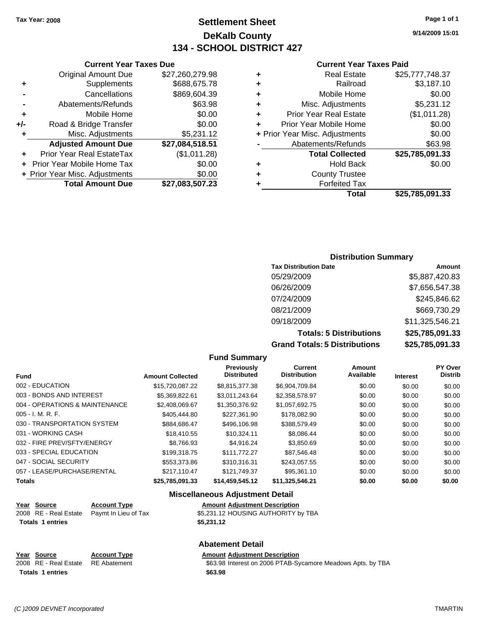# **Settlement Sheet Tax Year: 2008 Page 1 of 1 DeKalb County 134 - SCHOOL DISTRICT 427**

**9/14/2009 15:01**

## **Current Year Taxes Paid**

| ٠ | <b>Real Estate</b>             | \$25,777,748.37 |
|---|--------------------------------|-----------------|
| ٠ | Railroad                       | \$3,187.10      |
| ٠ | Mobile Home                    | \$0.00          |
| ٠ | Misc. Adjustments              | \$5,231.12      |
| ٠ | <b>Prior Year Real Estate</b>  | (\$1,011.28)    |
| ÷ | Prior Year Mobile Home         | \$0.00          |
|   | + Prior Year Misc. Adjustments | \$0.00          |
|   | Abatements/Refunds             | \$63.98         |
|   | <b>Total Collected</b>         | \$25,785,091.33 |
| ٠ | Hold Back                      | \$0.00          |
| ٠ | <b>County Trustee</b>          |                 |
| ٠ | <b>Forfeited Tax</b>           |                 |
|   | Total                          | \$25,785,091.33 |

## **Current Year Taxes Due** Original Amount Due \$27,260,279.98 **+** Supplements \$688,675.78 **-** Cancellations \$869,604.39 **-** Abatements/Refunds \$63.98 **+** Mobile Home \$0.00 **+/-** Road & Bridge Transfer \$0.00 **+** Misc. Adjustments \$5,231.12 **Adjusted Amount Due \$27,084,518.51 +** Prior Year Real EstateTax (\$1,011.28) **+** Prior Year Mobile Home Tax \$0.00

**+ Prior Year Misc. Adjustments**  $$0.00$ 

**Total Amount Due \$27,083,507.23**

## **Distribution Summary**

| <b>Tax Distribution Date</b>         | Amount          |
|--------------------------------------|-----------------|
| 05/29/2009                           | \$5,887,420.83  |
| 06/26/2009                           | \$7,656,547.38  |
| 07/24/2009                           | \$245,846.62    |
| 08/21/2009                           | \$669,730.29    |
| 09/18/2009                           | \$11,325,546.21 |
| <b>Totals: 5 Distributions</b>       | \$25,785,091.33 |
| <b>Grand Totals: 5 Distributions</b> | \$25,785,091.33 |

### **Fund Summary**

| <b>Fund</b>                    | <b>Amount Collected</b> | Previously<br><b>Distributed</b> | Current<br><b>Distribution</b> | Amount<br>Available | <b>Interest</b> | PY Over<br><b>Distrib</b> |
|--------------------------------|-------------------------|----------------------------------|--------------------------------|---------------------|-----------------|---------------------------|
| 002 - EDUCATION                | \$15,720,087.22         | \$8,815,377.38                   | \$6,904,709.84                 | \$0.00              | \$0.00          | \$0.00                    |
| 003 - BONDS AND INTEREST       | \$5.369.822.61          | \$3.011.243.64                   | \$2,358,578.97                 | \$0.00              | \$0.00          | \$0.00                    |
| 004 - OPERATIONS & MAINTENANCE | \$2,408,069.67          | \$1,350,376.92                   | \$1,057,692.75                 | \$0.00              | \$0.00          | \$0.00                    |
| $005 - I. M. R. F.$            | \$405,444.80            | \$227.361.90                     | \$178,082.90                   | \$0.00              | \$0.00          | \$0.00                    |
| 030 - TRANSPORTATION SYSTEM    | \$884,686.47            | \$496,106.98                     | \$388,579.49                   | \$0.00              | \$0.00          | \$0.00                    |
| 031 - WORKING CASH             | \$18,410.55             | \$10.324.11                      | \$8,086.44                     | \$0.00              | \$0.00          | \$0.00                    |
| 032 - FIRE PREV/SFTY/ENERGY    | \$8.766.93              | \$4.916.24                       | \$3,850.69                     | \$0.00              | \$0.00          | \$0.00                    |
| 033 - SPECIAL EDUCATION        | \$199.318.75            | \$111,772.27                     | \$87.546.48                    | \$0.00              | \$0.00          | \$0.00                    |
| 047 - SOCIAL SECURITY          | \$553,373.86            | \$310.316.31                     | \$243.057.55                   | \$0.00              | \$0.00          | \$0.00                    |
| 057 - LEASE/PURCHASE/RENTAL    | \$217.110.47            | \$121.749.37                     | \$95,361.10                    | \$0.00              | \$0.00          | \$0.00                    |
| <b>Totals</b>                  | \$25,785,091,33         | \$14.459.545.12                  | \$11.325.546.21                | \$0.00              | \$0.00          | \$0.00                    |

## **Miscellaneous Adjustment Detail**

2008 RE - Real Estate Paymt In Lieu of Tax S5,231.12 HOUSING AUTHORITY by TBA **Totals 1 entries** \$5,231.12

| Year Source                        | <b>Account Type</b> | <b>Amount Adiustment Description</b> |
|------------------------------------|---------------------|--------------------------------------|
| 2008 RE - Real Estate RE Abatement |                     | \$63.98 Interest on 2006 PTAB-Sy     |
| <b>Totals 1 entries</b>            |                     | \$63.98                              |

**Year Source Account Type** 

## **Abatement Detail**

2008 RE - Real Estate RE Abatement **\$63.98** Interest on 2006 PTAB-Sycamore Meadows Apts. by TBA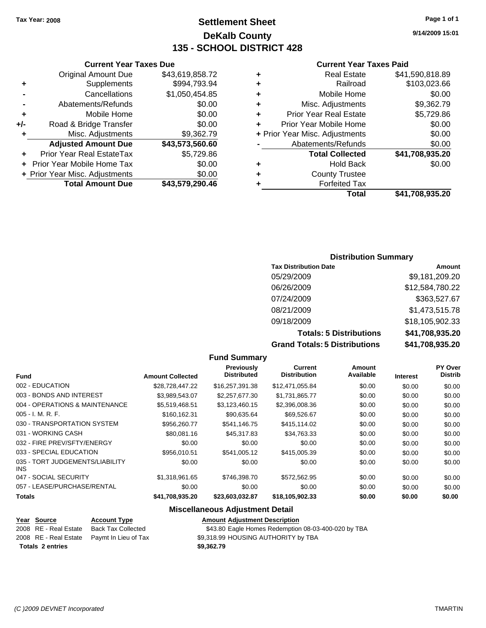# **Settlement Sheet Tax Year: 2008 Page 1 of 1 DeKalb County 135 - SCHOOL DISTRICT 428**

**9/14/2009 15:01**

## **Current Year Taxes Paid**

|   | Total                          | \$41,708,935.20 |
|---|--------------------------------|-----------------|
|   | <b>Forfeited Tax</b>           |                 |
| ٠ | <b>County Trustee</b>          |                 |
|   | <b>Hold Back</b>               | \$0.00          |
|   | <b>Total Collected</b>         | \$41,708,935.20 |
|   | Abatements/Refunds             | \$0.00          |
|   | + Prior Year Misc. Adjustments | \$0.00          |
| ÷ | Prior Year Mobile Home         | \$0.00          |
| ٠ | <b>Prior Year Real Estate</b>  | \$5,729.86      |
| ٠ | Misc. Adjustments              | \$9,362.79      |
| ٠ | Mobile Home                    | \$0.00          |
| ٠ | Railroad                       | \$103,023.66    |
|   | <b>Real Estate</b>             | \$41,590,818.89 |

|     | <b>Current Year Taxes Due</b>  |                 |
|-----|--------------------------------|-----------------|
|     | <b>Original Amount Due</b>     | \$43,619,858.72 |
| ٠   | Supplements                    | \$994,793.94    |
|     | Cancellations                  | \$1,050,454.85  |
|     | Abatements/Refunds             | \$0.00          |
| ٠   | Mobile Home                    | \$0.00          |
| +/- | Road & Bridge Transfer         | \$0.00          |
| ٠   | Misc. Adjustments              | \$9,362.79      |
|     | <b>Adjusted Amount Due</b>     | \$43,573,560.60 |
|     | Prior Year Real EstateTax      | \$5,729.86      |
|     | Prior Year Mobile Home Tax     | \$0.00          |
|     | + Prior Year Misc. Adjustments | \$0.00          |
|     | <b>Total Amount Due</b>        | \$43,579,290.46 |

## **Distribution Summary**

| <b>Tax Distribution Date</b>         | Amount          |
|--------------------------------------|-----------------|
| 05/29/2009                           | \$9,181,209.20  |
| 06/26/2009                           | \$12,584,780.22 |
| 07/24/2009                           | \$363,527.67    |
| 08/21/2009                           | \$1,473,515.78  |
| 09/18/2009                           | \$18,105,902.33 |
| <b>Totals: 5 Distributions</b>       | \$41,708,935.20 |
| <b>Grand Totals: 5 Distributions</b> | \$41,708,935.20 |

### **Fund Summary Fund Interest Amount Collected Distributed PY Over Distrib Amount Available Current Distribution Previously** 002 - EDUCATION \$28,728,447.22 \$16,257,391.38 \$12,471,055.84 \$0.00 \$0.00 \$0.00 003 - BONDS AND INTEREST \$3,989,543.07 \$2,257,677.30 \$1,731,865.77 \$0.00 \$0.00 \$0.00 004 - OPERATIONS & MAINTENANCE \$5,519,468.51 \$3,123,460.15 \$2,396,008.36 \$0.00 \$0.00 \$0.00 005 - I. M. R. F. \$160,162.31 \$90,635.64 \$69,526.67 \$0.00 \$0.00 \$0.00 030 - TRANSPORTATION SYSTEM \$956,260.77 \$541,146.75 \$415,114.02 \$0.00 \$0.00 \$0.00 031 - WORKING CASH \$80.081.16 \$45.317.83 \$34.763.33 \$0.00 \$0.00 \$0.00 \$0.00 032 - FIRE PREV/SFTY/ENERGY \$0.00 \$0.00 \$0.00 \$0.00 \$0.00 \$0.00 033 - SPECIAL EDUCATION \$1,000 \$956,010.51 \$541,005.12 \$415,005.39 \$0.00 \$0.00 \$0.00 035 - TORT JUDGEMENTS/LIABILITY INS \$0.00 \$0.00 \$0.00 \$0.00 \$0.00 \$0.00 047 - SOCIAL SECURITY \$1,318,961.65 \$746,398.70 \$572,562.95 \$0.00 \$0.00 \$0.00 \$0.00 057 - LEASE/PURCHASE/RENTAL  $$0.00$   $$0.00$   $$0.00$   $$0.00$   $$0.00$   $$0.00$   $$0.00$   $$0.00$ **Totals \$41,708,935.20 \$23,603,032.87 \$18,105,902.33 \$0.00 \$0.00 \$0.00**

# **Miscellaneous Adjustment Detail**

| Year Source             | <b>Account Type</b>                        | <b>Amount Adjustment Description</b>                |
|-------------------------|--------------------------------------------|-----------------------------------------------------|
| 2008 RE - Real Estate   | Back Tax Collected                         | \$43.80 Eagle Homes Redemption 08-03-400-020 by TBA |
|                         | 2008 RE - Real Estate Paymt In Lieu of Tax | \$9,318.99 HOUSING AUTHORITY by TBA                 |
| <b>Totals 2 entries</b> |                                            | \$9,362.79                                          |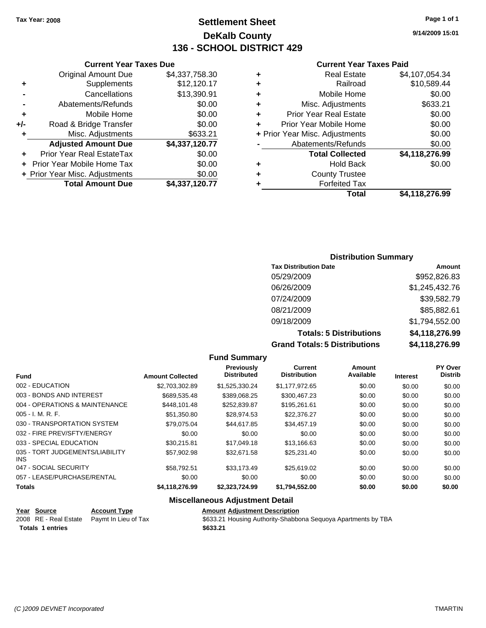# **Settlement Sheet Tax Year: 2008 Page 1 of 1 DeKalb County 136 - SCHOOL DISTRICT 429**

**9/14/2009 15:01**

### **Current Year Taxes Paid**

|     | <b>Current Year Taxes Due</b>  |                |        |
|-----|--------------------------------|----------------|--------|
|     | <b>Original Amount Due</b>     | \$4,337,758.30 | ٠      |
|     | Supplements                    | \$12,120.17    | ٠      |
|     | Cancellations                  | \$13,390.91    | ٠      |
|     | Abatements/Refunds             | \$0.00         | ٠      |
|     | Mobile Home                    | \$0.00         |        |
| +/- | Road & Bridge Transfer         | \$0.00         |        |
|     | Misc. Adjustments              | \$633.21       | + Pric |
|     | <b>Adjusted Amount Due</b>     | \$4,337,120.77 |        |
|     | Prior Year Real EstateTax      | \$0.00         |        |
|     | Prior Year Mobile Home Tax     | \$0.00         | ٠      |
|     | + Prior Year Misc. Adjustments | \$0.00         |        |
|     | <b>Total Amount Due</b>        | \$4,337,120.77 |        |
|     |                                |                |        |

| ٠ | <b>Real Estate</b>             | \$4,107,054.34 |
|---|--------------------------------|----------------|
| ٠ | Railroad                       | \$10,589.44    |
| ٠ | Mobile Home                    | \$0.00         |
| ٠ | Misc. Adjustments              | \$633.21       |
| ÷ | <b>Prior Year Real Estate</b>  | \$0.00         |
| ÷ | Prior Year Mobile Home         | \$0.00         |
|   | + Prior Year Misc. Adjustments | \$0.00         |
|   | Abatements/Refunds             | \$0.00         |
|   | <b>Total Collected</b>         | \$4,118,276.99 |
| ٠ | <b>Hold Back</b>               | \$0.00         |
| ٠ | <b>County Trustee</b>          |                |
| ٠ | <b>Forfeited Tax</b>           |                |
|   | Total                          | \$4,118,276.99 |
|   |                                |                |

# **Distribution Summary**

| <b>Tax Distribution Date</b>         | Amount         |
|--------------------------------------|----------------|
| 05/29/2009                           | \$952,826.83   |
| 06/26/2009                           | \$1,245,432.76 |
| 07/24/2009                           | \$39,582.79    |
| 08/21/2009                           | \$85,882.61    |
| 09/18/2009                           | \$1,794,552.00 |
| <b>Totals: 5 Distributions</b>       | \$4,118,276.99 |
| <b>Grand Totals: 5 Distributions</b> | \$4,118,276.99 |

|                                         |                         | <b>Fund Summary</b>                     |                                |                     |                 |                                  |
|-----------------------------------------|-------------------------|-----------------------------------------|--------------------------------|---------------------|-----------------|----------------------------------|
| <b>Fund</b>                             | <b>Amount Collected</b> | <b>Previously</b><br><b>Distributed</b> | Current<br><b>Distribution</b> | Amount<br>Available | <b>Interest</b> | <b>PY Over</b><br><b>Distrib</b> |
| 002 - EDUCATION                         | \$2.703.302.89          | \$1.525.330.24                          | \$1.177.972.65                 | \$0.00              | \$0.00          | \$0.00                           |
| 003 - BONDS AND INTEREST                | \$689,535.48            | \$389,068.25                            | \$300,467.23                   | \$0.00              | \$0.00          | \$0.00                           |
| 004 - OPERATIONS & MAINTENANCE          | \$448.101.48            | \$252,839.87                            | \$195,261.61                   | \$0.00              | \$0.00          | \$0.00                           |
| $005 - I. M. R. F.$                     | \$51,350.80             | \$28,974.53                             | \$22,376.27                    | \$0.00              | \$0.00          | \$0.00                           |
| 030 - TRANSPORTATION SYSTEM             | \$79.075.04             | \$44.617.85                             | \$34,457.19                    | \$0.00              | \$0.00          | \$0.00                           |
| 032 - FIRE PREV/SFTY/ENERGY             | \$0.00                  | \$0.00                                  | \$0.00                         | \$0.00              | \$0.00          | \$0.00                           |
| 033 - SPECIAL EDUCATION                 | \$30.215.81             | \$17,049.18                             | \$13.166.63                    | \$0.00              | \$0.00          | \$0.00                           |
| 035 - TORT JUDGEMENTS/LIABILITY<br>INS. | \$57,902.98             | \$32,671.58                             | \$25,231.40                    | \$0.00              | \$0.00          | \$0.00                           |
| 047 - SOCIAL SECURITY                   | \$58,792.51             | \$33,173.49                             | \$25,619.02                    | \$0.00              | \$0.00          | \$0.00                           |
| 057 - LEASE/PURCHASE/RENTAL             | \$0.00                  | \$0.00                                  | \$0.00                         | \$0.00              | \$0.00          | \$0.00                           |
| <b>Totals</b>                           | \$4,118,276.99          | \$2,323,724.99                          | \$1,794,552.00                 | \$0.00              | \$0.00          | \$0.00                           |

## **Miscellaneous Adjustment Detail**

|                         | Year Source | <b>Account Type</b>                        | <b>Amount Adjustment Description</b> |
|-------------------------|-------------|--------------------------------------------|--------------------------------------|
|                         |             | 2008 RE - Real Estate Paymt In Lieu of Tax | \$633.21 Housing Authority-Shabbo    |
| <b>Totals 1 entries</b> |             |                                            | \$633.21                             |

\$633.21 Housing Authority-Shabbona Sequoya Apartments by TBA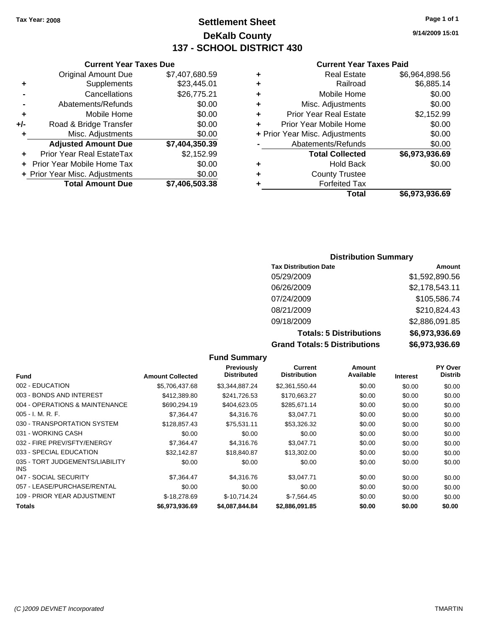# **Settlement Sheet Tax Year: 2008 Page 1 of 1 DeKalb County 137 - SCHOOL DISTRICT 430**

# **Current Year Taxes Due**

|     | <b>Original Amount Due</b>       | \$7,407,680.59 |
|-----|----------------------------------|----------------|
| ٠   | Supplements                      | \$23,445.01    |
|     | Cancellations                    | \$26,775.21    |
|     | Abatements/Refunds               | \$0.00         |
| ٠   | Mobile Home                      | \$0.00         |
| +/- | Road & Bridge Transfer           | \$0.00         |
| ٠   | Misc. Adjustments                | \$0.00         |
|     | <b>Adjusted Amount Due</b>       | \$7,404,350.39 |
|     | <b>Prior Year Real EstateTax</b> | \$2,152.99     |
|     | Prior Year Mobile Home Tax       | \$0.00         |
|     | + Prior Year Misc. Adjustments   | \$0.00         |
|     | <b>Total Amount Due</b>          | \$7,406,503.38 |

### **Current Year Taxes Paid**

| ٠                              | <b>Real Estate</b>            | \$6,964,898.56 |
|--------------------------------|-------------------------------|----------------|
| ٠                              | Railroad                      | \$6,885.14     |
| ٠                              | Mobile Home                   | \$0.00         |
| ٠                              | Misc. Adjustments             | \$0.00         |
| ÷                              | <b>Prior Year Real Estate</b> | \$2,152.99     |
| ÷                              | Prior Year Mobile Home        | \$0.00         |
| + Prior Year Misc. Adjustments |                               | \$0.00         |
|                                | Abatements/Refunds            | \$0.00         |
|                                | <b>Total Collected</b>        | \$6,973,936.69 |
| ٠                              | <b>Hold Back</b>              | \$0.00         |
| ٠                              | <b>County Trustee</b>         |                |
| ٠                              | <b>Forfeited Tax</b>          |                |
|                                | Total                         | \$6,973,936.69 |
|                                |                               |                |

# **Distribution Summary**

| <b>Tax Distribution Date</b>         | Amount         |
|--------------------------------------|----------------|
| 05/29/2009                           | \$1,592,890.56 |
| 06/26/2009                           | \$2,178,543.11 |
| 07/24/2009                           | \$105,586.74   |
| 08/21/2009                           | \$210,824.43   |
| 09/18/2009                           | \$2,886,091.85 |
| <b>Totals: 5 Distributions</b>       | \$6,973,936.69 |
| <b>Grand Totals: 5 Distributions</b> | \$6,973,936.69 |

|                                         |                         | <b>Fund Summary</b>                     |                                |                     |                 |                                  |
|-----------------------------------------|-------------------------|-----------------------------------------|--------------------------------|---------------------|-----------------|----------------------------------|
| Fund                                    | <b>Amount Collected</b> | <b>Previously</b><br><b>Distributed</b> | Current<br><b>Distribution</b> | Amount<br>Available | <b>Interest</b> | <b>PY Over</b><br><b>Distrib</b> |
| 002 - EDUCATION                         | \$5,706,437.68          | \$3,344,887.24                          | \$2,361,550.44                 | \$0.00              | \$0.00          | \$0.00                           |
| 003 - BONDS AND INTEREST                | \$412,389.80            | \$241,726.53                            | \$170,663.27                   | \$0.00              | \$0.00          | \$0.00                           |
| 004 - OPERATIONS & MAINTENANCE          | \$690,294.19            | \$404,623.05                            | \$285,671.14                   | \$0.00              | \$0.00          | \$0.00                           |
| $005 - I. M. R. F.$                     | \$7,364.47              | \$4,316.76                              | \$3,047.71                     | \$0.00              | \$0.00          | \$0.00                           |
| 030 - TRANSPORTATION SYSTEM             | \$128,857.43            | \$75,531.11                             | \$53,326.32                    | \$0.00              | \$0.00          | \$0.00                           |
| 031 - WORKING CASH                      | \$0.00                  | \$0.00                                  | \$0.00                         | \$0.00              | \$0.00          | \$0.00                           |
| 032 - FIRE PREV/SFTY/ENERGY             | \$7,364.47              | \$4,316.76                              | \$3,047.71                     | \$0.00              | \$0.00          | \$0.00                           |
| 033 - SPECIAL EDUCATION                 | \$32,142.87             | \$18,840.87                             | \$13,302.00                    | \$0.00              | \$0.00          | \$0.00                           |
| 035 - TORT JUDGEMENTS/LIABILITY<br>INS. | \$0.00                  | \$0.00                                  | \$0.00                         | \$0.00              | \$0.00          | \$0.00                           |
| 047 - SOCIAL SECURITY                   | \$7,364.47              | \$4,316.76                              | \$3,047.71                     | \$0.00              | \$0.00          | \$0.00                           |
| 057 - LEASE/PURCHASE/RENTAL             | \$0.00                  | \$0.00                                  | \$0.00                         | \$0.00              | \$0.00          | \$0.00                           |
| 109 - PRIOR YEAR ADJUSTMENT             | $$-18,278.69$           | $$-10.714.24$                           | $$-7,564.45$                   | \$0.00              | \$0.00          | \$0.00                           |
| <b>Totals</b>                           | \$6,973,936.69          | \$4,087,844.84                          | \$2,886,091.85                 | \$0.00              | \$0.00          | \$0.00                           |

**9/14/2009 15:01**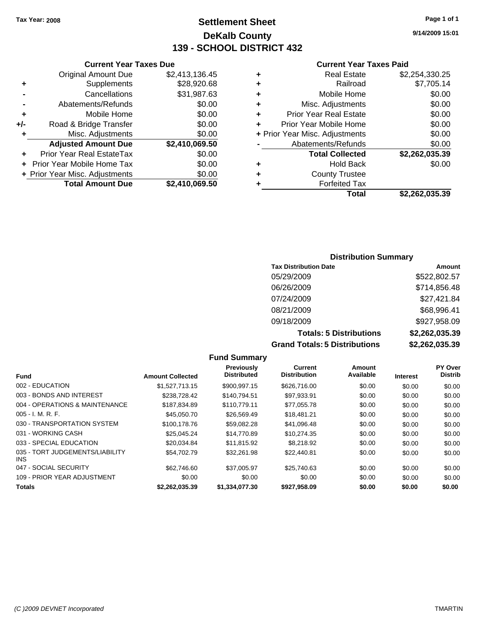# **Settlement Sheet Tax Year: 2008 Page 1 of 1 DeKalb County 139 - SCHOOL DISTRICT 432**

**Current Year Taxes Due**

|       | <b>Original Amount Due</b>     | \$2,413,136.45 |
|-------|--------------------------------|----------------|
| ٠     | Supplements                    | \$28,920.68    |
|       | Cancellations                  | \$31,987.63    |
|       | Abatements/Refunds             | \$0.00         |
| ٠     | Mobile Home                    | \$0.00         |
| $+/-$ | Road & Bridge Transfer         | \$0.00         |
| ٠     | Misc. Adjustments              | \$0.00         |
|       | <b>Adjusted Amount Due</b>     | \$2,410,069.50 |
|       | Prior Year Real EstateTax      | \$0.00         |
|       | Prior Year Mobile Home Tax     | \$0.00         |
|       | + Prior Year Misc. Adjustments | \$0.00         |
|       | <b>Total Amount Due</b>        | \$2,410,069.50 |

### **Current Year Taxes Paid**

|                                | <b>Real Estate</b>            | \$2,254,330.25 |
|--------------------------------|-------------------------------|----------------|
| ٠                              | Railroad                      | \$7,705.14     |
| ٠                              | Mobile Home                   | \$0.00         |
| ٠                              | Misc. Adjustments             | \$0.00         |
| ÷                              | <b>Prior Year Real Estate</b> | \$0.00         |
| ٠                              | Prior Year Mobile Home        | \$0.00         |
| + Prior Year Misc. Adjustments |                               | \$0.00         |
|                                | Abatements/Refunds            | \$0.00         |
|                                | <b>Total Collected</b>        | \$2,262,035.39 |
| ٠                              | <b>Hold Back</b>              | \$0.00         |
| ٠                              | <b>County Trustee</b>         |                |
| ٠                              | <b>Forfeited Tax</b>          |                |
|                                | Total                         | \$2,262,035.39 |
|                                |                               |                |

## **Distribution Summary**

| <b>Tax Distribution Date</b>         | Amount         |
|--------------------------------------|----------------|
| 05/29/2009                           | \$522,802.57   |
| 06/26/2009                           | \$714,856.48   |
| 07/24/2009                           | \$27,421.84    |
| 08/21/2009                           | \$68,996.41    |
| 09/18/2009                           | \$927,958.09   |
| <b>Totals: 5 Distributions</b>       | \$2,262,035.39 |
| <b>Grand Totals: 5 Distributions</b> | \$2,262,035.39 |

**Fund Summary Fund Interest Amount Collected Distributed PY Over Distrib Amount Available Current Distribution Previously** 002 - EDUCATION \$1,527,713.15 \$900,997.15 \$626,716.00 \$0.00 \$0.00 \$0.00 003 - BONDS AND INTEREST 6238,728.42 \$140,794.51 \$97,933.91 \$0.00 \$0.00 \$0.00 004 - OPERATIONS & MAINTENANCE \$187,834.89 \$110,779.11 \$77,055.78 \$0.00 \$0.00 \$0.00 005 - I. M. R. F. \$45,050.70 \$26,569.49 \$18,481.21 \$0.00 \$0.00 \$0.00 030 - TRANSPORTATION SYSTEM \$100,178.76 \$59,082.28 \$41,096.48 \$0.00 \$0.00 \$0.00 031 - WORKING CASH \$25,045.24 \$14,770.89 \$10,274.35 \$0.00 \$0.00 \$0.00 033 - SPECIAL EDUCATION \$20,034.84 \$11,815.92 \$8,218.92 \$0.00 \$0.00 \$0.00 \$0.00 035 - TORT JUDGEMENTS/LIABILITY INS \$54,702.79 \$32,261.98 \$22,440.81 \$0.00 \$0.00 \$0.00 047 - SOCIAL SECURITY \$62,746.60 \$37,005.97 \$25,740.63 \$0.00 \$0.00 \$0.00 109 - PRIOR YEAR ADJUSTMENT  $$0.00$   $$0.00$   $$0.00$   $$0.00$   $$0.00$   $$0.00$   $$0.00$   $$0.00$ **Totals \$2,262,035.39 \$1,334,077.30 \$927,958.09 \$0.00 \$0.00 \$0.00**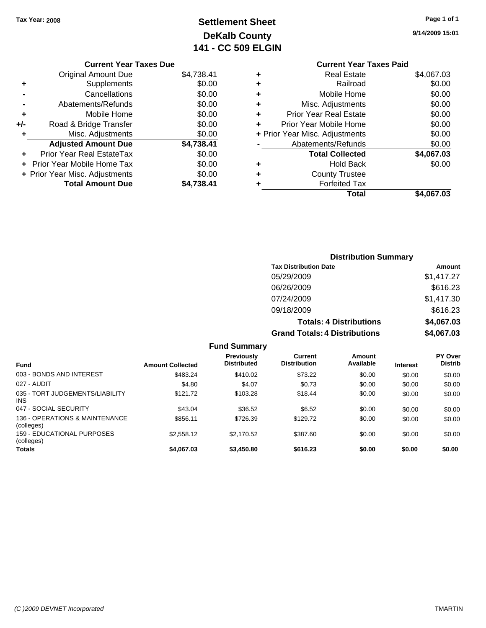# **Settlement Sheet Tax Year: 2008 Page 1 of 1 DeKalb County 141 - CC 509 ELGIN**

|  | --<br>-<br>۰. |  |
|--|---------------|--|
|  |               |  |
|  |               |  |
|  |               |  |
|  |               |  |

**9/14/2009 15:01**

|   | <b>Current Year Taxes Paid</b> |            |
|---|--------------------------------|------------|
| ٠ | <b>Real Estate</b>             | \$4,067.03 |
| ٠ | Railroad                       | \$0.00     |
| ٠ | Mobile Home                    | \$0.00     |
| ٠ | Misc. Adjustments              | \$0.00     |
| ٠ | <b>Prior Year Real Estate</b>  | \$0.00     |
| ٠ | Prior Year Mobile Home         | \$0.00     |
|   | + Prior Year Misc. Adjustments | \$0.00     |
|   | Abatements/Refunds             | \$0.00     |
|   | <b>Total Collected</b>         | \$4,067.03 |
| ٠ | Hold Back                      | \$0.00     |
| ٠ | <b>County Trustee</b>          |            |
| ٠ | <b>Forfeited Tax</b>           |            |
|   | Total                          | \$4.067.03 |
|   |                                |            |

| <b>Current Year Taxes Due</b>  |            |
|--------------------------------|------------|
| Original Amount Due            | \$4,738.41 |
| Supplements                    | \$0.00     |
| Cancellations                  | \$0.00     |
| Abatements/Refunds             | \$0.00     |
| Mobile Home                    | \$0.00     |
| Road & Bridge Transfer         | \$0.00     |
| Misc. Adjustments              | \$0.00     |
| <b>Adjusted Amount Due</b>     | \$4,738.41 |
| Prior Year Real EstateTax      | \$0.00     |
| Prior Year Mobile Home Tax     | \$0.00     |
| + Prior Year Misc. Adjustments | \$0.00     |
| <b>Total Amount Due</b>        | 738.41     |
|                                |            |

| <b>Distribution Summary</b>          |            |  |  |
|--------------------------------------|------------|--|--|
| <b>Tax Distribution Date</b>         | Amount     |  |  |
| 05/29/2009                           | \$1,417.27 |  |  |
| 06/26/2009                           | \$616.23   |  |  |
| 07/24/2009                           | \$1,417.30 |  |  |
| 09/18/2009                           | \$616.23   |  |  |
| <b>Totals: 4 Distributions</b>       | \$4,067.03 |  |  |
| <b>Grand Totals: 4 Distributions</b> | \$4,067.03 |  |  |

|                                              |                         | <b>Fund Summary</b>                     |                                |                     |                 |                           |
|----------------------------------------------|-------------------------|-----------------------------------------|--------------------------------|---------------------|-----------------|---------------------------|
| <b>Fund</b>                                  | <b>Amount Collected</b> | <b>Previously</b><br><b>Distributed</b> | Current<br><b>Distribution</b> | Amount<br>Available | <b>Interest</b> | PY Over<br><b>Distrib</b> |
| 003 - BONDS AND INTEREST                     | \$483.24                | \$410.02                                | \$73.22                        | \$0.00              | \$0.00          | \$0.00                    |
| 027 - AUDIT                                  | \$4.80                  | \$4.07                                  | \$0.73                         | \$0.00              | \$0.00          | \$0.00                    |
| 035 - TORT JUDGEMENTS/LIABILITY<br>INS.      | \$121.72                | \$103.28                                | \$18.44                        | \$0.00              | \$0.00          | \$0.00                    |
| 047 - SOCIAL SECURITY                        | \$43.04                 | \$36.52                                 | \$6.52                         | \$0.00              | \$0.00          | \$0.00                    |
| 136 - OPERATIONS & MAINTENANCE<br>(colleges) | \$856.11                | \$726.39                                | \$129.72                       | \$0.00              | \$0.00          | \$0.00                    |
| 159 - EDUCATIONAL PURPOSES<br>(colleges)     | \$2,558.12              | \$2.170.52                              | \$387.60                       | \$0.00              | \$0.00          | \$0.00                    |
| <b>Totals</b>                                | \$4,067.03              | \$3,450.80                              | \$616.23                       | \$0.00              | \$0.00          | \$0.00                    |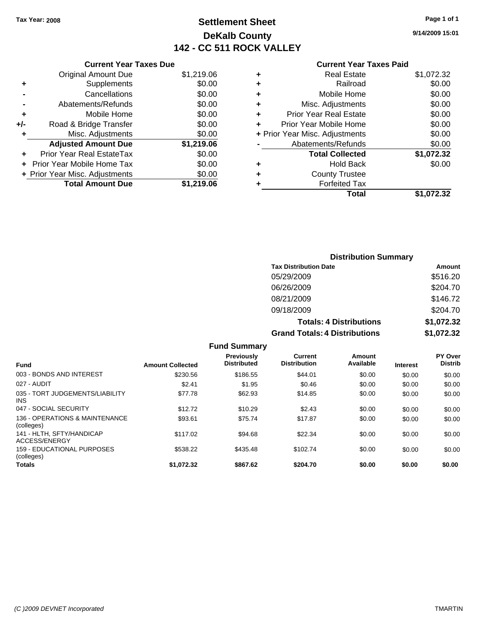# **Settlement Sheet Tax Year: 2008 Page 1 of 1 DeKalb County 142 - CC 511 ROCK VALLEY**

**9/14/2009 15:01**

| Current Year Taxes Due |
|------------------------|
|------------------------|

|       | <b>Original Amount Due</b>     | \$1,219.06 |
|-------|--------------------------------|------------|
| ٠     | Supplements                    | \$0.00     |
|       | Cancellations                  | \$0.00     |
|       | Abatements/Refunds             | \$0.00     |
| ٠     | Mobile Home                    | \$0.00     |
| $+/-$ | Road & Bridge Transfer         | \$0.00     |
| ٠     | Misc. Adjustments              | \$0.00     |
|       | <b>Adjusted Amount Due</b>     | \$1,219.06 |
|       | Prior Year Real EstateTax      | \$0.00     |
|       | Prior Year Mobile Home Tax     | \$0.00     |
|       | + Prior Year Misc. Adjustments | \$0.00     |
|       | <b>Total Amount Due</b>        | \$1,219.06 |

### **Current Year Taxes Paid**

| <b>Real Estate</b>     | \$1,072.32                                               |
|------------------------|----------------------------------------------------------|
| Railroad               | \$0.00                                                   |
| Mobile Home            | \$0.00                                                   |
| Misc. Adjustments      | \$0.00                                                   |
| Prior Year Real Estate | \$0.00                                                   |
|                        | \$0.00                                                   |
|                        | \$0.00                                                   |
| Abatements/Refunds     | \$0.00                                                   |
| <b>Total Collected</b> | \$1,072.32                                               |
| <b>Hold Back</b>       | \$0.00                                                   |
| <b>County Trustee</b>  |                                                          |
| <b>Forfeited Tax</b>   |                                                          |
| Total                  | \$1.072.32                                               |
|                        | Prior Year Mobile Home<br>+ Prior Year Misc. Adjustments |

# **Distribution Summary Tax Distribution Date Amount** 05/29/2009 \$516.20 06/26/2009 \$204.70 08/21/2009 \$146.72 09/18/2009 \$204.70 **Totals: 4 Distributions \$1,072.32 Grand Totals: 4 Distributions \$1,072.32**

|                                               |                         | <b>Fund Summary</b>                     |                                |                     |                 |                                  |
|-----------------------------------------------|-------------------------|-----------------------------------------|--------------------------------|---------------------|-----------------|----------------------------------|
| Fund                                          | <b>Amount Collected</b> | <b>Previously</b><br><b>Distributed</b> | Current<br><b>Distribution</b> | Amount<br>Available | <b>Interest</b> | <b>PY Over</b><br><b>Distrib</b> |
| 003 - BONDS AND INTEREST                      | \$230.56                | \$186.55                                | \$44.01                        | \$0.00              | \$0.00          | \$0.00                           |
| 027 - AUDIT                                   | \$2.41                  | \$1.95                                  | \$0.46                         | \$0.00              | \$0.00          | \$0.00                           |
| 035 - TORT JUDGEMENTS/LIABILITY<br><b>INS</b> | \$77.78                 | \$62.93                                 | \$14.85                        | \$0.00              | \$0.00          | \$0.00                           |
| 047 - SOCIAL SECURITY                         | \$12.72                 | \$10.29                                 | \$2.43                         | \$0.00              | \$0.00          | \$0.00                           |
| 136 - OPERATIONS & MAINTENANCE<br>(colleges)  | \$93.61                 | \$75.74                                 | \$17.87                        | \$0.00              | \$0.00          | \$0.00                           |
| 141 - HLTH, SFTY/HANDICAP<br>ACCESS/ENERGY    | \$117.02                | \$94.68                                 | \$22.34                        | \$0.00              | \$0.00          | \$0.00                           |
| 159 - EDUCATIONAL PURPOSES<br>(colleges)      | \$538.22                | \$435.48                                | \$102.74                       | \$0.00              | \$0.00          | \$0.00                           |
| Totals                                        | \$1.072.32              | \$867.62                                | \$204.70                       | \$0.00              | \$0.00          | \$0.00                           |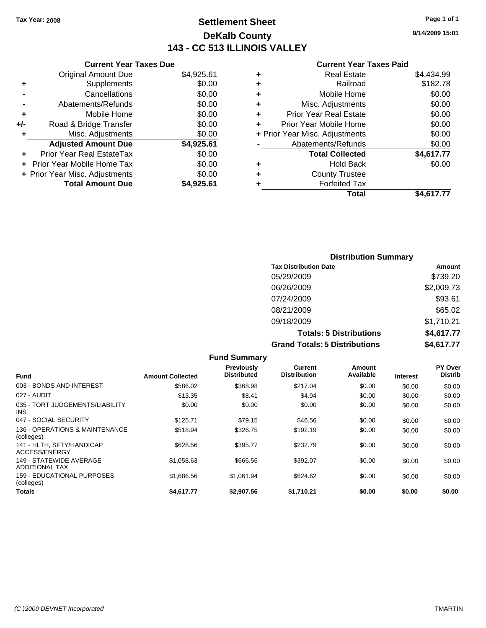# **Settlement Sheet Tax Year: 2008 Page 1 of 1 DeKalb County 143 - CC 513 ILLINOIS VALLEY**

## **Current Year Taxes Due**

|     | <b>Original Amount Due</b>     | \$4,925.61 |
|-----|--------------------------------|------------|
| ٠   | Supplements                    | \$0.00     |
|     | Cancellations                  | \$0.00     |
|     | Abatements/Refunds             | \$0.00     |
| ٠   | Mobile Home                    | \$0.00     |
| +/- | Road & Bridge Transfer         | \$0.00     |
| ٠   | Misc. Adjustments              | \$0.00     |
|     | <b>Adjusted Amount Due</b>     | \$4,925.61 |
|     | Prior Year Real EstateTax      | \$0.00     |
|     | Prior Year Mobile Home Tax     | \$0.00     |
|     | + Prior Year Misc. Adjustments | \$0.00     |
|     | <b>Total Amount Due</b>        | \$4.925.61 |

|   | <b>Real Estate</b>             | \$4,434.99 |
|---|--------------------------------|------------|
| ٠ | Railroad                       | \$182.78   |
| ٠ | Mobile Home                    | \$0.00     |
| ٠ | Misc. Adjustments              | \$0.00     |
| ٠ | Prior Year Real Estate         | \$0.00     |
|   | Prior Year Mobile Home         | \$0.00     |
|   | + Prior Year Misc. Adjustments | \$0.00     |
|   | Abatements/Refunds             | \$0.00     |
|   | <b>Total Collected</b>         | \$4,617.77 |
| ٠ | <b>Hold Back</b>               | \$0.00     |
| ٠ | <b>County Trustee</b>          |            |
| ٠ | <b>Forfeited Tax</b>           |            |
|   | Total                          | \$4.617.77 |
|   |                                |            |

| <b>Distribution Summary</b>          |            |  |  |  |
|--------------------------------------|------------|--|--|--|
| <b>Tax Distribution Date</b>         | Amount     |  |  |  |
| 05/29/2009                           | \$739.20   |  |  |  |
| 06/26/2009                           | \$2,009.73 |  |  |  |
| 07/24/2009                           | \$93.61    |  |  |  |
| 08/21/2009                           | \$65.02    |  |  |  |
| 09/18/2009                           | \$1,710.21 |  |  |  |
| <b>Totals: 5 Distributions</b>       | \$4,617.77 |  |  |  |
| <b>Grand Totals: 5 Distributions</b> | \$4,617.77 |  |  |  |

|                                              |                         | <b>Fund Summary</b>                     |                                |                     |                 |                                  |
|----------------------------------------------|-------------------------|-----------------------------------------|--------------------------------|---------------------|-----------------|----------------------------------|
| <b>Fund</b>                                  | <b>Amount Collected</b> | <b>Previously</b><br><b>Distributed</b> | Current<br><b>Distribution</b> | Amount<br>Available | <b>Interest</b> | <b>PY Over</b><br><b>Distrib</b> |
| 003 - BONDS AND INTEREST                     | \$586.02                | \$368.98                                | \$217.04                       | \$0.00              | \$0.00          | \$0.00                           |
| 027 - AUDIT                                  | \$13.35                 | \$8.41                                  | \$4.94                         | \$0.00              | \$0.00          | \$0.00                           |
| 035 - TORT JUDGEMENTS/LIABILITY<br>INS.      | \$0.00                  | \$0.00                                  | \$0.00                         | \$0.00              | \$0.00          | \$0.00                           |
| 047 - SOCIAL SECURITY                        | \$125.71                | \$79.15                                 | \$46.56                        | \$0.00              | \$0.00          | \$0.00                           |
| 136 - OPERATIONS & MAINTENANCE<br>(colleges) | \$518.94                | \$326.75                                | \$192.19                       | \$0.00              | \$0.00          | \$0.00                           |
| 141 - HLTH. SFTY/HANDICAP<br>ACCESS/ENERGY   | \$628.56                | \$395.77                                | \$232.79                       | \$0.00              | \$0.00          | \$0.00                           |
| 149 - STATEWIDE AVERAGE<br>ADDITIONAL TAX    | \$1.058.63              | \$666.56                                | \$392.07                       | \$0.00              | \$0.00          | \$0.00                           |
| 159 - EDUCATIONAL PURPOSES<br>(colleges)     | \$1,686.56              | \$1,061.94                              | \$624.62                       | \$0.00              | \$0.00          | \$0.00                           |
| Totals                                       | \$4,617.77              | \$2,907.56                              | \$1,710.21                     | \$0.00              | \$0.00          | \$0.00                           |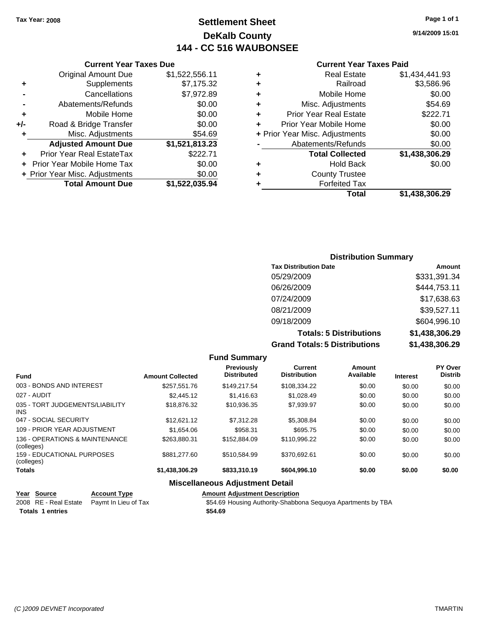# **Settlement Sheet Tax Year: 2008 Page 1 of 1 DeKalb County 144 - CC 516 WAUBONSEE**

### **Current Year Taxes Due**

|     | <b>Original Amount Due</b>     | \$1,522,556.11 |
|-----|--------------------------------|----------------|
| ٠   | Supplements                    | \$7,175.32     |
|     | Cancellations                  | \$7,972.89     |
|     | Abatements/Refunds             | \$0.00         |
| ٠   | Mobile Home                    | \$0.00         |
| +/- | Road & Bridge Transfer         | \$0.00         |
| ٠   | Misc. Adjustments              | \$54.69        |
|     | <b>Adjusted Amount Due</b>     | \$1,521,813.23 |
|     | Prior Year Real EstateTax      | \$222.71       |
|     | Prior Year Mobile Home Tax     | \$0.00         |
|     | + Prior Year Misc. Adjustments | \$0.00         |
|     | <b>Total Amount Due</b>        | \$1,522,035.94 |

### **Current Year Taxes Paid**

|   | <b>Real Estate</b>             | \$1,434,441.93 |
|---|--------------------------------|----------------|
| ٠ | Railroad                       | \$3,586.96     |
| ٠ | Mobile Home                    | \$0.00         |
| ٠ | Misc. Adjustments              | \$54.69        |
| ÷ | Prior Year Real Estate         | \$222.71       |
| ÷ | Prior Year Mobile Home         | \$0.00         |
|   | + Prior Year Misc. Adjustments | \$0.00         |
|   | Abatements/Refunds             | \$0.00         |
|   | <b>Total Collected</b>         | \$1,438,306.29 |
| ٠ | <b>Hold Back</b>               | \$0.00         |
| ٠ | <b>County Trustee</b>          |                |
| ٠ | <b>Forfeited Tax</b>           |                |
|   | Total                          | \$1,438,306.29 |
|   |                                |                |

| <b>Distribution Summary</b>          |                |  |  |  |
|--------------------------------------|----------------|--|--|--|
| <b>Tax Distribution Date</b>         | Amount         |  |  |  |
| 05/29/2009                           | \$331,391.34   |  |  |  |
| 06/26/2009                           | \$444,753.11   |  |  |  |
| 07/24/2009                           | \$17,638.63    |  |  |  |
| 08/21/2009                           | \$39,527.11    |  |  |  |
| 09/18/2009                           | \$604,996.10   |  |  |  |
| <b>Totals: 5 Distributions</b>       | \$1,438,306.29 |  |  |  |
| <b>Grand Totals: 5 Distributions</b> | \$1,438,306.29 |  |  |  |

**Fund Summary Fund Interest Amount Collected Distributed PY Over Distrib Amount Available Current Distribution Previously** 003 - BONDS AND INTEREST 6 \$257,551.76 \$149,217.54 \$108,334.22 \$0.00 \$0.00 \$0.00 027 - AUDIT \$2,445.12 \$1,416.63 \$1,028.49 \$0.00 \$0.00 \$0.00 035 - TORT JUDGEMENTS/LIABILITY INS \$18,876.32 \$10,936.35 \$7,939.97 \$0.00 \$0.00 \$0.00 047 - SOCIAL SECURITY \$12,621.12 \$7,312.28 \$5,308.84 \$0.00 \$0.00 \$0.00 109 - PRIOR YEAR ADJUSTMENT  $$1,654.06$   $$958.31$   $$695.75$   $$0.00$   $$0.00$   $$0.00$ 136 - OPERATIONS & MAINTENANCE (colleges)  $$263,880.31$   $$152,884.09$   $$110,996.22$   $$0.00$   $$0.00$   $$0.00$ 159 - EDUCATIONAL PURPOSES (colleges) \$881,277.60 \$510,584.99 \$370,692.61 \$0.00 \$0.00 \$0.00 **Totals \$1,438,306.29 \$833,310.19 \$604,996.10 \$0.00 \$0.00 \$0.00 Miscellaneous Adjustment Detail**

## **Year Source Account Type Amount Adjustment Description** Paymt In Lieu of Tax **6008 SEM** 554.69 Housing Authority-Shabbona Sequoya Apartments by TBA **Totals \$54.69 1 entries**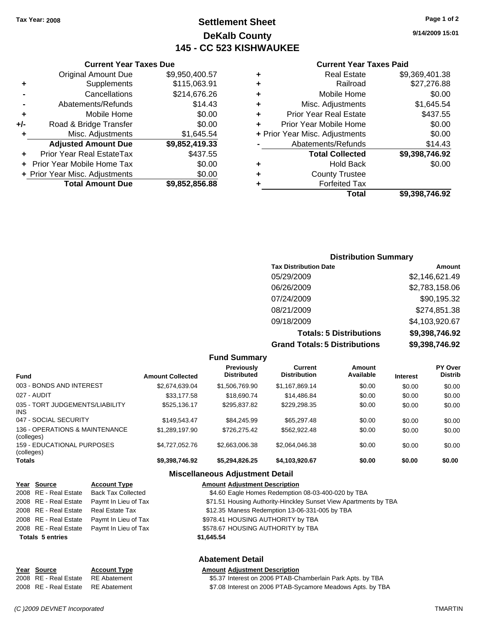# **Settlement Sheet Tax Year: 2008 Page 1 of 2 DeKalb County 145 - CC 523 KISHWAUKEE**

**9/14/2009 15:01**

## **Current Year Taxes Paid**

| ٠ | <b>Real Estate</b>             | \$9,369,401.38 |
|---|--------------------------------|----------------|
| ٠ | Railroad                       | \$27,276.88    |
| ٠ | Mobile Home                    | \$0.00         |
| ٠ | Misc. Adjustments              | \$1,645.54     |
| ٠ | <b>Prior Year Real Estate</b>  | \$437.55       |
| ÷ | Prior Year Mobile Home         | \$0.00         |
|   | + Prior Year Misc. Adjustments | \$0.00         |
|   | Abatements/Refunds             | \$14.43        |
|   | <b>Total Collected</b>         | \$9,398,746.92 |
| ٠ | <b>Hold Back</b>               | \$0.00         |
| ٠ | <b>County Trustee</b>          |                |
|   | <b>Forfeited Tax</b>           |                |
|   | Total                          | \$9,398,746.92 |

|     | <b>Current Year Taxes Due</b>  |                |
|-----|--------------------------------|----------------|
|     | <b>Original Amount Due</b>     | \$9,950,400.57 |
| ٠   | Supplements                    | \$115,063.91   |
|     | Cancellations                  | \$214,676.26   |
|     | Abatements/Refunds             | \$14.43        |
| ٠   | Mobile Home                    | \$0.00         |
| +/- | Road & Bridge Transfer         | \$0.00         |
| ٠   | Misc. Adjustments              | \$1,645.54     |
|     | <b>Adjusted Amount Due</b>     | \$9,852,419.33 |
|     | Prior Year Real EstateTax      | \$437.55       |
|     | Prior Year Mobile Home Tax     | \$0.00         |
|     | + Prior Year Misc. Adjustments | \$0.00         |
|     | <b>Total Amount Due</b>        | \$9,852,856.88 |

# **Distribution Summary**

| <b>Tax Distribution Date</b>         | Amount         |
|--------------------------------------|----------------|
| 05/29/2009                           | \$2,146,621.49 |
| 06/26/2009                           | \$2,783,158.06 |
| 07/24/2009                           | \$90,195.32    |
| 08/21/2009                           | \$274,851.38   |
| 09/18/2009                           | \$4,103,920.67 |
| <b>Totals: 5 Distributions</b>       | \$9,398,746.92 |
| <b>Grand Totals: 5 Distributions</b> | \$9,398,746.92 |

|                                              |                         | <b>Fund Summary</b>                     |                                       |                     |                 |                           |
|----------------------------------------------|-------------------------|-----------------------------------------|---------------------------------------|---------------------|-----------------|---------------------------|
| <b>Fund</b>                                  | <b>Amount Collected</b> | <b>Previously</b><br><b>Distributed</b> | <b>Current</b><br><b>Distribution</b> | Amount<br>Available | <b>Interest</b> | PY Over<br><b>Distrib</b> |
| 003 - BONDS AND INTEREST                     | \$2,674,639.04          | \$1,506,769.90                          | \$1,167,869.14                        | \$0.00              | \$0.00          | \$0.00                    |
| 027 - AUDIT                                  | \$33,177.58             | \$18,690.74                             | \$14,486.84                           | \$0.00              | \$0.00          | \$0.00                    |
| 035 - TORT JUDGEMENTS/LIABILITY<br>INS       | \$525.136.17            | \$295.837.82                            | \$229.298.35                          | \$0.00              | \$0.00          | \$0.00                    |
| 047 - SOCIAL SECURITY                        | \$149.543.47            | \$84.245.99                             | \$65,297.48                           | \$0.00              | \$0.00          | \$0.00                    |
| 136 - OPERATIONS & MAINTENANCE<br>(colleges) | \$1.289.197.90          | \$726,275.42                            | \$562,922,48                          | \$0.00              | \$0.00          | \$0.00                    |
| 159 - EDUCATIONAL PURPOSES<br>(colleges)     | \$4,727,052.76          | \$2.663,006.38                          | \$2,064,046.38                        | \$0.00              | \$0.00          | \$0.00                    |
| Totals                                       | \$9,398,746.92          | \$5,294,826.25                          | \$4,103,920.67                        | \$0.00              | \$0.00          | \$0.00                    |
|                                              |                         |                                         |                                       |                     |                 |                           |

# **Miscellaneous Adjustment Detail**

| \$71.51 Housing Authority-Hinckley Sunset View Apartments by TBA |
|------------------------------------------------------------------|
|                                                                  |
|                                                                  |
|                                                                  |
|                                                                  |
|                                                                  |
|                                                                  |

## **Abatement Detail**

| Year Source                        | <b>Account Type</b> | <b>Amount Adiustment Description</b>                       |
|------------------------------------|---------------------|------------------------------------------------------------|
| 2008 RE - Real Estate RE Abatement |                     | \$5.37 Interest on 2006 PTAB-Chamberlain Park Apts. by TBA |
| 2008 RE - Real Estate RE Abatement |                     | \$7.08 Interest on 2006 PTAB-Sycamore Meadows Apts. by TBA |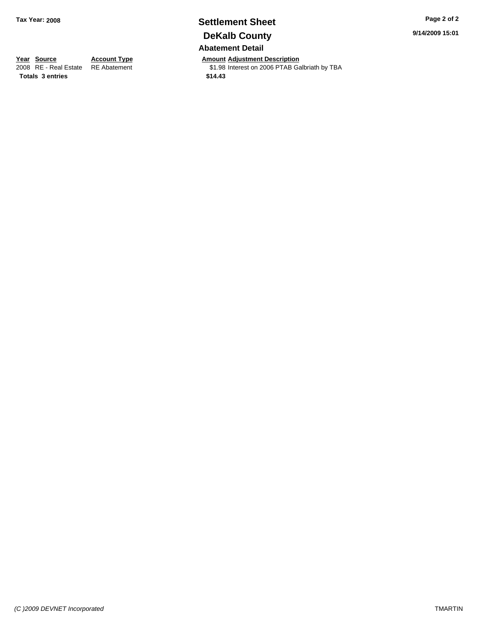# **Settlement Sheet Tax Year: 2008 Page 2 of 2 DeKalb County Abatement Detail**

**Year Source Account Type Amount Adjustment Description**<br>2008 RE - Real Estate RE Abatement **Adjustment** \$1.98 Interest on 2006 PTAB Ga \$1.98 Interest on 2006 PTAB Galbriath by TBA

**Totals \$14.43 3 entries**

**9/14/2009 15:01**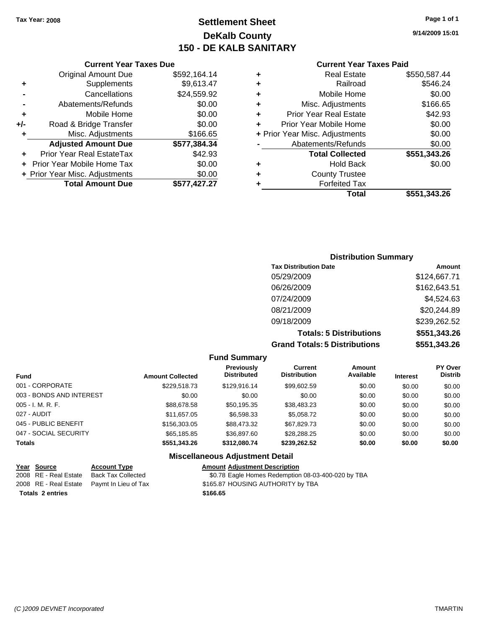# **Settlement Sheet Tax Year: 2008 Page 1 of 1 DeKalb County 150 - DE KALB SANITARY**

## **Current Year Taxes Due**

|     | <b>Original Amount Due</b>        | \$592,164.14 |
|-----|-----------------------------------|--------------|
| ٠   | Supplements                       | \$9,613.47   |
|     | Cancellations                     | \$24,559.92  |
|     | Abatements/Refunds                | \$0.00       |
| ٠   | Mobile Home                       | \$0.00       |
| +/- | Road & Bridge Transfer            | \$0.00       |
| ٠   | Misc. Adjustments                 | \$166.65     |
|     | <b>Adjusted Amount Due</b>        | \$577,384.34 |
|     | Prior Year Real EstateTax         | \$42.93      |
|     | <b>Prior Year Mobile Home Tax</b> | \$0.00       |
|     | + Prior Year Misc. Adjustments    | \$0.00       |
|     | <b>Total Amount Due</b>           | \$577,427.27 |

### **Current Year Taxes Paid**

|   | <b>Real Estate</b>             | \$550,587.44 |
|---|--------------------------------|--------------|
| ٠ | Railroad                       | \$546.24     |
| ٠ | Mobile Home                    | \$0.00       |
| ٠ | Misc. Adjustments              | \$166.65     |
| ٠ | <b>Prior Year Real Estate</b>  | \$42.93      |
|   | Prior Year Mobile Home         | \$0.00       |
|   | + Prior Year Misc. Adjustments | \$0.00       |
|   | Abatements/Refunds             | \$0.00       |
|   | <b>Total Collected</b>         | \$551,343.26 |
| ٠ | Hold Back                      | \$0.00       |
| ٠ | <b>County Trustee</b>          |              |
| ٠ | <b>Forfeited Tax</b>           |              |
|   | Total                          | \$551,343.26 |
|   |                                |              |

| <b>Distribution Summary</b>  |              |  |  |  |
|------------------------------|--------------|--|--|--|
| <b>Tax Distribution Date</b> | Amount       |  |  |  |
| 05/29/2009                   | \$124,667.71 |  |  |  |
| 06/26/2009                   | \$162,643.51 |  |  |  |
| 07/24/2009                   | \$4,524.63   |  |  |  |
| 08/21/2009                   | \$20,244.89  |  |  |  |
| 09/18/2009                   | \$239,262.52 |  |  |  |

**Totals: 5 Distributions \$551,343.26 Grand Totals: 5 Distributions \$551,343.26**

| <b>Fund Summary</b>      |                         |                                         |                                |                     |                 |                           |  |
|--------------------------|-------------------------|-----------------------------------------|--------------------------------|---------------------|-----------------|---------------------------|--|
| <b>Fund</b>              | <b>Amount Collected</b> | <b>Previously</b><br><b>Distributed</b> | Current<br><b>Distribution</b> | Amount<br>Available | <b>Interest</b> | PY Over<br><b>Distrib</b> |  |
| 001 - CORPORATE          | \$229.518.73            | \$129.916.14                            | \$99,602.59                    | \$0.00              | \$0.00          | \$0.00                    |  |
| 003 - BONDS AND INTEREST | \$0.00                  | \$0.00                                  | \$0.00                         | \$0.00              | \$0.00          | \$0.00                    |  |
| $005 - I. M. R. F.$      | \$88,678.58             | \$50,195.35                             | \$38,483.23                    | \$0.00              | \$0.00          | \$0.00                    |  |
| 027 - AUDIT              | \$11,657.05             | \$6,598.33                              | \$5,058.72                     | \$0.00              | \$0.00          | \$0.00                    |  |
| 045 - PUBLIC BENEFIT     | \$156,303,05            | \$88,473,32                             | \$67.829.73                    | \$0.00              | \$0.00          | \$0.00                    |  |
| 047 - SOCIAL SECURITY    | \$65.185.85             | \$36,897.60                             | \$28.288.25                    | \$0.00              | \$0.00          | \$0.00                    |  |
| <b>Totals</b>            | \$551,343.26            | \$312,080.74                            | \$239,262.52                   | \$0.00              | \$0.00          | \$0.00                    |  |
|                          |                         | <b>Miscellaneous Adjustment Detail</b>  |                                |                     |                 |                           |  |

| Year Source             | <b>Account Type</b>                        | <b>Amount Adiustment Description</b>               |
|-------------------------|--------------------------------------------|----------------------------------------------------|
| 2008 RE - Real Estate   | Back Tax Collected                         | \$0.78 Eagle Homes Redemption 08-03-400-020 by TBA |
|                         | 2008 RE - Real Estate Paymt In Lieu of Tax | \$165.87 HOUSING AUTHORITY by TBA                  |
| <b>Totals 2 entries</b> |                                            | \$166.65                                           |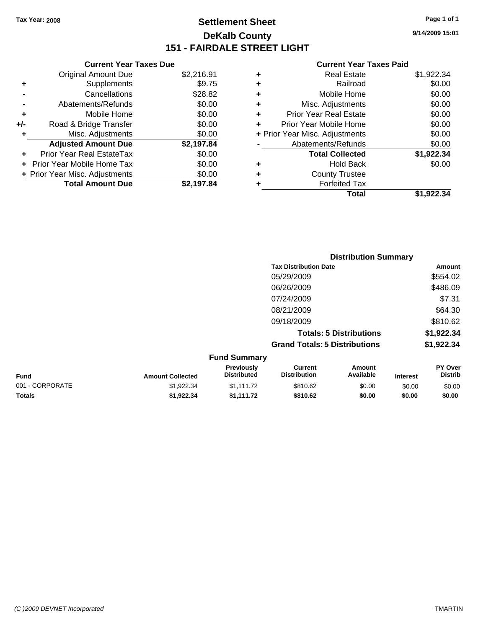# **Settlement Sheet Tax Year: 2008 Page 1 of 1 DeKalb County 151 - FAIRDALE STREET LIGHT**

**9/14/2009 15:01**

|     | <b>Current Year Taxes Due</b>  |            |
|-----|--------------------------------|------------|
|     | <b>Original Amount Due</b>     | \$2,216.91 |
| ٠   | Supplements                    | \$9.75     |
|     | Cancellations                  | \$28.82    |
|     | Abatements/Refunds             | \$0.00     |
| ٠   | Mobile Home                    | \$0.00     |
| +/- | Road & Bridge Transfer         | \$0.00     |
| ٠   | Misc. Adjustments              | \$0.00     |
|     | <b>Adjusted Amount Due</b>     | \$2,197.84 |
|     | Prior Year Real EstateTax      | \$0.00     |
|     | Prior Year Mobile Home Tax     | \$0.00     |
|     | + Prior Year Misc. Adjustments | \$0.00     |
|     | <b>Total Amount Due</b>        | \$2,197.84 |
|     |                                |            |

|   | <b>Real Estate</b>             | \$1,922.34 |
|---|--------------------------------|------------|
| ٠ | Railroad                       | \$0.00     |
| ٠ | Mobile Home                    | \$0.00     |
| ٠ | Misc. Adjustments              | \$0.00     |
| ٠ | <b>Prior Year Real Estate</b>  | \$0.00     |
|   | Prior Year Mobile Home         | \$0.00     |
|   | + Prior Year Misc. Adjustments | \$0.00     |
|   | Abatements/Refunds             | \$0.00     |
|   | <b>Total Collected</b>         | \$1,922.34 |
| ٠ | <b>Hold Back</b>               | \$0.00     |
| ٠ | <b>County Trustee</b>          |            |
| ٠ | <b>Forfeited Tax</b>           |            |
|   | Total                          | \$1.922.34 |
|   |                                |            |

|                     | <b>Distribution Summary</b>          |            |
|---------------------|--------------------------------------|------------|
|                     | <b>Tax Distribution Date</b>         | Amount     |
|                     | 05/29/2009                           | \$554.02   |
|                     | 06/26/2009                           | \$486.09   |
|                     | 07/24/2009                           | \$7.31     |
|                     | 08/21/2009                           | \$64.30    |
|                     | 09/18/2009                           | \$810.62   |
|                     | <b>Totals: 5 Distributions</b>       | \$1,922.34 |
|                     | <b>Grand Totals: 5 Distributions</b> | \$1,922.34 |
| <b>Fund Summary</b> |                                      |            |

|                 |                         | <b>Previously</b>  | Current             | Amount    |                 | <b>PY Over</b> |
|-----------------|-------------------------|--------------------|---------------------|-----------|-----------------|----------------|
| <b>Fund</b>     | <b>Amount Collected</b> | <b>Distributed</b> | <b>Distribution</b> | Available | <b>Interest</b> | <b>Distrib</b> |
| 001 - CORPORATE | \$1.922.34              | \$1.111.72         | \$810.62            | \$0.00    | \$0.00          | \$0.00         |
| <b>Totals</b>   | \$1.922.34              | \$1.111.72         | \$810.62            | \$0.00    | \$0.00          | \$0.00         |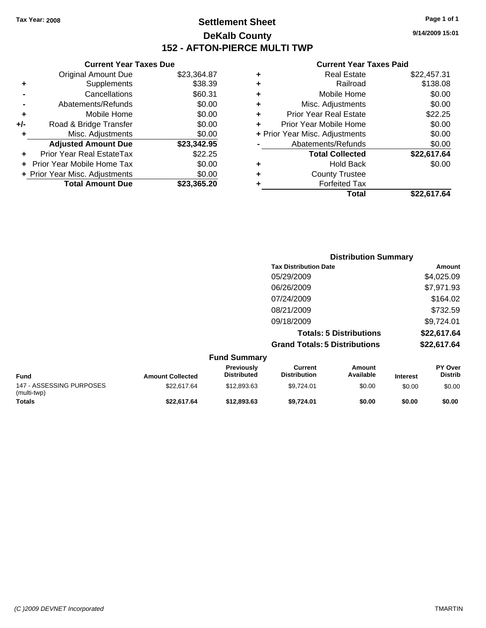**Current Year Taxes Due** Original Amount Due \$23,364.87

**Adjusted Amount Due \$23,342.95**

**Total Amount Due \$23,365.20**

**+** Supplements \$38.39 **-** Cancellations \$60.31 **-** Abatements/Refunds \$0.00 **+** Mobile Home \$0.00 **+/-** Road & Bridge Transfer \$0.00 **+** Misc. Adjustments \$0.00

**+** Prior Year Real EstateTax \$22.25 **+** Prior Year Mobile Home Tax \$0.00 **+ Prior Year Misc. Adjustments**  $$0.00$ 

# **Settlement Sheet Tax Year: 2008 Page 1 of 1 DeKalb County 152 - AFTON-PIERCE MULTI TWP**

**9/14/2009 15:01**

## **Current Year Taxes Paid**

|   | Total                          | \$22.617.64 |
|---|--------------------------------|-------------|
| ٠ | <b>Forfeited Tax</b>           |             |
| ٠ | <b>County Trustee</b>          |             |
| ٠ | <b>Hold Back</b>               | \$0.00      |
|   | <b>Total Collected</b>         | \$22,617.64 |
|   | Abatements/Refunds             | \$0.00      |
|   | + Prior Year Misc. Adjustments | \$0.00      |
|   | Prior Year Mobile Home         | \$0.00      |
| ٠ | <b>Prior Year Real Estate</b>  | \$22.25     |
| ٠ | Misc. Adjustments              | \$0.00      |
| ٠ | Mobile Home                    | \$0.00      |
| ٠ | Railroad                       | \$138.08    |
| ٠ | <b>Real Estate</b>             | \$22,457.31 |
|   |                                |             |

|                                         |                         |                                  | <b>Distribution Summary</b>           |                                |                 |                                  |
|-----------------------------------------|-------------------------|----------------------------------|---------------------------------------|--------------------------------|-----------------|----------------------------------|
|                                         |                         |                                  | <b>Tax Distribution Date</b>          |                                |                 | Amount                           |
|                                         |                         |                                  | 05/29/2009                            |                                |                 | \$4,025.09                       |
|                                         |                         |                                  | 06/26/2009                            |                                |                 | \$7,971.93                       |
|                                         |                         |                                  | 07/24/2009                            |                                |                 | \$164.02                         |
|                                         |                         |                                  | 08/21/2009                            |                                |                 | \$732.59                         |
|                                         |                         |                                  | 09/18/2009                            |                                |                 | \$9,724.01                       |
|                                         |                         |                                  |                                       | <b>Totals: 5 Distributions</b> |                 | \$22,617.64                      |
|                                         |                         |                                  | <b>Grand Totals: 5 Distributions</b>  |                                |                 | \$22,617.64                      |
|                                         |                         | <b>Fund Summary</b>              |                                       |                                |                 |                                  |
| <b>Fund</b>                             | <b>Amount Collected</b> | Previously<br><b>Distributed</b> | <b>Current</b><br><b>Distribution</b> | <b>Amount</b><br>Available     | <b>Interest</b> | <b>PY Over</b><br><b>Distrib</b> |
| 147 - ASSESSING PURPOSES<br>(multi-twp) | \$22,617.64             | \$12,893.63                      | \$9,724.01                            | \$0.00                         | \$0.00          | \$0.00                           |

**Totals \$22,617.64 \$12,893.63 \$9,724.01 \$0.00 \$0.00 \$0.00**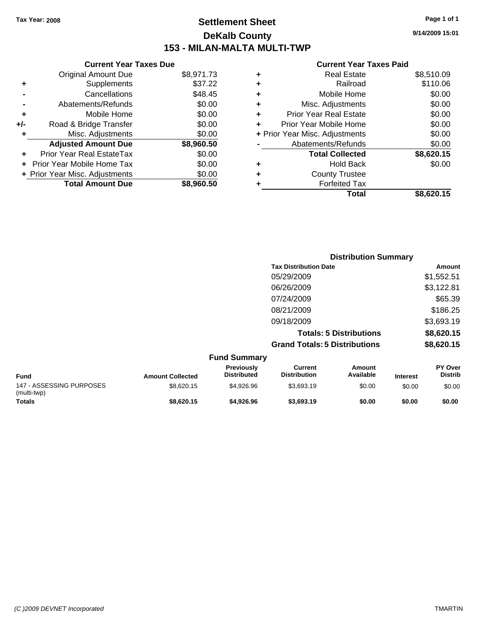# **Settlement Sheet Tax Year: 2008 Page 1 of 1 DeKalb County 153 - MILAN-MALTA MULTI-TWP**

**9/14/2009 15:01**

## **Current Year Taxes Paid**

|   | Total                          | \$8,620.15 |
|---|--------------------------------|------------|
|   | <b>Forfeited Tax</b>           |            |
| ٠ | <b>County Trustee</b>          |            |
| ٠ | <b>Hold Back</b>               | \$0.00     |
|   | <b>Total Collected</b>         | \$8,620.15 |
|   | Abatements/Refunds             | \$0.00     |
|   | + Prior Year Misc. Adjustments | \$0.00     |
| ٠ | Prior Year Mobile Home         | \$0.00     |
| ٠ | <b>Prior Year Real Estate</b>  | \$0.00     |
| ٠ | Misc. Adjustments              | \$0.00     |
| ٠ | Mobile Home                    | \$0.00     |
| ٠ | Railroad                       | \$110.06   |
|   | <b>Real Estate</b>             | \$8,510.09 |

|                                         |                         |                                  |                                       | <b>Distribution Summary</b>    |                 |                           |
|-----------------------------------------|-------------------------|----------------------------------|---------------------------------------|--------------------------------|-----------------|---------------------------|
|                                         |                         |                                  | <b>Tax Distribution Date</b>          |                                |                 | Amount                    |
|                                         |                         |                                  | 05/29/2009                            |                                |                 | \$1,552.51                |
|                                         |                         |                                  | 06/26/2009                            |                                |                 | \$3,122.81                |
|                                         |                         |                                  | 07/24/2009                            |                                |                 | \$65.39                   |
|                                         |                         |                                  | 08/21/2009                            |                                |                 | \$186.25                  |
|                                         |                         |                                  | 09/18/2009                            |                                |                 | \$3,693.19                |
|                                         |                         |                                  |                                       | <b>Totals: 5 Distributions</b> |                 | \$8,620.15                |
|                                         |                         |                                  | <b>Grand Totals: 5 Distributions</b>  |                                |                 | \$8,620.15                |
|                                         |                         | <b>Fund Summary</b>              |                                       |                                |                 |                           |
| Fund                                    | <b>Amount Collected</b> | Previously<br><b>Distributed</b> | <b>Current</b><br><b>Distribution</b> | Amount<br>Available            | <b>Interest</b> | PY Over<br><b>Distrib</b> |
| 147 - ASSESSING PURPOSES<br>(multi-twp) | \$8,620.15              | \$4,926.96                       | \$3,693.19                            | \$0.00                         | \$0.00          | \$0.00                    |

**Totals \$8,620.15 \$4,926.96 \$3,693.19 \$0.00 \$0.00 \$0.00**

**Current Year Taxes Due** Original Amount Due \$8,971.73

**Adjusted Amount Due \$8,960.50**

**Total Amount Due \$8,960.50**

**+** Supplements \$37.22 **-** Cancellations \$48.45 **-** Abatements/Refunds \$0.00 **+** Mobile Home \$0.00 **+/-** Road & Bridge Transfer \$0.00 **+** Misc. Adjustments \$0.00

**+** Prior Year Real EstateTax \$0.00 **+** Prior Year Mobile Home Tax \$0.00 **+ Prior Year Misc. Adjustments**  $$0.00$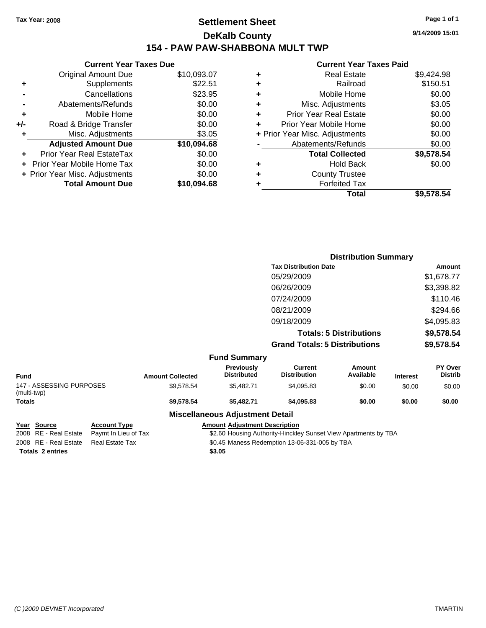# **Settlement Sheet Tax Year: 2008 Page 1 of 1 DeKalb County 154 - PAW PAW-SHABBONA MULT TWP**

**9/14/2009 15:01**

# **Current Year Taxes Paid**

|       | <b>Current Year Taxes Due</b>     |             |
|-------|-----------------------------------|-------------|
|       | <b>Original Amount Due</b>        | \$10,093.07 |
| ٠     | Supplements                       | \$22.51     |
|       | Cancellations                     | \$23.95     |
|       | Abatements/Refunds                | \$0.00      |
| ٠     | Mobile Home                       | \$0.00      |
| $+/-$ | Road & Bridge Transfer            | \$0.00      |
| ٠     | Misc. Adjustments                 | \$3.05      |
|       | <b>Adjusted Amount Due</b>        | \$10,094.68 |
|       | Prior Year Real EstateTax         | \$0.00      |
|       | <b>Prior Year Mobile Home Tax</b> | \$0.00      |
|       | + Prior Year Misc. Adjustments    | \$0.00      |
|       | <b>Total Amount Due</b>           | \$10,094.68 |
|       |                                   |             |

|   | Total                          | \$9,578.54 |
|---|--------------------------------|------------|
| ٠ | <b>Forfeited Tax</b>           |            |
| ٠ | <b>County Trustee</b>          |            |
| ٠ | <b>Hold Back</b>               | \$0.00     |
|   | <b>Total Collected</b>         | \$9,578.54 |
|   | Abatements/Refunds             | \$0.00     |
|   | + Prior Year Misc. Adjustments | \$0.00     |
| ٠ | Prior Year Mobile Home         | \$0.00     |
| ÷ | <b>Prior Year Real Estate</b>  | \$0.00     |
| ÷ | Misc. Adjustments              | \$3.05     |
| ٠ | Mobile Home                    | \$0.00     |
| ÷ | Railroad                       | \$150.51   |
| ٠ | <b>Real Estate</b>             | \$9,424.98 |
|   |                                |            |

|                                         |                         |                                         |                                       | <b>Distribution Summary</b>    |                 |                           |
|-----------------------------------------|-------------------------|-----------------------------------------|---------------------------------------|--------------------------------|-----------------|---------------------------|
|                                         |                         |                                         | <b>Tax Distribution Date</b>          |                                |                 | Amount                    |
|                                         |                         |                                         | 05/29/2009                            |                                |                 | \$1,678.77                |
|                                         |                         |                                         | 06/26/2009                            |                                |                 | \$3,398.82                |
|                                         |                         |                                         | 07/24/2009                            |                                |                 | \$110.46                  |
|                                         |                         |                                         | 08/21/2009                            |                                |                 | \$294.66                  |
|                                         |                         |                                         | 09/18/2009                            |                                |                 | \$4,095.83                |
|                                         |                         |                                         |                                       | <b>Totals: 5 Distributions</b> |                 | \$9,578.54                |
|                                         |                         |                                         | <b>Grand Totals: 5 Distributions</b>  |                                |                 | \$9,578.54                |
|                                         |                         | <b>Fund Summary</b>                     |                                       |                                |                 |                           |
| <b>Fund</b>                             | <b>Amount Collected</b> | <b>Previously</b><br><b>Distributed</b> | <b>Current</b><br><b>Distribution</b> | Amount<br>Available            | <b>Interest</b> | PY Over<br><b>Distrib</b> |
| 147 - ASSESSING PURPOSES<br>(multi-twp) | \$9,578.54              | \$5,482.71                              | \$4,095.83                            | \$0.00                         | \$0.00          | \$0.00                    |
| <b>Totals</b>                           | \$9,578.54              | \$5,482.71                              | \$4,095.83                            | \$0.00                         | \$0.00          | \$0.00                    |

## **Miscellaneous Adjustment Detail**

**Totals \$3.05 2 entries**

**Year Source Account Type Amount Adjustment Description**

2008 RE - Real Estate Paymt In Lieu of Tax \$2.60 Housing Authority-Hinckley Sunset View Apartments by TBA 2008 RE - Real Estate Real Estate Tax S0.45 Maness Redemption 13-06-331-005 by TBA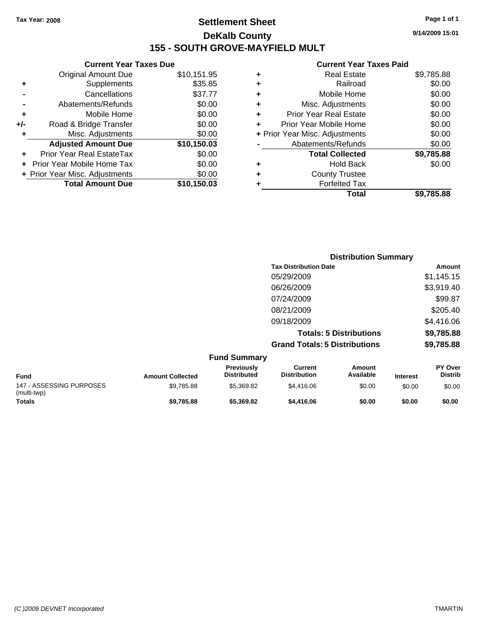# **Settlement Sheet Tax Year: 2008 Page 1 of 1 DeKalb County 155 - SOUTH GROVE-MAYFIELD MULT**

**9/14/2009 15:01**

# **Current Year Taxes Paid**

|     | <b>Current Year Taxes Due</b>  |             |
|-----|--------------------------------|-------------|
|     | <b>Original Amount Due</b>     | \$10,151.95 |
| ٠   | Supplements                    | \$35.85     |
|     | Cancellations                  | \$37.77     |
|     | Abatements/Refunds             | \$0.00      |
| ٠   | Mobile Home                    | \$0.00      |
| +/- | Road & Bridge Transfer         | \$0.00      |
|     | Misc. Adjustments              | \$0.00      |
|     | <b>Adjusted Amount Due</b>     | \$10,150.03 |
|     | Prior Year Real EstateTax      | \$0.00      |
|     | Prior Year Mobile Home Tax     | \$0.00      |
|     | + Prior Year Misc. Adjustments | \$0.00      |
|     | <b>Total Amount Due</b>        | \$10,150.03 |
|     |                                |             |

| Real Estate                    | \$9,785.88 |
|--------------------------------|------------|
| Railroad                       | \$0.00     |
| Mobile Home                    | \$0.00     |
| Misc. Adjustments              | \$0.00     |
| <b>Prior Year Real Estate</b>  | \$0.00     |
| Prior Year Mobile Home         | \$0.00     |
| + Prior Year Misc. Adjustments | \$0.00     |
| Abatements/Refunds             | \$0.00     |
| <b>Total Collected</b>         | \$9,785.88 |
| <b>Hold Back</b>               | \$0.00     |
| <b>County Trustee</b>          |            |
| <b>Forfeited Tax</b>           |            |
| Total                          | \$9,785.88 |
|                                |            |

|                          |                         |                                  |                                       | <b>Distribution Summary</b>    |                 |                           |
|--------------------------|-------------------------|----------------------------------|---------------------------------------|--------------------------------|-----------------|---------------------------|
|                          |                         |                                  | <b>Tax Distribution Date</b>          |                                |                 | <b>Amount</b>             |
|                          |                         |                                  | 05/29/2009                            |                                |                 | \$1,145.15                |
|                          |                         |                                  | 06/26/2009                            |                                |                 | \$3,919.40                |
|                          |                         |                                  | 07/24/2009                            |                                |                 | \$99.87                   |
|                          |                         |                                  | 08/21/2009                            |                                |                 | \$205.40                  |
|                          |                         |                                  | 09/18/2009                            |                                |                 | \$4,416.06                |
|                          |                         |                                  |                                       | <b>Totals: 5 Distributions</b> |                 | \$9,785.88                |
|                          |                         |                                  | <b>Grand Totals: 5 Distributions</b>  |                                |                 | \$9,785.88                |
|                          |                         | <b>Fund Summary</b>              |                                       |                                |                 |                           |
| <b>Fund</b>              | <b>Amount Collected</b> | Previously<br><b>Distributed</b> | <b>Current</b><br><b>Distribution</b> | <b>Amount</b><br>Available     | <b>Interest</b> | PY Over<br><b>Distrib</b> |
| 147 - ASSESSING PURPOSES | \$9,785.88              | \$5,369.82                       | \$4,416.06                            | \$0.00                         | \$0.00          | \$0.00                    |

**Totals \$9,785.88 \$5,369.82 \$4,416.06 \$0.00 \$0.00 \$0.00**

(multi-twp)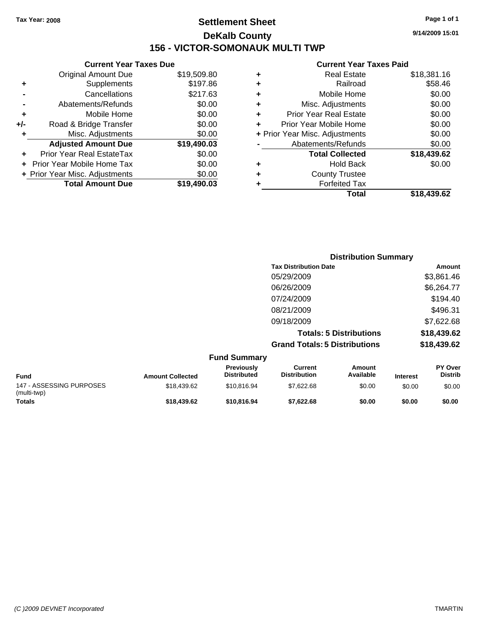# **Settlement Sheet Tax Year: 2008 Page 1 of 1 DeKalb County 156 - VICTOR-SOMONAUK MULTI TWP**

**9/14/2009 15:01**

|     | <b>Current Year Taxes Due</b>  |             |
|-----|--------------------------------|-------------|
|     | <b>Original Amount Due</b>     | \$19,509.80 |
| ٠   | Supplements                    | \$197.86    |
|     | Cancellations                  | \$217.63    |
|     | Abatements/Refunds             | \$0.00      |
| ٠   | Mobile Home                    | \$0.00      |
| +/- | Road & Bridge Transfer         | \$0.00      |
| ٠   | Misc. Adjustments              | \$0.00      |
|     | <b>Adjusted Amount Due</b>     | \$19,490.03 |
|     | Prior Year Real EstateTax      | \$0.00      |
|     | Prior Year Mobile Home Tax     | \$0.00      |
|     | + Prior Year Misc. Adjustments | \$0.00      |
|     | <b>Total Amount Due</b>        | \$19,490.03 |
|     |                                |             |

| ٠ | <b>Real Estate</b>             | \$18,381.16 |
|---|--------------------------------|-------------|
| ٠ | Railroad                       | \$58.46     |
| ٠ | Mobile Home                    | \$0.00      |
| ٠ | Misc. Adjustments              | \$0.00      |
| ÷ | <b>Prior Year Real Estate</b>  | \$0.00      |
| ٠ | Prior Year Mobile Home         | \$0.00      |
|   | + Prior Year Misc. Adjustments | \$0.00      |
|   | Abatements/Refunds             | \$0.00      |
|   | <b>Total Collected</b>         | \$18,439.62 |
| ٠ | <b>Hold Back</b>               | \$0.00      |
| ÷ | <b>County Trustee</b>          |             |
| ٠ | <b>Forfeited Tax</b>           |             |
|   | Total                          | \$18,439.62 |
|   |                                |             |

|                     | <b>Distribution Summary</b>          |             |
|---------------------|--------------------------------------|-------------|
|                     | <b>Tax Distribution Date</b>         | Amount      |
|                     | 05/29/2009                           | \$3,861.46  |
|                     | 06/26/2009                           | \$6,264.77  |
|                     | 07/24/2009                           | \$194.40    |
|                     | 08/21/2009                           | \$496.31    |
|                     | 09/18/2009                           | \$7,622.68  |
|                     | <b>Totals: 5 Distributions</b>       | \$18,439.62 |
|                     | <b>Grand Totals: 5 Distributions</b> | \$18,439.62 |
| <b>Fund Summary</b> |                                      |             |

| <b>Fund</b>                             | <b>Amount Collected</b> | <b>Previously</b><br><b>Distributed</b> | Current<br><b>Distribution</b> | Amount<br>Available | <b>Interest</b> | <b>PY Over</b><br>Distrib |
|-----------------------------------------|-------------------------|-----------------------------------------|--------------------------------|---------------------|-----------------|---------------------------|
| 147 - ASSESSING PURPOSES<br>(multi-twp) | \$18.439.62             | \$10.816.94                             | \$7.622.68                     | \$0.00              | \$0.00          | \$0.00                    |
| <b>Totals</b>                           | \$18,439.62             | \$10,816,94                             | \$7.622.68                     | \$0.00              | \$0.00          | \$0.00                    |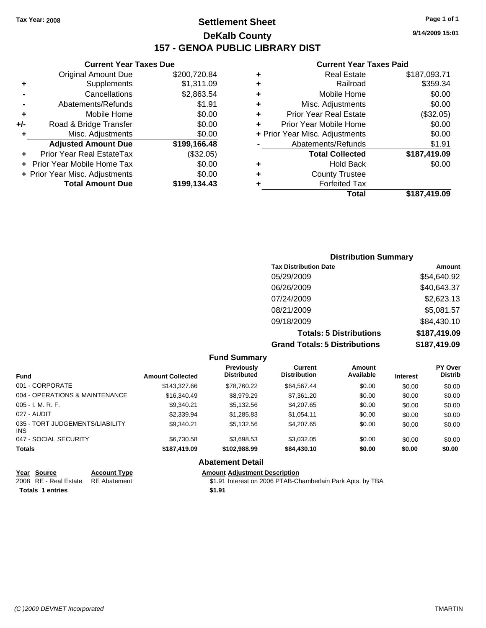# **Settlement Sheet Tax Year: 2008 Page 1 of 1 DeKalb County 157 - GENOA PUBLIC LIBRARY DIST**

## **Current Year Taxes Due**

|     | <b>Original Amount Due</b>        | \$200,720.84 |
|-----|-----------------------------------|--------------|
| ٠   | Supplements                       | \$1,311.09   |
|     | Cancellations                     | \$2,863.54   |
|     | Abatements/Refunds                | \$1.91       |
| ٠   | Mobile Home                       | \$0.00       |
| +/- | Road & Bridge Transfer            | \$0.00       |
| ٠   | Misc. Adjustments                 | \$0.00       |
|     | <b>Adjusted Amount Due</b>        | \$199,166.48 |
|     | <b>Prior Year Real EstateTax</b>  | (\$32.05)    |
|     | <b>Prior Year Mobile Home Tax</b> | \$0.00       |
|     | + Prior Year Misc. Adjustments    | \$0.00       |
|     | <b>Total Amount Due</b>           | \$199,134.43 |
|     |                                   |              |

### **Current Year Taxes Paid**

| ٠ | <b>Real Estate</b>             | \$187,093.71 |
|---|--------------------------------|--------------|
| ٠ | Railroad                       | \$359.34     |
| ٠ | Mobile Home                    | \$0.00       |
| ٠ | Misc. Adjustments              | \$0.00       |
| ÷ | <b>Prior Year Real Estate</b>  | (\$32.05)    |
| ٠ | Prior Year Mobile Home         | \$0.00       |
|   | + Prior Year Misc. Adjustments | \$0.00       |
|   | Abatements/Refunds             | \$1.91       |
|   | <b>Total Collected</b>         | \$187,419.09 |
| ٠ | Hold Back                      | \$0.00       |
| ٠ | <b>County Trustee</b>          |              |
| ٠ | <b>Forfeited Tax</b>           |              |
|   | Total                          | \$187,419.09 |
|   |                                |              |

# **Distribution Summary Tax Distribution Date Amount** 05/29/2009 \$54,640.92 06/26/2009 \$40,643.37 07/24/2009 \$2,623.13 08/21/2009 \$5,081.57 09/18/2009 \$84,430.10 **Totals: 5 Distributions \$187,419.09 Grand Totals: 5 Distributions \$187,419.09**

### **Fund Summary Fund Interest Amount Collected Distributed PY Over Distrib Amount Available Current Distribution Previously** 001 - CORPORATE \$143,327.66 \$78,760.22 \$64,567.44 \$0.00 \$0.00 \$0.00 004 - OPERATIONS & MAINTENANCE \$16,340.49 \$8,979.29 \$7,361.20 \$0.00 \$0.00 \$0.00 005 - I. M. R. F. \$9,340.21 \$5,132.56 \$4,207.65 \$0.00 \$0.00 \$0.00 027 - AUDIT \$2,339.94 \$1,285.83 \$1,054.11 \$0.00 \$0.00 \$0.00 035 - TORT JUDGEMENTS/LIABILITY INS \$9,340.21 \$5,132.56 \$4,207.65 \$0.00 \$0.00 \$0.00 047 - SOCIAL SECURITY \$6,730.58 \$3,698.53 \$3,032.05 \$0.00 \$0.00 \$0.00 **Totals \$187,419.09 \$102,988.99 \$84,430.10 \$0.00 \$0.00 \$0.00 Abatement Detail**

| Year Source                        | <b>Account Type</b> | <b>Amount Adiustment Description</b>                       |
|------------------------------------|---------------------|------------------------------------------------------------|
| 2008 RE - Real Estate RE Abatement |                     | \$1.91 Interest on 2006 PTAB-Chamberlain Park Apts. by TBA |
| <b>Totals 1 entries</b>            |                     | \$1.91                                                     |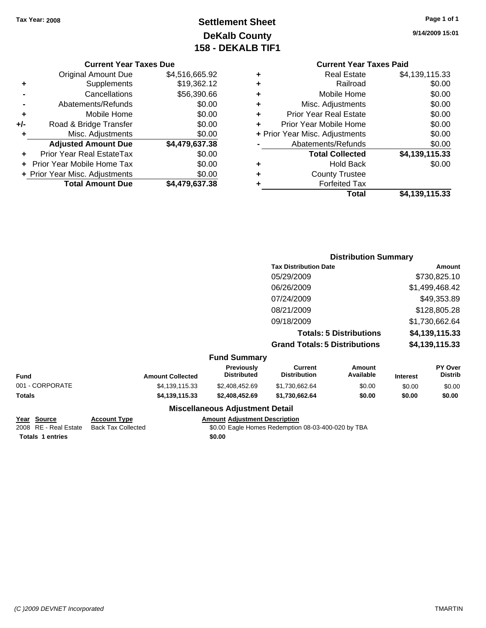# **Settlement Sheet Tax Year: 2008 Page 1 of 1 DeKalb County 158 - DEKALB TIF1**

**9/14/2009 15:01**

## **Current Year Taxes Due**

|       | <b>Original Amount Due</b>     | \$4,516,665.92 |
|-------|--------------------------------|----------------|
| ٠     | Supplements                    | \$19,362.12    |
|       | Cancellations                  | \$56,390.66    |
|       | Abatements/Refunds             | \$0.00         |
| ÷     | Mobile Home                    | \$0.00         |
| $+/-$ | Road & Bridge Transfer         | \$0.00         |
| ٠     | Misc. Adjustments              | \$0.00         |
|       | <b>Adjusted Amount Due</b>     | \$4,479,637.38 |
|       | Prior Year Real EstateTax      | \$0.00         |
|       | Prior Year Mobile Home Tax     | \$0.00         |
|       | + Prior Year Misc. Adjustments | \$0.00         |
|       | <b>Total Amount Due</b>        | \$4.479.637.38 |

## **Current Year Taxes Paid +** Real Estate \$4,139,115.33 **+** Railroad \$0.00 **+** Mobile Home \$0.00

|   | Total                          | \$4,139,115.33 |
|---|--------------------------------|----------------|
| ٠ | <b>Forfeited Tax</b>           |                |
| ÷ | <b>County Trustee</b>          |                |
| ٠ | Hold Back                      | \$0.00         |
|   | <b>Total Collected</b>         | \$4,139,115.33 |
|   | Abatements/Refunds             | \$0.00         |
|   | + Prior Year Misc. Adjustments | \$0.00         |
| ÷ | Prior Year Mobile Home         | \$0.00         |
| ÷ | <b>Prior Year Real Estate</b>  | \$0.00         |
| ÷ | Misc. Adjustments              | \$0.00         |
| ٠ | <b>NODIE FUILE</b>             | JU.UU          |

# **Distribution Summary Tax Distribution Date Amount** 05/29/2009 \$730,825.10 06/26/2009 \$1,499,468.42 07/24/2009 \$49,353.89 08/21/2009 \$128,805.28 09/18/2009 \$1,730,662.64 **Totals: 5 Distributions \$4,139,115.33 Grand Totals: 5 Distributions \$4,139,115.33**

## **Fund Summary**

| Fund            | <b>Amount Collected</b> | <b>Previously</b><br><b>Distributed</b> | Current<br><b>Distribution</b> | Amount<br>Available | <b>Interest</b> | <b>PY Over</b><br><b>Distrib</b> |
|-----------------|-------------------------|-----------------------------------------|--------------------------------|---------------------|-----------------|----------------------------------|
| 001 - CORPORATE | \$4,139,115.33          | \$2,408,452.69                          | \$1,730,662.64                 | \$0.00              | \$0.00          | \$0.00                           |
| Totals          | \$4,139,115.33          | \$2,408,452,69                          | \$1.730.662.64                 | \$0.00              | \$0.00          | \$0.00                           |
|                 |                         |                                         |                                |                     |                 |                                  |

# **Totals 1 entries** \$0.00

### **Year Source Account Type Amount Adjustment Description** 2008 RE - Real Estate Back Tax Collected \$0.00 Eagle Homes Redemption 08-03-400-020 by TBA

**Miscellaneous Adjustment Detail**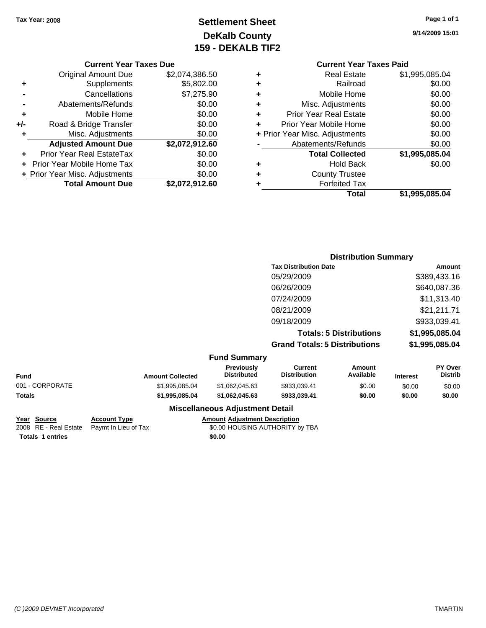# **Settlement Sheet Tax Year: 2008 Page 1 of 1 DeKalb County 159 - DEKALB TIF2**

**9/14/2009 15:01**

### **Current Year Taxes Due**

|     | <b>Original Amount Due</b>       | \$2,074,386.50 |
|-----|----------------------------------|----------------|
| ٠   | Supplements                      | \$5,802.00     |
|     | Cancellations                    | \$7,275.90     |
|     | Abatements/Refunds               | \$0.00         |
| ÷   | Mobile Home                      | \$0.00         |
| +/- | Road & Bridge Transfer           | \$0.00         |
| ٠   | Misc. Adjustments                | \$0.00         |
|     | <b>Adjusted Amount Due</b>       | \$2,072,912.60 |
|     | <b>Prior Year Real EstateTax</b> | \$0.00         |
|     | Prior Year Mobile Home Tax       | \$0.00         |
|     | + Prior Year Misc. Adjustments   | \$0.00         |
|     | <b>Total Amount Due</b>          | \$2,072,912.60 |

# **Current Year Taxes Paid +** Real Estate \$1,995,085.04 **+** Railroad \$0.00 **+** Mobile Home \$0.00 **+** Misc. Adjustments \$0.00 **+** Prior Year Real Estate \$0.00

|   | Prior Year Mobile Home         | \$0.00         |
|---|--------------------------------|----------------|
|   | + Prior Year Misc. Adjustments | \$0.00         |
|   | Abatements/Refunds             | \$0.00         |
|   | <b>Total Collected</b>         | \$1,995,085.04 |
|   | <b>Hold Back</b>               | \$0.00         |
| ٠ | <b>County Trustee</b>          |                |
|   | <b>Forfeited Tax</b>           |                |
|   | Total                          | \$1,995,085.04 |

# **Distribution Summary Tax Distribution Date Amount** 05/29/2009 \$389,433.16 06/26/2009 \$640,087.36 07/24/2009 \$11,313.40 08/21/2009 \$21,211.71 09/18/2009 \$933,039.41 **Totals: 5 Distributions \$1,995,085.04 Grand Totals: 5 Distributions \$1,995,085.04**

## **Fund Summary**

| Fund            | <b>Amount Collected</b> | <b>Previously</b><br><b>Distributed</b> | Current<br>Distribution | Amount<br>Available | <b>Interest</b> | <b>PY Over</b><br><b>Distrib</b> |  |
|-----------------|-------------------------|-----------------------------------------|-------------------------|---------------------|-----------------|----------------------------------|--|
| 001 - CORPORATE | \$1.995.085.04          | \$1.062.045.63                          | \$933.039.41            | \$0.00              | \$0.00          | \$0.00                           |  |
| Totals          | \$1,995,085.04          | \$1.062.045.63                          | \$933.039.41            | \$0.00              | \$0.00          | \$0.00                           |  |
|                 |                         |                                         |                         |                     |                 |                                  |  |

## **Miscellaneous Adjustment Detail**

## **Account Type Amount Adjustment Description**

<sup>2</sup>2008 Real Estate Paymt In Lieu of Tax **Fig. 2008 State State State State State** State State State State State State State State State State State State State State State State State State State State State State State S

| <u>Year Source</u> |  |                         |  |
|--------------------|--|-------------------------|--|
|                    |  | 2008 RE - Real Es       |  |
|                    |  | <b>Totals 1 entries</b> |  |

**Totals \$0.00 1 entries**

*(C )2009 DEVNET Incorporated* TMARTIN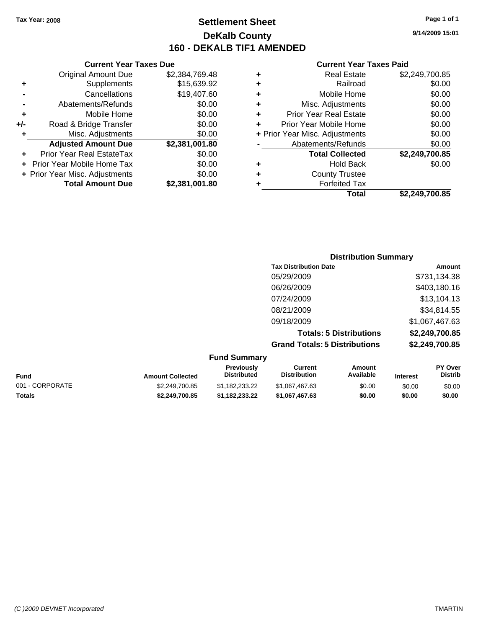# **Settlement Sheet Tax Year: 2008 Page 1 of 1 DeKalb County 160 - DEKALB TIF1 AMENDED**

## **Current Year Taxes Due**

|     | <b>Original Amount Due</b>     | \$2,384,769.48 |
|-----|--------------------------------|----------------|
| ٠   | Supplements                    | \$15,639.92    |
|     | Cancellations                  | \$19,407.60    |
|     | Abatements/Refunds             | \$0.00         |
| ٠   | Mobile Home                    | \$0.00         |
| +/- | Road & Bridge Transfer         | \$0.00         |
| ٠   | Misc. Adjustments              | \$0.00         |
|     | <b>Adjusted Amount Due</b>     | \$2,381,001.80 |
|     | Prior Year Real EstateTax      | \$0.00         |
|     | Prior Year Mobile Home Tax     | \$0.00         |
|     | + Prior Year Misc. Adjustments | \$0.00         |
|     | <b>Total Amount Due</b>        | \$2,381,001.80 |

### **Current Year Taxes Paid**

| ٠ | <b>Real Estate</b>             | \$2,249,700.85 |
|---|--------------------------------|----------------|
| ٠ | Railroad                       | \$0.00         |
| ٠ | Mobile Home                    | \$0.00         |
| ٠ | Misc. Adjustments              | \$0.00         |
| ٠ | <b>Prior Year Real Estate</b>  | \$0.00         |
| ÷ | Prior Year Mobile Home         | \$0.00         |
|   | + Prior Year Misc. Adjustments | \$0.00         |
|   | Abatements/Refunds             | \$0.00         |
|   | <b>Total Collected</b>         | \$2,249,700.85 |
| ٠ | Hold Back                      | \$0.00         |
| ٠ | <b>County Trustee</b>          |                |
| ٠ | <b>Forfeited Tax</b>           |                |
|   | Total                          | \$2,249,700.85 |
|   |                                |                |

# **Distribution Summary Tax Distribution Date Amount** 05/29/2009 \$731,134.38 06/26/2009 \$403,180.16 07/24/2009 \$13,104.13 08/21/2009 \$34,814.55 09/18/2009 \$1,067,467.63 **Totals: 5 Distributions \$2,249,700.85 Grand Totals: 5 Distributions \$2,249,700.85**

### **Fund Summary Fund Interest Amount Collected Distributed PY Over Distrib Amount Available Current Distribution Previously** 001 - CORPORATE \$2,249,700.85 \$1,182,233.22 \$1,067,467.63 \$0.00 \$0.00 \$0.00 **Totals \$2,249,700.85 \$1,182,233.22 \$1,067,467.63 \$0.00 \$0.00 \$0.00**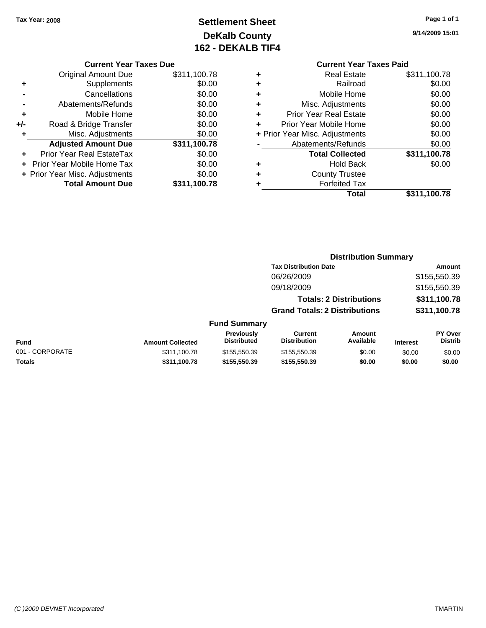# **Settlement Sheet Tax Year: 2008 Page 1 of 1 DeKalb County 162 - DEKALB TIF4**

**9/14/2009 15:01**

## **Current Year Taxes Due**

|     | <b>Original Amount Due</b>       | \$311,100.78 |
|-----|----------------------------------|--------------|
|     | Supplements                      | \$0.00       |
|     | Cancellations                    | \$0.00       |
|     | Abatements/Refunds               | \$0.00       |
| ÷   | Mobile Home                      | \$0.00       |
| +/- | Road & Bridge Transfer           | \$0.00       |
| ٠   | Misc. Adjustments                | \$0.00       |
|     | <b>Adjusted Amount Due</b>       | \$311,100.78 |
|     | <b>Prior Year Real EstateTax</b> | \$0.00       |
|     | Prior Year Mobile Home Tax       | \$0.00       |
|     | + Prior Year Misc. Adjustments   | \$0.00       |
|     | <b>Total Amount Due</b>          | \$311,100.78 |

# **Current Year Taxes Paid**

|   | <b>Real Estate</b>             | \$311,100.78 |
|---|--------------------------------|--------------|
|   | Railroad                       | \$0.00       |
| ٠ | Mobile Home                    | \$0.00       |
| ٠ | Misc. Adjustments              | \$0.00       |
| ٠ | <b>Prior Year Real Estate</b>  | \$0.00       |
| ٠ | Prior Year Mobile Home         | \$0.00       |
|   | + Prior Year Misc. Adjustments | \$0.00       |
|   | Abatements/Refunds             | \$0.00       |
|   | <b>Total Collected</b>         | \$311,100.78 |
| ٠ | <b>Hold Back</b>               | \$0.00       |
| ٠ | <b>County Trustee</b>          |              |
|   | <b>Forfeited Tax</b>           |              |
|   | Total                          | \$311,100.78 |
|   |                                |              |

# **Distribution Summary Tax Distribution Date Amount** 06/26/2009 \$155,550.39 09/18/2009 \$155,550.39 **Totals: 2 Distributions \$311,100.78 Grand Totals: 2 Distributions \$311,100.78 Fund Summary**

|                 |                         | <b>Previously</b> | Current             | Amount    |                 | <b>PY Over</b> |
|-----------------|-------------------------|-------------------|---------------------|-----------|-----------------|----------------|
| <b>Fund</b>     | <b>Amount Collected</b> | Distributed       | <b>Distribution</b> | Available | <b>Interest</b> | <b>Distrib</b> |
| 001 - CORPORATE | \$311.100.78            | \$155,550.39      | \$155,550.39        | \$0.00    | \$0.00          | \$0.00         |
| Totals          | \$311,100.78            | \$155,550.39      | \$155,550,39        | \$0.00    | \$0.00          | \$0.00         |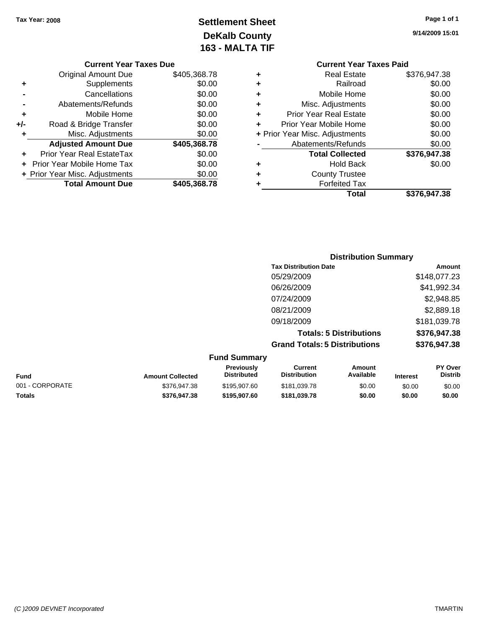# **Settlement Sheet Tax Year: 2008 Page 1 of 1 DeKalb County 163 - MALTA TIF**

**9/14/2009 15:01**

|  | <b>Current Year Taxes Due</b> |  |  |  |
|--|-------------------------------|--|--|--|
|--|-------------------------------|--|--|--|

|     | <b>Original Amount Due</b>       | \$405,368.78 |
|-----|----------------------------------|--------------|
| ٠   | Supplements                      | \$0.00       |
|     | Cancellations                    | \$0.00       |
|     | Abatements/Refunds               | \$0.00       |
| ٠   | Mobile Home                      | \$0.00       |
| +/- | Road & Bridge Transfer           | \$0.00       |
| ٠   | Misc. Adjustments                | \$0.00       |
|     | <b>Adjusted Amount Due</b>       | \$405,368.78 |
|     | <b>Prior Year Real EstateTax</b> | \$0.00       |
|     |                                  |              |
|     | Prior Year Mobile Home Tax       | \$0.00       |
|     | + Prior Year Misc. Adjustments   | \$0.00       |
|     | <b>Total Amount Due</b>          | \$405,368.78 |

|   | <b>Current Year Taxes Paid</b> |              |
|---|--------------------------------|--------------|
| ٠ | <b>Real Estate</b>             | \$376,947.38 |
| ٠ | Railroad                       | \$0.00       |
| ٠ | Mobile Home                    | \$0.00       |
|   | Misc. Adjustments              | \$0.00       |
| ٠ | <b>Prior Year Real Estate</b>  | \$0.00       |
| ÷ | Prior Year Mobile Home         | \$0.00       |
|   | + Prior Year Misc. Adjustments | \$0.00       |
|   | Abatements/Refunds             | \$0.00       |
|   | <b>Total Collected</b>         | \$376,947.38 |
| ٠ | <b>Hold Back</b>               | \$0.00       |
| ÷ | <b>County Trustee</b>          |              |
|   | <b>Forfeited Tax</b>           |              |
|   | Total                          | \$376,947.38 |

|                     | <b>Distribution Summary</b>          |              |
|---------------------|--------------------------------------|--------------|
|                     | <b>Tax Distribution Date</b>         | Amount       |
|                     | 05/29/2009                           | \$148,077.23 |
|                     | 06/26/2009                           | \$41,992.34  |
|                     | 07/24/2009                           | \$2,948.85   |
|                     | 08/21/2009                           | \$2,889.18   |
|                     | 09/18/2009                           | \$181,039.78 |
|                     | <b>Totals: 5 Distributions</b>       | \$376,947.38 |
|                     | <b>Grand Totals: 5 Distributions</b> | \$376,947.38 |
| <b>Fund Summary</b> |                                      |              |

| <b>Amount Collected</b> | <b>Previously</b><br>Distributed | Current<br><b>Distribution</b> | Amount<br>Available | <b>Interest</b> | <b>PY Over</b><br><b>Distrib</b> |
|-------------------------|----------------------------------|--------------------------------|---------------------|-----------------|----------------------------------|
| \$376,947.38            | \$195,907.60                     | \$181.039.78                   | \$0.00              | \$0.00          | \$0.00                           |
| \$376,947,38            | \$195,907.60                     | \$181.039.78                   | \$0.00              | \$0.00          | \$0.00                           |
|                         |                                  |                                |                     |                 |                                  |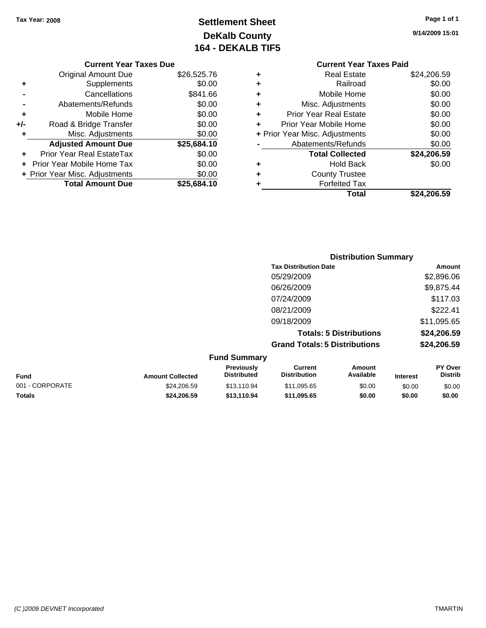# **Settlement Sheet Tax Year: 2008 Page 1 of 1 DeKalb County 164 - DEKALB TIF5**

**9/14/2009 15:01**

### **Current Year Taxes Due**

|     | <b>Original Amount Due</b>     | \$26,525.76 |
|-----|--------------------------------|-------------|
| ٠   | Supplements                    | \$0.00      |
|     | Cancellations                  | \$841.66    |
|     | Abatements/Refunds             | \$0.00      |
| ٠   | Mobile Home                    | \$0.00      |
| +/- | Road & Bridge Transfer         | \$0.00      |
| ٠   | Misc. Adjustments              | \$0.00      |
|     | <b>Adjusted Amount Due</b>     | \$25,684.10 |
|     | Prior Year Real EstateTax      | \$0.00      |
|     | Prior Year Mobile Home Tax     | \$0.00      |
|     | + Prior Year Misc. Adjustments | \$0.00      |
|     | <b>Total Amount Due</b>        | \$25,684.10 |

# **Current Year Taxes Paid +** Real Estate \$24,206.59 **+** Railroad \$0.00 **+** Mobile Home \$0.00

|   | Total                          | \$24,206.59 |
|---|--------------------------------|-------------|
|   | <b>Forfeited Tax</b>           |             |
| ٠ | <b>County Trustee</b>          |             |
|   | <b>Hold Back</b>               | \$0.00      |
|   | <b>Total Collected</b>         | \$24,206.59 |
|   | Abatements/Refunds             | \$0.00      |
|   | + Prior Year Misc. Adjustments | \$0.00      |
|   | Prior Year Mobile Home         | \$0.00      |
| ÷ | <b>Prior Year Real Estate</b>  | \$0.00      |
|   | Misc. Adjustments              | \$0.00      |

| <b>Distribution Summary</b>          |             |
|--------------------------------------|-------------|
| <b>Tax Distribution Date</b>         | Amount      |
| 05/29/2009                           | \$2,896.06  |
| 06/26/2009                           | \$9,875.44  |
| 07/24/2009                           | \$117.03    |
| 08/21/2009                           | \$222.41    |
| 09/18/2009                           | \$11,095.65 |
| <b>Totals: 5 Distributions</b>       | \$24,206.59 |
| <b>Grand Totals: 5 Distributions</b> | \$24,206.59 |

### **Fund Summary Fund Interest Amount Collected Distributed PY Over Distrib Amount Available Current Distribution Previously** 001 - CORPORATE \$24,206.59 \$13,110.94 \$11,095.65 \$0.00 \$0.00 \$0.00 **Totals \$24,206.59 \$13,110.94 \$11,095.65 \$0.00 \$0.00 \$0.00**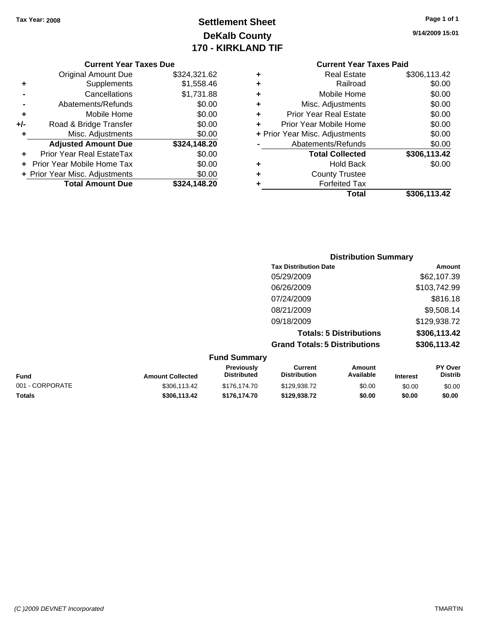# **Settlement Sheet Tax Year: 2008 Page 1 of 1 DeKalb County 170 - KIRKLAND TIF**

**9/14/2009 15:01**

### **Current Year Taxes Due**

|       | <b>Original Amount Due</b>     | \$324,321.62 |
|-------|--------------------------------|--------------|
| ٠     | Supplements                    | \$1,558.46   |
|       | Cancellations                  | \$1,731.88   |
|       | Abatements/Refunds             | \$0.00       |
| ٠     | Mobile Home                    | \$0.00       |
| $+/-$ | Road & Bridge Transfer         | \$0.00       |
| ٠     | Misc. Adjustments              | \$0.00       |
|       | <b>Adjusted Amount Due</b>     | \$324,148.20 |
|       | Prior Year Real EstateTax      | \$0.00       |
|       | Prior Year Mobile Home Tax     | \$0.00       |
|       | + Prior Year Misc. Adjustments | \$0.00       |
|       | <b>Total Amount Due</b>        | \$324.148.20 |

# **Current Year Taxes Paid**

|   | Total                          | \$306,113.42 |
|---|--------------------------------|--------------|
| ٠ | <b>Forfeited Tax</b>           |              |
| ٠ | <b>County Trustee</b>          |              |
| ٠ | <b>Hold Back</b>               | \$0.00       |
|   | <b>Total Collected</b>         | \$306,113.42 |
|   | Abatements/Refunds             | \$0.00       |
|   | + Prior Year Misc. Adjustments | \$0.00       |
| ÷ | Prior Year Mobile Home         | \$0.00       |
| ٠ | <b>Prior Year Real Estate</b>  | \$0.00       |
| ٠ | Misc. Adjustments              | \$0.00       |
| ÷ | Mobile Home                    | \$0.00       |
| ٠ | Railroad                       | \$0.00       |
| ٠ | Real Estate                    | \$306,113.42 |

# **Distribution Summary Tax Distribution Date Amount** 05/29/2009 \$62,107.39 06/26/2009 \$103,742.99 07/24/2009 \$816.18 08/21/2009 \$9,508.14 09/18/2009 \$129,938.72 **Totals: 5 Distributions \$306,113.42 Grand Totals: 5 Distributions \$306,113.42**

| <b>Fund Summary</b> |                         |                                         |                                |                     |                 |                                  |
|---------------------|-------------------------|-----------------------------------------|--------------------------------|---------------------|-----------------|----------------------------------|
| <b>Fund</b>         | <b>Amount Collected</b> | <b>Previously</b><br><b>Distributed</b> | Current<br><b>Distribution</b> | Amount<br>Available | <b>Interest</b> | <b>PY Over</b><br><b>Distrib</b> |
| 001 - CORPORATE     | \$306.113.42            | \$176.174.70                            | \$129,938.72                   | \$0.00              | \$0.00          | \$0.00                           |
| <b>Totals</b>       | \$306,113.42            | \$176,174.70                            | \$129,938.72                   | \$0.00              | \$0.00          | \$0.00                           |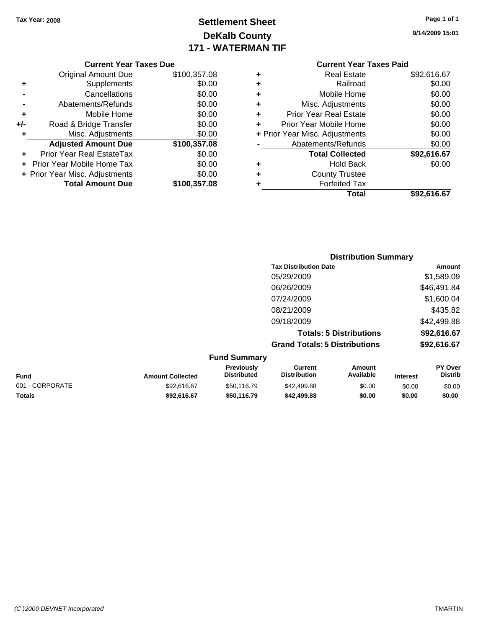# **Settlement Sheet Tax Year: 2008 Page 1 of 1 DeKalb County 171 - WATERMAN TIF**

**9/14/2009 15:01**

## **Current Year Taxes Due**

|     | <b>Original Amount Due</b>     | \$100,357.08 |
|-----|--------------------------------|--------------|
| ٠   | Supplements                    | \$0.00       |
|     | Cancellations                  | \$0.00       |
|     | Abatements/Refunds             | \$0.00       |
| ٠   | Mobile Home                    | \$0.00       |
| +/- | Road & Bridge Transfer         | \$0.00       |
| ٠   | Misc. Adjustments              | \$0.00       |
|     | <b>Adjusted Amount Due</b>     | \$100,357.08 |
|     | Prior Year Real EstateTax      | \$0.00       |
|     | Prior Year Mobile Home Tax     | \$0.00       |
|     | + Prior Year Misc. Adjustments | \$0.00       |
|     | <b>Total Amount Due</b>        | \$100,357.08 |

| ٠ | <b>Real Estate</b>             | \$92,616.67 |
|---|--------------------------------|-------------|
| ٠ | Railroad                       | \$0.00      |
| ٠ | Mobile Home                    | \$0.00      |
| ٠ | Misc. Adjustments              | \$0.00      |
| ٠ | <b>Prior Year Real Estate</b>  | \$0.00      |
| ÷ | Prior Year Mobile Home         | \$0.00      |
|   | + Prior Year Misc. Adjustments | \$0.00      |
|   | Abatements/Refunds             | \$0.00      |
|   | <b>Total Collected</b>         | \$92,616.67 |
| ٠ | <b>Hold Back</b>               | \$0.00      |
| ٠ | <b>County Trustee</b>          |             |
| ٠ | <b>Forfeited Tax</b>           |             |
|   | Total                          | \$92,616.67 |
|   |                                |             |

|                     | <b>Distribution Summary</b>          |             |
|---------------------|--------------------------------------|-------------|
|                     | <b>Tax Distribution Date</b>         | Amount      |
|                     | 05/29/2009                           | \$1,589.09  |
|                     | 06/26/2009                           | \$46,491.84 |
|                     | 07/24/2009                           | \$1,600.04  |
|                     | 08/21/2009                           | \$435.82    |
|                     | 09/18/2009                           | \$42,499.88 |
|                     | <b>Totals: 5 Distributions</b>       | \$92,616.67 |
|                     | <b>Grand Totals: 5 Distributions</b> | \$92,616.67 |
| <b>Fund Summary</b> |                                      |             |

| <b>Fund Summary</b>     |                                         |                                |                     |                 |                                  |
|-------------------------|-----------------------------------------|--------------------------------|---------------------|-----------------|----------------------------------|
| <b>Amount Collected</b> | <b>Previously</b><br><b>Distributed</b> | Current<br><b>Distribution</b> | Amount<br>Available | <b>Interest</b> | <b>PY Over</b><br><b>Distrib</b> |
| \$92.616.67             | \$50.116.79                             | \$42,499.88                    | \$0.00              | \$0.00          | \$0.00                           |
| \$92.616.67             | \$50.116.79                             | \$42,499.88                    | \$0.00              | \$0.00          | \$0.00                           |
|                         |                                         |                                |                     |                 |                                  |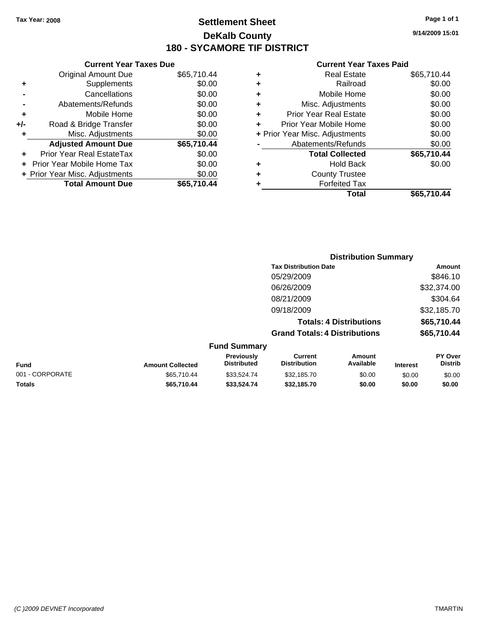**Current Year Taxes Due** Original Amount Due \$65,710.44

**Adjusted Amount Due \$65,710.44**

**Total Amount Due \$65,710.44**

**+** Supplements \$0.00<br> **c** Cancellations \$0.00

**-** Abatements/Refunds \$0.00 **+** Mobile Home \$0.00 **+/-** Road & Bridge Transfer \$0.00 **+** Misc. Adjustments \$0.00

**+** Prior Year Real EstateTax \$0.00 **+** Prior Year Mobile Home Tax \$0.00 **+ Prior Year Misc. Adjustments**  $$0.00$ 

**-** Cancellations

# **Settlement Sheet Tax Year: 2008 Page 1 of 1 DeKalb County 180 - SYCAMORE TIF DISTRICT**

**9/14/2009 15:01**

| Total                          | \$65.710.44 |
|--------------------------------|-------------|
| <b>Forfeited Tax</b>           |             |
| <b>County Trustee</b>          |             |
| <b>Hold Back</b>               | \$0.00      |
| <b>Total Collected</b>         | \$65,710.44 |
| Abatements/Refunds             | \$0.00      |
| + Prior Year Misc. Adjustments | \$0.00      |
| Prior Year Mobile Home         | \$0.00      |
| <b>Prior Year Real Estate</b>  | \$0.00      |
| Misc. Adjustments              | \$0.00      |
| Mobile Home                    | \$0.00      |
| Railroad                       | \$0.00      |
| <b>Real Estate</b>             | \$65,710.44 |
|                                |             |

|                 |                         |                                  |                                      | <b>Distribution Summary</b>    |                 |                           |
|-----------------|-------------------------|----------------------------------|--------------------------------------|--------------------------------|-----------------|---------------------------|
|                 |                         |                                  | <b>Tax Distribution Date</b>         |                                |                 | Amount                    |
|                 |                         |                                  | 05/29/2009                           |                                |                 | \$846.10                  |
|                 |                         |                                  | 06/26/2009                           |                                |                 | \$32,374.00               |
|                 |                         |                                  | 08/21/2009                           |                                |                 | \$304.64                  |
|                 |                         |                                  | 09/18/2009                           |                                |                 | \$32,185.70               |
|                 |                         |                                  |                                      | <b>Totals: 4 Distributions</b> |                 | \$65,710.44               |
|                 |                         |                                  | <b>Grand Totals: 4 Distributions</b> |                                |                 | \$65,710.44               |
|                 |                         | <b>Fund Summary</b>              |                                      |                                |                 |                           |
| <b>Fund</b>     | <b>Amount Collected</b> | Previously<br><b>Distributed</b> | Current<br><b>Distribution</b>       | Amount<br>Available            | <b>Interest</b> | PY Over<br><b>Distrib</b> |
| 001 - CORPORATE | \$65,710.44             | \$33,524.74                      | \$32,185.70                          | \$0.00                         | \$0.00          | \$0.00                    |
| Totals          | \$65,710.44             | \$33,524.74                      | \$32,185.70                          | \$0.00                         | \$0.00          | \$0.00                    |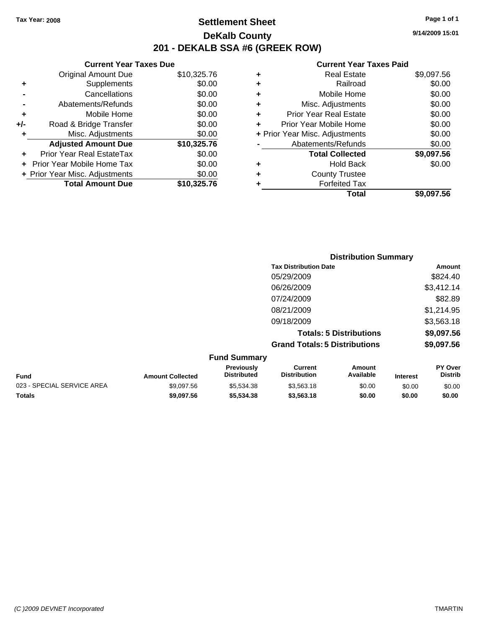# **Settlement Sheet Tax Year: 2008 Page 1 of 1 DeKalb County 201 - DEKALB SSA #6 (GREEK ROW)**

**9/14/2009 15:01**

| <b>Current Year Taxes Due</b>  |             |
|--------------------------------|-------------|
| <b>Original Amount Due</b>     | \$10,325.76 |
| Supplements                    | \$0.00      |
| Cancellations                  | \$0.00      |
| Abatements/Refunds             | \$0.00      |
| Mobile Home                    | \$0.00      |
| Road & Bridge Transfer         | \$0.00      |
| Misc. Adjustments              | \$0.00      |
| <b>Adjusted Amount Due</b>     | \$10,325.76 |
| Prior Year Real EstateTax      | \$0.00      |
| Prior Year Mobile Home Tax     | \$0.00      |
| + Prior Year Misc. Adjustments | \$0.00      |
|                                |             |
|                                |             |

|   | Total                          | \$9,097.56 |
|---|--------------------------------|------------|
| ٠ | <b>Forfeited Tax</b>           |            |
| ٠ | <b>County Trustee</b>          |            |
| ٠ | <b>Hold Back</b>               | \$0.00     |
|   | <b>Total Collected</b>         | \$9,097.56 |
|   | Abatements/Refunds             | \$0.00     |
|   | + Prior Year Misc. Adjustments | \$0.00     |
| ٠ | Prior Year Mobile Home         | \$0.00     |
| ÷ | Prior Year Real Estate         | \$0.00     |
| ٠ | Misc. Adjustments              | \$0.00     |
| ٠ | Mobile Home                    | \$0.00     |
| ٠ | Railroad                       | \$0.00     |
| ٠ | <b>Real Estate</b>             | \$9,097.56 |
|   |                                |            |

|                     | <b>Distribution Summary</b>          |            |
|---------------------|--------------------------------------|------------|
|                     | <b>Tax Distribution Date</b>         | Amount     |
|                     | 05/29/2009                           | \$824.40   |
|                     | 06/26/2009                           | \$3,412.14 |
|                     | 07/24/2009                           | \$82.89    |
|                     | 08/21/2009                           | \$1,214.95 |
|                     | 09/18/2009                           | \$3,563.18 |
|                     | <b>Totals: 5 Distributions</b>       | \$9,097.56 |
|                     | <b>Grand Totals: 5 Distributions</b> | \$9,097.56 |
| <b>Fund Summary</b> |                                      |            |

| <b>Fund</b>                | <b>Amount Collected</b> | <b>Previously</b><br><b>Distributed</b> | Current<br><b>Distribution</b> | Amount<br>Available | <b>Interest</b> | <b>PY Over</b><br><b>Distrib</b> |
|----------------------------|-------------------------|-----------------------------------------|--------------------------------|---------------------|-----------------|----------------------------------|
| 023 - SPECIAL SERVICE AREA | \$9.097.56              | \$5,534,38                              | \$3.563.18                     | \$0.00              | \$0.00          | \$0.00                           |
| <b>Totals</b>              | \$9,097.56              | \$5,534,38                              | \$3,563,18                     | \$0.00              | \$0.00          | \$0.00                           |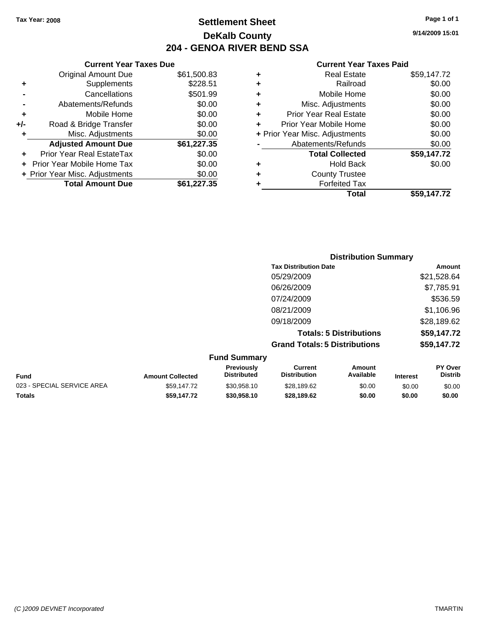**Current Year Taxes Due** Original Amount Due \$61,500.83

**Adjusted Amount Due \$61,227.35**

**Total Amount Due \$61,227.35**

**+** Supplements \$228.51 **-** Cancellations \$501.99 **-** Abatements/Refunds \$0.00 **+** Mobile Home \$0.00 **+/-** Road & Bridge Transfer \$0.00 **+** Misc. Adjustments \$0.00

**+** Prior Year Real EstateTax \$0.00 **+** Prior Year Mobile Home Tax \$0.00 **+ Prior Year Misc. Adjustments**  $$0.00$ 

# **Settlement Sheet Tax Year: 2008 Page 1 of 1 DeKalb County 204 - GENOA RIVER BEND SSA**

**9/14/2009 15:01**

## **Current Year Taxes Paid**

| ٠ | <b>Real Estate</b>             | \$59,147.72 |
|---|--------------------------------|-------------|
| ٠ | Railroad                       | \$0.00      |
| ٠ | Mobile Home                    | \$0.00      |
| ٠ | Misc. Adjustments              | \$0.00      |
| ٠ | <b>Prior Year Real Estate</b>  | \$0.00      |
|   | Prior Year Mobile Home         | \$0.00      |
|   | + Prior Year Misc. Adjustments | \$0.00      |
|   | Abatements/Refunds             | \$0.00      |
|   | <b>Total Collected</b>         | \$59,147.72 |
| ٠ | <b>Hold Back</b>               | \$0.00      |
| ٠ | <b>County Trustee</b>          |             |
|   | <b>Forfeited Tax</b>           |             |
|   | Total                          | \$59.147.72 |

|      |                         |                                         |                                       | <b>Distribution Summary</b>    |                 |                           |
|------|-------------------------|-----------------------------------------|---------------------------------------|--------------------------------|-----------------|---------------------------|
|      |                         |                                         | <b>Tax Distribution Date</b>          |                                |                 | Amount                    |
|      |                         |                                         | 05/29/2009                            |                                |                 | \$21,528.64               |
|      |                         |                                         | 06/26/2009                            |                                |                 | \$7,785.91                |
|      |                         |                                         | 07/24/2009                            |                                |                 | \$536.59                  |
|      |                         |                                         | 08/21/2009                            |                                |                 | \$1,106.96                |
|      |                         |                                         | 09/18/2009                            |                                |                 | \$28,189.62               |
|      |                         |                                         |                                       | <b>Totals: 5 Distributions</b> |                 | \$59,147.72               |
|      |                         |                                         | <b>Grand Totals: 5 Distributions</b>  |                                |                 | \$59,147.72               |
|      |                         | <b>Fund Summary</b>                     |                                       |                                |                 |                           |
| Fund | <b>Amount Collected</b> | <b>Previously</b><br><b>Distributed</b> | <b>Current</b><br><b>Distribution</b> | <b>Amount</b><br>Available     | <b>Interest</b> | PY Over<br><b>Distrib</b> |

023 - SPECIAL SERVICE AREA  $$59,147.72$   $$30,958.10$   $$28,189.62$   $$0.00$   $$0.00$   $$0.00$ **Totals \$59,147.72 \$30,958.10 \$28,189.62 \$0.00 \$0.00 \$0.00**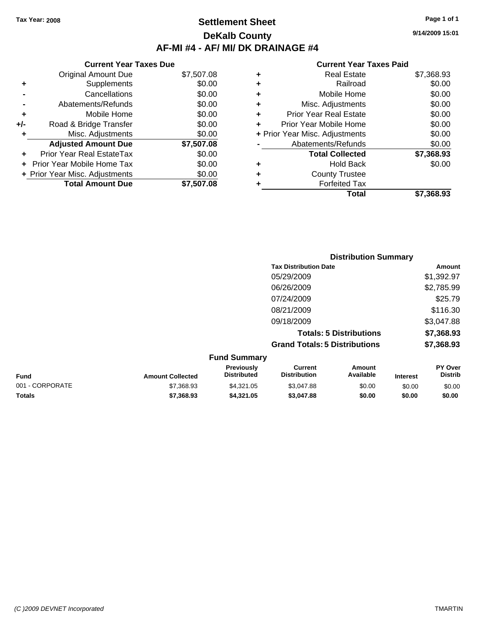# **Settlement Sheet Tax Year: 2008 Page 1 of 1 DeKalb County AF-MI #4 - AF/ MI/ DK DRAINAGE #4**

## **Current Year Taxes Due** Original Amount Due \$7,507.08 **+** Supplements \$0.00 **-** Cancellations \$0.00 **-** Abatements/Refunds \$0.00 **+** Mobile Home \$0.00 **+/-** Road & Bridge Transfer \$0.00 **+** Misc. Adjustments \$0.00 **Adjusted Amount Due \$7,507.08 +** Prior Year Real EstateTax \$0.00 **+** Prior Year Mobile Home Tax \$0.00

**+ Prior Year Misc. Adjustments**  $$0.00$ 

**Total Amount Due \$7,507.08**

## **Current Year Taxes Paid**

| ٠ | <b>Real Estate</b>             | \$7,368.93 |
|---|--------------------------------|------------|
| ٠ | Railroad                       | \$0.00     |
| ٠ | Mobile Home                    | \$0.00     |
| ÷ | Misc. Adjustments              | \$0.00     |
| ٠ | <b>Prior Year Real Estate</b>  | \$0.00     |
| ÷ | Prior Year Mobile Home         | \$0.00     |
|   | + Prior Year Misc. Adjustments | \$0.00     |
|   | Abatements/Refunds             | \$0.00     |
|   | <b>Total Collected</b>         | \$7,368.93 |
| ٠ | Hold Back                      | \$0.00     |
| ٠ | <b>County Trustee</b>          |            |
| ٠ | <b>Forfeited Tax</b>           |            |
|   | Total                          | \$7.368.93 |
|   |                                |            |

|                 |                         |                                  |                                       | <b>Distribution Summary</b>    |                 |                           |
|-----------------|-------------------------|----------------------------------|---------------------------------------|--------------------------------|-----------------|---------------------------|
|                 |                         |                                  | <b>Tax Distribution Date</b>          |                                |                 | <b>Amount</b>             |
|                 |                         |                                  | 05/29/2009                            |                                |                 | \$1,392.97                |
|                 |                         |                                  | 06/26/2009                            |                                |                 | \$2,785.99                |
|                 |                         |                                  | 07/24/2009                            |                                |                 | \$25.79                   |
|                 |                         |                                  | 08/21/2009                            |                                |                 | \$116.30                  |
|                 |                         |                                  | 09/18/2009                            |                                |                 | \$3,047.88                |
|                 |                         |                                  |                                       | <b>Totals: 5 Distributions</b> |                 | \$7,368.93                |
|                 |                         |                                  | <b>Grand Totals: 5 Distributions</b>  |                                |                 | \$7,368.93                |
|                 |                         | <b>Fund Summary</b>              |                                       |                                |                 |                           |
| <b>Fund</b>     | <b>Amount Collected</b> | Previously<br><b>Distributed</b> | <b>Current</b><br><b>Distribution</b> | <b>Amount</b><br>Available     | <b>Interest</b> | PY Over<br><b>Distrib</b> |
| 001 - CORPORATE | \$7,368.93              | \$4,321.05                       | \$3,047.88                            | \$0.00                         | \$0.00          | \$0.00                    |

**Totals \$7,368.93 \$4,321.05 \$3,047.88 \$0.00 \$0.00 \$0.00**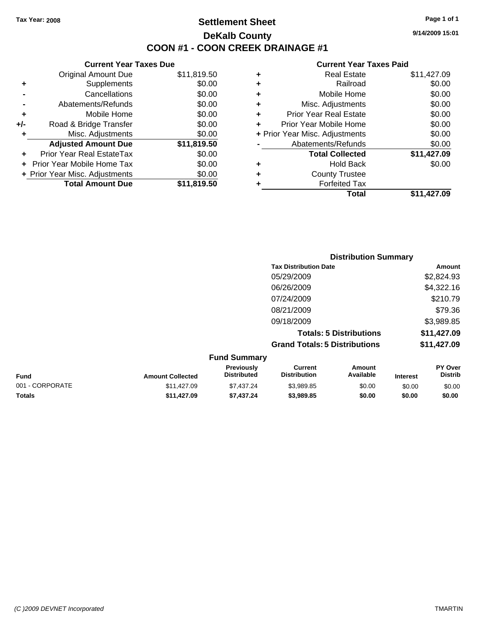# **Settlement Sheet Tax Year: 2008 Page 1 of 1 DeKalb County COON #1 - COON CREEK DRAINAGE #1**

**9/14/2009 15:01**

|     | <b>Current Year Taxes Due</b>  |             |  |  |  |
|-----|--------------------------------|-------------|--|--|--|
|     | Original Amount Due            | \$11,819.50 |  |  |  |
| ٠   | Supplements                    | \$0.00      |  |  |  |
|     | Cancellations                  | \$0.00      |  |  |  |
|     | Abatements/Refunds             | \$0.00      |  |  |  |
| ٠   | Mobile Home                    | \$0.00      |  |  |  |
| +/- | Road & Bridge Transfer         | \$0.00      |  |  |  |
| ۰   | Misc. Adjustments              | \$0.00      |  |  |  |
|     | <b>Adjusted Amount Due</b>     | \$11,819.50 |  |  |  |
|     | Prior Year Real EstateTax      | \$0.00      |  |  |  |
|     | Prior Year Mobile Home Tax     | \$0.00      |  |  |  |
|     | + Prior Year Misc. Adjustments | \$0.00      |  |  |  |
|     | <b>Total Amount Due</b>        | \$11,819.50 |  |  |  |
|     |                                |             |  |  |  |

|   | Total                          | \$11,427.09 |
|---|--------------------------------|-------------|
| ٠ | <b>Forfeited Tax</b>           |             |
| ٠ | <b>County Trustee</b>          |             |
| ٠ | <b>Hold Back</b>               | \$0.00      |
|   | <b>Total Collected</b>         | \$11,427.09 |
|   | Abatements/Refunds             | \$0.00      |
|   | + Prior Year Misc. Adjustments | \$0.00      |
| ٠ | Prior Year Mobile Home         | \$0.00      |
| ÷ | <b>Prior Year Real Estate</b>  | \$0.00      |
| ٠ | Misc. Adjustments              | \$0.00      |
| ٠ | Mobile Home                    | \$0.00      |
| ٠ | Railroad                       | \$0.00      |
| ٠ | <b>Real Estate</b>             | \$11,427.09 |
|   |                                |             |

| <b>Distribution Summary</b>          |             |
|--------------------------------------|-------------|
| <b>Tax Distribution Date</b>         | Amount      |
| 05/29/2009                           | \$2,824.93  |
| 06/26/2009                           | \$4,322.16  |
| 07/24/2009                           | \$210.79    |
| 08/21/2009                           | \$79.36     |
| 09/18/2009                           | \$3,989.85  |
| <b>Totals: 5 Distributions</b>       | \$11,427.09 |
| <b>Grand Totals: 5 Distributions</b> | \$11,427.09 |

| <b>Fund Summary</b> |                         |                                         |                                |                     |                 |                                  |
|---------------------|-------------------------|-----------------------------------------|--------------------------------|---------------------|-----------------|----------------------------------|
| <b>Fund</b>         | <b>Amount Collected</b> | <b>Previously</b><br><b>Distributed</b> | Current<br><b>Distribution</b> | Amount<br>Available | <b>Interest</b> | <b>PY Over</b><br><b>Distrib</b> |
| 001 - CORPORATE     | \$11,427.09             | \$7.437.24                              | \$3.989.85                     | \$0.00              | \$0.00          | \$0.00                           |
| <b>Totals</b>       | \$11.427.09             | \$7.437.24                              | \$3,989.85                     | \$0.00              | \$0.00          | \$0.00                           |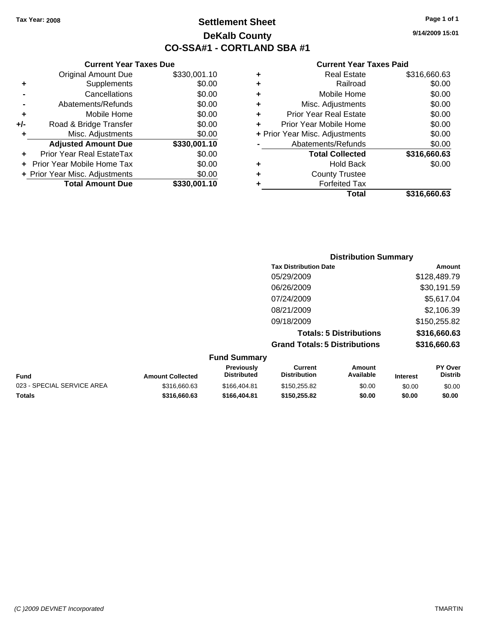# **Settlement Sheet Tax Year: 2008 Page 1 of 1 DeKalb County CO-SSA#1 - CORTLAND SBA #1**

**9/14/2009 15:01**

|   | Total                          | \$316,660.63 |
|---|--------------------------------|--------------|
|   | <b>Forfeited Tax</b>           |              |
| ٠ | <b>County Trustee</b>          |              |
| ٠ | <b>Hold Back</b>               | \$0.00       |
|   | <b>Total Collected</b>         | \$316,660.63 |
|   | Abatements/Refunds             | \$0.00       |
|   | + Prior Year Misc. Adjustments | \$0.00       |
|   | Prior Year Mobile Home         | \$0.00       |
| ٠ | <b>Prior Year Real Estate</b>  | \$0.00       |
| ٠ | Misc. Adjustments              | \$0.00       |
| ٠ | Mobile Home                    | \$0.00       |
| ٠ | Railroad                       | \$0.00       |
| ٠ | <b>Real Estate</b>             | \$316,660.63 |

|     | <b>Current Year Taxes Due</b>    |              |
|-----|----------------------------------|--------------|
|     | <b>Original Amount Due</b>       | \$330,001.10 |
| ٠   | Supplements                      | \$0.00       |
|     | Cancellations                    | \$0.00       |
|     | Abatements/Refunds               | \$0.00       |
| ٠   | Mobile Home                      | \$0.00       |
| +/- | Road & Bridge Transfer           | \$0.00       |
| ٠   | Misc. Adjustments                | \$0.00       |
|     | <b>Adjusted Amount Due</b>       | \$330,001.10 |
|     | <b>Prior Year Real EstateTax</b> | \$0.00       |
|     | Prior Year Mobile Home Tax       | \$0.00       |
|     | + Prior Year Misc. Adjustments   | \$0.00       |
|     | <b>Total Amount Due</b>          | \$330,001.10 |

|                                      | <b>Distribution Summary</b> |  |  |  |  |
|--------------------------------------|-----------------------------|--|--|--|--|
| <b>Tax Distribution Date</b>         | Amount                      |  |  |  |  |
| 05/29/2009                           | \$128,489.79                |  |  |  |  |
| 06/26/2009                           | \$30,191.59                 |  |  |  |  |
| 07/24/2009                           | \$5,617.04                  |  |  |  |  |
| 08/21/2009                           | \$2,106.39                  |  |  |  |  |
| 09/18/2009                           | \$150,255.82                |  |  |  |  |
| <b>Totals: 5 Distributions</b>       | \$316,660.63                |  |  |  |  |
| <b>Grand Totals: 5 Distributions</b> | \$316,660.63                |  |  |  |  |

| <b>Fund Summary</b>        |                         |                                         |                                |                     |                 |                           |
|----------------------------|-------------------------|-----------------------------------------|--------------------------------|---------------------|-----------------|---------------------------|
| <b>Fund</b>                | <b>Amount Collected</b> | <b>Previously</b><br><b>Distributed</b> | Current<br><b>Distribution</b> | Amount<br>Available | <b>Interest</b> | PY Over<br><b>Distrib</b> |
| 023 - SPECIAL SERVICE AREA | \$316,660.63            | \$166,404.81                            | \$150,255.82                   | \$0.00              | \$0.00          | \$0.00                    |
| <b>Totals</b>              | \$316,660,63            | \$166,404.81                            | \$150,255.82                   | \$0.00              | \$0.00          | \$0.00                    |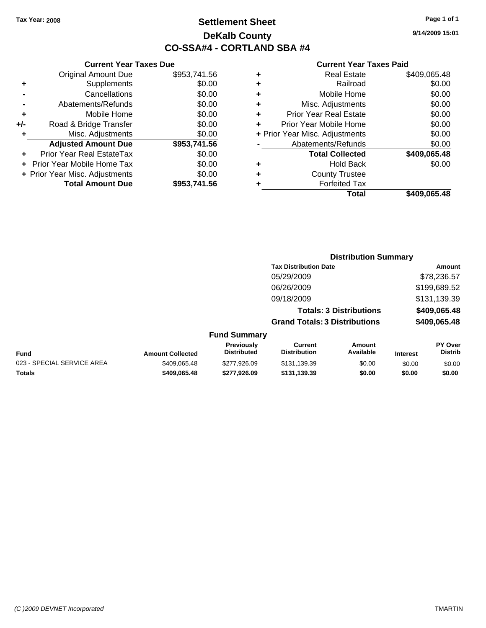# **Settlement Sheet Tax Year: 2008 Page 1 of 1 DeKalb County CO-SSA#4 - CORTLAND SBA #4**

**9/14/2009 15:01**

|   | Total                          | \$409.065.48 |
|---|--------------------------------|--------------|
|   | <b>Forfeited Tax</b>           |              |
| ٠ | <b>County Trustee</b>          |              |
| ٠ | <b>Hold Back</b>               | \$0.00       |
|   | <b>Total Collected</b>         | \$409,065.48 |
|   | Abatements/Refunds             | \$0.00       |
|   | + Prior Year Misc. Adjustments | \$0.00       |
| ÷ | Prior Year Mobile Home         | \$0.00       |
| ٠ | <b>Prior Year Real Estate</b>  | \$0.00       |
| ٠ | Misc. Adjustments              | \$0.00       |
| ٠ | Mobile Home                    | \$0.00       |
| ٠ | Railroad                       | \$0.00       |
| ٠ | <b>Real Estate</b>             | \$409,065.48 |

|     | <b>Current Year Taxes Due</b>    |              |
|-----|----------------------------------|--------------|
|     | <b>Original Amount Due</b>       | \$953,741.56 |
| ٠   | Supplements                      | \$0.00       |
|     | Cancellations                    | \$0.00       |
|     | Abatements/Refunds               | \$0.00       |
| ÷   | Mobile Home                      | \$0.00       |
| +/- | Road & Bridge Transfer           | \$0.00       |
| ٠   | Misc. Adjustments                | \$0.00       |
|     | <b>Adjusted Amount Due</b>       | \$953,741.56 |
|     | <b>Prior Year Real EstateTax</b> | \$0.00       |
|     | Prior Year Mobile Home Tax       | \$0.00       |
|     | + Prior Year Misc. Adjustments   | \$0.00       |
|     | <b>Total Amount Due</b>          | \$953,741.56 |

|                     | <b>Distribution Summary</b>            |                                |                |  |  |
|---------------------|----------------------------------------|--------------------------------|----------------|--|--|
|                     | <b>Tax Distribution Date</b><br>Amount |                                |                |  |  |
|                     | 05/29/2009                             |                                | \$78,236.57    |  |  |
|                     | 06/26/2009                             |                                | \$199,689.52   |  |  |
|                     | 09/18/2009                             |                                | \$131,139.39   |  |  |
|                     |                                        | <b>Totals: 3 Distributions</b> | \$409,065.48   |  |  |
|                     | <b>Grand Totals: 3 Distributions</b>   |                                | \$409,065.48   |  |  |
| <b>Fund Summary</b> |                                        |                                |                |  |  |
| <b>Previously</b>   | Current                                | Amount                         | <b>PY Over</b> |  |  |

| Fund                       | <b>Amount Collected</b> | TUVIUUJIY<br><b>Distributed</b> | <b>VALIVIII</b><br><b>Distribution</b> | <b>AUVULL</b><br>Available | <b>Interest</b> | .<br><b>Distrib</b> |
|----------------------------|-------------------------|---------------------------------|----------------------------------------|----------------------------|-----------------|---------------------|
| 023 - SPECIAL SERVICE AREA | \$409.065.48            | \$277,926.09                    | \$131.139.39                           | \$0.00                     | \$0.00          | \$0.00              |
| <b>Totals</b>              | \$409.065.48            | \$277.926.09                    | \$131.139.39                           | \$0.00                     | \$0.00          | \$0.00              |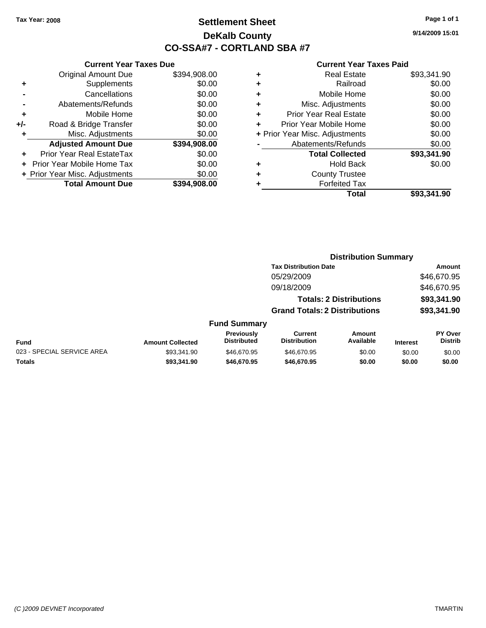# **Settlement Sheet Tax Year: 2008 Page 1 of 1 DeKalb County CO-SSA#7 - CORTLAND SBA #7**

**9/14/2009 15:01**

### **Current Year Taxes Paid**

|                      |                                |              |   | Total                          | \$93,341.90 |
|----------------------|--------------------------------|--------------|---|--------------------------------|-------------|
|                      | <b>Total Amount Due</b>        | \$394,908.00 |   | <b>Forfeited Tax</b>           |             |
|                      | + Prior Year Misc. Adjustments | \$0.00       | ٠ | <b>County Trustee</b>          |             |
|                      | + Prior Year Mobile Home Tax   | \$0.00       | ٠ | <b>Hold Back</b>               | \$0.00      |
| $\ddot{\phantom{1}}$ | Prior Year Real EstateTax      | \$0.00       |   | <b>Total Collected</b>         | \$93,341.90 |
|                      | <b>Adjusted Amount Due</b>     | \$394,908.00 |   | Abatements/Refunds             | \$0.00      |
| ٠                    | Misc. Adjustments              | \$0.00       |   | + Prior Year Misc. Adjustments | \$0.00      |
| I-                   | Road & Bridge Transfer         | \$0.00       |   | Prior Year Mobile Home         | \$0.00      |
| ÷                    | Mobile Home                    | \$0.00       | ÷ | <b>Prior Year Real Estate</b>  | \$0.00      |
| $\blacksquare$       | Abatements/Refunds             | \$0.00       |   | Misc. Adjustments              | \$0.00      |
| $\blacksquare$       | Cancellations                  | \$0.00       |   | Mobile Home                    | \$0.00      |
| ÷                    | Supplements                    | \$0.00       | ٠ | Railroad                       | \$0.00      |
|                      | <b>Original Amount Due</b>     | \$394,908.00 | ٠ | <b>Real Estate</b>             | \$93,341.90 |
|                      |                                |              |   |                                |             |

|     | Cancellations                  | \$0.00       | ٠     |
|-----|--------------------------------|--------------|-------|
|     | Abatements/Refunds             | \$0.00       | ٠     |
| ٠   | Mobile Home                    | \$0.00       | ٠     |
| +/- | Road & Bridge Transfer         | \$0.00       | ٠     |
| ٠   | Misc. Adjustments              | \$0.00       | + Pri |
|     | <b>Adjusted Amount Due</b>     | \$394,908.00 |       |
|     | Prior Year Real EstateTax      | \$0.00       |       |
|     | Prior Year Mobile Home Tax     | \$0.00       |       |
|     | + Prior Year Misc. Adjustments | \$0.00       |       |
|     | <b>Total Amount Due</b>        | \$394,908.00 |       |
|     |                                |              |       |

**Current Year Taxes Due**

### **Distribution Summary Tax Distribution Date Amount** 05/29/2009 \$46,670.95

| 09/18/2009                           | \$46,670.95 |
|--------------------------------------|-------------|
| <b>Totals: 2 Distributions</b>       | \$93,341.90 |
| <b>Grand Totals: 2 Distributions</b> | \$93,341.90 |

### **Fund Summary**

| Fund                       | <b>Amount Collected</b> | <b>Previously</b><br>Distributed | Current<br><b>Distribution</b> | Amount<br>Available | <b>Interest</b> | <b>PY Over</b><br>Distrib |
|----------------------------|-------------------------|----------------------------------|--------------------------------|---------------------|-----------------|---------------------------|
| 023 - SPECIAL SERVICE AREA | \$93.341.90             | \$46,670.95                      | \$46,670.95                    | \$0.00              | \$0.00          | \$0.00                    |
| Totals                     | \$93.341.90             | \$46,670.95                      | \$46,670.95                    | \$0.00              | \$0.00          | \$0.00                    |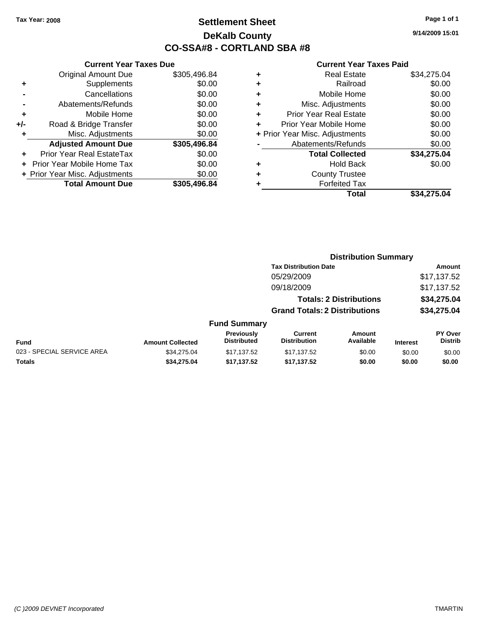# **Settlement Sheet Tax Year: 2008 Page 1 of 1 DeKalb County CO-SSA#8 - CORTLAND SBA #8**

**9/14/2009 15:01**

|     | <b>Current Year Taxes Due</b>  |              |
|-----|--------------------------------|--------------|
|     | <b>Original Amount Due</b>     | \$305,496.84 |
| ٠   | Supplements                    | \$0.00       |
|     | Cancellations                  | \$0.00       |
|     | Abatements/Refunds             | \$0.00       |
| ٠   | Mobile Home                    | \$0.00       |
| +/- | Road & Bridge Transfer         | \$0.00       |
| ٠   | Misc. Adjustments              | \$0.00       |
|     | <b>Adjusted Amount Due</b>     | \$305,496.84 |
| ٠   | Prior Year Real EstateTax      | \$0.00       |
|     | Prior Year Mobile Home Tax     | \$0.00       |
|     | + Prior Year Misc. Adjustments | \$0.00       |
|     | <b>Total Amount Due</b>        | \$305,496.84 |
|     |                                |              |

| ٠                              | <b>Real Estate</b>     | \$34,275.04 |
|--------------------------------|------------------------|-------------|
| ٠                              | Railroad               | \$0.00      |
| ٠                              | Mobile Home            | \$0.00      |
| ٠                              | Misc. Adjustments      | \$0.00      |
| ÷                              | Prior Year Real Estate | \$0.00      |
|                                | Prior Year Mobile Home | \$0.00      |
| + Prior Year Misc. Adjustments |                        | \$0.00      |
|                                | Abatements/Refunds     | \$0.00      |
|                                | <b>Total Collected</b> | \$34,275.04 |
| ٠                              | <b>Hold Back</b>       | \$0.00      |
| ٠                              | <b>County Trustee</b>  |             |
|                                | <b>Forfeited Tax</b>   |             |
|                                | Total                  | \$34.275.04 |

|                            | <b>Distribution Summary</b> |                                  |                                       |                                |                 |                                  |
|----------------------------|-----------------------------|----------------------------------|---------------------------------------|--------------------------------|-----------------|----------------------------------|
|                            |                             |                                  | <b>Tax Distribution Date</b>          |                                |                 | Amount                           |
|                            |                             |                                  | 05/29/2009                            |                                |                 | \$17,137.52                      |
|                            |                             |                                  | 09/18/2009                            |                                |                 | \$17,137.52                      |
|                            |                             |                                  |                                       | <b>Totals: 2 Distributions</b> |                 | \$34,275.04                      |
|                            |                             |                                  | <b>Grand Totals: 2 Distributions</b>  |                                |                 | \$34,275.04                      |
|                            |                             | <b>Fund Summary</b>              |                                       |                                |                 |                                  |
| Fund                       | <b>Amount Collected</b>     | Previously<br><b>Distributed</b> | <b>Current</b><br><b>Distribution</b> | Amount<br>Available            | <b>Interest</b> | <b>PY Over</b><br><b>Distrib</b> |
| 023 - SPECIAL SERVICE AREA | \$34.275.04                 | \$17,137.52                      | \$17,137.52                           | \$0.00                         | \$0.00          | \$0.00                           |
| Totals                     | \$34,275.04                 | \$17,137.52                      | \$17,137.52                           | \$0.00                         | \$0.00          | \$0.00                           |
|                            |                             |                                  |                                       |                                |                 |                                  |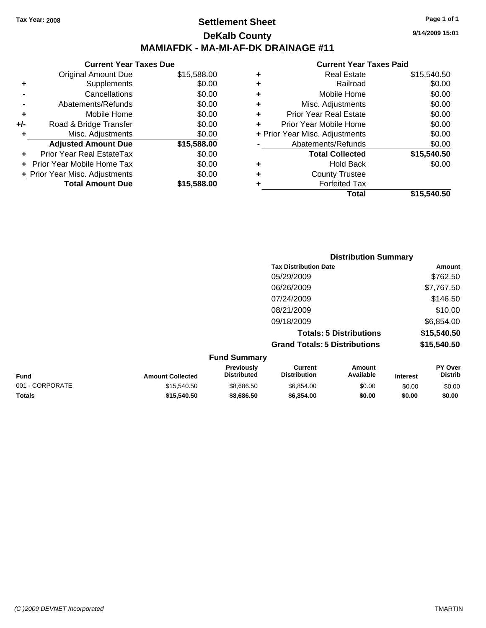**Current Year Taxes Due** Original Amount Due \$15,588.00

**Adjusted Amount Due \$15,588.00**

**Total Amount Due \$15,588.00**

**+** Supplements \$0.00 **-** Cancellations \$0.00 **-** Abatements/Refunds \$0.00 **+** Mobile Home \$0.00 **+/-** Road & Bridge Transfer \$0.00 **+** Misc. Adjustments \$0.00

**+** Prior Year Real EstateTax \$0.00 **+** Prior Year Mobile Home Tax \$0.00 **+ Prior Year Misc. Adjustments**  $$0.00$ 

### **Settlement Sheet Tax Year: 2008 Page 1 of 1 DeKalb County MAMIAFDK - MA-MI-AF-DK DRAINAGE #11**

**9/14/2009 15:01**

#### **Current Year Taxes Paid**

| <b>Forfeited Tax</b>           | \$15,540.50 |
|--------------------------------|-------------|
| <b>County Trustee</b>          |             |
| <b>Hold Back</b>               | \$0.00      |
| <b>Total Collected</b>         | \$15,540.50 |
| Abatements/Refunds             | \$0.00      |
| + Prior Year Misc. Adjustments | \$0.00      |
| Prior Year Mobile Home         | \$0.00      |
| <b>Prior Year Real Estate</b>  | \$0.00      |
| Misc. Adjustments              | \$0.00      |
| Mobile Home                    | \$0.00      |
| Railroad                       | \$0.00      |
| <b>Real Estate</b>             | \$15,540.50 |
|                                | Total       |

|             |                         |                                  |                                       | <b>Distribution Summary</b>    |                 |                                  |
|-------------|-------------------------|----------------------------------|---------------------------------------|--------------------------------|-----------------|----------------------------------|
|             |                         |                                  | <b>Tax Distribution Date</b>          |                                |                 | Amount                           |
|             |                         |                                  | 05/29/2009                            |                                |                 | \$762.50                         |
|             |                         |                                  | 06/26/2009                            |                                |                 | \$7,767.50                       |
|             |                         |                                  | 07/24/2009                            |                                |                 | \$146.50                         |
|             |                         |                                  | 08/21/2009                            |                                |                 | \$10.00                          |
|             |                         |                                  | 09/18/2009                            |                                |                 | \$6,854.00                       |
|             |                         |                                  |                                       | <b>Totals: 5 Distributions</b> |                 | \$15,540.50                      |
|             |                         |                                  | <b>Grand Totals: 5 Distributions</b>  |                                |                 | \$15,540.50                      |
|             |                         | <b>Fund Summary</b>              |                                       |                                |                 |                                  |
| <b>Fund</b> | <b>Amount Collected</b> | Previously<br><b>Distributed</b> | <b>Current</b><br><b>Distribution</b> | <b>Amount</b><br>Available     | <b>Interest</b> | <b>PY Over</b><br><b>Distrib</b> |

001 - CORPORATE \$15,540.50 \$8,686.50 \$6,854.00 \$0.00 \$0.00 \$0.00 **Totals \$15,540.50 \$8,686.50 \$6,854.00 \$0.00 \$0.00 \$0.00**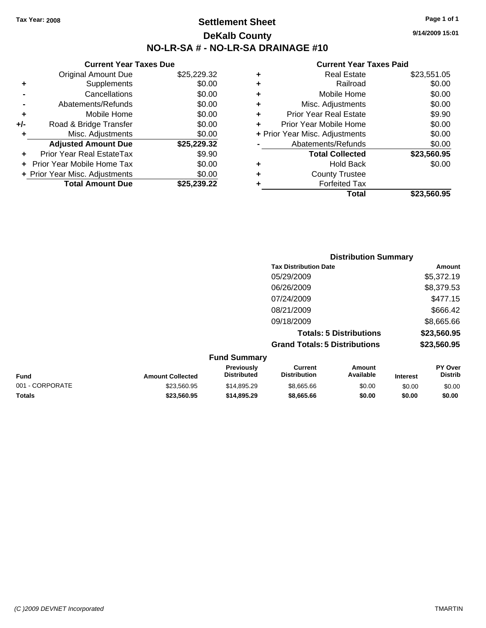Original Amount Due

**Road & Bridge Transfer** 

**Adjusted Amount Due** 

**Total Amount Due** 

**+** Supplements **-** Cancellations **-** Abatements/Refunds **+** Mobile Home<br>**+/-** Road & Bridge Transfer

**+** Misc. Adjustments

**+** Prior Year Real EstateTax \$9.90 **+** Prior Year Mobile Home Tax **+ Prior Year Misc. Adjustments** 

## **Settlement Sheet Tax Year: 2008 Page 1 of 1 DeKalb County NO-LR-SA # - NO-LR-SA DRAINAGE #10**

**9/14/2009 15:01**

| <b>Current Year Taxes Due</b> |             |   | <b>Current Year Taxes Paid</b> |             |
|-------------------------------|-------------|---|--------------------------------|-------------|
| ıl Amount Due                 | \$25,229.32 | ٠ | <b>Real Estate</b>             | \$23,551.05 |
| Supplements                   | \$0.00      | ٠ | Railroad                       | \$0.00      |
| Cancellations                 | \$0.00      | ٠ | Mobile Home                    | \$0.00      |
| าents/Refunds                 | \$0.00      | ÷ | Misc. Adjustments              | \$0.00      |
| Mobile Home                   | \$0.00      | ÷ | <b>Prior Year Real Estate</b>  | \$9.90      |
| ridge Transfer                | \$0.00      | ÷ | Prior Year Mobile Home         | \$0.00      |
| :. Adjustments                | \$0.00      |   | + Prior Year Misc. Adjustments | \$0.00      |
| <b>Amount Due</b>             | \$25,229.32 |   | Abatements/Refunds             | \$0.00      |
| eal EstateTax                 | \$9.90      |   | <b>Total Collected</b>         | \$23,560.95 |
| pile Home Tax                 | \$0.00      | ÷ | <b>Hold Back</b>               | \$0.00      |
| . Adjustments                 | \$0.00      | ÷ | <b>County Trustee</b>          |             |
| <b>Amount Due</b>             | \$25,239.22 |   | <b>Forfeited Tax</b>           |             |
|                               |             |   | Total                          | \$23,560.95 |

|                         |                                         |                                      | <b>Distribution Summary</b>    |                 |                           |
|-------------------------|-----------------------------------------|--------------------------------------|--------------------------------|-----------------|---------------------------|
|                         |                                         | <b>Tax Distribution Date</b>         |                                |                 | Amount                    |
|                         |                                         | 05/29/2009                           |                                |                 | \$5,372.19                |
|                         |                                         | 06/26/2009                           |                                |                 | \$8,379.53                |
|                         |                                         | 07/24/2009                           |                                |                 | \$477.15                  |
|                         |                                         | 08/21/2009                           |                                |                 | \$666.42                  |
|                         |                                         | 09/18/2009                           |                                |                 | \$8,665.66                |
|                         |                                         |                                      | <b>Totals: 5 Distributions</b> |                 | \$23,560.95               |
|                         |                                         | <b>Grand Totals: 5 Distributions</b> |                                |                 | \$23,560.95               |
|                         | <b>Fund Summary</b>                     |                                      |                                |                 |                           |
| <b>Amount Collected</b> | <b>Previously</b><br><b>Distributed</b> | Current<br><b>Distribution</b>       | Amount<br>Available            | <b>Interest</b> | PY Over<br><b>Distrib</b> |

| <b>Fund</b>     | <b>Amount Collected</b> | <b>Previously</b><br><b>Distributed</b> | Current<br>Distribution | Amount<br>Available | <b>Interest</b> | <b>PY Over</b><br>Distrib |
|-----------------|-------------------------|-----------------------------------------|-------------------------|---------------------|-----------------|---------------------------|
| 001 - CORPORATE | \$23.560.95             | \$14.895.29                             | \$8,665,66              | \$0.00              | \$0.00          | \$0.00                    |
| Totals          | \$23.560.95             | \$14,895,29                             | \$8.665.66              | \$0.00              | \$0.00          | \$0.00                    |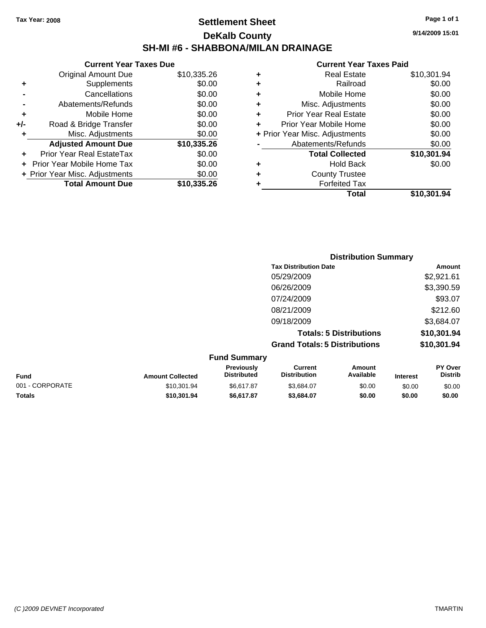## **Settlement Sheet Tax Year: 2008 Page 1 of 1 DeKalb County SH-MI #6 - SHABBONA/MILAN DRAINAGE**

**9/14/2009 15:01**

|     | <b>Current Year Taxes Due</b>  |             |  |  |
|-----|--------------------------------|-------------|--|--|
|     | Original Amount Due            | \$10,335.26 |  |  |
| ٠   | Supplements                    | \$0.00      |  |  |
|     | Cancellations                  | \$0.00      |  |  |
|     | Abatements/Refunds             | \$0.00      |  |  |
| ٠   | Mobile Home                    | \$0.00      |  |  |
| +/- | Road & Bridge Transfer         | \$0.00      |  |  |
| ٠   | Misc. Adjustments              | \$0.00      |  |  |
|     | <b>Adjusted Amount Due</b>     | \$10,335.26 |  |  |
|     | Prior Year Real EstateTax      | \$0.00      |  |  |
|     | Prior Year Mobile Home Tax     | \$0.00      |  |  |
|     | + Prior Year Misc. Adjustments | \$0.00      |  |  |
|     | <b>Total Amount Due</b>        | \$10,335.26 |  |  |
|     |                                |             |  |  |

| ٠ | Real Estate                    | \$10,301.94 |
|---|--------------------------------|-------------|
| ٠ | Railroad                       | \$0.00      |
| ٠ | Mobile Home                    | \$0.00      |
| ٠ | Misc. Adjustments              | \$0.00      |
| ÷ | <b>Prior Year Real Estate</b>  | \$0.00      |
| ٠ | Prior Year Mobile Home         | \$0.00      |
|   | + Prior Year Misc. Adjustments | \$0.00      |
|   | Abatements/Refunds             | \$0.00      |
|   | <b>Total Collected</b>         | \$10,301.94 |
| ٠ | <b>Hold Back</b>               | \$0.00      |
| ٠ | <b>County Trustee</b>          |             |
| ٠ | <b>Forfeited Tax</b>           |             |
|   | Total                          | \$10,301.94 |
|   |                                |             |

| <b>Distribution Summary</b>          |             |
|--------------------------------------|-------------|
| <b>Tax Distribution Date</b>         | Amount      |
| 05/29/2009                           | \$2,921.61  |
| 06/26/2009                           | \$3,390.59  |
| 07/24/2009                           | \$93.07     |
| 08/21/2009                           | \$212.60    |
| 09/18/2009                           | \$3,684.07  |
| <b>Totals: 5 Distributions</b>       | \$10,301.94 |
| <b>Grand Totals: 5 Distributions</b> | \$10,301.94 |
|                                      |             |

| <b>Fund Summary</b> |                         |                                         |                                |                     |                 |                           |
|---------------------|-------------------------|-----------------------------------------|--------------------------------|---------------------|-----------------|---------------------------|
| <b>Fund</b>         | <b>Amount Collected</b> | <b>Previously</b><br><b>Distributed</b> | Current<br><b>Distribution</b> | Amount<br>Available | <b>Interest</b> | PY Over<br><b>Distrib</b> |
| 001 - CORPORATE     | \$10,301.94             | \$6.617.87                              | \$3.684.07                     | \$0.00              | \$0.00          | \$0.00                    |
| <b>Totals</b>       | \$10.301.94             | \$6.617.87                              | \$3.684.07                     | \$0.00              | \$0.00          | \$0.00                    |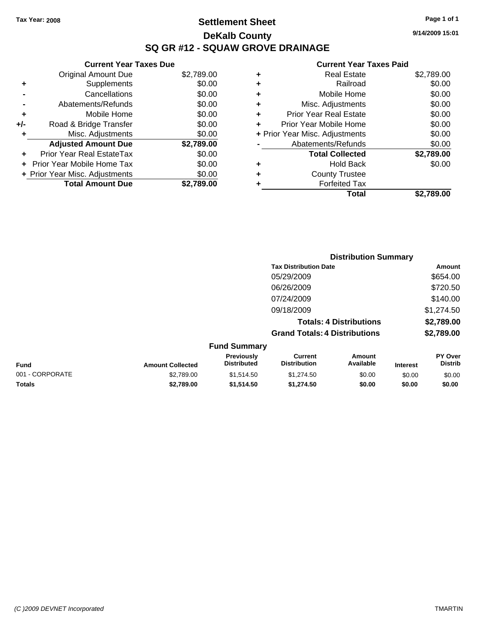# **Settlement Sheet Tax Year: 2008 Page 1 of 1 DeKalb County SQ GR #12 - SQUAW GROVE DRAINAGE**

|     | <b>Current Year Taxes Due</b>  |            |            |      |
|-----|--------------------------------|------------|------------|------|
|     | Original Amount Due            | \$2,789.00 | ÷          |      |
|     | <b>Supplements</b>             | \$0.00     | ٠          |      |
|     | Cancellations                  | \$0.00     | ٠          |      |
|     | Abatements/Refunds             | \$0.00     | ٠          |      |
|     | Mobile Home                    | \$0.00     | ٠          | P    |
| +/- | Road & Bridge Transfer         | \$0.00     |            | Prio |
|     | Misc. Adjustments              | \$0.00     | + Prior Ye |      |
|     | <b>Adjusted Amount Due</b>     | \$2,789.00 |            |      |
|     | Prior Year Real EstateTax      | \$0.00     |            |      |
|     | Prior Year Mobile Home Tax     | \$0.00     | ٠          |      |
|     | + Prior Year Misc. Adjustments | \$0.00     |            |      |
|     | <b>Total Amount Due</b>        | \$2,789.00 |            |      |
|     |                                |            |            |      |

|   | <b>Real Estate</b>             | \$2,789.00 |
|---|--------------------------------|------------|
| ٠ | Railroad                       | \$0.00     |
| ٠ | Mobile Home                    | \$0.00     |
| ٠ | Misc. Adjustments              | \$0.00     |
| ٠ | <b>Prior Year Real Estate</b>  | \$0.00     |
| ÷ | Prior Year Mobile Home         | \$0.00     |
|   | + Prior Year Misc. Adjustments | \$0.00     |
|   | Abatements/Refunds             | \$0.00     |
|   | <b>Total Collected</b>         | \$2,789.00 |
| ٠ | <b>Hold Back</b>               | \$0.00     |
|   | <b>County Trustee</b>          |            |
|   | <b>Forfeited Tax</b>           |            |
|   | Total                          | \$2.789.00 |

|                 |                         |                                  | <b>Distribution Summary</b>           |                                |                 |                           |
|-----------------|-------------------------|----------------------------------|---------------------------------------|--------------------------------|-----------------|---------------------------|
|                 |                         |                                  | <b>Tax Distribution Date</b>          |                                |                 | Amount                    |
|                 |                         |                                  | 05/29/2009                            |                                |                 | \$654.00                  |
|                 |                         |                                  | 06/26/2009                            |                                |                 | \$720.50                  |
|                 |                         |                                  | 07/24/2009                            |                                |                 | \$140.00                  |
|                 |                         |                                  | 09/18/2009                            |                                |                 | \$1,274.50                |
|                 |                         |                                  |                                       | <b>Totals: 4 Distributions</b> |                 | \$2,789.00                |
|                 |                         |                                  | <b>Grand Totals: 4 Distributions</b>  |                                |                 | \$2,789.00                |
|                 |                         | <b>Fund Summary</b>              |                                       |                                |                 |                           |
| Fund            | <b>Amount Collected</b> | Previously<br><b>Distributed</b> | <b>Current</b><br><b>Distribution</b> | <b>Amount</b><br>Available     | <b>Interest</b> | PY Over<br><b>Distrib</b> |
| 001 - CORPORATE | \$2,789.00              | \$1,514.50                       | \$1,274.50                            | \$0.00                         | \$0.00          | \$0.00                    |
| Totals          | \$2,789.00              | \$1,514.50                       | \$1,274.50                            | \$0.00                         | \$0.00          | \$0.00                    |

**Current Year Taxes Paid**

**9/14/2009 15:01**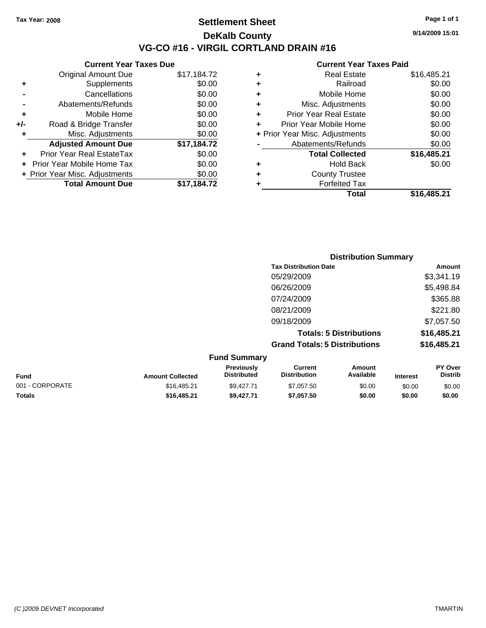## **Settlement Sheet Tax Year: 2008 Page 1 of 1 DeKalb County VG-CO #16 - VIRGIL CORTLAND DRAIN #16**

**9/14/2009 15:01**

|     | <b>Current Year Taxes Due</b>  |             |  |  |
|-----|--------------------------------|-------------|--|--|
|     | <b>Original Amount Due</b>     | \$17,184.72 |  |  |
| ٠   | Supplements                    | \$0.00      |  |  |
|     | Cancellations                  | \$0.00      |  |  |
|     | Abatements/Refunds             | \$0.00      |  |  |
| ٠   | Mobile Home                    | \$0.00      |  |  |
| +/- | Road & Bridge Transfer         | \$0.00      |  |  |
| ٠   | Misc. Adjustments              | \$0.00      |  |  |
|     | <b>Adjusted Amount Due</b>     | \$17,184.72 |  |  |
|     | Prior Year Real EstateTax      | \$0.00      |  |  |
|     | Prior Year Mobile Home Tax     | \$0.00      |  |  |
|     | + Prior Year Misc. Adjustments | \$0.00      |  |  |
|     | <b>Total Amount Due</b>        | \$17,184.72 |  |  |
|     |                                |             |  |  |

| ٠ | <b>Real Estate</b>             | \$16,485.21 |
|---|--------------------------------|-------------|
| ٠ | Railroad                       | \$0.00      |
| ٠ | Mobile Home                    | \$0.00      |
| ٠ | Misc. Adjustments              | \$0.00      |
| ÷ | <b>Prior Year Real Estate</b>  | \$0.00      |
| ٠ | Prior Year Mobile Home         | \$0.00      |
|   | + Prior Year Misc. Adjustments | \$0.00      |
|   | Abatements/Refunds             | \$0.00      |
|   | <b>Total Collected</b>         | \$16,485.21 |
| ٠ | Hold Back                      | \$0.00      |
| ٠ | <b>County Trustee</b>          |             |
| ٠ | <b>Forfeited Tax</b>           |             |
|   | Total                          | \$16,485.21 |
|   |                                |             |

|                     | <b>Distribution Summary</b>          |             |
|---------------------|--------------------------------------|-------------|
|                     | <b>Tax Distribution Date</b>         | Amount      |
|                     | 05/29/2009                           | \$3,341.19  |
|                     | 06/26/2009                           | \$5,498.84  |
|                     | 07/24/2009                           | \$365.88    |
|                     | 08/21/2009                           | \$221.80    |
|                     | 09/18/2009                           | \$7,057.50  |
|                     | <b>Totals: 5 Distributions</b>       | \$16,485.21 |
|                     | <b>Grand Totals: 5 Distributions</b> | \$16,485.21 |
| <b>Eund Cummory</b> |                                      |             |

| <b>Amount Collected</b> | <b>Previously</b><br><b>Distributed</b> | Current<br><b>Distribution</b> | Amount<br>Available | <b>Interest</b> | <b>PY Over</b><br><b>Distrib</b> |
|-------------------------|-----------------------------------------|--------------------------------|---------------------|-----------------|----------------------------------|
| \$16.485.21             | \$9.427.71                              | \$7,057.50                     | \$0.00              | \$0.00          | \$0.00                           |
| \$16,485.21             | \$9.427.71                              | \$7,057.50                     | \$0.00              | \$0.00          | \$0.00                           |
|                         |                                         | <b>Fund Summary</b>            |                     |                 |                                  |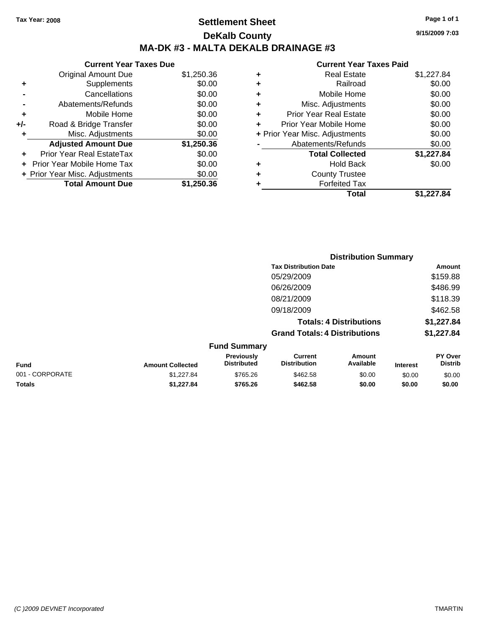# **Settlement Sheet Tax Year: 2008 Page 1 of 1 DeKalb County MA-DK #3 - MALTA DEKALB DRAINAGE #3**

**Current Year Taxes Due**

| <b>Original Amount Due</b> | \$1,250.36                     |
|----------------------------|--------------------------------|
| Supplements                | \$0.00                         |
| Cancellations              | \$0.00                         |
| Abatements/Refunds         | \$0.00                         |
| Mobile Home                | \$0.00                         |
| Road & Bridge Transfer     | \$0.00                         |
| Misc. Adjustments          | \$0.00                         |
| <b>Adjusted Amount Due</b> | \$1,250.36                     |
| Prior Year Real EstateTax  | \$0.00                         |
| Prior Year Mobile Home Tax | \$0.00                         |
|                            | \$0.00                         |
| <b>Total Amount Due</b>    | \$1,250.36                     |
|                            | + Prior Year Misc. Adjustments |

#### **Current Year Taxes Paid**

|   | <b>Real Estate</b>             | \$1,227.84 |
|---|--------------------------------|------------|
| ٠ | Railroad                       | \$0.00     |
| ٠ | Mobile Home                    | \$0.00     |
| ٠ | Misc. Adjustments              | \$0.00     |
| ٠ | <b>Prior Year Real Estate</b>  | \$0.00     |
|   | Prior Year Mobile Home         | \$0.00     |
|   | + Prior Year Misc. Adjustments | \$0.00     |
|   | Abatements/Refunds             | \$0.00     |
|   | <b>Total Collected</b>         | \$1,227.84 |
| ٠ | Hold Back                      | \$0.00     |
| ٠ | <b>County Trustee</b>          |            |
| ٠ | <b>Forfeited Tax</b>           |            |
|   | Total                          | \$1,227.84 |
|   |                                |            |

|                 | <b>Distribution Summary</b> |                                  |                                       |                                |                 |                           |
|-----------------|-----------------------------|----------------------------------|---------------------------------------|--------------------------------|-----------------|---------------------------|
|                 |                             |                                  | <b>Tax Distribution Date</b>          |                                |                 | Amount                    |
|                 |                             |                                  | 05/29/2009                            |                                |                 | \$159.88                  |
|                 |                             |                                  | 06/26/2009                            |                                |                 | \$486.99                  |
|                 |                             |                                  | 08/21/2009                            |                                |                 | \$118.39                  |
|                 |                             |                                  | 09/18/2009                            |                                |                 | \$462.58                  |
|                 |                             |                                  |                                       | <b>Totals: 4 Distributions</b> |                 | \$1,227.84                |
|                 |                             |                                  | <b>Grand Totals: 4 Distributions</b>  |                                |                 | \$1,227.84                |
|                 |                             | <b>Fund Summary</b>              |                                       |                                |                 |                           |
| <b>Fund</b>     | <b>Amount Collected</b>     | Previously<br><b>Distributed</b> | <b>Current</b><br><b>Distribution</b> | Amount<br>Available            | <b>Interest</b> | PY Over<br><b>Distrib</b> |
| 001 - CORPORATE | \$1,227.84                  | \$765.26                         | \$462.58                              | \$0.00                         | \$0.00          | \$0.00                    |
|                 |                             |                                  |                                       |                                |                 |                           |

**Totals \$1,227.84 \$765.26 \$462.58 \$0.00 \$0.00 \$0.00**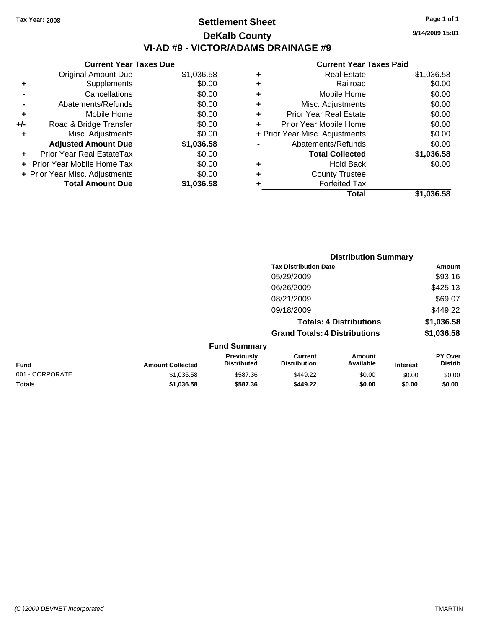# **Settlement Sheet Tax Year: 2008 Page 1 of 1 DeKalb County VI-AD #9 - VICTOR/ADAMS DRAINAGE #9**

**9/14/2009 15:01**

|     | <b>Current Year Taxes Due</b>  |            |  |  |  |  |
|-----|--------------------------------|------------|--|--|--|--|
|     | <b>Original Amount Due</b>     | \$1,036.58 |  |  |  |  |
| ٠   | Supplements                    | \$0.00     |  |  |  |  |
|     | Cancellations                  | \$0.00     |  |  |  |  |
|     | Abatements/Refunds             | \$0.00     |  |  |  |  |
| ٠   | Mobile Home                    | \$0.00     |  |  |  |  |
| +/- | Road & Bridge Transfer         | \$0.00     |  |  |  |  |
| ٠   | Misc. Adjustments              | \$0.00     |  |  |  |  |
|     | <b>Adjusted Amount Due</b>     | \$1,036.58 |  |  |  |  |
| ٠   | Prior Year Real EstateTax      | \$0.00     |  |  |  |  |
|     | Prior Year Mobile Home Tax     | \$0.00     |  |  |  |  |
|     | + Prior Year Misc. Adjustments | \$0.00     |  |  |  |  |
|     | <b>Total Amount Due</b>        | \$1.036.58 |  |  |  |  |
|     |                                |            |  |  |  |  |
|     |                                |            |  |  |  |  |

|   | Total                          | \$1,036.58 |
|---|--------------------------------|------------|
| ٠ | <b>Forfeited Tax</b>           |            |
| ÷ | <b>County Trustee</b>          |            |
| ٠ | <b>Hold Back</b>               | \$0.00     |
|   | <b>Total Collected</b>         | \$1,036.58 |
|   | Abatements/Refunds             | \$0.00     |
|   | + Prior Year Misc. Adjustments | \$0.00     |
| ٠ | Prior Year Mobile Home         | \$0.00     |
| ÷ | <b>Prior Year Real Estate</b>  | \$0.00     |
| ٠ | Misc. Adjustments              | \$0.00     |
| ٠ | Mobile Home                    | \$0.00     |
| ٠ | Railroad                       | \$0.00     |
| ٠ | <b>Real Estate</b>             | \$1,036.58 |
|   |                                |            |

|                 |                         |                                  |                                       | <b>Distribution Summary</b>    |                 |                           |
|-----------------|-------------------------|----------------------------------|---------------------------------------|--------------------------------|-----------------|---------------------------|
|                 |                         |                                  | <b>Tax Distribution Date</b>          |                                |                 | Amount                    |
|                 |                         |                                  | 05/29/2009                            |                                |                 | \$93.16                   |
|                 |                         |                                  | 06/26/2009                            |                                |                 | \$425.13                  |
|                 |                         |                                  | 08/21/2009                            |                                |                 | \$69.07                   |
|                 |                         |                                  | 09/18/2009                            |                                |                 | \$449.22                  |
|                 |                         |                                  |                                       | <b>Totals: 4 Distributions</b> |                 | \$1,036.58                |
|                 |                         |                                  | <b>Grand Totals: 4 Distributions</b>  |                                |                 | \$1,036.58                |
|                 |                         | <b>Fund Summary</b>              |                                       |                                |                 |                           |
| <b>Fund</b>     | <b>Amount Collected</b> | Previously<br><b>Distributed</b> | <b>Current</b><br><b>Distribution</b> | Amount<br>Available            | <b>Interest</b> | PY Over<br><b>Distrib</b> |
| 001 - CORPORATE | \$1,036.58              | \$587.36                         | \$449.22                              | \$0.00                         | \$0.00          | \$0.00                    |
| Totals          | \$1,036.58              | \$587.36                         | \$449.22                              | \$0.00                         | \$0.00          | \$0.00                    |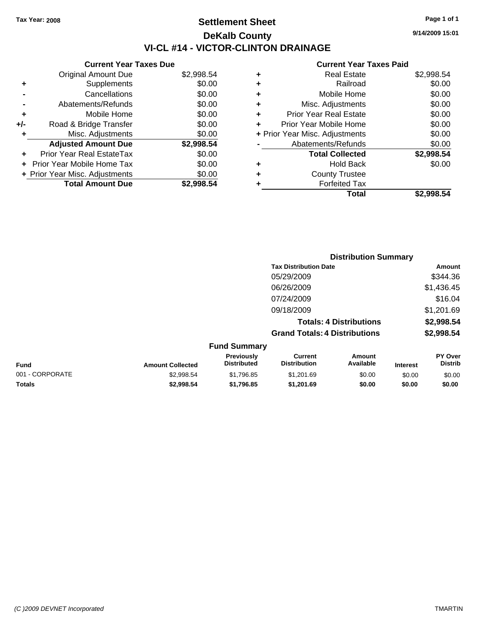# **Settlement Sheet Tax Year: 2008 Page 1 of 1 DeKalb County VI-CL #14 - VICTOR-CLINTON DRAINAGE**

**9/14/2009 15:01**

|     | <b>Current Year Taxes Due</b>  |            |  |
|-----|--------------------------------|------------|--|
|     | <b>Original Amount Due</b>     | \$2,998.54 |  |
| ٠   | Supplements                    | \$0.00     |  |
|     | Cancellations                  | \$0.00     |  |
|     | Abatements/Refunds             | \$0.00     |  |
| ٠   | Mobile Home                    | \$0.00     |  |
| +/- | Road & Bridge Transfer         | \$0.00     |  |
| ٠   | Misc. Adjustments              | \$0.00     |  |
|     | <b>Adjusted Amount Due</b>     | \$2,998.54 |  |
|     | Prior Year Real EstateTax      | \$0.00     |  |
|     | Prior Year Mobile Home Tax     | \$0.00     |  |
|     | + Prior Year Misc. Adjustments | \$0.00     |  |
|     | <b>Total Amount Due</b>        | \$2.998.54 |  |
|     |                                |            |  |

|   | <b>Real Estate</b>             | \$2,998.54 |
|---|--------------------------------|------------|
| ٠ | Railroad                       | \$0.00     |
| ٠ | Mobile Home                    | \$0.00     |
| ٠ | Misc. Adjustments              | \$0.00     |
| ٠ | <b>Prior Year Real Estate</b>  | \$0.00     |
|   | Prior Year Mobile Home         | \$0.00     |
|   | + Prior Year Misc. Adjustments | \$0.00     |
|   | Abatements/Refunds             | \$0.00     |
|   | <b>Total Collected</b>         | \$2,998.54 |
| ٠ | Hold Back                      | \$0.00     |
| ٠ | <b>County Trustee</b>          |            |
| ٠ | <b>Forfeited Tax</b>           |            |
|   | Total                          | \$2,998.54 |

|                 |                         |                                  |                                       | <b>Distribution Summary</b>    |                 |                                  |
|-----------------|-------------------------|----------------------------------|---------------------------------------|--------------------------------|-----------------|----------------------------------|
|                 |                         |                                  | <b>Tax Distribution Date</b>          |                                |                 | Amount                           |
|                 |                         |                                  | 05/29/2009                            |                                |                 | \$344.36                         |
|                 |                         |                                  | 06/26/2009                            |                                |                 | \$1,436.45                       |
|                 |                         |                                  | 07/24/2009                            |                                |                 | \$16.04                          |
|                 |                         |                                  | 09/18/2009                            |                                |                 | \$1,201.69                       |
|                 |                         |                                  |                                       | <b>Totals: 4 Distributions</b> |                 | \$2,998.54                       |
|                 |                         |                                  | <b>Grand Totals: 4 Distributions</b>  |                                |                 | \$2,998.54                       |
|                 |                         | <b>Fund Summary</b>              |                                       |                                |                 |                                  |
| <b>Fund</b>     | <b>Amount Collected</b> | Previously<br><b>Distributed</b> | <b>Current</b><br><b>Distribution</b> | Amount<br>Available            | <b>Interest</b> | <b>PY Over</b><br><b>Distrib</b> |
| 001 - CORPORATE | \$2,998.54              | \$1,796.85                       | \$1,201.69                            | \$0.00                         | \$0.00          | \$0.00                           |
| Totals          | \$2,998.54              | \$1,796.85                       | \$1,201.69                            | \$0.00                         | \$0.00          | \$0.00                           |